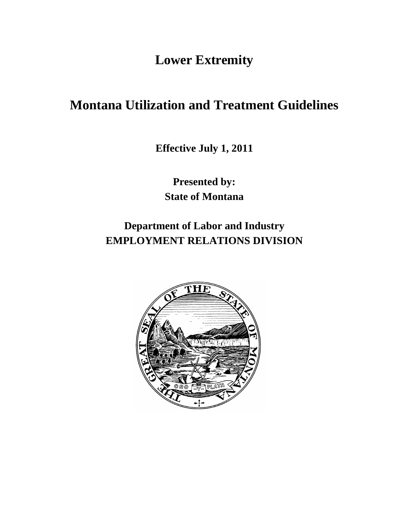**Lower Extremity**

# **Montana Utilization and Treatment Guidelines**

**Effective July 1, 2011**

**Presented by: State of Montana**

**Department of Labor and Industry EMPLOYMENT RELATIONS DIVISION**

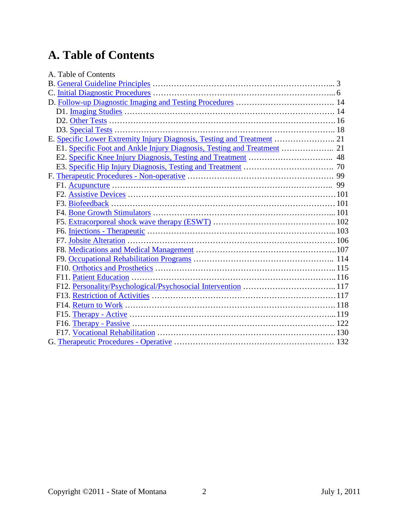# **A. Table of Contents**

| A. Table of Contents |  |
|----------------------|--|
|                      |  |
|                      |  |
|                      |  |
|                      |  |
|                      |  |
|                      |  |
|                      |  |
|                      |  |
|                      |  |
|                      |  |
|                      |  |
|                      |  |
|                      |  |
|                      |  |
|                      |  |
|                      |  |
|                      |  |
|                      |  |
|                      |  |
|                      |  |
|                      |  |
|                      |  |
|                      |  |
|                      |  |
|                      |  |
|                      |  |
|                      |  |
|                      |  |
|                      |  |
|                      |  |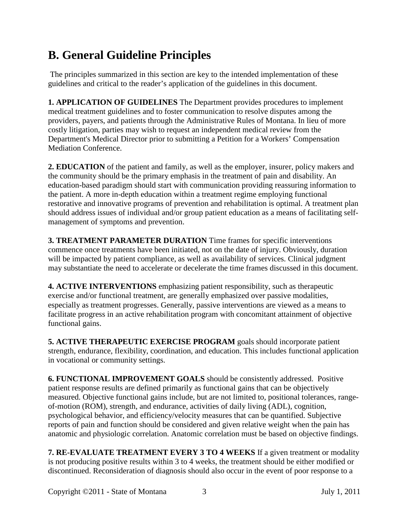# <span id="page-2-0"></span>**B. General Guideline Principles**

The principles summarized in this section are key to the intended implementation of these guidelines and critical to the reader's application of the guidelines in this document.

**1. APPLICATION OF GUIDELINES** The Department provides procedures to implement medical treatment guidelines and to foster communication to resolve disputes among the providers, payers, and patients through the Administrative Rules of Montana. In lieu of more costly litigation, parties may wish to request an independent medical review from the Department's Medical Director prior to submitting a Petition for a Workers' Compensation Mediation Conference.

**2. EDUCATION** of the patient and family, as well as the employer, insurer, policy makers and the community should be the primary emphasis in the treatment of pain and disability. An education-based paradigm should start with communication providing reassuring information to the patient. A more in-depth education within a treatment regime employing functional restorative and innovative programs of prevention and rehabilitation is optimal. A treatment plan should address issues of individual and/or group patient education as a means of facilitating selfmanagement of symptoms and prevention.

**3. TREATMENT PARAMETER DURATION** Time frames for specific interventions commence once treatments have been initiated, not on the date of injury. Obviously, duration will be impacted by patient compliance, as well as availability of services. Clinical judgment may substantiate the need to accelerate or decelerate the time frames discussed in this document.

**4. ACTIVE INTERVENTIONS** emphasizing patient responsibility, such as therapeutic exercise and/or functional treatment, are generally emphasized over passive modalities, especially as treatment progresses. Generally, passive interventions are viewed as a means to facilitate progress in an active rehabilitation program with concomitant attainment of objective functional gains.

**5. ACTIVE THERAPEUTIC EXERCISE PROGRAM** goals should incorporate patient strength, endurance, flexibility, coordination, and education. This includes functional application in vocational or community settings.

**6. FUNCTIONAL IMPROVEMENT GOALS** should be consistently addressed. Positive patient response results are defined primarily as functional gains that can be objectively measured. Objective functional gains include, but are not limited to, positional tolerances, rangeof-motion (ROM), strength, and endurance, activities of daily living (ADL), cognition, psychological behavior, and efficiency/velocity measures that can be quantified. Subjective reports of pain and function should be considered and given relative weight when the pain has anatomic and physiologic correlation. Anatomic correlation must be based on objective findings.

**7. RE-EVALUATE TREATMENT EVERY 3 TO 4 WEEKS** If a given treatment or modality is not producing positive results within 3 to 4 weeks, the treatment should be either modified or discontinued. Reconsideration of diagnosis should also occur in the event of poor response to a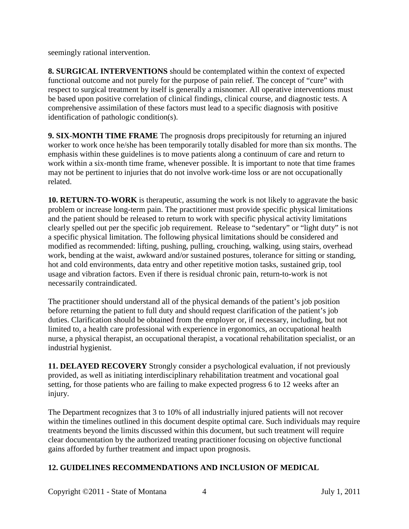seemingly rational intervention.

**8. SURGICAL INTERVENTIONS** should be contemplated within the context of expected functional outcome and not purely for the purpose of pain relief. The concept of "cure" with respect to surgical treatment by itself is generally a misnomer. All operative interventions must be based upon positive correlation of clinical findings, clinical course, and diagnostic tests. A comprehensive assimilation of these factors must lead to a specific diagnosis with positive identification of pathologic condition(s).

**9. SIX-MONTH TIME FRAME** The prognosis drops precipitously for returning an injured worker to work once he/she has been temporarily totally disabled for more than six months. The emphasis within these guidelines is to move patients along a continuum of care and return to work within a six-month time frame, whenever possible. It is important to note that time frames may not be pertinent to injuries that do not involve work-time loss or are not occupationally related.

**10. RETURN-TO-WORK** is therapeutic, assuming the work is not likely to aggravate the basic problem or increase long-term pain. The practitioner must provide specific physical limitations and the patient should be released to return to work with specific physical activity limitations clearly spelled out per the specific job requirement. Release to "sedentary" or "light duty" is not a specific physical limitation. The following physical limitations should be considered and modified as recommended: lifting, pushing, pulling, crouching, walking, using stairs, overhead work, bending at the waist, awkward and/or sustained postures, tolerance for sitting or standing, hot and cold environments, data entry and other repetitive motion tasks, sustained grip, tool usage and vibration factors. Even if there is residual chronic pain, return-to-work is not necessarily contraindicated.

The practitioner should understand all of the physical demands of the patient's job position before returning the patient to full duty and should request clarification of the patient's job duties. Clarification should be obtained from the employer or, if necessary, including, but not limited to, a health care professional with experience in ergonomics, an occupational health nurse, a physical therapist, an occupational therapist, a vocational rehabilitation specialist, or an industrial hygienist.

**11. DELAYED RECOVERY** Strongly consider a psychological evaluation, if not previously provided, as well as initiating interdisciplinary rehabilitation treatment and vocational goal setting, for those patients who are failing to make expected progress 6 to 12 weeks after an injury.

The Department recognizes that 3 to 10% of all industrially injured patients will not recover within the timelines outlined in this document despite optimal care. Such individuals may require treatments beyond the limits discussed within this document, but such treatment will require clear documentation by the authorized treating practitioner focusing on objective functional gains afforded by further treatment and impact upon prognosis.

### **12. GUIDELINES RECOMMENDATIONS AND INCLUSION OF MEDICAL**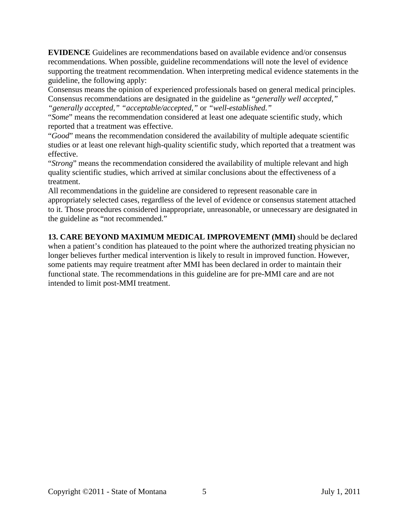**EVIDENCE** Guidelines are recommendations based on available evidence and/or consensus recommendations. When possible, guideline recommendations will note the level of evidence supporting the treatment recommendation. When interpreting medical evidence statements in the guideline, the following apply:

Consensus means the opinion of experienced professionals based on general medical principles. Consensus recommendations are designated in the guideline as "*generally well accepted," "generally accepted," "acceptable/accepted,"* or *"well-established."*

"*Some*" means the recommendation considered at least one adequate scientific study, which reported that a treatment was effective.

"*Good*" means the recommendation considered the availability of multiple adequate scientific studies or at least one relevant high-quality scientific study, which reported that a treatment was effective.

"*Strong*" means the recommendation considered the availability of multiple relevant and high quality scientific studies, which arrived at similar conclusions about the effectiveness of a treatment.

All recommendations in the guideline are considered to represent reasonable care in appropriately selected cases, regardless of the level of evidence or consensus statement attached to it. Those procedures considered inappropriate, unreasonable, or unnecessary are designated in the guideline as "not recommended."

**13. CARE BEYOND MAXIMUM MEDICAL IMPROVEMENT (MMI)** should be declared when a patient's condition has plateaued to the point where the authorized treating physician no longer believes further medical intervention is likely to result in improved function. However, some patients may require treatment after MMI has been declared in order to maintain their functional state. The recommendations in this guideline are for pre-MMI care and are not intended to limit post-MMI treatment.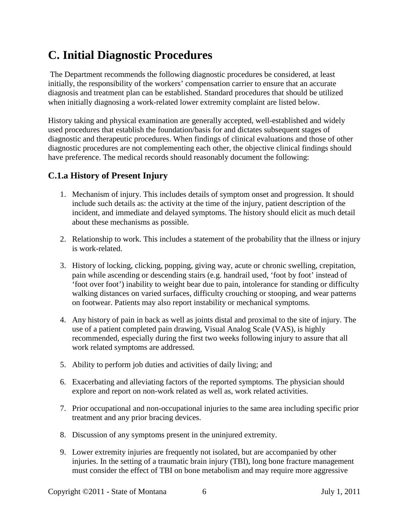## <span id="page-5-0"></span>**C. Initial Diagnostic Procedures**

The Department recommends the following diagnostic procedures be considered, at least initially, the responsibility of the workers' compensation carrier to ensure that an accurate diagnosis and treatment plan can be established. Standard procedures that should be utilized when initially diagnosing a work-related lower extremity complaint are listed below.

History taking and physical examination are generally accepted, well-established and widely used procedures that establish the foundation/basis for and dictates subsequent stages of diagnostic and therapeutic procedures. When findings of clinical evaluations and those of other diagnostic procedures are not complementing each other, the objective clinical findings should have preference. The medical records should reasonably document the following:

### **C.1.a History of Present Injury**

- 1. Mechanism of injury. This includes details of symptom onset and progression. It should include such details as: the activity at the time of the injury, patient description of the incident, and immediate and delayed symptoms. The history should elicit as much detail about these mechanisms as possible.
- 2. Relationship to work. This includes a statement of the probability that the illness or injury is work-related.
- 3. History of locking, clicking, popping, giving way, acute or chronic swelling, crepitation, pain while ascending or descending stairs (e.g. handrail used, 'foot by foot' instead of 'foot over foot') inability to weight bear due to pain, intolerance for standing or difficulty walking distances on varied surfaces, difficulty crouching or stooping, and wear patterns on footwear. Patients may also report instability or mechanical symptoms.
- 4. Any history of pain in back as well as joints distal and proximal to the site of injury. The use of a patient completed pain drawing, Visual Analog Scale (VAS), is highly recommended, especially during the first two weeks following injury to assure that all work related symptoms are addressed.
- 5. Ability to perform job duties and activities of daily living; and
- 6. Exacerbating and alleviating factors of the reported symptoms. The physician should explore and report on non-work related as well as, work related activities.
- 7. Prior occupational and non-occupational injuries to the same area including specific prior treatment and any prior bracing devices.
- 8. Discussion of any symptoms present in the uninjured extremity.
- 9. Lower extremity injuries are frequently not isolated, but are accompanied by other injuries. In the setting of a traumatic brain injury (TBI), long bone fracture management must consider the effect of TBI on bone metabolism and may require more aggressive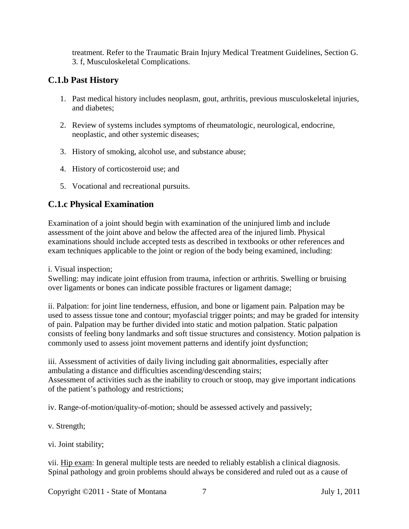treatment. Refer to the Traumatic Brain Injury Medical Treatment Guidelines, Section G. 3. f, Musculoskeletal Complications.

### **C.1.b Past History**

- 1. Past medical history includes neoplasm, gout, arthritis, previous musculoskeletal injuries, and diabetes;
- 2. Review of systems includes symptoms of rheumatologic, neurological, endocrine, neoplastic, and other systemic diseases;
- 3. History of smoking, alcohol use, and substance abuse;
- 4. History of corticosteroid use; and
- 5. Vocational and recreational pursuits.

## **C.1.c Physical Examination**

Examination of a joint should begin with examination of the uninjured limb and include assessment of the joint above and below the affected area of the injured limb. Physical examinations should include accepted tests as described in textbooks or other references and exam techniques applicable to the joint or region of the body being examined, including:

i. Visual inspection;

Swelling: may indicate joint effusion from trauma, infection or arthritis. Swelling or bruising over ligaments or bones can indicate possible fractures or ligament damage;

ii. Palpation: for joint line tenderness, effusion, and bone or ligament pain. Palpation may be used to assess tissue tone and contour; myofascial trigger points; and may be graded for intensity of pain. Palpation may be further divided into static and motion palpation. Static palpation consists of feeling bony landmarks and soft tissue structures and consistency. Motion palpation is commonly used to assess joint movement patterns and identify joint dysfunction;

iii. Assessment of activities of daily living including gait abnormalities, especially after ambulating a distance and difficulties ascending/descending stairs; Assessment of activities such as the inability to crouch or stoop, may give important indications of the patient's pathology and restrictions;

iv. Range-of-motion/quality-of-motion; should be assessed actively and passively;

v. Strength;

vi. Joint stability;

vii. Hip exam: In general multiple tests are needed to reliably establish a clinical diagnosis. Spinal pathology and groin problems should always be considered and ruled out as a cause of

Copyright ©2011 - State of Montana 7 July 1, 2011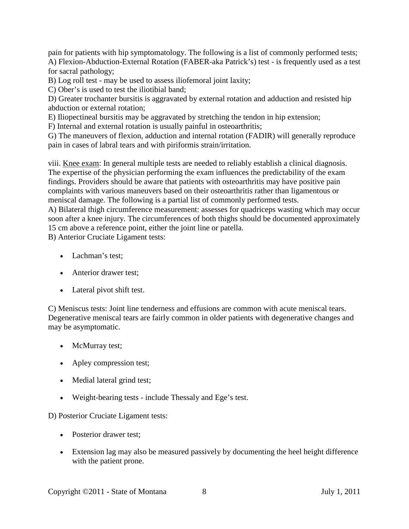pain for patients with hip symptomatology. The following is a list of commonly performed tests; A) Flexion-Abduction-External Rotation (FABER-aka Patrick's) test - is frequently used as a test for sacral pathology;

B) Log roll test - may be used to assess iliofemoral joint laxity;

C) Ober's is used to test the iliotibial band;

D) Greater trochanter bursitis is aggravated by external rotation and adduction and resisted hip abduction or external rotation;

E) Iliopectineal bursitis may be aggravated by stretching the tendon in hip extension;

F) Internal and external rotation is usually painful in osteoarthritis;

G) The maneuvers of flexion, adduction and internal rotation (FADIR) will generally reproduce pain in cases of labral tears and with piriformis strain/irritation.

viii. Knee exam: In general multiple tests are needed to reliably establish a clinical diagnosis. The expertise of the physician performing the exam influences the predictability of the exam findings. Providers should be aware that patients with osteoarthritis may have positive pain complaints with various maneuvers based on their osteoarthritis rather than ligamentous or meniscal damage. The following is a partial list of commonly performed tests.

A) Bilateral thigh circumference measurement: assesses for quadriceps wasting which may occur soon after a knee injury. The circumferences of both thighs should be documented approximately 15 cm above a reference point, either the joint line or patella.

B) Anterior Cruciate Ligament tests:

- Lachman's test;
- Anterior drawer test:
- Lateral pivot shift test.

C) Meniscus tests: Joint line tenderness and effusions are common with acute meniscal tears. Degenerative meniscal tears are fairly common in older patients with degenerative changes and may be asymptomatic.

- McMurray test;
- Apley compression test;
- Medial lateral grind test;
- Weight-bearing tests include Thessaly and Ege's test.

D) Posterior Cruciate Ligament tests:

- Posterior drawer test:
- Extension lag may also be measured passively by documenting the heel height difference with the patient prone.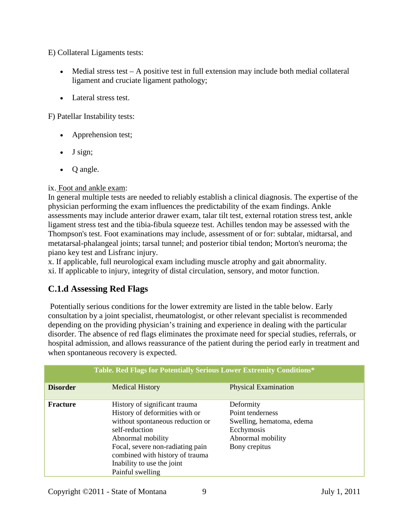E) Collateral Ligaments tests:

- Medial stress test  $A$  positive test in full extension may include both medial collateral ligament and cruciate ligament pathology;
- Lateral stress test.

F) Patellar Instability tests:

- Apprehension test;
- J sign;
- Q angle.

### ix. Foot and ankle exam:

In general multiple tests are needed to reliably establish a clinical diagnosis. The expertise of the physician performing the exam influences the predictability of the exam findings. Ankle assessments may include anterior drawer exam, talar tilt test, external rotation stress test, ankle ligament stress test and the tibia-fibula squeeze test. Achilles tendon may be assessed with the Thompson's test. Foot examinations may include, assessment of or for: subtalar, midtarsal, and metatarsal-phalangeal joints; tarsal tunnel; and posterior tibial tendon; Morton's neuroma; the piano key test and Lisfranc injury.

x. If applicable, full neurological exam including muscle atrophy and gait abnormality. xi. If applicable to injury, integrity of distal circulation, sensory, and motor function.

## **C.1.d Assessing Red Flags**

Potentially serious conditions for the lower extremity are listed in the table below. Early consultation by a joint specialist, rheumatologist, or other relevant specialist is recommended depending on the providing physician's training and experience in dealing with the particular disorder. The absence of red flags eliminates the proximate need for special studies, referrals, or hospital admission, and allows reassurance of the patient during the period early in treatment and when spontaneous recovery is expected.

|                 | <b>Table. Red Flags for Potentially Serious Lower Extremity Conditions*</b>                                                                                                                                                                                         |                                                                                                                |  |
|-----------------|---------------------------------------------------------------------------------------------------------------------------------------------------------------------------------------------------------------------------------------------------------------------|----------------------------------------------------------------------------------------------------------------|--|
| <b>Disorder</b> | <b>Medical History</b>                                                                                                                                                                                                                                              | <b>Physical Examination</b>                                                                                    |  |
| <b>Fracture</b> | History of significant trauma<br>History of deformities with or<br>without spontaneous reduction or<br>self-reduction<br>Abnormal mobility<br>Focal, severe non-radiating pain<br>combined with history of trauma<br>Inability to use the joint<br>Painful swelling | Deformity<br>Point tenderness<br>Swelling, hematoma, edema<br>Ecchymosis<br>Abnormal mobility<br>Bony crepitus |  |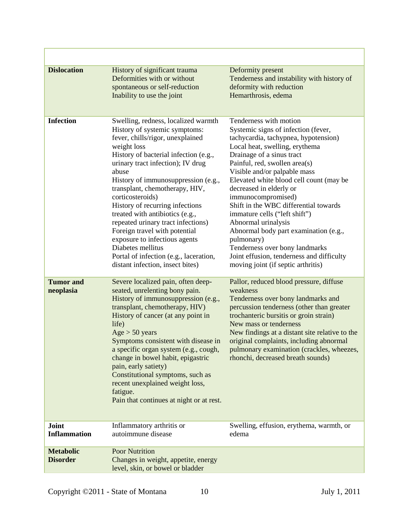| <b>Dislocation</b>                  | History of significant trauma<br>Deformities with or without<br>spontaneous or self-reduction<br>Inability to use the joint                                                                                                                                                                                                                                                                                                                                                                                                                                                                  | Deformity present<br>Tenderness and instability with history of<br>deformity with reduction<br>Hemarthrosis, edema                                                                                                                                                                                                                                                                                                                                                                                                                                                                                             |
|-------------------------------------|----------------------------------------------------------------------------------------------------------------------------------------------------------------------------------------------------------------------------------------------------------------------------------------------------------------------------------------------------------------------------------------------------------------------------------------------------------------------------------------------------------------------------------------------------------------------------------------------|----------------------------------------------------------------------------------------------------------------------------------------------------------------------------------------------------------------------------------------------------------------------------------------------------------------------------------------------------------------------------------------------------------------------------------------------------------------------------------------------------------------------------------------------------------------------------------------------------------------|
| <b>Infection</b>                    | Swelling, redness, localized warmth<br>History of systemic symptoms:<br>fever, chills/rigor, unexplained<br>weight loss<br>History of bacterial infection (e.g.,<br>urinary tract infection); IV drug<br>abuse<br>History of immunosuppression (e.g.,<br>transplant, chemotherapy, HIV,<br>corticosteroids)<br>History of recurring infections<br>treated with antibiotics (e.g.,<br>repeated urinary tract infections)<br>Foreign travel with potential<br>exposure to infectious agents<br>Diabetes mellitus<br>Portal of infection (e.g., laceration,<br>distant infection, insect bites) | Tenderness with motion<br>Systemic signs of infection (fever,<br>tachycardia, tachypnea, hypotension)<br>Local heat, swelling, erythema<br>Drainage of a sinus tract<br>Painful, red, swollen area(s)<br>Visible and/or palpable mass<br>Elevated white blood cell count (may be<br>decreased in elderly or<br>immunocompromised)<br>Shift in the WBC differential towards<br>immature cells ("left shift")<br>Abnormal urinalysis<br>Abnormal body part examination (e.g.,<br>pulmonary)<br>Tenderness over bony landmarks<br>Joint effusion, tenderness and difficulty<br>moving joint (if septic arthritis) |
| <b>Tumor</b> and<br>neoplasia       | Severe localized pain, often deep-<br>seated, unrelenting bony pain.<br>History of immunosuppression (e.g.,<br>transplant, chemotherapy, HIV)<br>History of cancer (at any point in<br>life)<br>Age > 50 years<br>Symptoms consistent with disease in<br>a specific organ system (e.g., cough,<br>change in bowel habit, epigastric<br>pain, early satiety)<br>Constitutional symptoms, such as<br>recent unexplained weight loss,<br>fatigue.<br>Pain that continues at night or at rest.                                                                                                   | Pallor, reduced blood pressure, diffuse<br>weakness<br>Tenderness over bony landmarks and<br>percussion tenderness (other than greater<br>trochanteric bursitis or groin strain)<br>New mass or tenderness<br>New findings at a distant site relative to the<br>original complaints, including abnormal<br>pulmonary examination (crackles, wheezes,<br>rhonchi, decreased breath sounds)                                                                                                                                                                                                                      |
| Joint<br><b>Inflammation</b>        | Inflammatory arthritis or<br>autoimmune disease                                                                                                                                                                                                                                                                                                                                                                                                                                                                                                                                              | Swelling, effusion, erythema, warmth, or<br>edema                                                                                                                                                                                                                                                                                                                                                                                                                                                                                                                                                              |
| <b>Metabolic</b><br><b>Disorder</b> | <b>Poor Nutrition</b><br>Changes in weight, appetite, energy<br>level, skin, or bowel or bladder                                                                                                                                                                                                                                                                                                                                                                                                                                                                                             |                                                                                                                                                                                                                                                                                                                                                                                                                                                                                                                                                                                                                |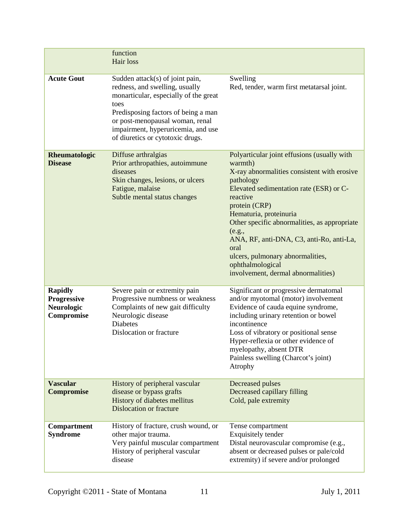|                                                                  | function<br>Hair loss                                                                                                                                                                                                                                                  |                                                                                                                                                                                                                                                                                                                                                                                                                                  |
|------------------------------------------------------------------|------------------------------------------------------------------------------------------------------------------------------------------------------------------------------------------------------------------------------------------------------------------------|----------------------------------------------------------------------------------------------------------------------------------------------------------------------------------------------------------------------------------------------------------------------------------------------------------------------------------------------------------------------------------------------------------------------------------|
| <b>Acute Gout</b>                                                | Sudden attack(s) of joint pain,<br>redness, and swelling, usually<br>monarticular, especially of the great<br>toes<br>Predisposing factors of being a man<br>or post-menopausal woman, renal<br>impairment, hyperuricemia, and use<br>of diuretics or cytotoxic drugs. | Swelling<br>Red, tender, warm first metatarsal joint.                                                                                                                                                                                                                                                                                                                                                                            |
| Rheumatologic<br><b>Disease</b>                                  | Diffuse arthralgias<br>Prior arthropathies, autoimmune<br>diseases<br>Skin changes, lesions, or ulcers<br>Fatigue, malaise<br>Subtle mental status changes                                                                                                             | Polyarticular joint effusions (usually with<br>warmth)<br>X-ray abnormalities consistent with erosive<br>pathology<br>Elevated sedimentation rate (ESR) or C-<br>reactive<br>protein (CRP)<br>Hematuria, proteinuria<br>Other specific abnormalities, as appropriate<br>(e.g.,<br>ANA, RF, anti-DNA, C3, anti-Ro, anti-La,<br>oral<br>ulcers, pulmonary abnormalities,<br>ophthalmological<br>involvement, dermal abnormalities) |
| <b>Rapidly</b><br><b>Progressive</b><br>Neurologic<br>Compromise | Severe pain or extremity pain<br>Progressive numbness or weakness<br>Complaints of new gait difficulty<br>Neurologic disease<br><b>Diabetes</b><br>Dislocation or fracture                                                                                             | Significant or progressive dermatomal<br>and/or myotomal (motor) involvement<br>Evidence of cauda equine syndrome,<br>including urinary retention or bowel<br>incontinence<br>Loss of vibratory or positional sense<br>Hyper-reflexia or other evidence of<br>myelopathy, absent DTR<br>Painless swelling (Charcot's joint)<br>Atrophy                                                                                           |
| <b>Vascular</b><br><b>Compromise</b>                             | History of peripheral vascular<br>disease or bypass grafts<br>History of diabetes mellitus<br><b>Dislocation or fracture</b>                                                                                                                                           | Decreased pulses<br>Decreased capillary filling<br>Cold, pale extremity                                                                                                                                                                                                                                                                                                                                                          |
| Compartment<br><b>Syndrome</b>                                   | History of fracture, crush wound, or<br>other major trauma.<br>Very painful muscular compartment<br>History of peripheral vascular<br>disease                                                                                                                          | Tense compartment<br>Exquisitely tender<br>Distal neurovascular compromise (e.g.,<br>absent or decreased pulses or pale/cold<br>extremity) if severe and/or prolonged                                                                                                                                                                                                                                                            |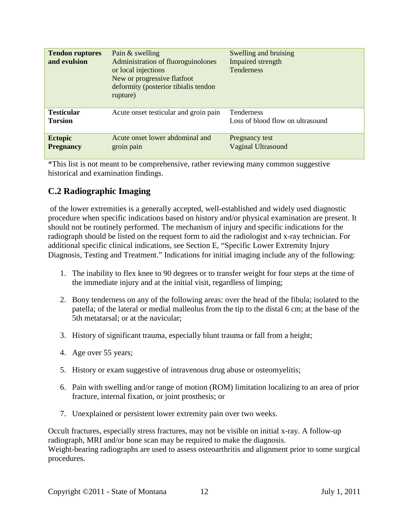| <b>Tendon ruptures</b><br>and evulsion | Pain & swelling<br>Administration of fluoroguinolones<br>or local injections<br>New or progressive flatfoot<br>deformity (posterior tibialis tendon<br>rupture) | Swelling and bruising<br>Impaired strength<br>Tenderness |
|----------------------------------------|-----------------------------------------------------------------------------------------------------------------------------------------------------------------|----------------------------------------------------------|
| <b>Testicular</b><br><b>Torsion</b>    | Acute onset testicular and groin pain                                                                                                                           | <b>Tenderness</b><br>Loss of blood flow on ultrasound    |
| <b>Ectopic</b><br><b>Pregnancy</b>     | Acute onset lower abdominal and<br>groin pain                                                                                                                   | Pregnancy test<br><b>Vaginal Ultrasound</b>              |

\*This list is not meant to be comprehensive, rather reviewing many common suggestive historical and examination findings.

## **C.2 Radiographic Imaging**

of the lower extremities is a generally accepted, well-established and widely used diagnostic procedure when specific indications based on history and/or physical examination are present. It should not be routinely performed. The mechanism of injury and specific indications for the radiograph should be listed on the request form to aid the radiologist and x-ray technician. For additional specific clinical indications, see Section E, "Specific Lower Extremity Injury Diagnosis, Testing and Treatment." Indications for initial imaging include any of the following:

- 1. The inability to flex knee to 90 degrees or to transfer weight for four steps at the time of the immediate injury and at the initial visit, regardless of limping;
- 2. Bony tenderness on any of the following areas: over the head of the fibula; isolated to the patella; of the lateral or medial malleolus from the tip to the distal 6 cm; at the base of the 5th metatarsal; or at the navicular;
- 3. History of significant trauma, especially blunt trauma or fall from a height;
- 4. Age over 55 years;
- 5. History or exam suggestive of intravenous drug abuse or osteomyelitis;
- 6. Pain with swelling and/or range of motion (ROM) limitation localizing to an area of prior fracture, internal fixation, or joint prosthesis; or
- 7. Unexplained or persistent lower extremity pain over two weeks.

Occult fractures, especially stress fractures, may not be visible on initial x-ray. A follow-up radiograph, MRI and/or bone scan may be required to make the diagnosis. Weight-bearing radiographs are used to assess osteoarthritis and alignment prior to some surgical procedures.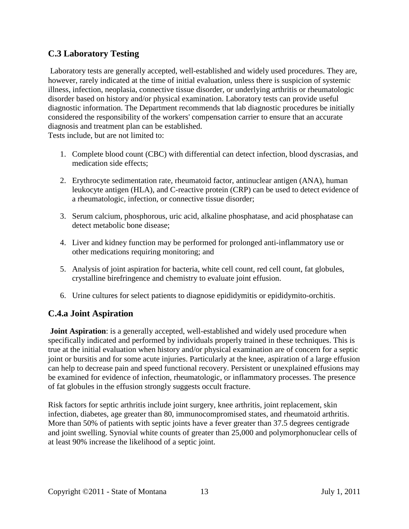## **C.3 Laboratory Testing**

Laboratory tests are generally accepted, well-established and widely used procedures. They are, however, rarely indicated at the time of initial evaluation, unless there is suspicion of systemic illness, infection, neoplasia, connective tissue disorder, or underlying arthritis or rheumatologic disorder based on history and/or physical examination. Laboratory tests can provide useful diagnostic information. The Department recommends that lab diagnostic procedures be initially considered the responsibility of the workers' compensation carrier to ensure that an accurate diagnosis and treatment plan can be established.

Tests include, but are not limited to:

- 1. Complete blood count (CBC) with differential can detect infection, blood dyscrasias, and medication side effects;
- 2. Erythrocyte sedimentation rate, rheumatoid factor, antinuclear antigen (ANA), human leukocyte antigen (HLA), and C-reactive protein (CRP) can be used to detect evidence of a rheumatologic, infection, or connective tissue disorder;
- 3. Serum calcium, phosphorous, uric acid, alkaline phosphatase, and acid phosphatase can detect metabolic bone disease;
- 4. Liver and kidney function may be performed for prolonged anti-inflammatory use or other medications requiring monitoring; and
- 5. Analysis of joint aspiration for bacteria, white cell count, red cell count, fat globules, crystalline birefringence and chemistry to evaluate joint effusion.
- 6. Urine cultures for select patients to diagnose epididymitis or epididymito-orchitis.

## **C.4.a Joint Aspiration**

**Joint Aspiration**: is a generally accepted, well-established and widely used procedure when specifically indicated and performed by individuals properly trained in these techniques. This is true at the initial evaluation when history and/or physical examination are of concern for a septic joint or bursitis and for some acute injuries. Particularly at the knee, aspiration of a large effusion can help to decrease pain and speed functional recovery. Persistent or unexplained effusions may be examined for evidence of infection, rheumatologic, or inflammatory processes. The presence of fat globules in the effusion strongly suggests occult fracture.

Risk factors for septic arthritis include joint surgery, knee arthritis, joint replacement, skin infection, diabetes, age greater than 80, immunocompromised states, and rheumatoid arthritis. More than 50% of patients with septic joints have a fever greater than 37.5 degrees centigrade and joint swelling. Synovial white counts of greater than 25,000 and polymorphonuclear cells of at least 90% increase the likelihood of a septic joint.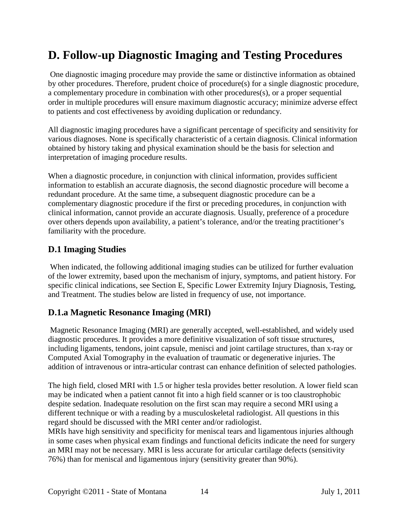## <span id="page-13-0"></span>**D. Follow-up Diagnostic Imaging and Testing Procedures**

One diagnostic imaging procedure may provide the same or distinctive information as obtained by other procedures. Therefore, prudent choice of procedure(s) for a single diagnostic procedure, a complementary procedure in combination with other procedures(s), or a proper sequential order in multiple procedures will ensure maximum diagnostic accuracy; minimize adverse effect to patients and cost effectiveness by avoiding duplication or redundancy.

All diagnostic imaging procedures have a significant percentage of specificity and sensitivity for various diagnoses. None is specifically characteristic of a certain diagnosis. Clinical information obtained by history taking and physical examination should be the basis for selection and interpretation of imaging procedure results.

When a diagnostic procedure, in conjunction with clinical information, provides sufficient information to establish an accurate diagnosis, the second diagnostic procedure will become a redundant procedure. At the same time, a subsequent diagnostic procedure can be a complementary diagnostic procedure if the first or preceding procedures, in conjunction with clinical information, cannot provide an accurate diagnosis. Usually, preference of a procedure over others depends upon availability, a patient's tolerance, and/or the treating practitioner's familiarity with the procedure.

### <span id="page-13-1"></span>**D.1 Imaging Studies**

When indicated, the following additional imaging studies can be utilized for further evaluation of the lower extremity, based upon the mechanism of injury, symptoms, and patient history. For specific clinical indications, see Section E, Specific Lower Extremity Injury Diagnosis, Testing, and Treatment. The studies below are listed in frequency of use, not importance.

## **D.1.a Magnetic Resonance Imaging (MRI)**

Magnetic Resonance Imaging (MRI) are generally accepted, well-established, and widely used diagnostic procedures. It provides a more definitive visualization of soft tissue structures, including ligaments, tendons, joint capsule, menisci and joint cartilage structures, than x-ray or Computed Axial Tomography in the evaluation of traumatic or degenerative injuries. The addition of intravenous or intra-articular contrast can enhance definition of selected pathologies.

The high field, closed MRI with 1.5 or higher tesla provides better resolution. A lower field scan may be indicated when a patient cannot fit into a high field scanner or is too claustrophobic despite sedation. Inadequate resolution on the first scan may require a second MRI using a different technique or with a reading by a musculoskeletal radiologist. All questions in this regard should be discussed with the MRI center and/or radiologist.

MRIs have high sensitivity and specificity for meniscal tears and ligamentous injuries although in some cases when physical exam findings and functional deficits indicate the need for surgery an MRI may not be necessary. MRI is less accurate for articular cartilage defects (sensitivity 76%) than for meniscal and ligamentous injury (sensitivity greater than 90%).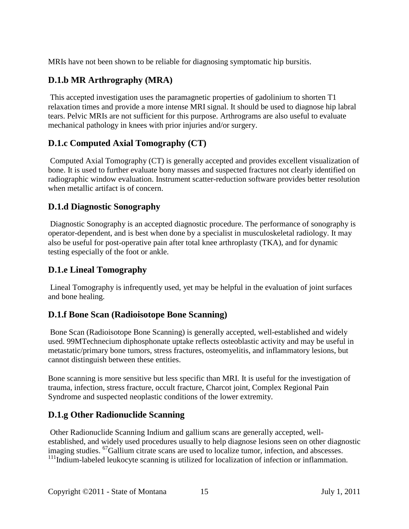MRIs have not been shown to be reliable for diagnosing symptomatic hip bursitis.

## **D.1.b MR Arthrography (MRA)**

This accepted investigation uses the paramagnetic properties of gadolinium to shorten T1 relaxation times and provide a more intense MRI signal. It should be used to diagnose hip labral tears. Pelvic MRIs are not sufficient for this purpose. Arthrograms are also useful to evaluate mechanical pathology in knees with prior injuries and/or surgery.

## **D.1.c Computed Axial Tomography (CT)**

Computed Axial Tomography (CT) is generally accepted and provides excellent visualization of bone. It is used to further evaluate bony masses and suspected fractures not clearly identified on radiographic window evaluation. Instrument scatter-reduction software provides better resolution when metallic artifact is of concern.

## **D.1.d Diagnostic Sonography**

Diagnostic Sonography is an accepted diagnostic procedure. The performance of sonography is operator-dependent, and is best when done by a specialist in musculoskeletal radiology. It may also be useful for post-operative pain after total knee arthroplasty (TKA), and for dynamic testing especially of the foot or ankle.

## **D.1.e Lineal Tomography**

Lineal Tomography is infrequently used, yet may be helpful in the evaluation of joint surfaces and bone healing.

## **D.1.f Bone Scan (Radioisotope Bone Scanning)**

Bone Scan (Radioisotope Bone Scanning) is generally accepted, well-established and widely used. 99MTechnecium diphosphonate uptake reflects osteoblastic activity and may be useful in metastatic/primary bone tumors, stress fractures, osteomyelitis, and inflammatory lesions, but cannot distinguish between these entities.

Bone scanning is more sensitive but less specific than MRI. It is useful for the investigation of trauma, infection, stress fracture, occult fracture, Charcot joint, Complex Regional Pain Syndrome and suspected neoplastic conditions of the lower extremity.

## **D.1.g Other Radionuclide Scanning**

Other Radionuclide Scanning Indium and gallium scans are generally accepted, wellestablished, and widely used procedures usually to help diagnose lesions seen on other diagnostic imaging studies. <sup>67</sup>Gallium citrate scans are used to localize tumor, infection, and abscesses.  $111$ Indium-labeled leukocyte scanning is utilized for localization of infection or inflammation.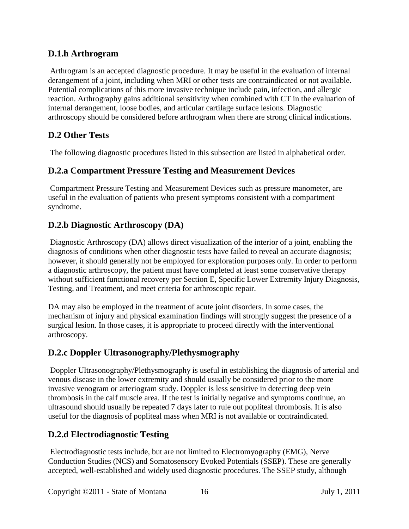### **D.1.h Arthrogram**

Arthrogram is an accepted diagnostic procedure. It may be useful in the evaluation of internal derangement of a joint, including when MRI or other tests are contraindicated or not available. Potential complications of this more invasive technique include pain, infection, and allergic reaction. Arthrography gains additional sensitivity when combined with CT in the evaluation of internal derangement, loose bodies, and articular cartilage surface lesions. Diagnostic arthroscopy should be considered before arthrogram when there are strong clinical indications.

## <span id="page-15-0"></span>**D.2 Other Tests**

The following diagnostic procedures listed in this subsection are listed in alphabetical order.

## **D.2.a Compartment Pressure Testing and Measurement Devices**

Compartment Pressure Testing and Measurement Devices such as pressure manometer, are useful in the evaluation of patients who present symptoms consistent with a compartment syndrome.

## **D.2.b Diagnostic Arthroscopy (DA)**

Diagnostic Arthroscopy (DA) allows direct visualization of the interior of a joint, enabling the diagnosis of conditions when other diagnostic tests have failed to reveal an accurate diagnosis; however, it should generally not be employed for exploration purposes only. In order to perform a diagnostic arthroscopy, the patient must have completed at least some conservative therapy without sufficient functional recovery per Section E, Specific Lower Extremity Injury Diagnosis, Testing, and Treatment, and meet criteria for arthroscopic repair.

DA may also be employed in the treatment of acute joint disorders. In some cases, the mechanism of injury and physical examination findings will strongly suggest the presence of a surgical lesion. In those cases, it is appropriate to proceed directly with the interventional arthroscopy.

## **D.2.c Doppler Ultrasonography/Plethysmography**

Doppler Ultrasonography/Plethysmography is useful in establishing the diagnosis of arterial and venous disease in the lower extremity and should usually be considered prior to the more invasive venogram or arteriogram study. Doppler is less sensitive in detecting deep vein thrombosis in the calf muscle area. If the test is initially negative and symptoms continue, an ultrasound should usually be repeated 7 days later to rule out popliteal thrombosis. It is also useful for the diagnosis of popliteal mass when MRI is not available or contraindicated.

## **D.2.d Electrodiagnostic Testing**

Electrodiagnostic tests include, but are not limited to Electromyography (EMG), Nerve Conduction Studies (NCS) and Somatosensory Evoked Potentials (SSEP). These are generally accepted, well-established and widely used diagnostic procedures. The SSEP study, although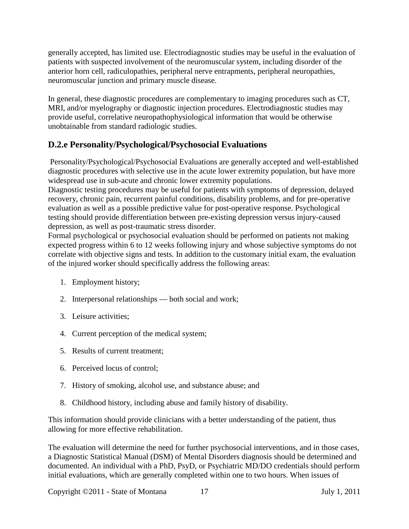generally accepted, has limited use. Electrodiagnostic studies may be useful in the evaluation of patients with suspected involvement of the neuromuscular system, including disorder of the anterior horn cell, radiculopathies, peripheral nerve entrapments, peripheral neuropathies, neuromuscular junction and primary muscle disease.

In general, these diagnostic procedures are complementary to imaging procedures such as CT, MRI, and/or myelography or diagnostic injection procedures. Electrodiagnostic studies may provide useful, correlative neuropathophysiological information that would be otherwise unobtainable from standard radiologic studies.

## **D.2.e Personality/Psychological/Psychosocial Evaluations**

Personality/Psychological/Psychosocial Evaluations are generally accepted and well-established diagnostic procedures with selective use in the acute lower extremity population, but have more widespread use in sub-acute and chronic lower extremity populations.

Diagnostic testing procedures may be useful for patients with symptoms of depression, delayed recovery, chronic pain, recurrent painful conditions, disability problems, and for pre-operative evaluation as well as a possible predictive value for post-operative response. Psychological testing should provide differentiation between pre-existing depression versus injury-caused depression, as well as post-traumatic stress disorder.

Formal psychological or psychosocial evaluation should be performed on patients not making expected progress within 6 to 12 weeks following injury and whose subjective symptoms do not correlate with objective signs and tests. In addition to the customary initial exam, the evaluation of the injured worker should specifically address the following areas:

- 1. Employment history;
- 2. Interpersonal relationships both social and work;
- 3. Leisure activities;
- 4. Current perception of the medical system;
- 5. Results of current treatment;
- 6. Perceived locus of control;
- 7. History of smoking, alcohol use, and substance abuse; and
- 8. Childhood history, including abuse and family history of disability.

This information should provide clinicians with a better understanding of the patient, thus allowing for more effective rehabilitation.

The evaluation will determine the need for further psychosocial interventions, and in those cases, a Diagnostic Statistical Manual (DSM) of Mental Disorders diagnosis should be determined and documented. An individual with a PhD, PsyD, or Psychiatric MD/DO credentials should perform initial evaluations, which are generally completed within one to two hours. When issues of

Copyright ©2011 - State of Montana 17 July 1, 2011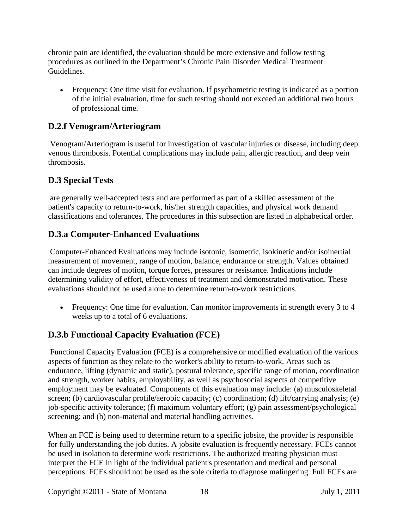chronic pain are identified, the evaluation should be more extensive and follow testing procedures as outlined in the Department's Chronic Pain Disorder Medical Treatment Guidelines.

• Frequency: One time visit for evaluation. If psychometric testing is indicated as a portion of the initial evaluation, time for such testing should not exceed an additional two hours of professional time.

## **D.2.f Venogram/Arteriogram**

Venogram/Arteriogram is useful for investigation of vascular injuries or disease, including deep venous thrombosis. Potential complications may include pain, allergic reaction, and deep vein thrombosis.

## <span id="page-17-0"></span>**D.3 Special Tests**

are generally well-accepted tests and are performed as part of a skilled assessment of the patient's capacity to return-to-work, his/her strength capacities, and physical work demand classifications and tolerances. The procedures in this subsection are listed in alphabetical order.

## **D.3.a Computer-Enhanced Evaluations**

Computer-Enhanced Evaluations may include isotonic, isometric, isokinetic and/or isoinertial measurement of movement, range of motion, balance, endurance or strength. Values obtained can include degrees of motion, torque forces, pressures or resistance. Indications include determining validity of effort, effectiveness of treatment and demonstrated motivation. These evaluations should not be used alone to determine return-to-work restrictions.

• Frequency: One time for evaluation. Can monitor improvements in strength every 3 to 4 weeks up to a total of 6 evaluations.

## **D.3.b Functional Capacity Evaluation (FCE)**

Functional Capacity Evaluation (FCE) is a comprehensive or modified evaluation of the various aspects of function as they relate to the worker's ability to return-to-work. Areas such as endurance, lifting (dynamic and static), postural tolerance, specific range of motion, coordination and strength, worker habits, employability, as well as psychosocial aspects of competitive employment may be evaluated. Components of this evaluation may include: (a) musculoskeletal screen; (b) cardiovascular profile/aerobic capacity; (c) coordination; (d) lift/carrying analysis; (e) job-specific activity tolerance; (f) maximum voluntary effort; (g) pain assessment/psychological screening; and (h) non-material and material handling activities.

When an FCE is being used to determine return to a specific jobsite, the provider is responsible for fully understanding the job duties. A jobsite evaluation is frequently necessary. FCEs cannot be used in isolation to determine work restrictions. The authorized treating physician must interpret the FCE in light of the individual patient's presentation and medical and personal perceptions. FCEs should not be used as the sole criteria to diagnose malingering. Full FCEs are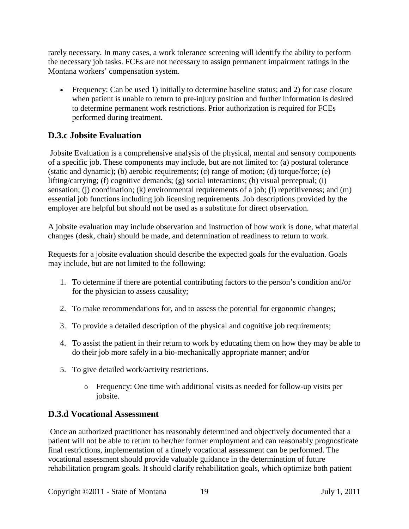rarely necessary. In many cases, a work tolerance screening will identify the ability to perform the necessary job tasks. FCEs are not necessary to assign permanent impairment ratings in the Montana workers' compensation system.

• Frequency: Can be used 1) initially to determine baseline status; and 2) for case closure when patient is unable to return to pre-injury position and further information is desired to determine permanent work restrictions. Prior authorization is required for FCEs performed during treatment.

## **D.3.c Jobsite Evaluation**

Jobsite Evaluation is a comprehensive analysis of the physical, mental and sensory components of a specific job. These components may include, but are not limited to: (a) postural tolerance (static and dynamic); (b) aerobic requirements; (c) range of motion; (d) torque/force; (e) lifting/carrying; (f) cognitive demands; (g) social interactions; (h) visual perceptual; (i) sensation; (j) coordination; (k) environmental requirements of a job; (l) repetitiveness; and (m) essential job functions including job licensing requirements. Job descriptions provided by the employer are helpful but should not be used as a substitute for direct observation.

A jobsite evaluation may include observation and instruction of how work is done, what material changes (desk, chair) should be made, and determination of readiness to return to work.

Requests for a jobsite evaluation should describe the expected goals for the evaluation. Goals may include, but are not limited to the following:

- 1. To determine if there are potential contributing factors to the person's condition and/or for the physician to assess causality;
- 2. To make recommendations for, and to assess the potential for ergonomic changes;
- 3. To provide a detailed description of the physical and cognitive job requirements;
- 4. To assist the patient in their return to work by educating them on how they may be able to do their job more safely in a bio-mechanically appropriate manner; and/or
- 5. To give detailed work/activity restrictions.
	- o Frequency: One time with additional visits as needed for follow-up visits per jobsite.

## **D.3.d Vocational Assessment**

Once an authorized practitioner has reasonably determined and objectively documented that a patient will not be able to return to her/her former employment and can reasonably prognosticate final restrictions, implementation of a timely vocational assessment can be performed. The vocational assessment should provide valuable guidance in the determination of future rehabilitation program goals. It should clarify rehabilitation goals, which optimize both patient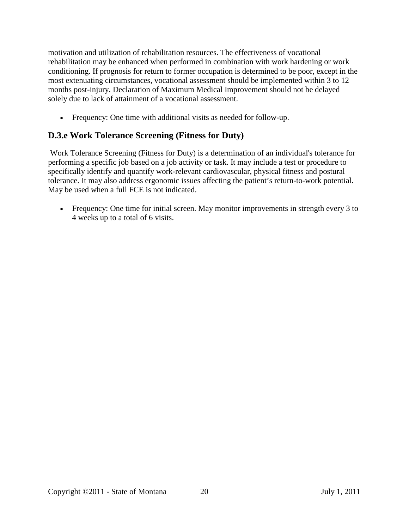motivation and utilization of rehabilitation resources. The effectiveness of vocational rehabilitation may be enhanced when performed in combination with work hardening or work conditioning. If prognosis for return to former occupation is determined to be poor, except in the most extenuating circumstances, vocational assessment should be implemented within 3 to 12 months post-injury. Declaration of Maximum Medical Improvement should not be delayed solely due to lack of attainment of a vocational assessment.

• Frequency: One time with additional visits as needed for follow-up.

## **D.3.e Work Tolerance Screening (Fitness for Duty)**

Work Tolerance Screening (Fitness for Duty) is a determination of an individual's tolerance for performing a specific job based on a job activity or task. It may include a test or procedure to specifically identify and quantify work-relevant cardiovascular, physical fitness and postural tolerance. It may also address ergonomic issues affecting the patient's return-to-work potential. May be used when a full FCE is not indicated.

• Frequency: One time for initial screen. May monitor improvements in strength every 3 to 4 weeks up to a total of 6 visits.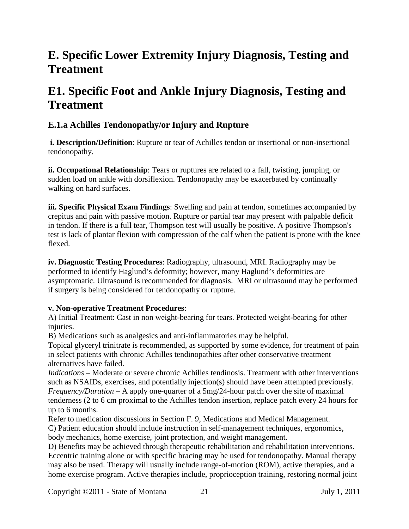## <span id="page-20-0"></span>**E. Specific Lower Extremity Injury Diagnosis, Testing and Treatment**

## <span id="page-20-1"></span>**E1. Specific Foot and Ankle Injury Diagnosis, Testing and Treatment**

## **E.1.a Achilles Tendonopathy/or Injury and Rupture**

**i. Description/Definition**: Rupture or tear of Achilles tendon or insertional or non-insertional tendonopathy.

**ii. Occupational Relationship**: Tears or ruptures are related to a fall, twisting, jumping, or sudden load on ankle with dorsiflexion. Tendonopathy may be exacerbated by continually walking on hard surfaces.

**iii. Specific Physical Exam Findings**: Swelling and pain at tendon, sometimes accompanied by crepitus and pain with passive motion. Rupture or partial tear may present with palpable deficit in tendon. If there is a full tear, Thompson test will usually be positive. A positive Thompson's test is lack of plantar flexion with compression of the calf when the patient is prone with the knee flexed.

**iv. Diagnostic Testing Procedures**: Radiography, ultrasound, MRI. Radiography may be performed to identify Haglund's deformity; however, many Haglund's deformities are asymptomatic. Ultrasound is recommended for diagnosis. MRI or ultrasound may be performed if surgery is being considered for tendonopathy or rupture.

### **v. Non-operative Treatment Procedures**:

A) Initial Treatment: Cast in non weight-bearing for tears. Protected weight-bearing for other injuries.

B) Medications such as analgesics and anti-inflammatories may be helpful.

Topical glyceryl trinitrate is recommended, as supported by some evidence, for treatment of pain in select patients with chronic Achilles tendinopathies after other conservative treatment alternatives have failed.

*Indications* – Moderate or severe chronic Achilles tendinosis. Treatment with other interventions such as NSAIDs, exercises, and potentially injection(s) should have been attempted previously. *Frequency/Duration* – A apply one-quarter of a 5mg/24-hour patch over the site of maximal tenderness (2 to 6 cm proximal to the Achilles tendon insertion, replace patch every 24 hours for up to 6 months.

Refer to medication discussions in Section F. 9, Medications and Medical Management. C) Patient education should include instruction in self-management techniques, ergonomics, body mechanics, home exercise, joint protection, and weight management.

D) Benefits may be achieved through therapeutic rehabilitation and rehabilitation interventions. Eccentric training alone or with specific bracing may be used for tendonopathy. Manual therapy may also be used. Therapy will usually include range-of-motion (ROM), active therapies, and a home exercise program. Active therapies include, proprioception training, restoring normal joint

Copyright ©2011 - State of Montana 21 July 1, 2011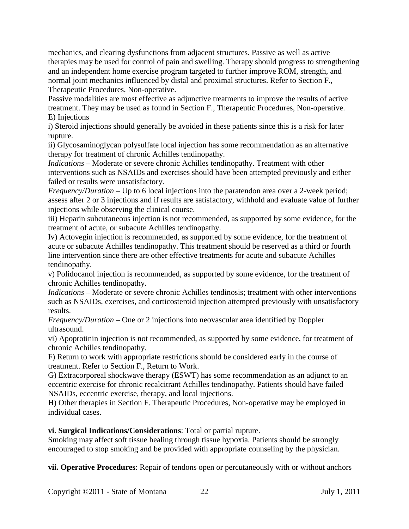mechanics, and clearing dysfunctions from adjacent structures. Passive as well as active therapies may be used for control of pain and swelling. Therapy should progress to strengthening and an independent home exercise program targeted to further improve ROM, strength, and normal joint mechanics influenced by distal and proximal structures. Refer to Section F., Therapeutic Procedures, Non-operative.

Passive modalities are most effective as adjunctive treatments to improve the results of active treatment. They may be used as found in Section F., Therapeutic Procedures, Non-operative. E) Injections

i) Steroid injections should generally be avoided in these patients since this is a risk for later rupture.

ii) Glycosaminoglycan polysulfate local injection has some recommendation as an alternative therapy for treatment of chronic Achilles tendinopathy.

*Indications* – Moderate or severe chronic Achilles tendinopathy. Treatment with other interventions such as NSAIDs and exercises should have been attempted previously and either failed or results were unsatisfactory.

*Frequency/Duration* – Up to 6 local injections into the paratendon area over a 2-week period; assess after 2 or 3 injections and if results are satisfactory, withhold and evaluate value of further injections while observing the clinical course.

iii) Heparin subcutaneous injection is not recommended, as supported by some evidence, for the treatment of acute, or subacute Achilles tendinopathy.

Iv) Actovegin injection is recommended, as supported by some evidence, for the treatment of acute or subacute Achilles tendinopathy. This treatment should be reserved as a third or fourth line intervention since there are other effective treatments for acute and subacute Achilles tendinopathy.

v) Polidocanol injection is recommended, as supported by some evidence, for the treatment of chronic Achilles tendinopathy.

*Indications* – Moderate or severe chronic Achilles tendinosis; treatment with other interventions such as NSAIDs, exercises, and corticosteroid injection attempted previously with unsatisfactory results.

*Frequency/Duration* – One or 2 injections into neovascular area identified by Doppler ultrasound.

vi) Apoprotinin injection is not recommended, as supported by some evidence, for treatment of chronic Achilles tendinopathy.

F) Return to work with appropriate restrictions should be considered early in the course of treatment. Refer to Section F., Return to Work.

G) Extracorporeal shockwave therapy (ESWT) has some recommendation as an adjunct to an eccentric exercise for chronic recalcitrant Achilles tendinopathy. Patients should have failed NSAIDs, eccentric exercise, therapy, and local injections.

H) Other therapies in Section F. Therapeutic Procedures, Non-operative may be employed in individual cases.

**vi. Surgical Indications/Considerations**: Total or partial rupture.

Smoking may affect soft tissue healing through tissue hypoxia. Patients should be strongly encouraged to stop smoking and be provided with appropriate counseling by the physician.

**vii. Operative Procedures**: Repair of tendons open or percutaneously with or without anchors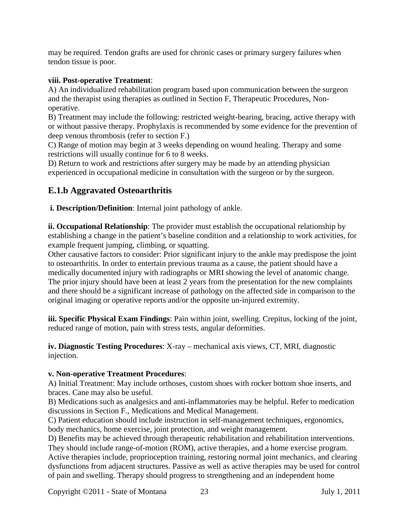may be required. Tendon grafts are used for chronic cases or primary surgery failures when tendon tissue is poor.

#### **viii. Post-operative Treatment**:

A) An individualized rehabilitation program based upon communication between the surgeon and the therapist using therapies as outlined in Section F, Therapeutic Procedures, Nonoperative.

B) Treatment may include the following: restricted weight-bearing, bracing, active therapy with or without passive therapy. Prophylaxis is recommended by some evidence for the prevention of deep venous thrombosis (refer to section F.)

C) Range of motion may begin at 3 weeks depending on wound healing. Therapy and some restrictions will usually continue for 6 to 8 weeks.

D) Return to work and restrictions after surgery may be made by an attending physician experienced in occupational medicine in consultation with the surgeon or by the surgeon.

## **E.1.b Aggravated Osteoarthritis**

**i. Description/Definition**: Internal joint pathology of ankle.

**ii. Occupational Relationship**: The provider must establish the occupational relationship by establishing a change in the patient's baseline condition and a relationship to work activities, for example frequent jumping, climbing, or squatting.

Other causative factors to consider: Prior significant injury to the ankle may predispose the joint to osteoarthritis. In order to entertain previous trauma as a cause, the patient should have a medically documented injury with radiographs or MRI showing the level of anatomic change. The prior injury should have been at least 2 years from the presentation for the new complaints and there should be a significant increase of pathology on the affected side in comparison to the original imaging or operative reports and/or the opposite un-injured extremity.

**iii. Specific Physical Exam Findings**: Pain within joint, swelling. Crepitus, locking of the joint, reduced range of motion, pain with stress tests, angular deformities.

**iv. Diagnostic Testing Procedures**: X-ray – mechanical axis views, CT, MRI, diagnostic injection.

#### **v. Non-operative Treatment Procedures**:

A) Initial Treatment: May include orthoses, custom shoes with rocker bottom shoe inserts, and braces. Cane may also be useful.

B) Medications such as analgesics and anti-inflammatories may be helpful. Refer to medication discussions in Section F., Medications and Medical Management.

C) Patient education should include instruction in self-management techniques, ergonomics, body mechanics, home exercise, joint protection, and weight management.

D) Benefits may be achieved through therapeutic rehabilitation and rehabilitation interventions. They should include range-of-motion (ROM), active therapies, and a home exercise program. Active therapies include, proprioception training, restoring normal joint mechanics, and clearing dysfunctions from adjacent structures. Passive as well as active therapies may be used for control of pain and swelling. Therapy should progress to strengthening and an independent home

Copyright ©2011 - State of Montana 23 July 1, 2011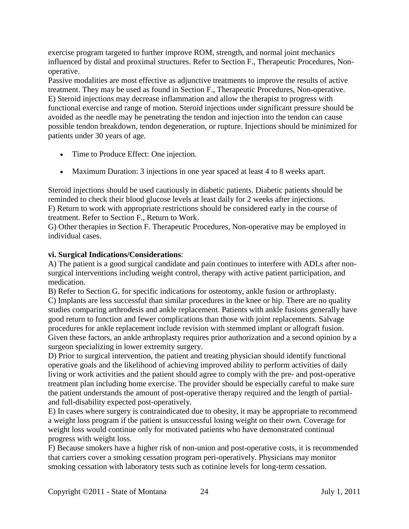exercise program targeted to further improve ROM, strength, and normal joint mechanics influenced by distal and proximal structures. Refer to Section F., Therapeutic Procedures, Nonoperative.

Passive modalities are most effective as adjunctive treatments to improve the results of active treatment. They may be used as found in Section F., Therapeutic Procedures, Non-operative. E) Steroid injections may decrease inflammation and allow the therapist to progress with functional exercise and range of motion. Steroid injections under significant pressure should be avoided as the needle may be penetrating the tendon and injection into the tendon can cause possible tendon breakdown, tendon degeneration, or rupture. Injections should be minimized for patients under 30 years of age.

- Time to Produce Effect: One injection.
- Maximum Duration: 3 injections in one year spaced at least 4 to 8 weeks apart.

Steroid injections should be used cautiously in diabetic patients. Diabetic patients should be reminded to check their blood glucose levels at least daily for 2 weeks after injections. F) Return to work with appropriate restrictions should be considered early in the course of treatment. Refer to Section F., Return to Work.

G) Other therapies in Section F. Therapeutic Procedures, Non-operative may be employed in individual cases.

### **vi. Surgical Indications/Considerations**:

A) The patient is a good surgical candidate and pain continues to interfere with ADLs after nonsurgical interventions including weight control, therapy with active patient participation, and medication.

B) Refer to Section G. for specific indications for osteotomy, ankle fusion or arthroplasty. C) Implants are less successful than similar procedures in the knee or hip. There are no quality studies comparing arthrodesis and ankle replacement. Patients with ankle fusions generally have good return to function and fewer complications than those with joint replacements. Salvage procedures for ankle replacement include revision with stemmed implant or allograft fusion. Given these factors, an ankle arthroplasty requires prior authorization and a second opinion by a surgeon specializing in lower extremity surgery.

D) Prior to surgical intervention, the patient and treating physician should identify functional operative goals and the likelihood of achieving improved ability to perform activities of daily living or work activities and the patient should agree to comply with the pre- and post-operative treatment plan including home exercise. The provider should be especially careful to make sure the patient understands the amount of post-operative therapy required and the length of partialand full-disability expected post-operatively.

E) In cases where surgery is contraindicated due to obesity, it may be appropriate to recommend a weight loss program if the patient is unsuccessful losing weight on their own. Coverage for weight loss would continue only for motivated patients who have demonstrated continual progress with weight loss.

F) Because smokers have a higher risk of non-union and post-operative costs, it is recommended that carriers cover a smoking cessation program peri-operatively. Physicians may monitor smoking cessation with laboratory tests such as cotinine levels for long-term cessation.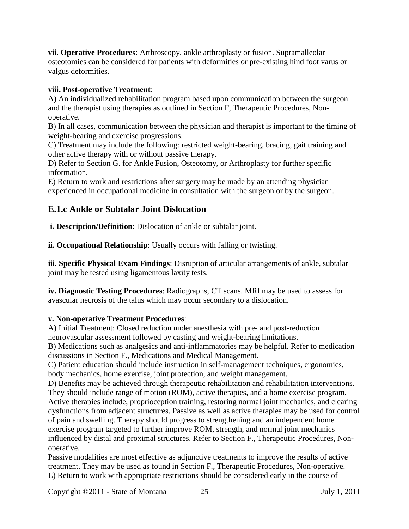**vii. Operative Procedures**: Arthroscopy, ankle arthroplasty or fusion. Supramalleolar osteotomies can be considered for patients with deformities or pre-existing hind foot varus or valgus deformities.

### **viii. Post-operative Treatment**:

A) An individualized rehabilitation program based upon communication between the surgeon and the therapist using therapies as outlined in Section F, Therapeutic Procedures, Nonoperative.

B) In all cases, communication between the physician and therapist is important to the timing of weight-bearing and exercise progressions.

C) Treatment may include the following: restricted weight-bearing, bracing, gait training and other active therapy with or without passive therapy.

D) Refer to Section G. for Ankle Fusion, Osteotomy, or Arthroplasty for further specific information.

E) Return to work and restrictions after surgery may be made by an attending physician experienced in occupational medicine in consultation with the surgeon or by the surgeon.

## **E.1.c Ankle or Subtalar Joint Dislocation**

**i. Description/Definition**: Dislocation of ankle or subtalar joint.

**ii. Occupational Relationship**: Usually occurs with falling or twisting.

**iii. Specific Physical Exam Findings**: Disruption of articular arrangements of ankle, subtalar joint may be tested using ligamentous laxity tests.

**iv. Diagnostic Testing Procedures**: Radiographs, CT scans. MRI may be used to assess for avascular necrosis of the talus which may occur secondary to a dislocation.

### **v. Non-operative Treatment Procedures**:

A) Initial Treatment: Closed reduction under anesthesia with pre- and post-reduction neurovascular assessment followed by casting and weight-bearing limitations.

B) Medications such as analgesics and anti-inflammatories may be helpful. Refer to medication discussions in Section F., Medications and Medical Management.

C) Patient education should include instruction in self-management techniques, ergonomics, body mechanics, home exercise, joint protection, and weight management.

D) Benefits may be achieved through therapeutic rehabilitation and rehabilitation interventions. They should include range of motion (ROM), active therapies, and a home exercise program. Active therapies include, proprioception training, restoring normal joint mechanics, and clearing dysfunctions from adjacent structures. Passive as well as active therapies may be used for control of pain and swelling. Therapy should progress to strengthening and an independent home exercise program targeted to further improve ROM, strength, and normal joint mechanics influenced by distal and proximal structures. Refer to Section F., Therapeutic Procedures, Nonoperative.

Passive modalities are most effective as adjunctive treatments to improve the results of active treatment. They may be used as found in Section F., Therapeutic Procedures, Non-operative. E) Return to work with appropriate restrictions should be considered early in the course of

Copyright ©2011 - State of Montana 25 July 1, 2011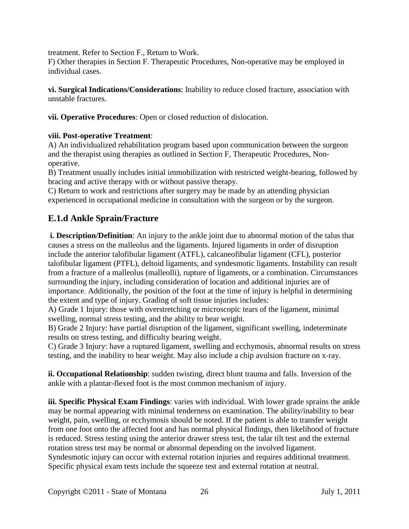treatment. Refer to Section F., Return to Work.

F) Other therapies in Section F. Therapeutic Procedures, Non-operative may be employed in individual cases.

**vi. Surgical Indications/Considerations**: Inability to reduce closed fracture, association with unstable fractures.

**vii. Operative Procedures**: Open or closed reduction of dislocation.

### **viii. Post-operative Treatment**:

A) An individualized rehabilitation program based upon communication between the surgeon and the therapist using therapies as outlined in Section F, Therapeutic Procedures, Nonoperative.

B) Treatment usually includes initial immobilization with restricted weight-bearing, followed by bracing and active therapy with or without passive therapy.

C) Return to work and restrictions after surgery may be made by an attending physician experienced in occupational medicine in consultation with the surgeon or by the surgeon.

## **E.1.d Ankle Sprain/Fracture**

**i. Description/Definition**: An injury to the ankle joint due to abnormal motion of the talus that causes a stress on the malleolus and the ligaments. Injured ligaments in order of disruption include the anterior talofibular ligament (ATFL), calcaneofibular ligament (CFL), posterior talofibular ligament (PTFL), deltoid ligaments, and syndesmotic ligaments. Instability can result from a fracture of a malleolus (malleolli), rupture of ligaments, or a combination. Circumstances surrounding the injury, including consideration of location and additional injuries are of importance. Additionally, the position of the foot at the time of injury is helpful in determining the extent and type of injury. Grading of soft tissue injuries includes:

A) Grade 1 Injury: those with overstretching or microscopic tears of the ligament, minimal swelling, normal stress testing, and the ability to bear weight.

B) Grade 2 Injury: have partial disruption of the ligament, significant swelling, indeterminate results on stress testing, and difficulty bearing weight.

C) Grade 3 Injury: have a ruptured ligament, swelling and ecchymosis, abnormal results on stress testing, and the inability to bear weight. May also include a chip avulsion fracture on x-ray.

**ii. Occupational Relationship**: sudden twisting, direct blunt trauma and falls. Inversion of the ankle with a plantar-flexed foot is the most common mechanism of injury.

**iii. Specific Physical Exam Findings**: varies with individual. With lower grade sprains the ankle may be normal appearing with minimal tenderness on examination. The ability/inability to bear weight, pain, swelling, or ecchymosis should be noted. If the patient is able to transfer weight from one foot onto the affected foot and has normal physical findings, then likelihood of fracture is reduced. Stress testing using the anterior drawer stress test, the talar tilt test and the external rotation stress test may be normal or abnormal depending on the involved ligament. Syndesmotic injury can occur with external rotation injuries and requires additional treatment. Specific physical exam tests include the squeeze test and external rotation at neutral.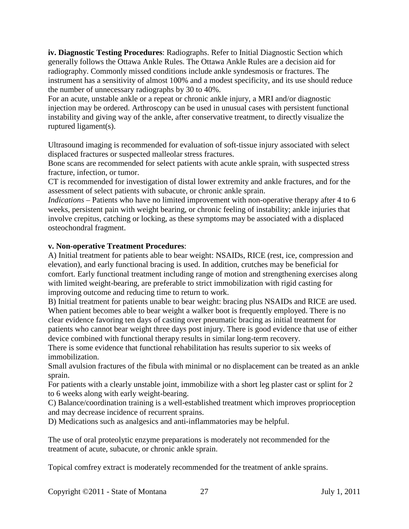**iv. Diagnostic Testing Procedures**: Radiographs. Refer to Initial Diagnostic Section which generally follows the Ottawa Ankle Rules. The Ottawa Ankle Rules are a decision aid for radiography. Commonly missed conditions include ankle syndesmosis or fractures. The instrument has a sensitivity of almost 100% and a modest specificity, and its use should reduce the number of unnecessary radiographs by 30 to 40%.

For an acute, unstable ankle or a repeat or chronic ankle injury, a MRI and/or diagnostic injection may be ordered. Arthroscopy can be used in unusual cases with persistent functional instability and giving way of the ankle, after conservative treatment, to directly visualize the ruptured ligament(s).

Ultrasound imaging is recommended for evaluation of soft-tissue injury associated with select displaced fractures or suspected malleolar stress fractures.

Bone scans are recommended for select patients with acute ankle sprain, with suspected stress fracture, infection, or tumor.

CT is recommended for investigation of distal lower extremity and ankle fractures, and for the assessment of select patients with subacute, or chronic ankle sprain.

*Indications* – Patients who have no limited improvement with non-operative therapy after 4 to 6 weeks, persistent pain with weight bearing, or chronic feeling of instability; ankle injuries that involve crepitus, catching or locking, as these symptoms may be associated with a displaced osteochondral fragment.

### **v. Non-operative Treatment Procedures**:

A) Initial treatment for patients able to bear weight: NSAIDs, RICE (rest, ice, compression and elevation), and early functional bracing is used. In addition, crutches may be beneficial for comfort. Early functional treatment including range of motion and strengthening exercises along with limited weight-bearing, are preferable to strict immobilization with rigid casting for improving outcome and reducing time to return to work.

B) Initial treatment for patients unable to bear weight: bracing plus NSAIDs and RICE are used. When patient becomes able to bear weight a walker boot is frequently employed. There is no clear evidence favoring ten days of casting over pneumatic bracing as initial treatment for patients who cannot bear weight three days post injury. There is good evidence that use of either device combined with functional therapy results in similar long-term recovery.

There is some evidence that functional rehabilitation has results superior to six weeks of immobilization.

Small avulsion fractures of the fibula with minimal or no displacement can be treated as an ankle sprain.

For patients with a clearly unstable joint, immobilize with a short leg plaster cast or splint for 2 to 6 weeks along with early weight-bearing.

C) Balance/coordination training is a well-established treatment which improves proprioception and may decrease incidence of recurrent sprains.

D) Medications such as analgesics and anti-inflammatories may be helpful.

The use of oral proteolytic enzyme preparations is moderately not recommended for the treatment of acute, subacute, or chronic ankle sprain.

Topical comfrey extract is moderately recommended for the treatment of ankle sprains.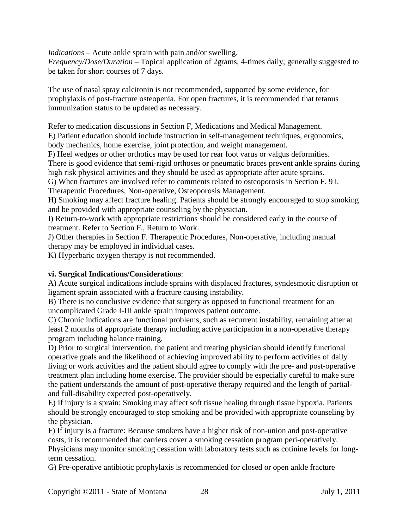*Indications* – Acute ankle sprain with pain and/or swelling.

*Frequency/Dose/Duration* – Topical application of 2grams, 4-times daily; generally suggested to be taken for short courses of 7 days.

The use of nasal spray calcitonin is not recommended, supported by some evidence, for prophylaxis of post-fracture osteopenia. For open fractures, it is recommended that tetanus immunization status to be updated as necessary.

Refer to medication discussions in Section F, Medications and Medical Management.

E) Patient education should include instruction in self-management techniques, ergonomics, body mechanics, home exercise, joint protection, and weight management.

F) Heel wedges or other orthotics may be used for rear foot varus or valgus deformities.

There is good evidence that semi-rigid orthoses or pneumatic braces prevent ankle sprains during high risk physical activities and they should be used as appropriate after acute sprains.

G) When fractures are involved refer to comments related to osteoporosis in Section F. 9 i. Therapeutic Procedures, Non-operative, Osteoporosis Management.

H) Smoking may affect fracture healing. Patients should be strongly encouraged to stop smoking and be provided with appropriate counseling by the physician.

I) Return-to-work with appropriate restrictions should be considered early in the course of treatment. Refer to Section F., Return to Work.

J) Other therapies in Section F. Therapeutic Procedures, Non-operative, including manual therapy may be employed in individual cases.

K) Hyperbaric oxygen therapy is not recommended.

### **vi. Surgical Indications/Considerations**:

A) Acute surgical indications include sprains with displaced fractures, syndesmotic disruption or ligament sprain associated with a fracture causing instability.

B) There is no conclusive evidence that surgery as opposed to functional treatment for an uncomplicated Grade I-III ankle sprain improves patient outcome.

C) Chronic indications are functional problems, such as recurrent instability, remaining after at least 2 months of appropriate therapy including active participation in a non-operative therapy program including balance training.

D) Prior to surgical intervention, the patient and treating physician should identify functional operative goals and the likelihood of achieving improved ability to perform activities of daily living or work activities and the patient should agree to comply with the pre- and post-operative treatment plan including home exercise. The provider should be especially careful to make sure the patient understands the amount of post-operative therapy required and the length of partialand full-disability expected post-operatively.

E) If injury is a sprain: Smoking may affect soft tissue healing through tissue hypoxia. Patients should be strongly encouraged to stop smoking and be provided with appropriate counseling by the physician.

F) If injury is a fracture: Because smokers have a higher risk of non-union and post-operative costs, it is recommended that carriers cover a smoking cessation program peri-operatively. Physicians may monitor smoking cessation with laboratory tests such as cotinine levels for longterm cessation.

G) Pre-operative antibiotic prophylaxis is recommended for closed or open ankle fracture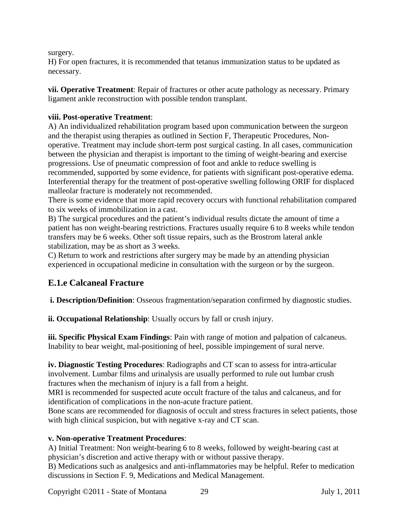surgery.

H) For open fractures, it is recommended that tetanus immunization status to be updated as necessary.

**vii. Operative Treatment**: Repair of fractures or other acute pathology as necessary. Primary ligament ankle reconstruction with possible tendon transplant.

### **viii. Post-operative Treatment**:

A) An individualized rehabilitation program based upon communication between the surgeon and the therapist using therapies as outlined in Section F, Therapeutic Procedures, Nonoperative. Treatment may include short-term post surgical casting. In all cases, communication between the physician and therapist is important to the timing of weight-bearing and exercise progressions. Use of pneumatic compression of foot and ankle to reduce swelling is recommended, supported by some evidence, for patients with significant post-operative edema. Interferential therapy for the treatment of post-operative swelling following ORIF for displaced malleolar fracture is moderately not recommended.

There is some evidence that more rapid recovery occurs with functional rehabilitation compared to six weeks of immobilization in a cast.

B) The surgical procedures and the patient's individual results dictate the amount of time a patient has non weight-bearing restrictions. Fractures usually require 6 to 8 weeks while tendon transfers may be 6 weeks. Other soft tissue repairs, such as the Brostrom lateral ankle stabilization, may be as short as 3 weeks.

C) Return to work and restrictions after surgery may be made by an attending physician experienced in occupational medicine in consultation with the surgeon or by the surgeon.

## **E.1.e Calcaneal Fracture**

**i. Description/Definition**: Osseous fragmentation/separation confirmed by diagnostic studies.

**ii. Occupational Relationship**: Usually occurs by fall or crush injury.

**iii. Specific Physical Exam Findings**: Pain with range of motion and palpation of calcaneus. Inability to bear weight, mal-positioning of heel, possible impingement of sural nerve.

**iv. Diagnostic Testing Procedures**: Radiographs and CT scan to assess for intra-articular involvement. Lumbar films and urinalysis are usually performed to rule out lumbar crush fractures when the mechanism of injury is a fall from a height.

MRI is recommended for suspected acute occult fracture of the talus and calcaneus, and for identification of complications in the non-acute fracture patient.

Bone scans are recommended for diagnosis of occult and stress fractures in select patients, those with high clinical suspicion, but with negative x-ray and CT scan.

### **v. Non-operative Treatment Procedures**:

A) Initial Treatment: Non weight-bearing 6 to 8 weeks, followed by weight-bearing cast at physician's discretion and active therapy with or without passive therapy.

B) Medications such as analgesics and anti-inflammatories may be helpful. Refer to medication discussions in Section F. 9, Medications and Medical Management.

Copyright ©2011 - State of Montana 29 July 1, 2011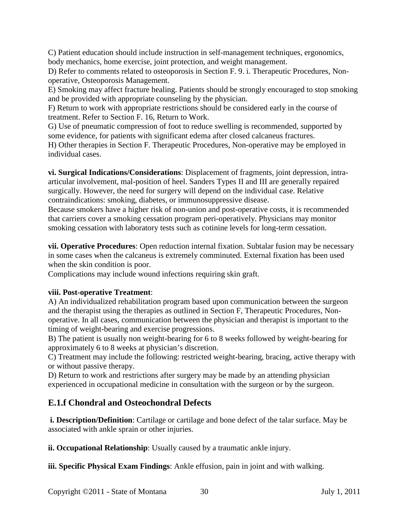C) Patient education should include instruction in self-management techniques, ergonomics, body mechanics, home exercise, joint protection, and weight management.

D) Refer to comments related to osteoporosis in Section F. 9. i. Therapeutic Procedures, Nonoperative, Osteoporosis Management.

E) Smoking may affect fracture healing. Patients should be strongly encouraged to stop smoking and be provided with appropriate counseling by the physician.

F) Return to work with appropriate restrictions should be considered early in the course of treatment. Refer to Section F. 16, Return to Work.

G) Use of pneumatic compression of foot to reduce swelling is recommended, supported by some evidence, for patients with significant edema after closed calcaneus fractures.

H) Other therapies in Section F. Therapeutic Procedures, Non-operative may be employed in individual cases.

**vi. Surgical Indications/Considerations**: Displacement of fragments, joint depression, intraarticular involvement, mal-position of heel. Sanders Types II and III are generally repaired surgically. However, the need for surgery will depend on the individual case. Relative contraindications: smoking, diabetes, or immunosuppressive disease.

Because smokers have a higher risk of non-union and post-operative costs, it is recommended that carriers cover a smoking cessation program peri-operatively. Physicians may monitor smoking cessation with laboratory tests such as cotinine levels for long-term cessation.

**vii. Operative Procedures**: Open reduction internal fixation. Subtalar fusion may be necessary in some cases when the calcaneus is extremely comminuted. External fixation has been used when the skin condition is poor.

Complications may include wound infections requiring skin graft.

### **viii. Post-operative Treatment**:

A) An individualized rehabilitation program based upon communication between the surgeon and the therapist using the therapies as outlined in Section F, Therapeutic Procedures, Nonoperative. In all cases, communication between the physician and therapist is important to the timing of weight-bearing and exercise progressions.

B) The patient is usually non weight-bearing for 6 to 8 weeks followed by weight-bearing for approximately 6 to 8 weeks at physician's discretion.

C) Treatment may include the following: restricted weight-bearing, bracing, active therapy with or without passive therapy.

D) Return to work and restrictions after surgery may be made by an attending physician experienced in occupational medicine in consultation with the surgeon or by the surgeon.

## **E.1.f Chondral and Osteochondral Defects**

**i. Description/Definition**: Cartilage or cartilage and bone defect of the talar surface. May be associated with ankle sprain or other injuries.

**ii. Occupational Relationship**: Usually caused by a traumatic ankle injury.

**iii. Specific Physical Exam Findings**: Ankle effusion, pain in joint and with walking.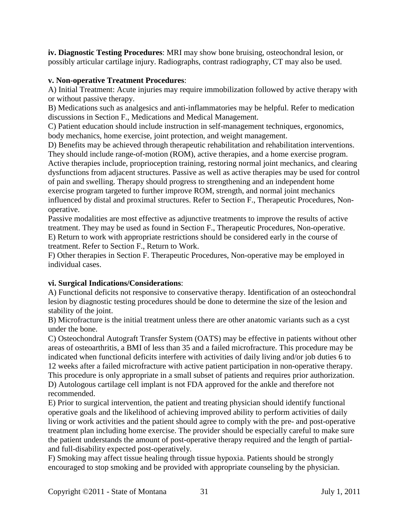**iv. Diagnostic Testing Procedures**: MRI may show bone bruising, osteochondral lesion, or possibly articular cartilage injury. Radiographs, contrast radiography, CT may also be used.

### **v. Non-operative Treatment Procedures**:

A) Initial Treatment: Acute injuries may require immobilization followed by active therapy with or without passive therapy.

B) Medications such as analgesics and anti-inflammatories may be helpful. Refer to medication discussions in Section F., Medications and Medical Management.

C) Patient education should include instruction in self-management techniques, ergonomics, body mechanics, home exercise, joint protection, and weight management.

D) Benefits may be achieved through therapeutic rehabilitation and rehabilitation interventions. They should include range-of-motion (ROM), active therapies, and a home exercise program. Active therapies include, proprioception training, restoring normal joint mechanics, and clearing dysfunctions from adjacent structures. Passive as well as active therapies may be used for control of pain and swelling. Therapy should progress to strengthening and an independent home exercise program targeted to further improve ROM, strength, and normal joint mechanics influenced by distal and proximal structures. Refer to Section F., Therapeutic Procedures, Nonoperative.

Passive modalities are most effective as adjunctive treatments to improve the results of active treatment. They may be used as found in Section F., Therapeutic Procedures, Non-operative. E) Return to work with appropriate restrictions should be considered early in the course of treatment. Refer to Section F., Return to Work.

F) Other therapies in Section F. Therapeutic Procedures, Non-operative may be employed in individual cases.

### **vi. Surgical Indications/Considerations**:

A) Functional deficits not responsive to conservative therapy. Identification of an osteochondral lesion by diagnostic testing procedures should be done to determine the size of the lesion and stability of the joint.

B) Microfracture is the initial treatment unless there are other anatomic variants such as a cyst under the bone.

C) Osteochondral Autograft Transfer System (OATS) may be effective in patients without other areas of osteoarthritis, a BMI of less than 35 and a failed microfracture. This procedure may be indicated when functional deficits interfere with activities of daily living and/or job duties 6 to 12 weeks after a failed microfracture with active patient participation in non-operative therapy. This procedure is only appropriate in a small subset of patients and requires prior authorization. D) Autologous cartilage cell implant is not FDA approved for the ankle and therefore not recommended.

E) Prior to surgical intervention, the patient and treating physician should identify functional operative goals and the likelihood of achieving improved ability to perform activities of daily living or work activities and the patient should agree to comply with the pre- and post-operative treatment plan including home exercise. The provider should be especially careful to make sure the patient understands the amount of post-operative therapy required and the length of partialand full-disability expected post-operatively.

F) Smoking may affect tissue healing through tissue hypoxia. Patients should be strongly encouraged to stop smoking and be provided with appropriate counseling by the physician.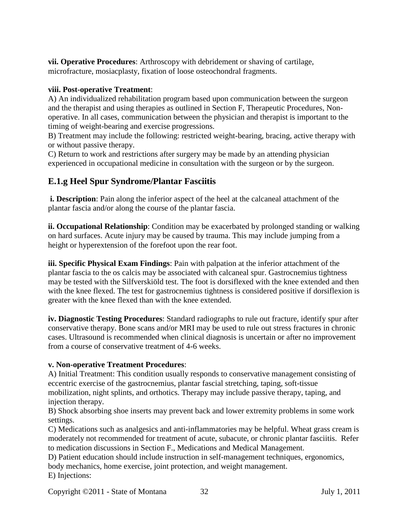**vii. Operative Procedures**: Arthroscopy with debridement or shaving of cartilage, microfracture, mosiacplasty, fixation of loose osteochondral fragments.

#### **viii. Post-operative Treatment**:

A) An individualized rehabilitation program based upon communication between the surgeon and the therapist and using therapies as outlined in Section F, Therapeutic Procedures, Nonoperative. In all cases, communication between the physician and therapist is important to the timing of weight-bearing and exercise progressions.

B) Treatment may include the following: restricted weight-bearing, bracing, active therapy with or without passive therapy.

C) Return to work and restrictions after surgery may be made by an attending physician experienced in occupational medicine in consultation with the surgeon or by the surgeon.

### **E.1.g Heel Spur Syndrome/Plantar Fasciitis**

**i. Description**: Pain along the inferior aspect of the heel at the calcaneal attachment of the plantar fascia and/or along the course of the plantar fascia.

**ii. Occupational Relationship**: Condition may be exacerbated by prolonged standing or walking on hard surfaces. Acute injury may be caused by trauma. This may include jumping from a height or hyperextension of the forefoot upon the rear foot.

**iii. Specific Physical Exam Findings**: Pain with palpation at the inferior attachment of the plantar fascia to the os calcis may be associated with calcaneal spur. Gastrocnemius tightness may be tested with the Silfverskiöld test. The foot is dorsiflexed with the knee extended and then with the knee flexed. The test for gastrocnemius tightness is considered positive if dorsiflexion is greater with the knee flexed than with the knee extended.

**iv. Diagnostic Testing Procedures**: Standard radiographs to rule out fracture, identify spur after conservative therapy. Bone scans and/or MRI may be used to rule out stress fractures in chronic cases. Ultrasound is recommended when clinical diagnosis is uncertain or after no improvement from a course of conservative treatment of 4-6 weeks.

### **v. Non-operative Treatment Procedures**:

A) Initial Treatment: This condition usually responds to conservative management consisting of eccentric exercise of the gastrocnemius, plantar fascial stretching, taping, soft-tissue mobilization, night splints, and orthotics. Therapy may include passive therapy, taping, and injection therapy.

B) Shock absorbing shoe inserts may prevent back and lower extremity problems in some work settings.

C) Medications such as analgesics and anti-inflammatories may be helpful. Wheat grass cream is moderately not recommended for treatment of acute, subacute, or chronic plantar fasciitis. Refer to medication discussions in Section F., Medications and Medical Management.

D) Patient education should include instruction in self-management techniques, ergonomics, body mechanics, home exercise, joint protection, and weight management. E) Injections:

Copyright ©2011 - State of Montana 32 July 1, 2011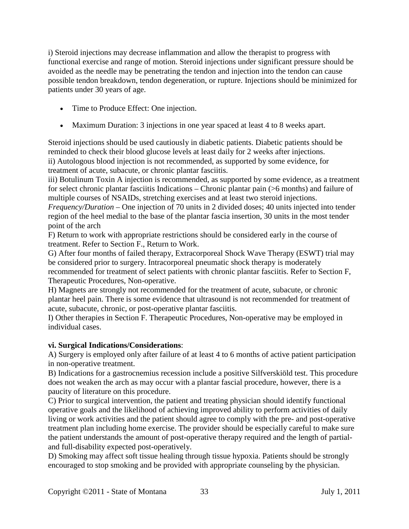i) Steroid injections may decrease inflammation and allow the therapist to progress with functional exercise and range of motion. Steroid injections under significant pressure should be avoided as the needle may be penetrating the tendon and injection into the tendon can cause possible tendon breakdown, tendon degeneration, or rupture. Injections should be minimized for patients under 30 years of age.

- Time to Produce Effect: One injection.
- Maximum Duration: 3 injections in one year spaced at least 4 to 8 weeks apart.

Steroid injections should be used cautiously in diabetic patients. Diabetic patients should be reminded to check their blood glucose levels at least daily for 2 weeks after injections. ii) Autologous blood injection is not recommended, as supported by some evidence, for treatment of acute, subacute, or chronic plantar fasciitis.

iii) Botulinum Toxin A injection is recommended, as supported by some evidence, as a treatment for select chronic plantar fasciitis Indications – Chronic plantar pain (>6 months) and failure of multiple courses of NSAIDs, stretching exercises and at least two steroid injections.

*Frequency/Duration* – One injection of 70 units in 2 divided doses; 40 units injected into tender region of the heel medial to the base of the plantar fascia insertion, 30 units in the most tender point of the arch

F) Return to work with appropriate restrictions should be considered early in the course of treatment. Refer to Section F., Return to Work.

G) After four months of failed therapy, Extracorporeal Shock Wave Therapy (ESWT) trial may be considered prior to surgery. Intracorporeal pneumatic shock therapy is moderately recommended for treatment of select patients with chronic plantar fasciitis. Refer to Section F, Therapeutic Procedures, Non-operative.

H) Magnets are strongly not recommended for the treatment of acute, subacute, or chronic plantar heel pain. There is some evidence that ultrasound is not recommended for treatment of acute, subacute, chronic, or post-operative plantar fasciitis.

I) Other therapies in Section F. Therapeutic Procedures, Non-operative may be employed in individual cases.

### **vi. Surgical Indications/Considerations**:

A) Surgery is employed only after failure of at least 4 to 6 months of active patient participation in non-operative treatment.

B) Indications for a gastrocnemius recession include a positive Silfverskiöld test. This procedure does not weaken the arch as may occur with a plantar fascial procedure, however, there is a paucity of literature on this procedure.

C) Prior to surgical intervention, the patient and treating physician should identify functional operative goals and the likelihood of achieving improved ability to perform activities of daily living or work activities and the patient should agree to comply with the pre- and post-operative treatment plan including home exercise. The provider should be especially careful to make sure the patient understands the amount of post-operative therapy required and the length of partialand full-disability expected post-operatively.

D) Smoking may affect soft tissue healing through tissue hypoxia. Patients should be strongly encouraged to stop smoking and be provided with appropriate counseling by the physician.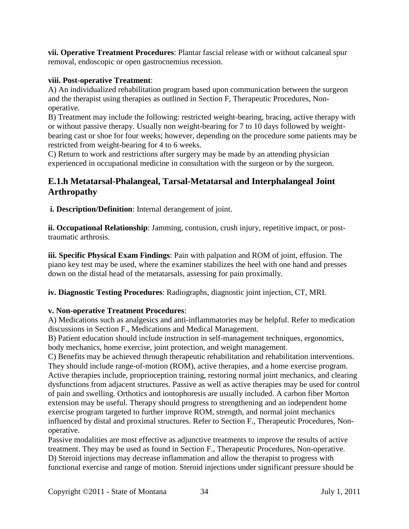**vii. Operative Treatment Procedures**: Plantar fascial release with or without calcaneal spur removal, endoscopic or open gastrocnemius recession.

### **viii. Post-operative Treatment**:

A) An individualized rehabilitation program based upon communication between the surgeon and the therapist using therapies as outlined in Section F, Therapeutic Procedures, Nonoperative.

B) Treatment may include the following: restricted weight-bearing, bracing, active therapy with or without passive therapy. Usually non weight-bearing for 7 to 10 days followed by weightbearing cast or shoe for four weeks; however, depending on the procedure some patients may be restricted from weight-bearing for 4 to 6 weeks.

C) Return to work and restrictions after surgery may be made by an attending physician experienced in occupational medicine in consultation with the surgeon or by the surgeon.

### **E.1.h Metatarsal-Phalangeal, Tarsal-Metatarsal and Interphalangeal Joint Arthropathy**

**i. Description/Definition**: Internal derangement of joint.

**ii. Occupational Relationship**: Jamming, contusion, crush injury, repetitive impact, or posttraumatic arthrosis.

**iii. Specific Physical Exam Findings**: Pain with palpation and ROM of joint, effusion. The piano key test may be used, where the examiner stabilizes the heel with one hand and presses down on the distal head of the metatarsals, assessing for pain proximally.

**iv. Diagnostic Testing Procedures**: Radiographs, diagnostic joint injection, CT, MRI.

### **v. Non-operative Treatment Procedures**:

A) Medications such as analgesics and anti-inflammatories may be helpful. Refer to medication discussions in Section F., Medications and Medical Management.

B) Patient education should include instruction in self-management techniques, ergonomics, body mechanics, home exercise, joint protection, and weight management.

C) Benefits may be achieved through therapeutic rehabilitation and rehabilitation interventions. They should include range-of-motion (ROM), active therapies, and a home exercise program. Active therapies include, proprioception training, restoring normal joint mechanics, and clearing dysfunctions from adjacent structures. Passive as well as active therapies may be used for control of pain and swelling. Orthotics and iontophoresis are usually included. A carbon fiber Morton extension may be useful. Therapy should progress to strengthening and an independent home exercise program targeted to further improve ROM, strength, and normal joint mechanics influenced by distal and proximal structures. Refer to Section F., Therapeutic Procedures, Nonoperative.

Passive modalities are most effective as adjunctive treatments to improve the results of active treatment. They may be used as found in Section F., Therapeutic Procedures, Non-operative. D) Steroid injections may decrease inflammation and allow the therapist to progress with functional exercise and range of motion. Steroid injections under significant pressure should be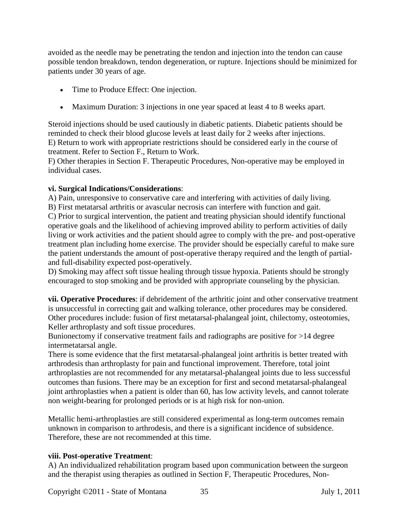avoided as the needle may be penetrating the tendon and injection into the tendon can cause possible tendon breakdown, tendon degeneration, or rupture. Injections should be minimized for patients under 30 years of age.

- Time to Produce Effect: One injection.
- Maximum Duration: 3 injections in one year spaced at least 4 to 8 weeks apart.

Steroid injections should be used cautiously in diabetic patients. Diabetic patients should be reminded to check their blood glucose levels at least daily for 2 weeks after injections. E) Return to work with appropriate restrictions should be considered early in the course of treatment. Refer to Section F., Return to Work.

F) Other therapies in Section F. Therapeutic Procedures, Non-operative may be employed in individual cases.

### **vi. Surgical Indications/Considerations**:

A) Pain, unresponsive to conservative care and interfering with activities of daily living. B) First metatarsal arthritis or avascular necrosis can interfere with function and gait. C) Prior to surgical intervention, the patient and treating physician should identify functional operative goals and the likelihood of achieving improved ability to perform activities of daily living or work activities and the patient should agree to comply with the pre- and post-operative treatment plan including home exercise. The provider should be especially careful to make sure the patient understands the amount of post-operative therapy required and the length of partialand full-disability expected post-operatively.

D) Smoking may affect soft tissue healing through tissue hypoxia. Patients should be strongly encouraged to stop smoking and be provided with appropriate counseling by the physician.

**vii. Operative Procedures**: if debridement of the arthritic joint and other conservative treatment is unsuccessful in correcting gait and walking tolerance, other procedures may be considered. Other procedures include: fusion of first metatarsal-phalangeal joint, chilectomy, osteotomies, Keller arthroplasty and soft tissue procedures.

Bunionectomy if conservative treatment fails and radiographs are positive for >14 degree intermetatarsal angle.

There is some evidence that the first metatarsal-phalangeal joint arthritis is better treated with arthrodesis than arthroplasty for pain and functional improvement. Therefore, total joint arthroplasties are not recommended for any metatarsal-phalangeal joints due to less successful outcomes than fusions. There may be an exception for first and second metatarsal-phalangeal joint arthroplasties when a patient is older than 60, has low activity levels, and cannot tolerate non weight-bearing for prolonged periods or is at high risk for non-union.

Metallic hemi-arthroplasties are still considered experimental as long-term outcomes remain unknown in comparison to arthrodesis, and there is a significant incidence of subsidence. Therefore, these are not recommended at this time.

### **viii. Post-operative Treatment**:

A) An individualized rehabilitation program based upon communication between the surgeon and the therapist using therapies as outlined in Section F, Therapeutic Procedures, Non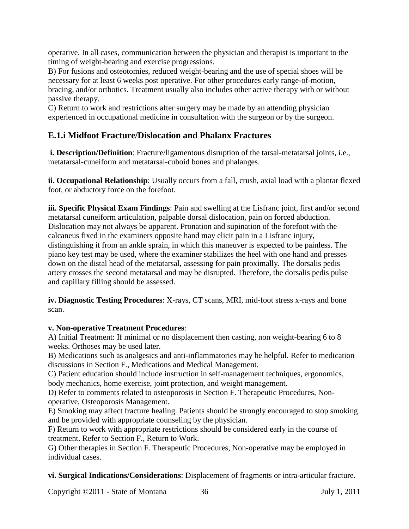operative. In all cases, communication between the physician and therapist is important to the timing of weight-bearing and exercise progressions.

B) For fusions and osteotomies, reduced weight-bearing and the use of special shoes will be necessary for at least 6 weeks post operative. For other procedures early range-of-motion, bracing, and/or orthotics. Treatment usually also includes other active therapy with or without passive therapy.

C) Return to work and restrictions after surgery may be made by an attending physician experienced in occupational medicine in consultation with the surgeon or by the surgeon.

## **E.1.i Midfoot Fracture/Dislocation and Phalanx Fractures**

**i. Description/Definition**: Fracture/ligamentous disruption of the tarsal-metatarsal joints, i.e., metatarsal-cuneiform and metatarsal-cuboid bones and phalanges.

**ii. Occupational Relationship**: Usually occurs from a fall, crush, axial load with a plantar flexed foot, or abductory force on the forefoot.

**iii. Specific Physical Exam Findings**: Pain and swelling at the Lisfranc joint, first and/or second metatarsal cuneiform articulation, palpable dorsal dislocation, pain on forced abduction. Dislocation may not always be apparent. Pronation and supination of the forefoot with the calcaneus fixed in the examiners opposite hand may elicit pain in a Lisfranc injury, distinguishing it from an ankle sprain, in which this maneuver is expected to be painless. The piano key test may be used, where the examiner stabilizes the heel with one hand and presses down on the distal head of the metatarsal, assessing for pain proximally. The dorsalis pedis artery crosses the second metatarsal and may be disrupted. Therefore, the dorsalis pedis pulse and capillary filling should be assessed.

**iv. Diagnostic Testing Procedures**: X-rays, CT scans, MRI, mid-foot stress x-rays and bone scan.

### **v. Non-operative Treatment Procedures**:

A) Initial Treatment: If minimal or no displacement then casting, non weight-bearing 6 to 8 weeks. Orthoses may be used later.

B) Medications such as analgesics and anti-inflammatories may be helpful. Refer to medication discussions in Section F., Medications and Medical Management.

C) Patient education should include instruction in self-management techniques, ergonomics, body mechanics, home exercise, joint protection, and weight management.

D) Refer to comments related to osteoporosis in Section F. Therapeutic Procedures, Nonoperative, Osteoporosis Management.

E) Smoking may affect fracture healing. Patients should be strongly encouraged to stop smoking and be provided with appropriate counseling by the physician.

F) Return to work with appropriate restrictions should be considered early in the course of treatment. Refer to Section F., Return to Work.

G) Other therapies in Section F. Therapeutic Procedures, Non-operative may be employed in individual cases.

**vi. Surgical Indications/Considerations**: Displacement of fragments or intra-articular fracture.

Copyright ©2011 - State of Montana 36 July 1, 2011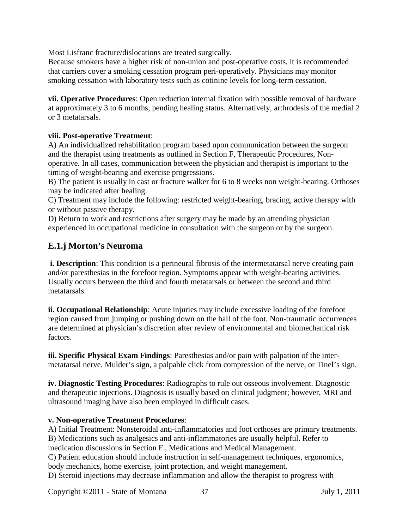Most Lisfranc fracture/dislocations are treated surgically.

Because smokers have a higher risk of non-union and post-operative costs, it is recommended that carriers cover a smoking cessation program peri-operatively. Physicians may monitor smoking cessation with laboratory tests such as cotinine levels for long-term cessation.

**vii. Operative Procedures**: Open reduction internal fixation with possible removal of hardware at approximately 3 to 6 months, pending healing status. Alternatively, arthrodesis of the medial 2 or 3 metatarsals.

#### **viii. Post-operative Treatment**:

A) An individualized rehabilitation program based upon communication between the surgeon and the therapist using treatments as outlined in Section F, Therapeutic Procedures, Nonoperative. In all cases, communication between the physician and therapist is important to the timing of weight-bearing and exercise progressions.

B) The patient is usually in cast or fracture walker for 6 to 8 weeks non weight-bearing. Orthoses may be indicated after healing.

C) Treatment may include the following: restricted weight-bearing, bracing, active therapy with or without passive therapy.

D) Return to work and restrictions after surgery may be made by an attending physician experienced in occupational medicine in consultation with the surgeon or by the surgeon.

# **E.1.j Morton's Neuroma**

**i. Description**: This condition is a perineural fibrosis of the intermetatarsal nerve creating pain and/or paresthesias in the forefoot region. Symptoms appear with weight-bearing activities. Usually occurs between the third and fourth metatarsals or between the second and third metatarsals.

**ii. Occupational Relationship**: Acute injuries may include excessive loading of the forefoot region caused from jumping or pushing down on the ball of the foot. Non-traumatic occurrences are determined at physician's discretion after review of environmental and biomechanical risk factors.

**iii. Specific Physical Exam Findings**: Paresthesias and/or pain with palpation of the intermetatarsal nerve. Mulder's sign, a palpable click from compression of the nerve, or Tinel's sign.

**iv. Diagnostic Testing Procedures**: Radiographs to rule out osseous involvement. Diagnostic and therapeutic injections. Diagnosis is usually based on clinical judgment; however, MRI and ultrasound imaging have also been employed in difficult cases.

### **v. Non-operative Treatment Procedures**:

A) Initial Treatment: Nonsteroidal anti-inflammatories and foot orthoses are primary treatments. B) Medications such as analgesics and anti-inflammatories are usually helpful. Refer to medication discussions in Section F., Medications and Medical Management.

C) Patient education should include instruction in self-management techniques, ergonomics, body mechanics, home exercise, joint protection, and weight management.

D) Steroid injections may decrease inflammation and allow the therapist to progress with

Copyright ©2011 - State of Montana 37 July 1, 2011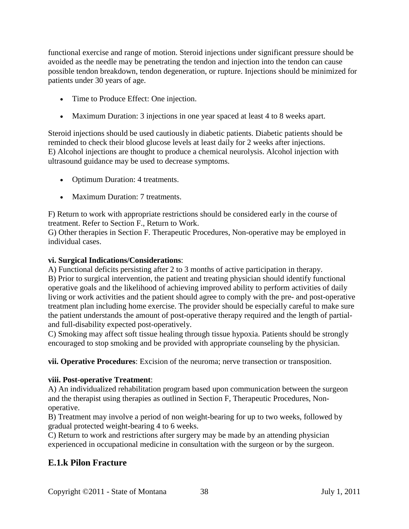functional exercise and range of motion. Steroid injections under significant pressure should be avoided as the needle may be penetrating the tendon and injection into the tendon can cause possible tendon breakdown, tendon degeneration, or rupture. Injections should be minimized for patients under 30 years of age.

- Time to Produce Effect: One injection.
- Maximum Duration: 3 injections in one year spaced at least 4 to 8 weeks apart.

Steroid injections should be used cautiously in diabetic patients. Diabetic patients should be reminded to check their blood glucose levels at least daily for 2 weeks after injections. E) Alcohol injections are thought to produce a chemical neurolysis. Alcohol injection with ultrasound guidance may be used to decrease symptoms.

- Optimum Duration: 4 treatments.
- Maximum Duration: 7 treatments.

F) Return to work with appropriate restrictions should be considered early in the course of treatment. Refer to Section F., Return to Work.

G) Other therapies in Section F. Therapeutic Procedures, Non-operative may be employed in individual cases.

#### **vi. Surgical Indications/Considerations**:

A) Functional deficits persisting after 2 to 3 months of active participation in therapy. B) Prior to surgical intervention, the patient and treating physician should identify functional operative goals and the likelihood of achieving improved ability to perform activities of daily living or work activities and the patient should agree to comply with the pre- and post-operative treatment plan including home exercise. The provider should be especially careful to make sure the patient understands the amount of post-operative therapy required and the length of partialand full-disability expected post-operatively.

C) Smoking may affect soft tissue healing through tissue hypoxia. Patients should be strongly encouraged to stop smoking and be provided with appropriate counseling by the physician.

**vii. Operative Procedures**: Excision of the neuroma; nerve transection or transposition.

### **viii. Post-operative Treatment**:

A) An individualized rehabilitation program based upon communication between the surgeon and the therapist using therapies as outlined in Section F, Therapeutic Procedures, Nonoperative.

B) Treatment may involve a period of non weight-bearing for up to two weeks, followed by gradual protected weight-bearing 4 to 6 weeks.

C) Return to work and restrictions after surgery may be made by an attending physician experienced in occupational medicine in consultation with the surgeon or by the surgeon.

# **E.1.k Pilon Fracture**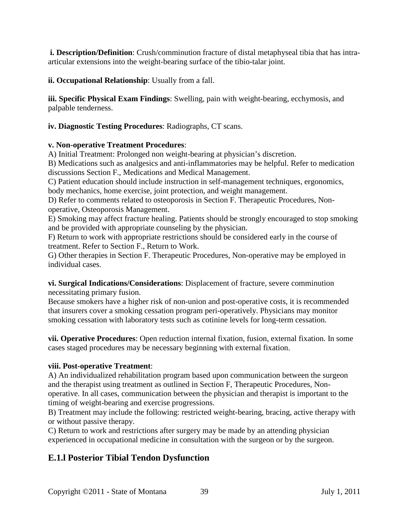**i. Description/Definition**: Crush/comminution fracture of distal metaphyseal tibia that has intraarticular extensions into the weight-bearing surface of the tibio-talar joint.

**ii. Occupational Relationship**: Usually from a fall.

**iii. Specific Physical Exam Findings**: Swelling, pain with weight-bearing, ecchymosis, and palpable tenderness.

**iv. Diagnostic Testing Procedures**: Radiographs, CT scans.

### **v. Non-operative Treatment Procedures**:

A) Initial Treatment: Prolonged non weight-bearing at physician's discretion.

B) Medications such as analgesics and anti-inflammatories may be helpful. Refer to medication discussions Section F., Medications and Medical Management.

C) Patient education should include instruction in self-management techniques, ergonomics, body mechanics, home exercise, joint protection, and weight management.

D) Refer to comments related to osteoporosis in Section F. Therapeutic Procedures, Nonoperative, Osteoporosis Management.

E) Smoking may affect fracture healing. Patients should be strongly encouraged to stop smoking and be provided with appropriate counseling by the physician.

F) Return to work with appropriate restrictions should be considered early in the course of treatment. Refer to Section F., Return to Work.

G) Other therapies in Section F. Therapeutic Procedures, Non-operative may be employed in individual cases.

**vi. Surgical Indications/Considerations**: Displacement of fracture, severe comminution necessitating primary fusion.

Because smokers have a higher risk of non-union and post-operative costs, it is recommended that insurers cover a smoking cessation program peri-operatively. Physicians may monitor smoking cessation with laboratory tests such as cotinine levels for long-term cessation.

**vii. Operative Procedures**: Open reduction internal fixation, fusion, external fixation. In some cases staged procedures may be necessary beginning with external fixation.

### **viii. Post-operative Treatment**:

A) An individualized rehabilitation program based upon communication between the surgeon and the therapist using treatment as outlined in Section F, Therapeutic Procedures, Nonoperative. In all cases, communication between the physician and therapist is important to the timing of weight-bearing and exercise progressions.

B) Treatment may include the following: restricted weight-bearing, bracing, active therapy with or without passive therapy.

C) Return to work and restrictions after surgery may be made by an attending physician experienced in occupational medicine in consultation with the surgeon or by the surgeon.

# **E.1.l Posterior Tibial Tendon Dysfunction**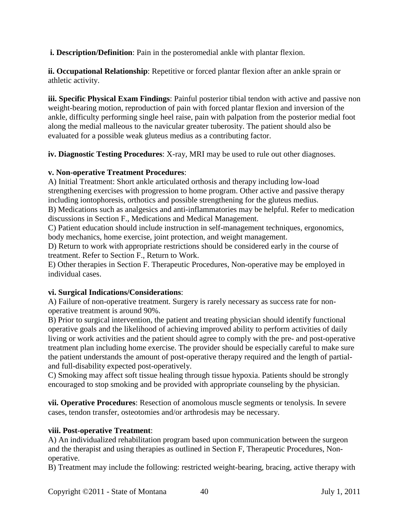**i. Description/Definition**: Pain in the posteromedial ankle with plantar flexion.

**ii. Occupational Relationship**: Repetitive or forced plantar flexion after an ankle sprain or athletic activity.

**iii. Specific Physical Exam Findings**: Painful posterior tibial tendon with active and passive non weight-bearing motion, reproduction of pain with forced plantar flexion and inversion of the ankle, difficulty performing single heel raise, pain with palpation from the posterior medial foot along the medial malleous to the navicular greater tuberosity. The patient should also be evaluated for a possible weak gluteus medius as a contributing factor.

**iv. Diagnostic Testing Procedures**: X-ray, MRI may be used to rule out other diagnoses.

### **v. Non-operative Treatment Procedures**:

A) Initial Treatment: Short ankle articulated orthosis and therapy including low-load strengthening exercises with progression to home program. Other active and passive therapy including iontophoresis, orthotics and possible strengthening for the gluteus medius. B) Medications such as analgesics and anti-inflammatories may be helpful. Refer to medication

discussions in Section F., Medications and Medical Management.

C) Patient education should include instruction in self-management techniques, ergonomics, body mechanics, home exercise, joint protection, and weight management.

D) Return to work with appropriate restrictions should be considered early in the course of treatment. Refer to Section F., Return to Work.

E) Other therapies in Section F. Therapeutic Procedures, Non-operative may be employed in individual cases.

# **vi. Surgical Indications/Considerations**:

A) Failure of non-operative treatment. Surgery is rarely necessary as success rate for nonoperative treatment is around 90%.

B) Prior to surgical intervention, the patient and treating physician should identify functional operative goals and the likelihood of achieving improved ability to perform activities of daily living or work activities and the patient should agree to comply with the pre- and post-operative treatment plan including home exercise. The provider should be especially careful to make sure the patient understands the amount of post-operative therapy required and the length of partialand full-disability expected post-operatively.

C) Smoking may affect soft tissue healing through tissue hypoxia. Patients should be strongly encouraged to stop smoking and be provided with appropriate counseling by the physician.

**vii. Operative Procedures**: Resection of anomolous muscle segments or tenolysis. In severe cases, tendon transfer, osteotomies and/or arthrodesis may be necessary.

# **viii. Post-operative Treatment**:

A) An individualized rehabilitation program based upon communication between the surgeon and the therapist and using therapies as outlined in Section F, Therapeutic Procedures, Nonoperative.

B) Treatment may include the following: restricted weight-bearing, bracing, active therapy with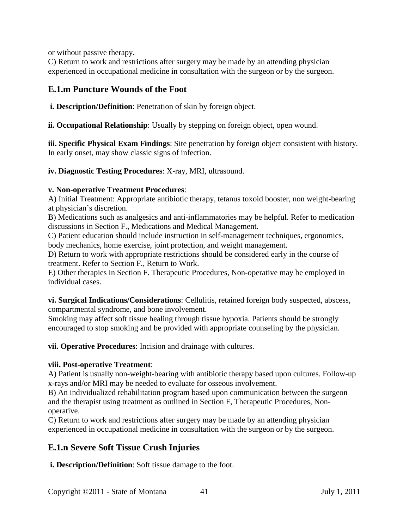or without passive therapy.

C) Return to work and restrictions after surgery may be made by an attending physician experienced in occupational medicine in consultation with the surgeon or by the surgeon.

# **E.1.m Puncture Wounds of the Foot**

**i. Description/Definition**: Penetration of skin by foreign object.

**ii. Occupational Relationship**: Usually by stepping on foreign object, open wound.

**iii. Specific Physical Exam Findings**: Site penetration by foreign object consistent with history. In early onset, may show classic signs of infection.

**iv. Diagnostic Testing Procedures**: X-ray, MRI, ultrasound.

### **v. Non-operative Treatment Procedures**:

A) Initial Treatment: Appropriate antibiotic therapy, tetanus toxoid booster, non weight-bearing at physician's discretion.

B) Medications such as analgesics and anti-inflammatories may be helpful. Refer to medication discussions in Section F., Medications and Medical Management.

C) Patient education should include instruction in self-management techniques, ergonomics, body mechanics, home exercise, joint protection, and weight management.

D) Return to work with appropriate restrictions should be considered early in the course of treatment. Refer to Section F., Return to Work.

E) Other therapies in Section F. Therapeutic Procedures, Non-operative may be employed in individual cases.

**vi. Surgical Indications/Considerations**: Cellulitis, retained foreign body suspected, abscess, compartmental syndrome, and bone involvement.

Smoking may affect soft tissue healing through tissue hypoxia. Patients should be strongly encouraged to stop smoking and be provided with appropriate counseling by the physician.

**vii. Operative Procedures**: Incision and drainage with cultures.

### **viii. Post-operative Treatment**:

A) Patient is usually non-weight-bearing with antibiotic therapy based upon cultures. Follow-up x-rays and/or MRI may be needed to evaluate for osseous involvement.

B) An individualized rehabilitation program based upon communication between the surgeon and the therapist using treatment as outlined in Section F, Therapeutic Procedures, Nonoperative.

C) Return to work and restrictions after surgery may be made by an attending physician experienced in occupational medicine in consultation with the surgeon or by the surgeon.

# **E.1.n Severe Soft Tissue Crush Injuries**

**i. Description/Definition**: Soft tissue damage to the foot.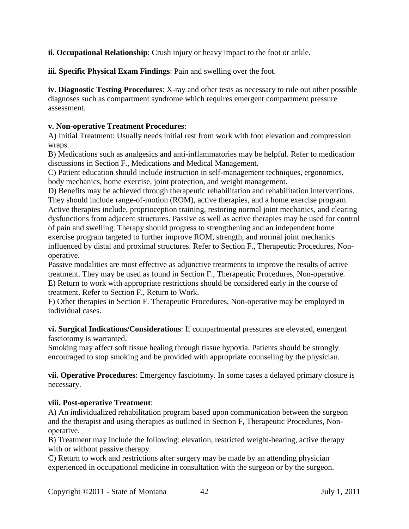**ii. Occupational Relationship**: Crush injury or heavy impact to the foot or ankle.

**iii. Specific Physical Exam Findings**: Pain and swelling over the foot.

**iv. Diagnostic Testing Procedures**: X-ray and other tests as necessary to rule out other possible diagnoses such as compartment syndrome which requires emergent compartment pressure assessment.

### **v. Non-operative Treatment Procedures**:

A) Initial Treatment: Usually needs initial rest from work with foot elevation and compression wraps.

B) Medications such as analgesics and anti-inflammatories may be helpful. Refer to medication discussions in Section F., Medications and Medical Management.

C) Patient education should include instruction in self-management techniques, ergonomics, body mechanics, home exercise, joint protection, and weight management.

D) Benefits may be achieved through therapeutic rehabilitation and rehabilitation interventions. They should include range-of-motion (ROM), active therapies, and a home exercise program. Active therapies include, proprioception training, restoring normal joint mechanics, and clearing dysfunctions from adjacent structures. Passive as well as active therapies may be used for control of pain and swelling. Therapy should progress to strengthening and an independent home exercise program targeted to further improve ROM, strength, and normal joint mechanics influenced by distal and proximal structures. Refer to Section F., Therapeutic Procedures, Nonoperative.

Passive modalities are most effective as adjunctive treatments to improve the results of active treatment. They may be used as found in Section F., Therapeutic Procedures, Non-operative. E) Return to work with appropriate restrictions should be considered early in the course of treatment. Refer to Section F., Return to Work.

F) Other therapies in Section F. Therapeutic Procedures, Non-operative may be employed in individual cases.

**vi. Surgical Indications/Considerations**: If compartmental pressures are elevated, emergent fasciotomy is warranted.

Smoking may affect soft tissue healing through tissue hypoxia. Patients should be strongly encouraged to stop smoking and be provided with appropriate counseling by the physician.

**vii. Operative Procedures**: Emergency fasciotomy. In some cases a delayed primary closure is necessary.

### **viii. Post-operative Treatment**:

A) An individualized rehabilitation program based upon communication between the surgeon and the therapist and using therapies as outlined in Section F, Therapeutic Procedures, Nonoperative.

B) Treatment may include the following: elevation, restricted weight-bearing, active therapy with or without passive therapy.

C) Return to work and restrictions after surgery may be made by an attending physician experienced in occupational medicine in consultation with the surgeon or by the surgeon.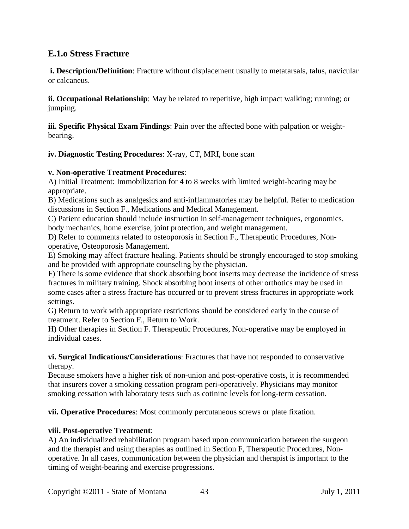# **E.1.o Stress Fracture**

**i. Description/Definition**: Fracture without displacement usually to metatarsals, talus, navicular or calcaneus.

**ii. Occupational Relationship**: May be related to repetitive, high impact walking; running; or jumping.

**iii. Specific Physical Exam Findings**: Pain over the affected bone with palpation or weightbearing.

**iv. Diagnostic Testing Procedures**: X-ray, CT, MRI, bone scan

#### **v. Non-operative Treatment Procedures**:

A) Initial Treatment: Immobilization for 4 to 8 weeks with limited weight-bearing may be appropriate.

B) Medications such as analgesics and anti-inflammatories may be helpful. Refer to medication discussions in Section F., Medications and Medical Management.

C) Patient education should include instruction in self-management techniques, ergonomics, body mechanics, home exercise, joint protection, and weight management.

D) Refer to comments related to osteoporosis in Section F., Therapeutic Procedures, Nonoperative, Osteoporosis Management.

E) Smoking may affect fracture healing. Patients should be strongly encouraged to stop smoking and be provided with appropriate counseling by the physician.

F) There is some evidence that shock absorbing boot inserts may decrease the incidence of stress fractures in military training. Shock absorbing boot inserts of other orthotics may be used in some cases after a stress fracture has occurred or to prevent stress fractures in appropriate work settings.

G) Return to work with appropriate restrictions should be considered early in the course of treatment. Refer to Section F., Return to Work.

H) Other therapies in Section F. Therapeutic Procedures, Non-operative may be employed in individual cases.

#### **vi. Surgical Indications/Considerations**: Fractures that have not responded to conservative therapy.

Because smokers have a higher risk of non-union and post-operative costs, it is recommended that insurers cover a smoking cessation program peri-operatively. Physicians may monitor smoking cessation with laboratory tests such as cotinine levels for long-term cessation.

**vii. Operative Procedures**: Most commonly percutaneous screws or plate fixation.

#### **viii. Post-operative Treatment**:

A) An individualized rehabilitation program based upon communication between the surgeon and the therapist and using therapies as outlined in Section F, Therapeutic Procedures, Nonoperative. In all cases, communication between the physician and therapist is important to the timing of weight-bearing and exercise progressions.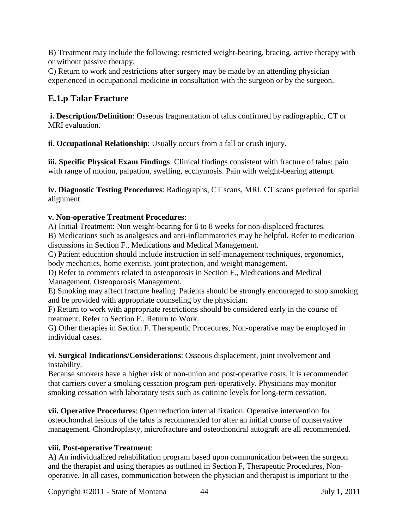B) Treatment may include the following: restricted weight-bearing, bracing, active therapy with or without passive therapy.

C) Return to work and restrictions after surgery may be made by an attending physician experienced in occupational medicine in consultation with the surgeon or by the surgeon.

# **E.1.p Talar Fracture**

**i. Description/Definition**: Osseous fragmentation of talus confirmed by radiographic, CT or MRI evaluation.

**ii. Occupational Relationship**: Usually occurs from a fall or crush injury.

**iii. Specific Physical Exam Findings**: Clinical findings consistent with fracture of talus: pain with range of motion, palpation, swelling, ecchymosis. Pain with weight-bearing attempt.

**iv. Diagnostic Testing Procedures**: Radiographs, CT scans, MRI. CT scans preferred for spatial alignment.

### **v. Non-operative Treatment Procedures**:

A) Initial Treatment: Non weight-bearing for 6 to 8 weeks for non-displaced fractures.

B) Medications such as analgesics and anti-inflammatories may be helpful. Refer to medication discussions in Section F., Medications and Medical Management.

C) Patient education should include instruction in self-management techniques, ergonomics, body mechanics, home exercise, joint protection, and weight management.

D) Refer to comments related to osteoporosis in Section F., Medications and Medical Management, Osteoporosis Management.

E) Smoking may affect fracture healing. Patients should be strongly encouraged to stop smoking and be provided with appropriate counseling by the physician.

F) Return to work with appropriate restrictions should be considered early in the course of treatment. Refer to Section F., Return to Work.

G) Other therapies in Section F. Therapeutic Procedures, Non-operative may be employed in individual cases.

**vi. Surgical Indications/Considerations**: Osseous displacement, joint involvement and instability.

Because smokers have a higher risk of non-union and post-operative costs, it is recommended that carriers cover a smoking cessation program peri-operatively. Physicians may monitor smoking cessation with laboratory tests such as cotinine levels for long-term cessation.

**vii. Operative Procedures**: Open reduction internal fixation. Operative intervention for osteochondral lesions of the talus is recommended for after an initial course of conservative management. Chondroplasty, microfracture and osteochondral autograft are all recommended.

### **viii. Post-operative Treatment**:

A) An individualized rehabilitation program based upon communication between the surgeon and the therapist and using therapies as outlined in Section F, Therapeutic Procedures, Nonoperative. In all cases, communication between the physician and therapist is important to the

Copyright ©2011 - State of Montana 44 July 1, 2011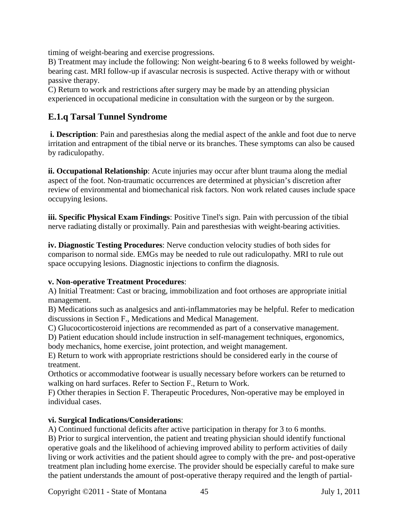timing of weight-bearing and exercise progressions.

B) Treatment may include the following: Non weight-bearing 6 to 8 weeks followed by weightbearing cast. MRI follow-up if avascular necrosis is suspected. Active therapy with or without passive therapy.

C) Return to work and restrictions after surgery may be made by an attending physician experienced in occupational medicine in consultation with the surgeon or by the surgeon.

# **E.1.q Tarsal Tunnel Syndrome**

**i. Description**: Pain and paresthesias along the medial aspect of the ankle and foot due to nerve irritation and entrapment of the tibial nerve or its branches. These symptoms can also be caused by radiculopathy.

**ii. Occupational Relationship**: Acute injuries may occur after blunt trauma along the medial aspect of the foot. Non-traumatic occurrences are determined at physician's discretion after review of environmental and biomechanical risk factors. Non work related causes include space occupying lesions.

**iii. Specific Physical Exam Findings**: Positive Tinel's sign. Pain with percussion of the tibial nerve radiating distally or proximally. Pain and paresthesias with weight-bearing activities.

**iv. Diagnostic Testing Procedures**: Nerve conduction velocity studies of both sides for comparison to normal side. EMGs may be needed to rule out radiculopathy. MRI to rule out space occupying lesions. Diagnostic injections to confirm the diagnosis.

### **v. Non-operative Treatment Procedures**:

A) Initial Treatment: Cast or bracing, immobilization and foot orthoses are appropriate initial management.

B) Medications such as analgesics and anti-inflammatories may be helpful. Refer to medication discussions in Section F., Medications and Medical Management.

C) Glucocorticosteroid injections are recommended as part of a conservative management.

D) Patient education should include instruction in self-management techniques, ergonomics, body mechanics, home exercise, joint protection, and weight management.

E) Return to work with appropriate restrictions should be considered early in the course of treatment.

Orthotics or accommodative footwear is usually necessary before workers can be returned to walking on hard surfaces. Refer to Section F., Return to Work.

F) Other therapies in Section F. Therapeutic Procedures, Non-operative may be employed in individual cases.

### **vi. Surgical Indications/Considerations**:

A) Continued functional deficits after active participation in therapy for 3 to 6 months.

B) Prior to surgical intervention, the patient and treating physician should identify functional operative goals and the likelihood of achieving improved ability to perform activities of daily living or work activities and the patient should agree to comply with the pre- and post-operative treatment plan including home exercise. The provider should be especially careful to make sure the patient understands the amount of post-operative therapy required and the length of partial-

Copyright ©2011 - State of Montana 45 July 1, 2011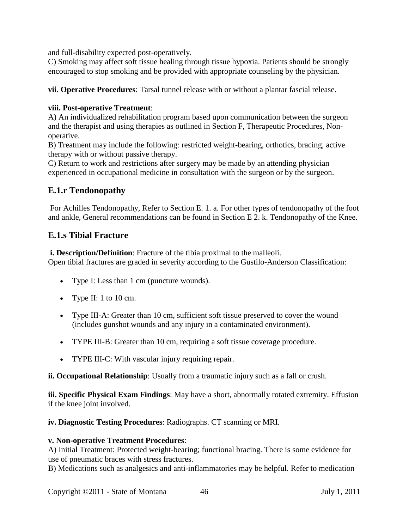and full-disability expected post-operatively.

C) Smoking may affect soft tissue healing through tissue hypoxia. Patients should be strongly encouraged to stop smoking and be provided with appropriate counseling by the physician.

**vii. Operative Procedures**: Tarsal tunnel release with or without a plantar fascial release.

### **viii. Post-operative Treatment**:

A) An individualized rehabilitation program based upon communication between the surgeon and the therapist and using therapies as outlined in Section F, Therapeutic Procedures, Nonoperative.

B) Treatment may include the following: restricted weight-bearing, orthotics, bracing, active therapy with or without passive therapy.

C) Return to work and restrictions after surgery may be made by an attending physician experienced in occupational medicine in consultation with the surgeon or by the surgeon.

# **E.1.r Tendonopathy**

For Achilles Tendonopathy, Refer to Section E. 1. a. For other types of tendonopathy of the foot and ankle, General recommendations can be found in Section E 2. k. Tendonopathy of the Knee.

# **E.1.s Tibial Fracture**

**i. Description/Definition**: Fracture of the tibia proximal to the malleoli. Open tibial fractures are graded in severity according to the Gustilo-Anderson Classification:

- Type I: Less than 1 cm (puncture wounds).
- Type II: 1 to 10 cm.
- Type III-A: Greater than 10 cm, sufficient soft tissue preserved to cover the wound (includes gunshot wounds and any injury in a contaminated environment).
- TYPE III-B: Greater than 10 cm, requiring a soft tissue coverage procedure.
- TYPE III-C: With vascular injury requiring repair.

**ii. Occupational Relationship**: Usually from a traumatic injury such as a fall or crush.

**iii. Specific Physical Exam Findings**: May have a short, abnormally rotated extremity. Effusion if the knee joint involved.

**iv. Diagnostic Testing Procedures**: Radiographs. CT scanning or MRI.

### **v. Non-operative Treatment Procedures**:

A) Initial Treatment: Protected weight-bearing; functional bracing. There is some evidence for use of pneumatic braces with stress fractures.

B) Medications such as analgesics and anti-inflammatories may be helpful. Refer to medication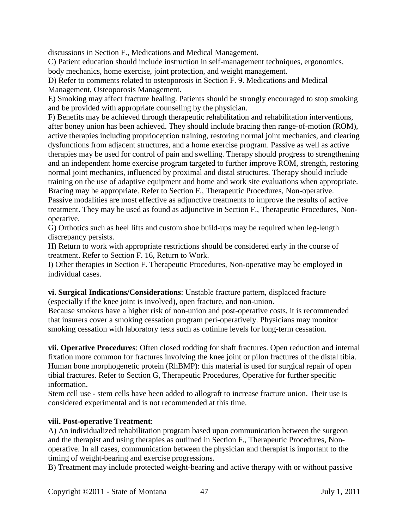discussions in Section F., Medications and Medical Management.

C) Patient education should include instruction in self-management techniques, ergonomics, body mechanics, home exercise, joint protection, and weight management.

D) Refer to comments related to osteoporosis in Section F. 9. Medications and Medical Management, Osteoporosis Management.

E) Smoking may affect fracture healing. Patients should be strongly encouraged to stop smoking and be provided with appropriate counseling by the physician.

F) Benefits may be achieved through therapeutic rehabilitation and rehabilitation interventions, after boney union has been achieved. They should include bracing then range-of-motion (ROM), active therapies including proprioception training, restoring normal joint mechanics, and clearing dysfunctions from adjacent structures, and a home exercise program. Passive as well as active therapies may be used for control of pain and swelling. Therapy should progress to strengthening and an independent home exercise program targeted to further improve ROM, strength, restoring normal joint mechanics, influenced by proximal and distal structures. Therapy should include training on the use of adaptive equipment and home and work site evaluations when appropriate. Bracing may be appropriate. Refer to Section F., Therapeutic Procedures, Non-operative. Passive modalities are most effective as adjunctive treatments to improve the results of active treatment. They may be used as found as adjunctive in Section F., Therapeutic Procedures, Nonoperative.

G) Orthotics such as heel lifts and custom shoe build-ups may be required when leg-length discrepancy persists.

H) Return to work with appropriate restrictions should be considered early in the course of treatment. Refer to Section F. 16, Return to Work.

I) Other therapies in Section F. Therapeutic Procedures, Non-operative may be employed in individual cases.

**vi. Surgical Indications/Considerations**: Unstable fracture pattern, displaced fracture (especially if the knee joint is involved), open fracture, and non-union.

Because smokers have a higher risk of non-union and post-operative costs, it is recommended that insurers cover a smoking cessation program peri-operatively. Physicians may monitor smoking cessation with laboratory tests such as cotinine levels for long-term cessation.

**vii. Operative Procedures**: Often closed rodding for shaft fractures. Open reduction and internal fixation more common for fractures involving the knee joint or pilon fractures of the distal tibia. Human bone morphogenetic protein (RhBMP): this material is used for surgical repair of open tibial fractures. Refer to Section G, Therapeutic Procedures, Operative for further specific information.

Stem cell use - stem cells have been added to allograft to increase fracture union. Their use is considered experimental and is not recommended at this time.

### **viii. Post-operative Treatment**:

A) An individualized rehabilitation program based upon communication between the surgeon and the therapist and using therapies as outlined in Section F., Therapeutic Procedures, Nonoperative. In all cases, communication between the physician and therapist is important to the timing of weight-bearing and exercise progressions.

B) Treatment may include protected weight-bearing and active therapy with or without passive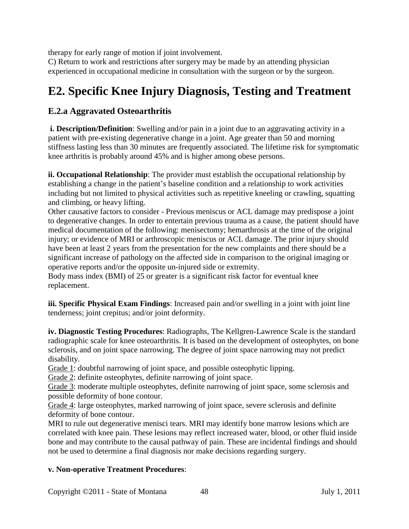therapy for early range of motion if joint involvement.

C) Return to work and restrictions after surgery may be made by an attending physician experienced in occupational medicine in consultation with the surgeon or by the surgeon.

# **E2. Specific Knee Injury Diagnosis, Testing and Treatment**

# **E.2.a Aggravated Osteoarthritis**

**i. Description/Definition**: Swelling and/or pain in a joint due to an aggravating activity in a patient with pre-existing degenerative change in a joint. Age greater than 50 and morning stiffness lasting less than 30 minutes are frequently associated. The lifetime risk for symptomatic knee arthritis is probably around 45% and is higher among obese persons.

**ii. Occupational Relationship**: The provider must establish the occupational relationship by establishing a change in the patient's baseline condition and a relationship to work activities including but not limited to physical activities such as repetitive kneeling or crawling, squatting and climbing, or heavy lifting.

Other causative factors to consider - Previous meniscus or ACL damage may predispose a joint to degenerative changes. In order to entertain previous trauma as a cause, the patient should have medical documentation of the following: menisectomy; hemarthrosis at the time of the original injury; or evidence of MRI or arthroscopic meniscus or ACL damage. The prior injury should have been at least 2 years from the presentation for the new complaints and there should be a significant increase of pathology on the affected side in comparison to the original imaging or operative reports and/or the opposite un-injured side or extremity.

Body mass index (BMI) of 25 or greater is a significant risk factor for eventual knee replacement.

**iii. Specific Physical Exam Findings**: Increased pain and/or swelling in a joint with joint line tenderness; joint crepitus; and/or joint deformity.

**iv. Diagnostic Testing Procedures**: Radiographs, The Kellgren-Lawrence Scale is the standard radiographic scale for knee osteoarthritis. It is based on the development of osteophytes, on bone sclerosis, and on joint space narrowing. The degree of joint space narrowing may not predict disability.

Grade 1: doubtful narrowing of joint space, and possible osteophytic lipping.

Grade 2: definite osteophytes, definite narrowing of joint space.

Grade 3: moderate multiple osteophytes, definite narrowing of joint space, some sclerosis and possible deformity of bone contour.

Grade 4: large osteophytes, marked narrowing of joint space, severe sclerosis and definite deformity of bone contour.

MRI to rule out degenerative menisci tears. MRI may identify bone marrow lesions which are correlated with knee pain. These lesions may reflect increased water, blood, or other fluid inside bone and may contribute to the causal pathway of pain. These are incidental findings and should not be used to determine a final diagnosis nor make decisions regarding surgery.

### **v. Non-operative Treatment Procedures**: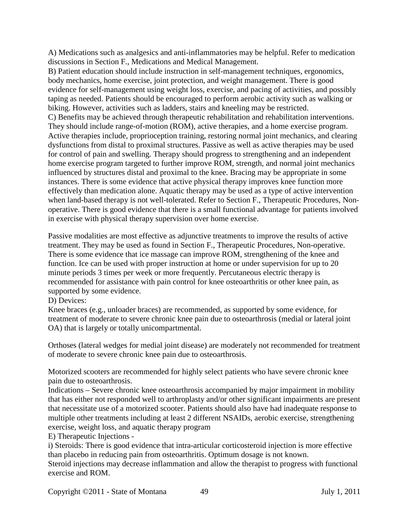A) Medications such as analgesics and anti-inflammatories may be helpful. Refer to medication discussions in Section F., Medications and Medical Management.

B) Patient education should include instruction in self-management techniques, ergonomics, body mechanics, home exercise, joint protection, and weight management. There is good evidence for self-management using weight loss, exercise, and pacing of activities, and possibly taping as needed. Patients should be encouraged to perform aerobic activity such as walking or biking. However, activities such as ladders, stairs and kneeling may be restricted. C) Benefits may be achieved through therapeutic rehabilitation and rehabilitation interventions. They should include range-of-motion (ROM), active therapies, and a home exercise program. Active therapies include, proprioception training, restoring normal joint mechanics, and clearing dysfunctions from distal to proximal structures. Passive as well as active therapies may be used for control of pain and swelling. Therapy should progress to strengthening and an independent home exercise program targeted to further improve ROM, strength, and normal joint mechanics influenced by structures distal and proximal to the knee. Bracing may be appropriate in some instances. There is some evidence that active physical therapy improves knee function more effectively than medication alone. Aquatic therapy may be used as a type of active intervention when land-based therapy is not well-tolerated. Refer to Section F., Therapeutic Procedures, Nonoperative. There is good evidence that there is a small functional advantage for patients involved in exercise with physical therapy supervision over home exercise.

Passive modalities are most effective as adjunctive treatments to improve the results of active treatment. They may be used as found in Section F., Therapeutic Procedures, Non-operative. There is some evidence that ice massage can improve ROM, strengthening of the knee and function. Ice can be used with proper instruction at home or under supervision for up to 20 minute periods 3 times per week or more frequently. Percutaneous electric therapy is recommended for assistance with pain control for knee osteoarthritis or other knee pain, as supported by some evidence.

D) Devices:

Knee braces (e.g., unloader braces) are recommended, as supported by some evidence, for treatment of moderate to severe chronic knee pain due to osteoarthrosis (medial or lateral joint OA) that is largely or totally unicompartmental.

Orthoses (lateral wedges for medial joint disease) are moderately not recommended for treatment of moderate to severe chronic knee pain due to osteoarthrosis.

Motorized scooters are recommended for highly select patients who have severe chronic knee pain due to osteoarthrosis.

Indications – Severe chronic knee osteoarthrosis accompanied by major impairment in mobility that has either not responded well to arthroplasty and/or other significant impairments are present that necessitate use of a motorized scooter. Patients should also have had inadequate response to multiple other treatments including at least 2 different NSAIDs, aerobic exercise, strengthening exercise, weight loss, and aquatic therapy program

E) Therapeutic Injections -

i) Steroids: There is good evidence that intra-articular corticosteroid injection is more effective than placebo in reducing pain from osteoarthritis. Optimum dosage is not known.

Steroid injections may decrease inflammation and allow the therapist to progress with functional exercise and ROM.

Copyright ©2011 - State of Montana 49 July 1, 2011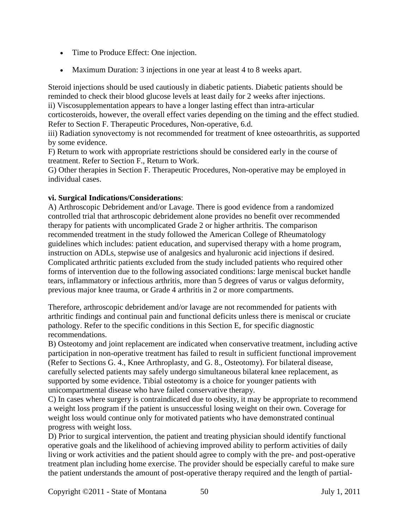- Time to Produce Effect: One injection.
- Maximum Duration: 3 injections in one year at least 4 to 8 weeks apart.

Steroid injections should be used cautiously in diabetic patients. Diabetic patients should be reminded to check their blood glucose levels at least daily for 2 weeks after injections. ii) Viscosupplementation appears to have a longer lasting effect than intra-articular corticosteroids, however, the overall effect varies depending on the timing and the effect studied. Refer to Section F. Therapeutic Procedures, Non-operative, 6.d.

iii) Radiation synovectomy is not recommended for treatment of knee osteoarthritis, as supported by some evidence.

F) Return to work with appropriate restrictions should be considered early in the course of treatment. Refer to Section F., Return to Work.

G) Other therapies in Section F. Therapeutic Procedures, Non-operative may be employed in individual cases.

### **vi. Surgical Indications/Considerations**:

A) Arthroscopic Debridement and/or Lavage. There is good evidence from a randomized controlled trial that arthroscopic debridement alone provides no benefit over recommended therapy for patients with uncomplicated Grade 2 or higher arthritis. The comparison recommended treatment in the study followed the American College of Rheumatology guidelines which includes: patient education, and supervised therapy with a home program, instruction on ADLs, stepwise use of analgesics and hyaluronic acid injections if desired. Complicated arthritic patients excluded from the study included patients who required other forms of intervention due to the following associated conditions: large meniscal bucket handle tears, inflammatory or infectious arthritis, more than 5 degrees of varus or valgus deformity, previous major knee trauma, or Grade 4 arthritis in 2 or more compartments.

Therefore, arthroscopic debridement and/or lavage are not recommended for patients with arthritic findings and continual pain and functional deficits unless there is meniscal or cruciate pathology. Refer to the specific conditions in this Section E, for specific diagnostic recommendations.

B) Osteotomy and joint replacement are indicated when conservative treatment, including active participation in non-operative treatment has failed to result in sufficient functional improvement (Refer to Sections G. 4., Knee Arthroplasty, and G. 8., Osteotomy). For bilateral disease, carefully selected patients may safely undergo simultaneous bilateral knee replacement, as supported by some evidence. Tibial osteotomy is a choice for younger patients with unicompartmental disease who have failed conservative therapy.

C) In cases where surgery is contraindicated due to obesity, it may be appropriate to recommend a weight loss program if the patient is unsuccessful losing weight on their own. Coverage for weight loss would continue only for motivated patients who have demonstrated continual progress with weight loss.

D) Prior to surgical intervention, the patient and treating physician should identify functional operative goals and the likelihood of achieving improved ability to perform activities of daily living or work activities and the patient should agree to comply with the pre- and post-operative treatment plan including home exercise. The provider should be especially careful to make sure the patient understands the amount of post-operative therapy required and the length of partial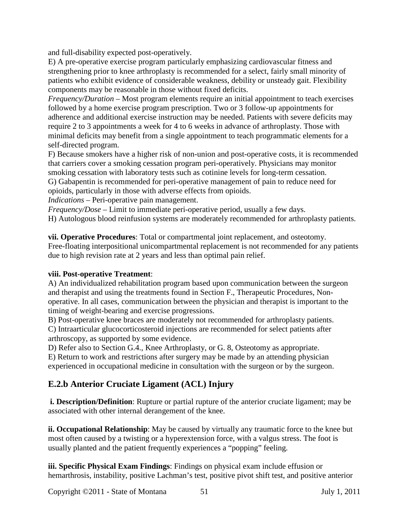and full-disability expected post-operatively.

E) A pre-operative exercise program particularly emphasizing cardiovascular fitness and strengthening prior to knee arthroplasty is recommended for a select, fairly small minority of patients who exhibit evidence of considerable weakness, debility or unsteady gait. Flexibility components may be reasonable in those without fixed deficits.

*Frequency/Duration* – Most program elements require an initial appointment to teach exercises followed by a home exercise program prescription. Two or 3 follow-up appointments for adherence and additional exercise instruction may be needed. Patients with severe deficits may require 2 to 3 appointments a week for 4 to 6 weeks in advance of arthroplasty. Those with minimal deficits may benefit from a single appointment to teach programmatic elements for a self-directed program.

F) Because smokers have a higher risk of non-union and post-operative costs, it is recommended that carriers cover a smoking cessation program peri-operatively. Physicians may monitor smoking cessation with laboratory tests such as cotinine levels for long-term cessation.

G) Gabapentin is recommended for peri-operative management of pain to reduce need for opioids, particularly in those with adverse effects from opioids.

*Indications* – Peri-operative pain management.

*Frequency/Dose* – Limit to immediate peri-operative period, usually a few days.

H) Autologous blood reinfusion systems are moderately recommended for arthroplasty patients.

**vii. Operative Procedures**: Total or compartmental joint replacement, and osteotomy. Free-floating interpositional unicompartmental replacement is not recommended for any patients due to high revision rate at 2 years and less than optimal pain relief.

### **viii. Post-operative Treatment**:

A) An individualized rehabilitation program based upon communication between the surgeon and therapist and using the treatments found in Section F., Therapeutic Procedures, Nonoperative. In all cases, communication between the physician and therapist is important to the timing of weight-bearing and exercise progressions.

B) Post-operative knee braces are moderately not recommended for arthroplasty patients. C) Intraarticular glucocorticosteroid injections are recommended for select patients after arthroscopy, as supported by some evidence.

D) Refer also to Section G.4., Knee Arthroplasty, or G. 8, Osteotomy as appropriate.

E) Return to work and restrictions after surgery may be made by an attending physician experienced in occupational medicine in consultation with the surgeon or by the surgeon.

# **E.2.b Anterior Cruciate Ligament (ACL) Injury**

**i. Description/Definition**: Rupture or partial rupture of the anterior cruciate ligament; may be associated with other internal derangement of the knee.

**ii. Occupational Relationship**: May be caused by virtually any traumatic force to the knee but most often caused by a twisting or a hyperextension force, with a valgus stress. The foot is usually planted and the patient frequently experiences a "popping" feeling.

**iii. Specific Physical Exam Findings**: Findings on physical exam include effusion or hemarthrosis, instability, positive Lachman's test, positive pivot shift test, and positive anterior

Copyright ©2011 - State of Montana 51 July 1, 2011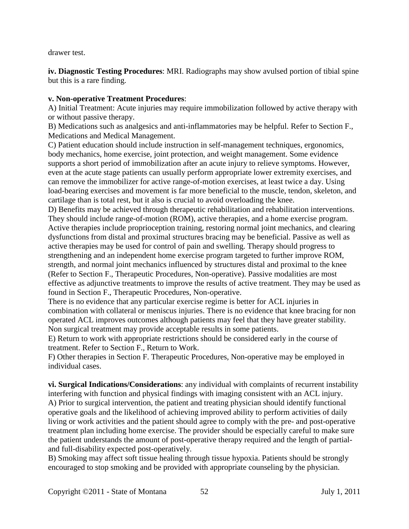drawer test.

**iv. Diagnostic Testing Procedures**: MRI. Radiographs may show avulsed portion of tibial spine but this is a rare finding.

#### **v. Non-operative Treatment Procedures**:

A) Initial Treatment: Acute injuries may require immobilization followed by active therapy with or without passive therapy.

B) Medications such as analgesics and anti-inflammatories may be helpful. Refer to Section F., Medications and Medical Management.

C) Patient education should include instruction in self-management techniques, ergonomics, body mechanics, home exercise, joint protection, and weight management. Some evidence supports a short period of immobilization after an acute injury to relieve symptoms. However, even at the acute stage patients can usually perform appropriate lower extremity exercises, and can remove the immobilizer for active range-of-motion exercises, at least twice a day. Using load-bearing exercises and movement is far more beneficial to the muscle, tendon, skeleton, and cartilage than is total rest, but it also is crucial to avoid overloading the knee.

D) Benefits may be achieved through therapeutic rehabilitation and rehabilitation interventions. They should include range-of-motion (ROM), active therapies, and a home exercise program. Active therapies include proprioception training, restoring normal joint mechanics, and clearing dysfunctions from distal and proximal structures bracing may be beneficial. Passive as well as active therapies may be used for control of pain and swelling. Therapy should progress to strengthening and an independent home exercise program targeted to further improve ROM, strength, and normal joint mechanics influenced by structures distal and proximal to the knee (Refer to Section F., Therapeutic Procedures, Non-operative). Passive modalities are most effective as adjunctive treatments to improve the results of active treatment. They may be used as found in Section F., Therapeutic Procedures, Non-operative.

There is no evidence that any particular exercise regime is better for ACL injuries in combination with collateral or meniscus injuries. There is no evidence that knee bracing for non operated ACL improves outcomes although patients may feel that they have greater stability. Non surgical treatment may provide acceptable results in some patients.

E) Return to work with appropriate restrictions should be considered early in the course of treatment. Refer to Section F., Return to Work.

F) Other therapies in Section F. Therapeutic Procedures, Non-operative may be employed in individual cases.

**vi. Surgical Indications/Considerations**: any individual with complaints of recurrent instability interfering with function and physical findings with imaging consistent with an ACL injury. A) Prior to surgical intervention, the patient and treating physician should identify functional operative goals and the likelihood of achieving improved ability to perform activities of daily living or work activities and the patient should agree to comply with the pre- and post-operative treatment plan including home exercise. The provider should be especially careful to make sure the patient understands the amount of post-operative therapy required and the length of partialand full-disability expected post-operatively.

B) Smoking may affect soft tissue healing through tissue hypoxia. Patients should be strongly encouraged to stop smoking and be provided with appropriate counseling by the physician.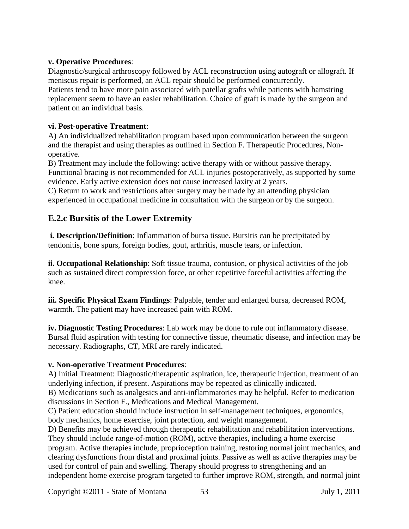#### **v. Operative Procedures**:

Diagnostic/surgical arthroscopy followed by ACL reconstruction using autograft or allograft. If meniscus repair is performed, an ACL repair should be performed concurrently. Patients tend to have more pain associated with patellar grafts while patients with hamstring

replacement seem to have an easier rehabilitation. Choice of graft is made by the surgeon and patient on an individual basis.

#### **vi. Post-operative Treatment**:

A) An individualized rehabilitation program based upon communication between the surgeon and the therapist and using therapies as outlined in Section F. Therapeutic Procedures, Nonoperative.

B) Treatment may include the following: active therapy with or without passive therapy. Functional bracing is not recommended for ACL injuries postoperatively, as supported by some evidence. Early active extension does not cause increased laxity at 2 years.

C) Return to work and restrictions after surgery may be made by an attending physician experienced in occupational medicine in consultation with the surgeon or by the surgeon.

# **E.2.c Bursitis of the Lower Extremity**

**i. Description/Definition**: Inflammation of bursa tissue. Bursitis can be precipitated by tendonitis, bone spurs, foreign bodies, gout, arthritis, muscle tears, or infection.

**ii. Occupational Relationship**: Soft tissue trauma, contusion, or physical activities of the job such as sustained direct compression force, or other repetitive forceful activities affecting the knee.

**iii. Specific Physical Exam Findings**: Palpable, tender and enlarged bursa, decreased ROM, warmth. The patient may have increased pain with ROM.

**iv. Diagnostic Testing Procedures**: Lab work may be done to rule out inflammatory disease. Bursal fluid aspiration with testing for connective tissue, rheumatic disease, and infection may be necessary. Radiographs, CT, MRI are rarely indicated.

#### **v. Non-operative Treatment Procedures**:

A) Initial Treatment: Diagnostic/therapeutic aspiration, ice, therapeutic injection, treatment of an underlying infection, if present. Aspirations may be repeated as clinically indicated. B) Medications such as analgesics and anti-inflammatories may be helpful. Refer to medication

discussions in Section F., Medications and Medical Management.

C) Patient education should include instruction in self-management techniques, ergonomics, body mechanics, home exercise, joint protection, and weight management.

D) Benefits may be achieved through therapeutic rehabilitation and rehabilitation interventions. They should include range-of-motion (ROM), active therapies, including a home exercise program. Active therapies include, proprioception training, restoring normal joint mechanics, and clearing dysfunctions from distal and proximal joints. Passive as well as active therapies may be used for control of pain and swelling. Therapy should progress to strengthening and an independent home exercise program targeted to further improve ROM, strength, and normal joint

Copyright ©2011 - State of Montana 53 July 1, 2011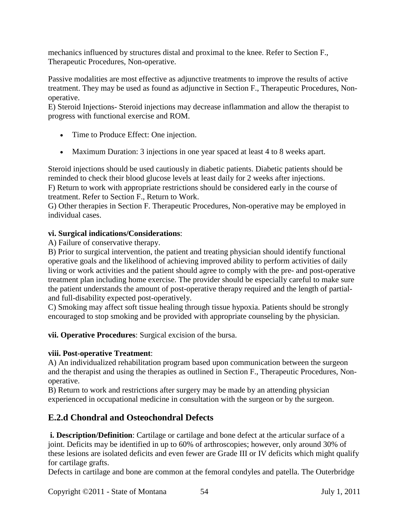mechanics influenced by structures distal and proximal to the knee. Refer to Section F., Therapeutic Procedures, Non-operative.

Passive modalities are most effective as adjunctive treatments to improve the results of active treatment. They may be used as found as adjunctive in Section F., Therapeutic Procedures, Nonoperative.

E) Steroid Injections- Steroid injections may decrease inflammation and allow the therapist to progress with functional exercise and ROM.

- Time to Produce Effect: One injection.
- Maximum Duration: 3 injections in one year spaced at least 4 to 8 weeks apart.

Steroid injections should be used cautiously in diabetic patients. Diabetic patients should be reminded to check their blood glucose levels at least daily for 2 weeks after injections. F) Return to work with appropriate restrictions should be considered early in the course of treatment. Refer to Section F., Return to Work.

G) Other therapies in Section F. Therapeutic Procedures, Non-operative may be employed in individual cases.

### **vi. Surgical indications/Considerations**:

A) Failure of conservative therapy.

B) Prior to surgical intervention, the patient and treating physician should identify functional operative goals and the likelihood of achieving improved ability to perform activities of daily living or work activities and the patient should agree to comply with the pre- and post-operative treatment plan including home exercise. The provider should be especially careful to make sure the patient understands the amount of post-operative therapy required and the length of partialand full-disability expected post-operatively.

C) Smoking may affect soft tissue healing through tissue hypoxia. Patients should be strongly encouraged to stop smoking and be provided with appropriate counseling by the physician.

**vii. Operative Procedures**: Surgical excision of the bursa.

# **viii. Post-operative Treatment**:

A) An individualized rehabilitation program based upon communication between the surgeon and the therapist and using the therapies as outlined in Section F., Therapeutic Procedures, Nonoperative.

B) Return to work and restrictions after surgery may be made by an attending physician experienced in occupational medicine in consultation with the surgeon or by the surgeon.

# **E.2.d Chondral and Osteochondral Defects**

**i. Description/Definition**: Cartilage or cartilage and bone defect at the articular surface of a joint. Deficits may be identified in up to 60% of arthroscopies; however, only around 30% of these lesions are isolated deficits and even fewer are Grade III or IV deficits which might qualify for cartilage grafts.

Defects in cartilage and bone are common at the femoral condyles and patella. The Outerbridge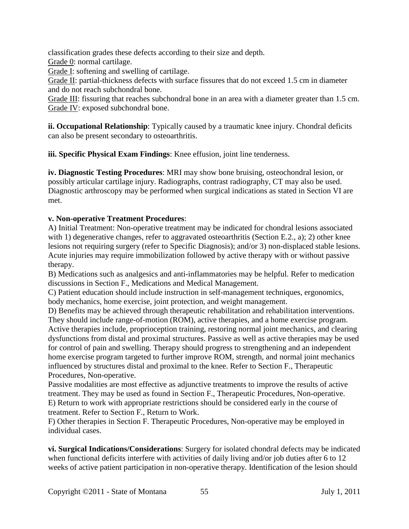classification grades these defects according to their size and depth.

Grade 0: normal cartilage.

Grade I: softening and swelling of cartilage.

Grade II: partial-thickness defects with surface fissures that do not exceed 1.5 cm in diameter and do not reach subchondral bone.

Grade III: fissuring that reaches subchondral bone in an area with a diameter greater than 1.5 cm. Grade IV: exposed subchondral bone.

**ii. Occupational Relationship**: Typically caused by a traumatic knee injury. Chondral deficits can also be present secondary to osteoarthritis.

**iii. Specific Physical Exam Findings**: Knee effusion, joint line tenderness.

**iv. Diagnostic Testing Procedures**: MRI may show bone bruising, osteochondral lesion, or possibly articular cartilage injury. Radiographs, contrast radiography, CT may also be used. Diagnostic arthroscopy may be performed when surgical indications as stated in Section VI are met.

# **v. Non-operative Treatment Procedures**:

A) Initial Treatment: Non-operative treatment may be indicated for chondral lesions associated with 1) degenerative changes, refer to aggravated osteoarthritis (Section E.2., a); 2) other knee lesions not requiring surgery (refer to Specific Diagnosis); and/or 3) non-displaced stable lesions. Acute injuries may require immobilization followed by active therapy with or without passive therapy.

B) Medications such as analgesics and anti-inflammatories may be helpful. Refer to medication discussions in Section F., Medications and Medical Management.

C) Patient education should include instruction in self-management techniques, ergonomics, body mechanics, home exercise, joint protection, and weight management.

D) Benefits may be achieved through therapeutic rehabilitation and rehabilitation interventions. They should include range-of-motion (ROM), active therapies, and a home exercise program. Active therapies include, proprioception training, restoring normal joint mechanics, and clearing dysfunctions from distal and proximal structures. Passive as well as active therapies may be used for control of pain and swelling. Therapy should progress to strengthening and an independent home exercise program targeted to further improve ROM, strength, and normal joint mechanics influenced by structures distal and proximal to the knee. Refer to Section F., Therapeutic Procedures, Non-operative.

Passive modalities are most effective as adjunctive treatments to improve the results of active treatment. They may be used as found in Section F., Therapeutic Procedures, Non-operative. E) Return to work with appropriate restrictions should be considered early in the course of treatment. Refer to Section F., Return to Work.

F) Other therapies in Section F. Therapeutic Procedures, Non-operative may be employed in individual cases.

**vi. Surgical Indications/Considerations**: Surgery for isolated chondral defects may be indicated when functional deficits interfere with activities of daily living and/or job duties after 6 to 12 weeks of active patient participation in non-operative therapy. Identification of the lesion should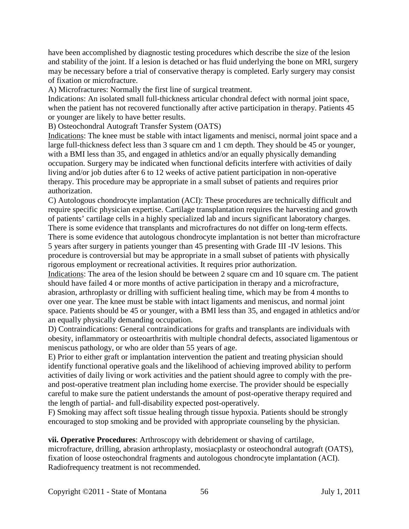have been accomplished by diagnostic testing procedures which describe the size of the lesion and stability of the joint. If a lesion is detached or has fluid underlying the bone on MRI, surgery may be necessary before a trial of conservative therapy is completed. Early surgery may consist of fixation or microfracture.

A) Microfractures: Normally the first line of surgical treatment.

Indications: An isolated small full-thickness articular chondral defect with normal joint space, when the patient has not recovered functionally after active participation in therapy. Patients 45 or younger are likely to have better results.

B) Osteochondral Autograft Transfer System (OATS)

Indications: The knee must be stable with intact ligaments and menisci, normal joint space and a large full-thickness defect less than 3 square cm and 1 cm depth. They should be 45 or younger, with a BMI less than 35, and engaged in athletics and/or an equally physically demanding occupation. Surgery may be indicated when functional deficits interfere with activities of daily living and/or job duties after 6 to 12 weeks of active patient participation in non-operative therapy. This procedure may be appropriate in a small subset of patients and requires prior authorization.

C) Autologous chondrocyte implantation (ACI): These procedures are technically difficult and require specific physician expertise. Cartilage transplantation requires the harvesting and growth of patients' cartilage cells in a highly specialized lab and incurs significant laboratory charges. There is some evidence that transplants and microfractures do not differ on long-term effects.

There is some evidence that autologous chondrocyte implantation is not better than microfracture 5 years after surgery in patients younger than 45 presenting with Grade III -IV lesions. This procedure is controversial but may be appropriate in a small subset of patients with physically rigorous employment or recreational activities. It requires prior authorization.

Indications: The area of the lesion should be between 2 square cm and 10 square cm. The patient should have failed 4 or more months of active participation in therapy and a microfracture, abrasion, arthroplasty or drilling with sufficient healing time, which may be from 4 months to over one year. The knee must be stable with intact ligaments and meniscus, and normal joint space. Patients should be 45 or younger, with a BMI less than 35, and engaged in athletics and/or an equally physically demanding occupation.

D) Contraindications: General contraindications for grafts and transplants are individuals with obesity, inflammatory or osteoarthritis with multiple chondral defects, associated ligamentous or meniscus pathology, or who are older than 55 years of age.

E) Prior to either graft or implantation intervention the patient and treating physician should identify functional operative goals and the likelihood of achieving improved ability to perform activities of daily living or work activities and the patient should agree to comply with the preand post-operative treatment plan including home exercise. The provider should be especially careful to make sure the patient understands the amount of post-operative therapy required and the length of partial- and full-disability expected post-operatively.

F) Smoking may affect soft tissue healing through tissue hypoxia. Patients should be strongly encouraged to stop smoking and be provided with appropriate counseling by the physician.

**vii. Operative Procedures**: Arthroscopy with debridement or shaving of cartilage, microfracture, drilling, abrasion arthroplasty, mosiacplasty or osteochondral autograft (OATS), fixation of loose osteochondral fragments and autologous chondrocyte implantation (ACI). Radiofrequency treatment is not recommended.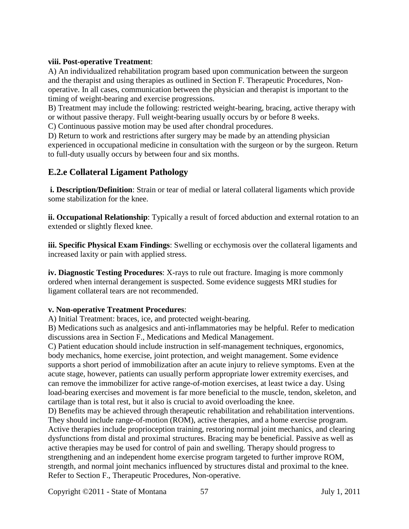#### **viii. Post-operative Treatment**:

A) An individualized rehabilitation program based upon communication between the surgeon and the therapist and using therapies as outlined in Section F. Therapeutic Procedures, Nonoperative. In all cases, communication between the physician and therapist is important to the timing of weight-bearing and exercise progressions.

B) Treatment may include the following: restricted weight-bearing, bracing, active therapy with or without passive therapy. Full weight-bearing usually occurs by or before 8 weeks.

C) Continuous passive motion may be used after chondral procedures.

D) Return to work and restrictions after surgery may be made by an attending physician experienced in occupational medicine in consultation with the surgeon or by the surgeon. Return to full-duty usually occurs by between four and six months.

# **E.2.e Collateral Ligament Pathology**

**i. Description/Definition**: Strain or tear of medial or lateral collateral ligaments which provide some stabilization for the knee.

**ii. Occupational Relationship**: Typically a result of forced abduction and external rotation to an extended or slightly flexed knee.

**iii. Specific Physical Exam Findings**: Swelling or ecchymosis over the collateral ligaments and increased laxity or pain with applied stress.

**iv. Diagnostic Testing Procedures**: X-rays to rule out fracture. Imaging is more commonly ordered when internal derangement is suspected. Some evidence suggests MRI studies for ligament collateral tears are not recommended.

### **v. Non-operative Treatment Procedures**:

A) Initial Treatment: braces, ice, and protected weight-bearing.

B) Medications such as analgesics and anti-inflammatories may be helpful. Refer to medication discussions area in Section F., Medications and Medical Management.

C) Patient education should include instruction in self-management techniques, ergonomics, body mechanics, home exercise, joint protection, and weight management. Some evidence supports a short period of immobilization after an acute injury to relieve symptoms. Even at the acute stage, however, patients can usually perform appropriate lower extremity exercises, and can remove the immobilizer for active range-of-motion exercises, at least twice a day. Using load-bearing exercises and movement is far more beneficial to the muscle, tendon, skeleton, and cartilage than is total rest, but it also is crucial to avoid overloading the knee.

D) Benefits may be achieved through therapeutic rehabilitation and rehabilitation interventions. They should include range-of-motion (ROM), active therapies, and a home exercise program. Active therapies include proprioception training, restoring normal joint mechanics, and clearing dysfunctions from distal and proximal structures. Bracing may be beneficial. Passive as well as active therapies may be used for control of pain and swelling. Therapy should progress to strengthening and an independent home exercise program targeted to further improve ROM, strength, and normal joint mechanics influenced by structures distal and proximal to the knee. Refer to Section F., Therapeutic Procedures, Non-operative.

Copyright ©2011 - State of Montana 57 July 1, 2011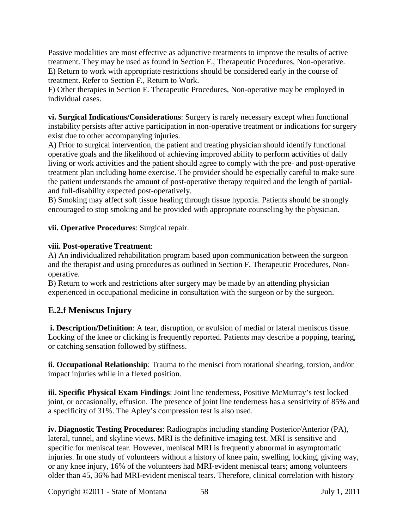Passive modalities are most effective as adjunctive treatments to improve the results of active treatment. They may be used as found in Section F., Therapeutic Procedures, Non-operative. E) Return to work with appropriate restrictions should be considered early in the course of treatment. Refer to Section F., Return to Work.

F) Other therapies in Section F. Therapeutic Procedures, Non-operative may be employed in individual cases.

**vi. Surgical Indications/Considerations**: Surgery is rarely necessary except when functional instability persists after active participation in non-operative treatment or indications for surgery exist due to other accompanying injuries.

A) Prior to surgical intervention, the patient and treating physician should identify functional operative goals and the likelihood of achieving improved ability to perform activities of daily living or work activities and the patient should agree to comply with the pre- and post-operative treatment plan including home exercise. The provider should be especially careful to make sure the patient understands the amount of post-operative therapy required and the length of partialand full-disability expected post-operatively.

B) Smoking may affect soft tissue healing through tissue hypoxia. Patients should be strongly encouraged to stop smoking and be provided with appropriate counseling by the physician.

**vii. Operative Procedures**: Surgical repair.

### **viii. Post-operative Treatment**:

A) An individualized rehabilitation program based upon communication between the surgeon and the therapist and using procedures as outlined in Section F. Therapeutic Procedures, Nonoperative.

B) Return to work and restrictions after surgery may be made by an attending physician experienced in occupational medicine in consultation with the surgeon or by the surgeon.

# **E.2.f Meniscus Injury**

**i. Description/Definition**: A tear, disruption, or avulsion of medial or lateral meniscus tissue. Locking of the knee or clicking is frequently reported. Patients may describe a popping, tearing, or catching sensation followed by stiffness.

**ii. Occupational Relationship**: Trauma to the menisci from rotational shearing, torsion, and/or impact injuries while in a flexed position.

**iii. Specific Physical Exam Findings**: Joint line tenderness, Positive McMurray's test locked joint, or occasionally, effusion. The presence of joint line tenderness has a sensitivity of 85% and a specificity of 31%. The Apley's compression test is also used.

**iv. Diagnostic Testing Procedures**: Radiographs including standing Posterior/Anterior (PA), lateral, tunnel, and skyline views. MRI is the definitive imaging test. MRI is sensitive and specific for meniscal tear. However, meniscal MRI is frequently abnormal in asymptomatic injuries. In one study of volunteers without a history of knee pain, swelling, locking, giving way, or any knee injury, 16% of the volunteers had MRI-evident meniscal tears; among volunteers older than 45, 36% had MRI-evident meniscal tears. Therefore, clinical correlation with history

Copyright ©2011 - State of Montana 58 July 1, 2011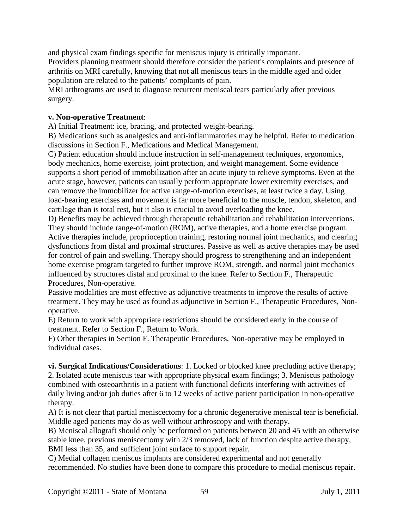and physical exam findings specific for meniscus injury is critically important. Providers planning treatment should therefore consider the patient's complaints and presence of arthritis on MRI carefully, knowing that not all meniscus tears in the middle aged and older population are related to the patients' complaints of pain.

MRI arthrograms are used to diagnose recurrent meniscal tears particularly after previous surgery.

#### **v. Non-operative Treatment**:

A) Initial Treatment: ice, bracing, and protected weight-bearing.

B) Medications such as analgesics and anti-inflammatories may be helpful. Refer to medication discussions in Section F., Medications and Medical Management.

C) Patient education should include instruction in self-management techniques, ergonomics, body mechanics, home exercise, joint protection, and weight management. Some evidence supports a short period of immobilization after an acute injury to relieve symptoms. Even at the acute stage, however, patients can usually perform appropriate lower extremity exercises, and can remove the immobilizer for active range-of-motion exercises, at least twice a day. Using load-bearing exercises and movement is far more beneficial to the muscle, tendon, skeleton, and cartilage than is total rest, but it also is crucial to avoid overloading the knee.

D) Benefits may be achieved through therapeutic rehabilitation and rehabilitation interventions. They should include range-of-motion (ROM), active therapies, and a home exercise program. Active therapies include, proprioception training, restoring normal joint mechanics, and clearing dysfunctions from distal and proximal structures. Passive as well as active therapies may be used for control of pain and swelling. Therapy should progress to strengthening and an independent home exercise program targeted to further improve ROM, strength, and normal joint mechanics influenced by structures distal and proximal to the knee. Refer to Section F., Therapeutic Procedures, Non-operative.

Passive modalities are most effective as adjunctive treatments to improve the results of active treatment. They may be used as found as adjunctive in Section F., Therapeutic Procedures, Nonoperative.

E) Return to work with appropriate restrictions should be considered early in the course of treatment. Refer to Section F., Return to Work.

F) Other therapies in Section F. Therapeutic Procedures, Non-operative may be employed in individual cases.

**vi. Surgical Indications/Considerations**: 1. Locked or blocked knee precluding active therapy; 2. Isolated acute meniscus tear with appropriate physical exam findings; 3. Meniscus pathology combined with osteoarthritis in a patient with functional deficits interfering with activities of daily living and/or job duties after 6 to 12 weeks of active patient participation in non-operative therapy.

A) It is not clear that partial meniscectomy for a chronic degenerative meniscal tear is beneficial. Middle aged patients may do as well without arthroscopy and with therapy.

B) Meniscal allograft should only be performed on patients between 20 and 45 with an otherwise stable knee, previous meniscectomy with 2/3 removed, lack of function despite active therapy, BMI less than 35, and sufficient joint surface to support repair.

C) Medial collagen meniscus implants are considered experimental and not generally recommended. No studies have been done to compare this procedure to medial meniscus repair.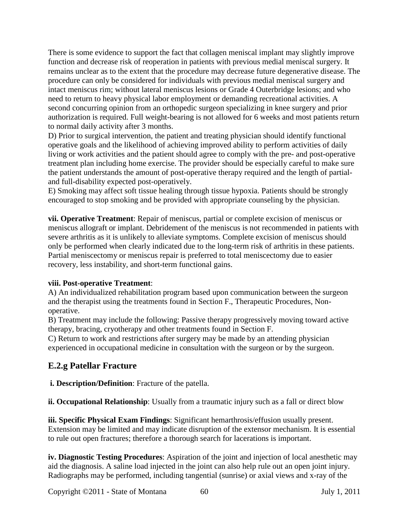There is some evidence to support the fact that collagen meniscal implant may slightly improve function and decrease risk of reoperation in patients with previous medial meniscal surgery. It remains unclear as to the extent that the procedure may decrease future degenerative disease. The procedure can only be considered for individuals with previous medial meniscal surgery and intact meniscus rim; without lateral meniscus lesions or Grade 4 Outerbridge lesions; and who need to return to heavy physical labor employment or demanding recreational activities. A second concurring opinion from an orthopedic surgeon specializing in knee surgery and prior authorization is required. Full weight-bearing is not allowed for 6 weeks and most patients return to normal daily activity after 3 months.

D) Prior to surgical intervention, the patient and treating physician should identify functional operative goals and the likelihood of achieving improved ability to perform activities of daily living or work activities and the patient should agree to comply with the pre- and post-operative treatment plan including home exercise. The provider should be especially careful to make sure the patient understands the amount of post-operative therapy required and the length of partialand full-disability expected post-operatively.

E) Smoking may affect soft tissue healing through tissue hypoxia. Patients should be strongly encouraged to stop smoking and be provided with appropriate counseling by the physician.

**vii. Operative Treatment**: Repair of meniscus, partial or complete excision of meniscus or meniscus allograft or implant. Debridement of the meniscus is not recommended in patients with severe arthritis as it is unlikely to alleviate symptoms. Complete excision of meniscus should only be performed when clearly indicated due to the long-term risk of arthritis in these patients. Partial meniscectomy or meniscus repair is preferred to total meniscectomy due to easier recovery, less instability, and short-term functional gains.

# **viii. Post-operative Treatment**:

A) An individualized rehabilitation program based upon communication between the surgeon and the therapist using the treatments found in Section F., Therapeutic Procedures, Nonoperative.

B) Treatment may include the following: Passive therapy progressively moving toward active therapy, bracing, cryotherapy and other treatments found in Section F.

C) Return to work and restrictions after surgery may be made by an attending physician experienced in occupational medicine in consultation with the surgeon or by the surgeon.

# **E.2.g Patellar Fracture**

**i. Description/Definition**: Fracture of the patella.

**ii. Occupational Relationship**: Usually from a traumatic injury such as a fall or direct blow

**iii. Specific Physical Exam Findings**: Significant hemarthrosis/effusion usually present. Extension may be limited and may indicate disruption of the extensor mechanism. It is essential to rule out open fractures; therefore a thorough search for lacerations is important.

**iv. Diagnostic Testing Procedures**: Aspiration of the joint and injection of local anesthetic may aid the diagnosis. A saline load injected in the joint can also help rule out an open joint injury. Radiographs may be performed, including tangential (sunrise) or axial views and x-ray of the

Copyright ©2011 - State of Montana 60 July 1, 2011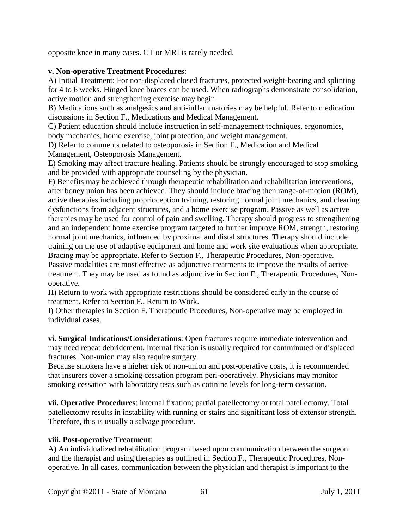opposite knee in many cases. CT or MRI is rarely needed.

### **v. Non-operative Treatment Procedures**:

A) Initial Treatment: For non-displaced closed fractures, protected weight-bearing and splinting for 4 to 6 weeks. Hinged knee braces can be used. When radiographs demonstrate consolidation, active motion and strengthening exercise may begin.

B) Medications such as analgesics and anti-inflammatories may be helpful. Refer to medication discussions in Section F., Medications and Medical Management.

C) Patient education should include instruction in self-management techniques, ergonomics, body mechanics, home exercise, joint protection, and weight management.

D) Refer to comments related to osteoporosis in Section F., Medication and Medical Management, Osteoporosis Management.

E) Smoking may affect fracture healing. Patients should be strongly encouraged to stop smoking and be provided with appropriate counseling by the physician.

F) Benefits may be achieved through therapeutic rehabilitation and rehabilitation interventions, after boney union has been achieved. They should include bracing then range-of-motion (ROM), active therapies including proprioception training, restoring normal joint mechanics, and clearing dysfunctions from adjacent structures, and a home exercise program. Passive as well as active therapies may be used for control of pain and swelling. Therapy should progress to strengthening and an independent home exercise program targeted to further improve ROM, strength, restoring normal joint mechanics, influenced by proximal and distal structures. Therapy should include training on the use of adaptive equipment and home and work site evaluations when appropriate. Bracing may be appropriate. Refer to Section F., Therapeutic Procedures, Non-operative. Passive modalities are most effective as adjunctive treatments to improve the results of active treatment. They may be used as found as adjunctive in Section F., Therapeutic Procedures, Nonoperative.

H) Return to work with appropriate restrictions should be considered early in the course of treatment. Refer to Section F., Return to Work.

I) Other therapies in Section F. Therapeutic Procedures, Non-operative may be employed in individual cases.

**vi. Surgical Indications/Considerations**: Open fractures require immediate intervention and may need repeat debridement. Internal fixation is usually required for comminuted or displaced fractures. Non-union may also require surgery.

Because smokers have a higher risk of non-union and post-operative costs, it is recommended that insurers cover a smoking cessation program peri-operatively. Physicians may monitor smoking cessation with laboratory tests such as cotinine levels for long-term cessation.

**vii. Operative Procedures**: internal fixation; partial patellectomy or total patellectomy. Total patellectomy results in instability with running or stairs and significant loss of extensor strength. Therefore, this is usually a salvage procedure.

### **viii. Post-operative Treatment**:

A) An individualized rehabilitation program based upon communication between the surgeon and the therapist and using therapies as outlined in Section F., Therapeutic Procedures, Nonoperative. In all cases, communication between the physician and therapist is important to the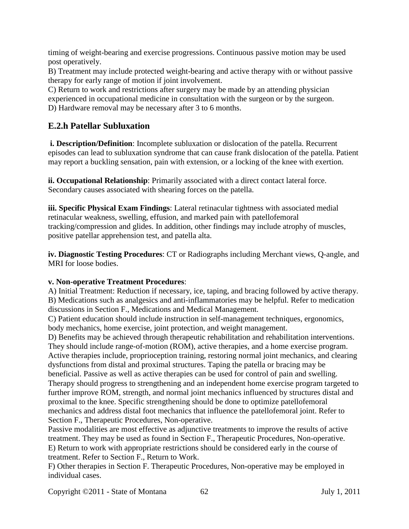timing of weight-bearing and exercise progressions. Continuous passive motion may be used post operatively.

B) Treatment may include protected weight-bearing and active therapy with or without passive therapy for early range of motion if joint involvement.

C) Return to work and restrictions after surgery may be made by an attending physician experienced in occupational medicine in consultation with the surgeon or by the surgeon. D) Hardware removal may be necessary after 3 to 6 months.

# **E.2.h Patellar Subluxation**

**i. Description/Definition**: Incomplete subluxation or dislocation of the patella. Recurrent episodes can lead to subluxation syndrome that can cause frank dislocation of the patella. Patient may report a buckling sensation, pain with extension, or a locking of the knee with exertion.

**ii. Occupational Relationship**: Primarily associated with a direct contact lateral force. Secondary causes associated with shearing forces on the patella.

**iii. Specific Physical Exam Findings**: Lateral retinacular tightness with associated medial retinacular weakness, swelling, effusion, and marked pain with patellofemoral tracking/compression and glides. In addition, other findings may include atrophy of muscles, positive patellar apprehension test, and patella alta.

**iv. Diagnostic Testing Procedures**: CT or Radiographs including Merchant views, Q-angle, and MRI for loose bodies.

### **v. Non-operative Treatment Procedures**:

A) Initial Treatment: Reduction if necessary, ice, taping, and bracing followed by active therapy. B) Medications such as analgesics and anti-inflammatories may be helpful. Refer to medication discussions in Section F., Medications and Medical Management.

C) Patient education should include instruction in self-management techniques, ergonomics, body mechanics, home exercise, joint protection, and weight management.

D) Benefits may be achieved through therapeutic rehabilitation and rehabilitation interventions. They should include range-of-motion (ROM), active therapies, and a home exercise program. Active therapies include, proprioception training, restoring normal joint mechanics, and clearing dysfunctions from distal and proximal structures. Taping the patella or bracing may be beneficial. Passive as well as active therapies can be used for control of pain and swelling. Therapy should progress to strengthening and an independent home exercise program targeted to further improve ROM, strength, and normal joint mechanics influenced by structures distal and proximal to the knee. Specific strengthening should be done to optimize patellofemoral mechanics and address distal foot mechanics that influence the patellofemoral joint. Refer to Section F., Therapeutic Procedures, Non-operative.

Passive modalities are most effective as adjunctive treatments to improve the results of active treatment. They may be used as found in Section F., Therapeutic Procedures, Non-operative. E) Return to work with appropriate restrictions should be considered early in the course of treatment. Refer to Section F., Return to Work.

F) Other therapies in Section F. Therapeutic Procedures, Non-operative may be employed in individual cases.

Copyright ©2011 - State of Montana 62 July 1, 2011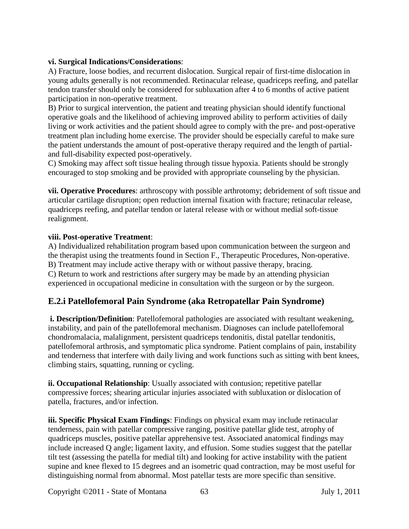### **vi. Surgical Indications/Considerations**:

A) Fracture, loose bodies, and recurrent dislocation. Surgical repair of first-time dislocation in young adults generally is not recommended. Retinacular release, quadriceps reefing, and patellar tendon transfer should only be considered for subluxation after 4 to 6 months of active patient participation in non-operative treatment.

B) Prior to surgical intervention, the patient and treating physician should identify functional operative goals and the likelihood of achieving improved ability to perform activities of daily living or work activities and the patient should agree to comply with the pre- and post-operative treatment plan including home exercise. The provider should be especially careful to make sure the patient understands the amount of post-operative therapy required and the length of partialand full-disability expected post-operatively.

C) Smoking may affect soft tissue healing through tissue hypoxia. Patients should be strongly encouraged to stop smoking and be provided with appropriate counseling by the physician.

**vii. Operative Procedures**: arthroscopy with possible arthrotomy; debridement of soft tissue and articular cartilage disruption; open reduction internal fixation with fracture; retinacular release, quadriceps reefing, and patellar tendon or lateral release with or without medial soft-tissue realignment.

#### **viii. Post-operative Treatment**:

A) Individualized rehabilitation program based upon communication between the surgeon and the therapist using the treatments found in Section F., Therapeutic Procedures, Non-operative. B) Treatment may include active therapy with or without passive therapy, bracing. C) Return to work and restrictions after surgery may be made by an attending physician experienced in occupational medicine in consultation with the surgeon or by the surgeon.

# **E.2.i Patellofemoral Pain Syndrome (aka Retropatellar Pain Syndrome)**

**i. Description/Definition**: Patellofemoral pathologies are associated with resultant weakening, instability, and pain of the patellofemoral mechanism. Diagnoses can include patellofemoral chondromalacia, malalignment, persistent quadriceps tendonitis, distal patellar tendonitis, patellofemoral arthrosis, and symptomatic plica syndrome. Patient complains of pain, instability and tenderness that interfere with daily living and work functions such as sitting with bent knees, climbing stairs, squatting, running or cycling.

**ii. Occupational Relationship**: Usually associated with contusion; repetitive patellar compressive forces; shearing articular injuries associated with subluxation or dislocation of patella, fractures, and/or infection.

**iii. Specific Physical Exam Findings**: Findings on physical exam may include retinacular tenderness, pain with patellar compressive ranging, positive patellar glide test, atrophy of quadriceps muscles, positive patellar apprehensive test. Associated anatomical findings may include increased Q angle; ligament laxity, and effusion. Some studies suggest that the patellar tilt test (assessing the patella for medial tilt) and looking for active instability with the patient supine and knee flexed to 15 degrees and an isometric quad contraction, may be most useful for distinguishing normal from abnormal. Most patellar tests are more specific than sensitive.

Copyright ©2011 - State of Montana 63 July 1, 2011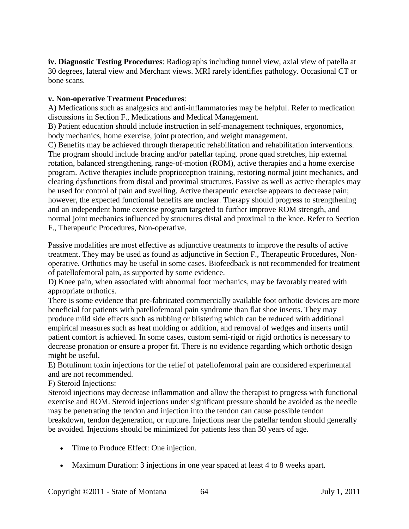**iv. Diagnostic Testing Procedures**: Radiographs including tunnel view, axial view of patella at 30 degrees, lateral view and Merchant views. MRI rarely identifies pathology. Occasional CT or bone scans.

#### **v. Non-operative Treatment Procedures**:

A) Medications such as analgesics and anti-inflammatories may be helpful. Refer to medication discussions in Section F., Medications and Medical Management.

B) Patient education should include instruction in self-management techniques, ergonomics, body mechanics, home exercise, joint protection, and weight management.

C) Benefits may be achieved through therapeutic rehabilitation and rehabilitation interventions. The program should include bracing and/or patellar taping, prone quad stretches, hip external rotation, balanced strengthening, range-of-motion (ROM), active therapies and a home exercise program. Active therapies include proprioception training, restoring normal joint mechanics, and clearing dysfunctions from distal and proximal structures. Passive as well as active therapies may be used for control of pain and swelling. Active therapeutic exercise appears to decrease pain; however, the expected functional benefits are unclear. Therapy should progress to strengthening and an independent home exercise program targeted to further improve ROM strength, and normal joint mechanics influenced by structures distal and proximal to the knee. Refer to Section F., Therapeutic Procedures, Non-operative.

Passive modalities are most effective as adjunctive treatments to improve the results of active treatment. They may be used as found as adjunctive in Section F., Therapeutic Procedures, Nonoperative. Orthotics may be useful in some cases. Biofeedback is not recommended for treatment of patellofemoral pain, as supported by some evidence.

D) Knee pain, when associated with abnormal foot mechanics, may be favorably treated with appropriate orthotics.

There is some evidence that pre-fabricated commercially available foot orthotic devices are more beneficial for patients with patellofemoral pain syndrome than flat shoe inserts. They may produce mild side effects such as rubbing or blistering which can be reduced with additional empirical measures such as heat molding or addition, and removal of wedges and inserts until patient comfort is achieved. In some cases, custom semi-rigid or rigid orthotics is necessary to decrease pronation or ensure a proper fit. There is no evidence regarding which orthotic design might be useful.

E) Botulinum toxin injections for the relief of patellofemoral pain are considered experimental and are not recommended.

F) Steroid Injections:

Steroid injections may decrease inflammation and allow the therapist to progress with functional exercise and ROM. Steroid injections under significant pressure should be avoided as the needle may be penetrating the tendon and injection into the tendon can cause possible tendon breakdown, tendon degeneration, or rupture. Injections near the patellar tendon should generally be avoided. Injections should be minimized for patients less than 30 years of age.

- Time to Produce Effect: One injection.
- Maximum Duration: 3 injections in one year spaced at least 4 to 8 weeks apart.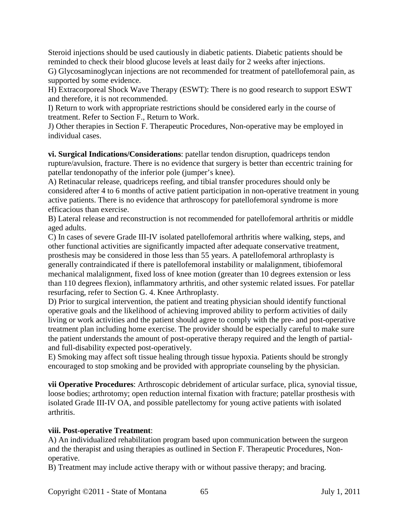Steroid injections should be used cautiously in diabetic patients. Diabetic patients should be reminded to check their blood glucose levels at least daily for 2 weeks after injections.

G) Glycosaminoglycan injections are not recommended for treatment of patellofemoral pain, as supported by some evidence.

H) Extracorporeal Shock Wave Therapy (ESWT): There is no good research to support ESWT and therefore, it is not recommended.

I) Return to work with appropriate restrictions should be considered early in the course of treatment. Refer to Section F., Return to Work.

J) Other therapies in Section F. Therapeutic Procedures, Non-operative may be employed in individual cases.

**vi. Surgical Indications/Considerations**: patellar tendon disruption, quadriceps tendon rupture/avulsion, fracture. There is no evidence that surgery is better than eccentric training for patellar tendonopathy of the inferior pole (jumper's knee).

A) Retinacular release, quadriceps reefing, and tibial transfer procedures should only be considered after 4 to 6 months of active patient participation in non-operative treatment in young active patients. There is no evidence that arthroscopy for patellofemoral syndrome is more efficacious than exercise.

B) Lateral release and reconstruction is not recommended for patellofemoral arthritis or middle aged adults.

C) In cases of severe Grade III-IV isolated patellofemoral arthritis where walking, steps, and other functional activities are significantly impacted after adequate conservative treatment, prosthesis may be considered in those less than 55 years. A patellofemoral arthroplasty is generally contraindicated if there is patellofemoral instability or malalignment, tibiofemoral mechanical malalignment, fixed loss of knee motion (greater than 10 degrees extension or less than 110 degrees flexion), inflammatory arthritis, and other systemic related issues. For patellar resurfacing, refer to Section G. 4. Knee Arthroplasty.

D) Prior to surgical intervention, the patient and treating physician should identify functional operative goals and the likelihood of achieving improved ability to perform activities of daily living or work activities and the patient should agree to comply with the pre- and post-operative treatment plan including home exercise. The provider should be especially careful to make sure the patient understands the amount of post-operative therapy required and the length of partialand full-disability expected post-operatively.

E) Smoking may affect soft tissue healing through tissue hypoxia. Patients should be strongly encouraged to stop smoking and be provided with appropriate counseling by the physician.

**vii Operative Procedures**: Arthroscopic debridement of articular surface, plica, synovial tissue, loose bodies; arthrotomy; open reduction internal fixation with fracture; patellar prosthesis with isolated Grade III-IV OA, and possible patellectomy for young active patients with isolated arthritis.

### **viii. Post-operative Treatment**:

A) An individualized rehabilitation program based upon communication between the surgeon and the therapist and using therapies as outlined in Section F. Therapeutic Procedures, Nonoperative.

B) Treatment may include active therapy with or without passive therapy; and bracing.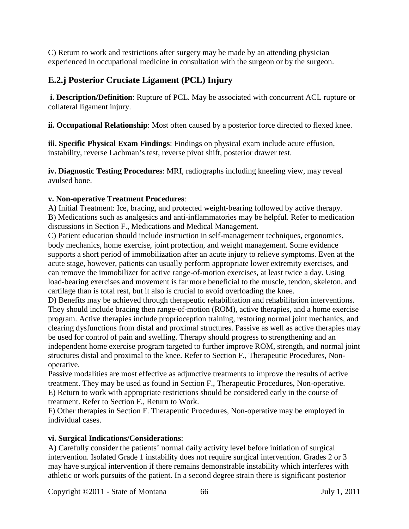C) Return to work and restrictions after surgery may be made by an attending physician experienced in occupational medicine in consultation with the surgeon or by the surgeon.

# **E.2.j Posterior Cruciate Ligament (PCL) Injury**

**i. Description/Definition**: Rupture of PCL. May be associated with concurrent ACL rupture or collateral ligament injury.

**ii. Occupational Relationship**: Most often caused by a posterior force directed to flexed knee.

**iii. Specific Physical Exam Findings**: Findings on physical exam include acute effusion, instability, reverse Lachman's test, reverse pivot shift, posterior drawer test.

**iv. Diagnostic Testing Procedures**: MRI, radiographs including kneeling view, may reveal avulsed bone.

### **v. Non-operative Treatment Procedures**:

A) Initial Treatment: Ice, bracing, and protected weight-bearing followed by active therapy. B) Medications such as analgesics and anti-inflammatories may be helpful. Refer to medication discussions in Section F., Medications and Medical Management.

C) Patient education should include instruction in self-management techniques, ergonomics, body mechanics, home exercise, joint protection, and weight management. Some evidence supports a short period of immobilization after an acute injury to relieve symptoms. Even at the acute stage, however, patients can usually perform appropriate lower extremity exercises, and can remove the immobilizer for active range-of-motion exercises, at least twice a day. Using load-bearing exercises and movement is far more beneficial to the muscle, tendon, skeleton, and cartilage than is total rest, but it also is crucial to avoid overloading the knee.

D) Benefits may be achieved through therapeutic rehabilitation and rehabilitation interventions. They should include bracing then range-of-motion (ROM), active therapies, and a home exercise program. Active therapies include proprioception training, restoring normal joint mechanics, and clearing dysfunctions from distal and proximal structures. Passive as well as active therapies may be used for control of pain and swelling. Therapy should progress to strengthening and an independent home exercise program targeted to further improve ROM, strength, and normal joint structures distal and proximal to the knee. Refer to Section F., Therapeutic Procedures, Nonoperative.

Passive modalities are most effective as adjunctive treatments to improve the results of active treatment. They may be used as found in Section F., Therapeutic Procedures, Non-operative. E) Return to work with appropriate restrictions should be considered early in the course of treatment. Refer to Section F., Return to Work.

F) Other therapies in Section F. Therapeutic Procedures, Non-operative may be employed in individual cases.

### **vi. Surgical Indications/Considerations**:

A) Carefully consider the patients' normal daily activity level before initiation of surgical intervention. Isolated Grade 1 instability does not require surgical intervention. Grades 2 or 3 may have surgical intervention if there remains demonstrable instability which interferes with athletic or work pursuits of the patient. In a second degree strain there is significant posterior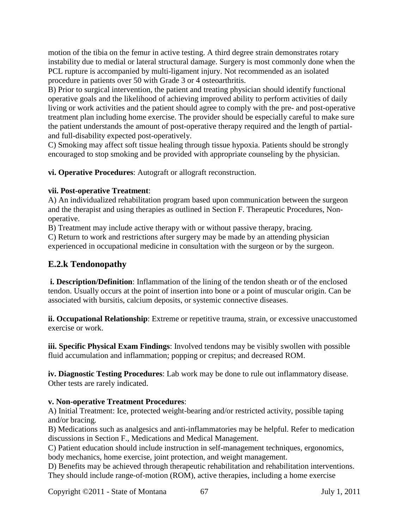motion of the tibia on the femur in active testing. A third degree strain demonstrates rotary instability due to medial or lateral structural damage. Surgery is most commonly done when the PCL rupture is accompanied by multi-ligament injury. Not recommended as an isolated procedure in patients over 50 with Grade 3 or 4 osteoarthritis.

B) Prior to surgical intervention, the patient and treating physician should identify functional operative goals and the likelihood of achieving improved ability to perform activities of daily living or work activities and the patient should agree to comply with the pre- and post-operative treatment plan including home exercise. The provider should be especially careful to make sure the patient understands the amount of post-operative therapy required and the length of partialand full-disability expected post-operatively.

C) Smoking may affect soft tissue healing through tissue hypoxia. Patients should be strongly encouraged to stop smoking and be provided with appropriate counseling by the physician.

**vi. Operative Procedures**: Autograft or allograft reconstruction.

### **vii. Post-operative Treatment**:

A) An individualized rehabilitation program based upon communication between the surgeon and the therapist and using therapies as outlined in Section F. Therapeutic Procedures, Nonoperative.

B) Treatment may include active therapy with or without passive therapy, bracing.

C) Return to work and restrictions after surgery may be made by an attending physician experienced in occupational medicine in consultation with the surgeon or by the surgeon.

# **E.2.k Tendonopathy**

**i. Description/Definition**: Inflammation of the lining of the tendon sheath or of the enclosed tendon. Usually occurs at the point of insertion into bone or a point of muscular origin. Can be associated with bursitis, calcium deposits, or systemic connective diseases.

**ii. Occupational Relationship**: Extreme or repetitive trauma, strain, or excessive unaccustomed exercise or work.

**iii. Specific Physical Exam Findings**: Involved tendons may be visibly swollen with possible fluid accumulation and inflammation; popping or crepitus; and decreased ROM.

**iv. Diagnostic Testing Procedures**: Lab work may be done to rule out inflammatory disease. Other tests are rarely indicated.

# **v. Non-operative Treatment Procedures**:

A) Initial Treatment: Ice, protected weight-bearing and/or restricted activity, possible taping and/or bracing.

B) Medications such as analgesics and anti-inflammatories may be helpful. Refer to medication discussions in Section F., Medications and Medical Management.

C) Patient education should include instruction in self-management techniques, ergonomics, body mechanics, home exercise, joint protection, and weight management.

D) Benefits may be achieved through therapeutic rehabilitation and rehabilitation interventions. They should include range-of-motion (ROM), active therapies, including a home exercise

Copyright ©2011 - State of Montana 67 July 1, 2011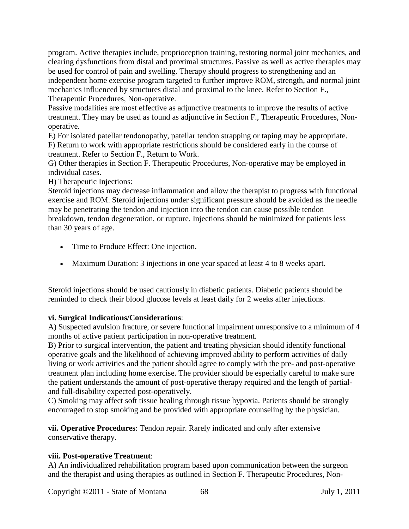program. Active therapies include, proprioception training, restoring normal joint mechanics, and clearing dysfunctions from distal and proximal structures. Passive as well as active therapies may be used for control of pain and swelling. Therapy should progress to strengthening and an independent home exercise program targeted to further improve ROM, strength, and normal joint mechanics influenced by structures distal and proximal to the knee. Refer to Section F., Therapeutic Procedures, Non-operative.

Passive modalities are most effective as adjunctive treatments to improve the results of active treatment. They may be used as found as adjunctive in Section F., Therapeutic Procedures, Nonoperative.

E) For isolated patellar tendonopathy, patellar tendon strapping or taping may be appropriate. F) Return to work with appropriate restrictions should be considered early in the course of treatment. Refer to Section F., Return to Work.

G) Other therapies in Section F. Therapeutic Procedures, Non-operative may be employed in individual cases.

H) Therapeutic Injections:

Steroid injections may decrease inflammation and allow the therapist to progress with functional exercise and ROM. Steroid injections under significant pressure should be avoided as the needle may be penetrating the tendon and injection into the tendon can cause possible tendon breakdown, tendon degeneration, or rupture. Injections should be minimized for patients less than 30 years of age.

- Time to Produce Effect: One injection.
- Maximum Duration: 3 injections in one year spaced at least 4 to 8 weeks apart.

Steroid injections should be used cautiously in diabetic patients. Diabetic patients should be reminded to check their blood glucose levels at least daily for 2 weeks after injections.

# **vi. Surgical Indications/Considerations**:

A) Suspected avulsion fracture, or severe functional impairment unresponsive to a minimum of 4 months of active patient participation in non-operative treatment.

B) Prior to surgical intervention, the patient and treating physician should identify functional operative goals and the likelihood of achieving improved ability to perform activities of daily living or work activities and the patient should agree to comply with the pre- and post-operative treatment plan including home exercise. The provider should be especially careful to make sure the patient understands the amount of post-operative therapy required and the length of partialand full-disability expected post-operatively.

C) Smoking may affect soft tissue healing through tissue hypoxia. Patients should be strongly encouraged to stop smoking and be provided with appropriate counseling by the physician.

**vii. Operative Procedures**: Tendon repair. Rarely indicated and only after extensive conservative therapy.

# **viii. Post-operative Treatment**:

A) An individualized rehabilitation program based upon communication between the surgeon and the therapist and using therapies as outlined in Section F. Therapeutic Procedures, Non-

Copyright ©2011 - State of Montana 68 July 1, 2011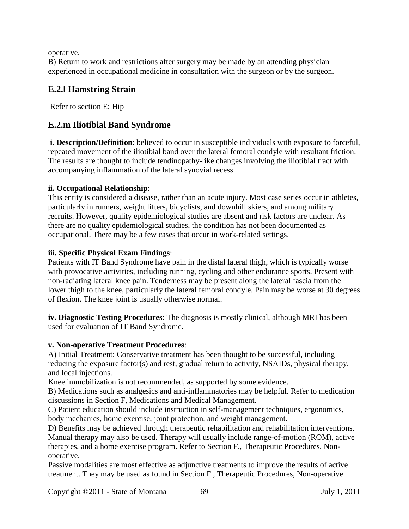operative.

B) Return to work and restrictions after surgery may be made by an attending physician experienced in occupational medicine in consultation with the surgeon or by the surgeon.

# **E.2.l Hamstring Strain**

Refer to section E: Hip

# **E.2.m Iliotibial Band Syndrome**

**i. Description/Definition**: believed to occur in susceptible individuals with exposure to forceful, repeated movement of the iliotibial band over the lateral femoral condyle with resultant friction. The results are thought to include tendinopathy-like changes involving the iliotibial tract with accompanying inflammation of the lateral synovial recess.

### **ii. Occupational Relationship**:

This entity is considered a disease, rather than an acute injury. Most case series occur in athletes, particularly in runners, weight lifters, bicyclists, and downhill skiers, and among military recruits. However, quality epidemiological studies are absent and risk factors are unclear. As there are no quality epidemiological studies, the condition has not been documented as occupational. There may be a few cases that occur in work-related settings.

### **iii. Specific Physical Exam Findings**:

Patients with IT Band Syndrome have pain in the distal lateral thigh, which is typically worse with provocative activities, including running, cycling and other endurance sports. Present with non-radiating lateral knee pain. Tenderness may be present along the lateral fascia from the lower thigh to the knee, particularly the lateral femoral condyle. Pain may be worse at 30 degrees of flexion. The knee joint is usually otherwise normal.

**iv. Diagnostic Testing Procedures**: The diagnosis is mostly clinical, although MRI has been used for evaluation of IT Band Syndrome.

### **v. Non-operative Treatment Procedures**:

A) Initial Treatment: Conservative treatment has been thought to be successful, including reducing the exposure factor(s) and rest, gradual return to activity, NSAIDs, physical therapy, and local injections.

Knee immobilization is not recommended, as supported by some evidence.

B) Medications such as analgesics and anti-inflammatories may be helpful. Refer to medication discussions in Section F, Medications and Medical Management.

C) Patient education should include instruction in self-management techniques, ergonomics, body mechanics, home exercise, joint protection, and weight management.

D) Benefits may be achieved through therapeutic rehabilitation and rehabilitation interventions. Manual therapy may also be used. Therapy will usually include range-of-motion (ROM), active therapies, and a home exercise program. Refer to Section F., Therapeutic Procedures, Nonoperative.

Passive modalities are most effective as adjunctive treatments to improve the results of active treatment. They may be used as found in Section F., Therapeutic Procedures, Non-operative.

Copyright ©2011 - State of Montana 69 July 1, 2011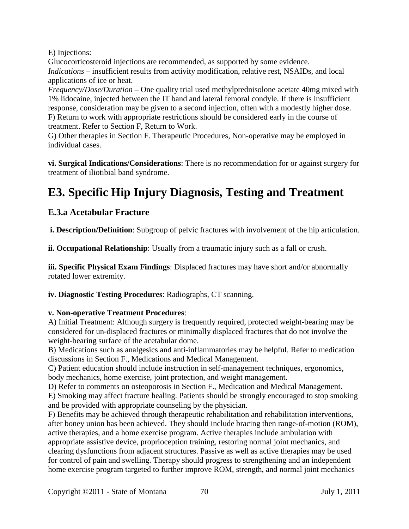E) Injections:

Glucocorticosteroid injections are recommended, as supported by some evidence. *Indications* – insufficient results from activity modification, relative rest, NSAIDs, and local applications of ice or heat.

*Frequency/Dose/Duration* – One quality trial used methylprednisolone acetate 40mg mixed with 1% lidocaine, injected between the IT band and lateral femoral condyle. If there is insufficient response, consideration may be given to a second injection, often with a modestly higher dose. F) Return to work with appropriate restrictions should be considered early in the course of treatment. Refer to Section F, Return to Work.

G) Other therapies in Section F. Therapeutic Procedures, Non-operative may be employed in individual cases.

**vi. Surgical Indications/Considerations**: There is no recommendation for or against surgery for treatment of iliotibial band syndrome.

# **E3. Specific Hip Injury Diagnosis, Testing and Treatment**

# **E.3.a Acetabular Fracture**

**i. Description/Definition**: Subgroup of pelvic fractures with involvement of the hip articulation.

**ii. Occupational Relationship**: Usually from a traumatic injury such as a fall or crush.

**iii. Specific Physical Exam Findings**: Displaced fractures may have short and/or abnormally rotated lower extremity.

**iv. Diagnostic Testing Procedures**: Radiographs, CT scanning.

# **v. Non-operative Treatment Procedures**:

A) Initial Treatment: Although surgery is frequently required, protected weight-bearing may be considered for un-displaced fractures or minimally displaced fractures that do not involve the weight-bearing surface of the acetabular dome.

B) Medications such as analgesics and anti-inflammatories may be helpful. Refer to medication discussions in Section F., Medications and Medical Management.

C) Patient education should include instruction in self-management techniques, ergonomics, body mechanics, home exercise, joint protection, and weight management.

D) Refer to comments on osteoporosis in Section F., Medication and Medical Management. E) Smoking may affect fracture healing. Patients should be strongly encouraged to stop smoking and be provided with appropriate counseling by the physician.

F) Benefits may be achieved through therapeutic rehabilitation and rehabilitation interventions, after boney union has been achieved. They should include bracing then range-of-motion (ROM), active therapies, and a home exercise program. Active therapies include ambulation with appropriate assistive device, proprioception training, restoring normal joint mechanics, and clearing dysfunctions from adjacent structures. Passive as well as active therapies may be used for control of pain and swelling. Therapy should progress to strengthening and an independent home exercise program targeted to further improve ROM, strength, and normal joint mechanics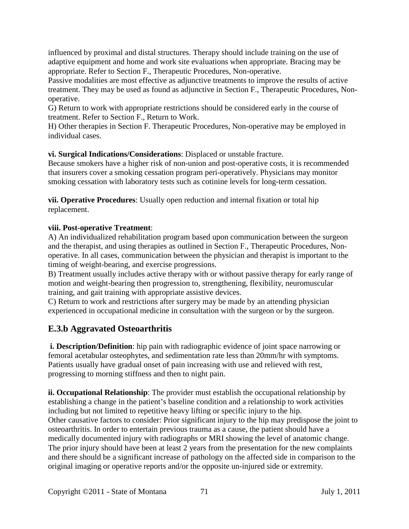influenced by proximal and distal structures. Therapy should include training on the use of adaptive equipment and home and work site evaluations when appropriate. Bracing may be appropriate. Refer to Section F., Therapeutic Procedures, Non-operative.

Passive modalities are most effective as adjunctive treatments to improve the results of active treatment. They may be used as found as adjunctive in Section F., Therapeutic Procedures, Nonoperative.

G) Return to work with appropriate restrictions should be considered early in the course of treatment. Refer to Section F., Return to Work.

H) Other therapies in Section F. Therapeutic Procedures, Non-operative may be employed in individual cases.

**vi. Surgical Indications/Considerations**: Displaced or unstable fracture.

Because smokers have a higher risk of non-union and post-operative costs, it is recommended that insurers cover a smoking cessation program peri-operatively. Physicians may monitor smoking cessation with laboratory tests such as cotinine levels for long-term cessation.

**vii. Operative Procedures**: Usually open reduction and internal fixation or total hip replacement.

# **viii. Post-operative Treatment**:

A) An individualized rehabilitation program based upon communication between the surgeon and the therapist, and using therapies as outlined in Section F., Therapeutic Procedures, Nonoperative. In all cases, communication between the physician and therapist is important to the timing of weight-bearing, and exercise progressions.

B) Treatment usually includes active therapy with or without passive therapy for early range of motion and weight-bearing then progression to, strengthening, flexibility, neuromuscular training, and gait training with appropriate assistive devices.

C) Return to work and restrictions after surgery may be made by an attending physician experienced in occupational medicine in consultation with the surgeon or by the surgeon.

# **E.3.b Aggravated Osteoarthritis**

**i. Description/Definition**: hip pain with radiographic evidence of joint space narrowing or femoral acetabular osteophytes, and sedimentation rate less than 20mm/hr with symptoms. Patients usually have gradual onset of pain increasing with use and relieved with rest, progressing to morning stiffness and then to night pain.

**ii. Occupational Relationship**: The provider must establish the occupational relationship by establishing a change in the patient's baseline condition and a relationship to work activities including but not limited to repetitive heavy lifting or specific injury to the hip. Other causative factors to consider: Prior significant injury to the hip may predispose the joint to osteoarthritis. In order to entertain previous trauma as a cause, the patient should have a medically documented injury with radiographs or MRI showing the level of anatomic change. The prior injury should have been at least 2 years from the presentation for the new complaints and there should be a significant increase of pathology on the affected side in comparison to the original imaging or operative reports and/or the opposite un-injured side or extremity.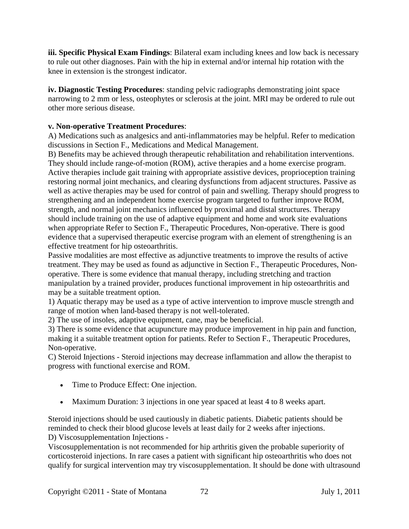**iii. Specific Physical Exam Findings**: Bilateral exam including knees and low back is necessary to rule out other diagnoses. Pain with the hip in external and/or internal hip rotation with the knee in extension is the strongest indicator.

**iv. Diagnostic Testing Procedures**: standing pelvic radiographs demonstrating joint space narrowing to 2 mm or less, osteophytes or sclerosis at the joint. MRI may be ordered to rule out other more serious disease.

### **v. Non-operative Treatment Procedures**:

A) Medications such as analgesics and anti-inflammatories may be helpful. Refer to medication discussions in Section F., Medications and Medical Management.

B) Benefits may be achieved through therapeutic rehabilitation and rehabilitation interventions. They should include range-of-motion (ROM), active therapies and a home exercise program. Active therapies include gait training with appropriate assistive devices, proprioception training restoring normal joint mechanics, and clearing dysfunctions from adjacent structures. Passive as well as active therapies may be used for control of pain and swelling. Therapy should progress to strengthening and an independent home exercise program targeted to further improve ROM, strength, and normal joint mechanics influenced by proximal and distal structures. Therapy should include training on the use of adaptive equipment and home and work site evaluations when appropriate Refer to Section F., Therapeutic Procedures, Non-operative. There is good evidence that a supervised therapeutic exercise program with an element of strengthening is an effective treatment for hip osteoarthritis.

Passive modalities are most effective as adjunctive treatments to improve the results of active treatment. They may be used as found as adjunctive in Section F., Therapeutic Procedures, Nonoperative. There is some evidence that manual therapy, including stretching and traction manipulation by a trained provider, produces functional improvement in hip osteoarthritis and may be a suitable treatment option.

1) Aquatic therapy may be used as a type of active intervention to improve muscle strength and range of motion when land-based therapy is not well-tolerated.

2) The use of insoles, adaptive equipment, cane, may be beneficial.

3) There is some evidence that acupuncture may produce improvement in hip pain and function, making it a suitable treatment option for patients. Refer to Section F., Therapeutic Procedures, Non-operative.

C) Steroid Injections - Steroid injections may decrease inflammation and allow the therapist to progress with functional exercise and ROM.

- Time to Produce Effect: One injection.
- Maximum Duration: 3 injections in one year spaced at least 4 to 8 weeks apart.

Steroid injections should be used cautiously in diabetic patients. Diabetic patients should be reminded to check their blood glucose levels at least daily for 2 weeks after injections. D) Viscosupplementation Injections -

Viscosupplementation is not recommended for hip arthritis given the probable superiority of corticosteroid injections. In rare cases a patient with significant hip osteoarthritis who does not qualify for surgical intervention may try viscosupplementation. It should be done with ultrasound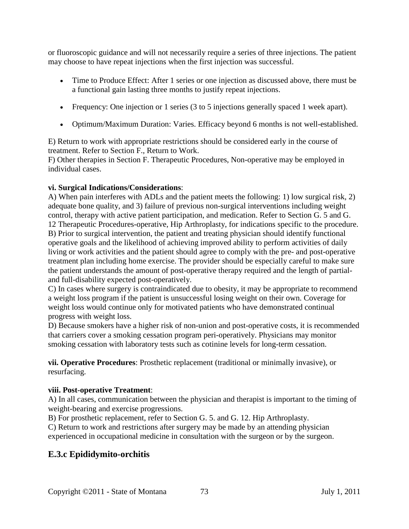or fluoroscopic guidance and will not necessarily require a series of three injections. The patient may choose to have repeat injections when the first injection was successful.

- Time to Produce Effect: After 1 series or one injection as discussed above, there must be a functional gain lasting three months to justify repeat injections.
- Frequency: One injection or 1 series (3 to 5 injections generally spaced 1 week apart).
- Optimum/Maximum Duration: Varies. Efficacy beyond 6 months is not well-established.

E) Return to work with appropriate restrictions should be considered early in the course of treatment. Refer to Section F., Return to Work.

F) Other therapies in Section F. Therapeutic Procedures, Non-operative may be employed in individual cases.

## **vi. Surgical Indications/Considerations**:

A) When pain interferes with ADLs and the patient meets the following: 1) low surgical risk, 2) adequate bone quality, and 3) failure of previous non-surgical interventions including weight control, therapy with active patient participation, and medication. Refer to Section G. 5 and G. 12 Therapeutic Procedures-operative, Hip Arthroplasty, for indications specific to the procedure. B) Prior to surgical intervention, the patient and treating physician should identify functional operative goals and the likelihood of achieving improved ability to perform activities of daily living or work activities and the patient should agree to comply with the pre- and post-operative treatment plan including home exercise. The provider should be especially careful to make sure the patient understands the amount of post-operative therapy required and the length of partialand full-disability expected post-operatively.

C) In cases where surgery is contraindicated due to obesity, it may be appropriate to recommend a weight loss program if the patient is unsuccessful losing weight on their own. Coverage for weight loss would continue only for motivated patients who have demonstrated continual progress with weight loss.

D) Because smokers have a higher risk of non-union and post-operative costs, it is recommended that carriers cover a smoking cessation program peri-operatively. Physicians may monitor smoking cessation with laboratory tests such as cotinine levels for long-term cessation.

**vii. Operative Procedures**: Prosthetic replacement (traditional or minimally invasive), or resurfacing.

## **viii. Post-operative Treatment**:

A) In all cases, communication between the physician and therapist is important to the timing of weight-bearing and exercise progressions.

B) For prosthetic replacement, refer to Section G. 5. and G. 12. Hip Arthroplasty.

C) Return to work and restrictions after surgery may be made by an attending physician experienced in occupational medicine in consultation with the surgeon or by the surgeon.

## **E.3.c Epididymito-orchitis**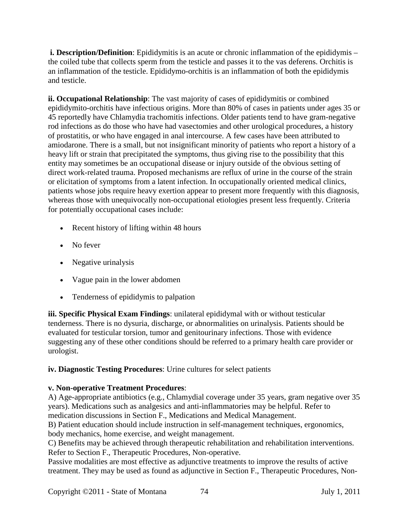**i. Description/Definition**: Epididymitis is an acute or chronic inflammation of the epididymis – the coiled tube that collects sperm from the testicle and passes it to the vas deferens. Orchitis is an inflammation of the testicle. Epididymo-orchitis is an inflammation of both the epididymis and testicle.

**ii. Occupational Relationship**: The vast majority of cases of epididymitis or combined epididymito-orchitis have infectious origins. More than 80% of cases in patients under ages 35 or 45 reportedly have Chlamydia trachomitis infections. Older patients tend to have gram-negative rod infections as do those who have had vasectomies and other urological procedures, a history of prostatitis, or who have engaged in anal intercourse. A few cases have been attributed to amiodarone. There is a small, but not insignificant minority of patients who report a history of a heavy lift or strain that precipitated the symptoms, thus giving rise to the possibility that this entity may sometimes be an occupational disease or injury outside of the obvious setting of direct work-related trauma. Proposed mechanisms are reflux of urine in the course of the strain or elicitation of symptoms from a latent infection. In occupationally oriented medical clinics, patients whose jobs require heavy exertion appear to present more frequently with this diagnosis, whereas those with unequivocally non-occupational etiologies present less frequently. Criteria for potentially occupational cases include:

- Recent history of lifting within 48 hours
- No fever
- Negative urinalysis
- Vague pain in the lower abdomen
- Tenderness of epididymis to palpation

**iii. Specific Physical Exam Findings**: unilateral epididymal with or without testicular tenderness. There is no dysuria, discharge, or abnormalities on urinalysis. Patients should be evaluated for testicular torsion, tumor and genitourinary infections. Those with evidence suggesting any of these other conditions should be referred to a primary health care provider or urologist.

## **iv. Diagnostic Testing Procedures**: Urine cultures for select patients

## **v. Non-operative Treatment Procedures**:

A) Age-appropriate antibiotics (e.g., Chlamydial coverage under 35 years, gram negative over 35 years). Medications such as analgesics and anti-inflammatories may be helpful. Refer to medication discussions in Section F., Medications and Medical Management.

B) Patient education should include instruction in self-management techniques, ergonomics, body mechanics, home exercise, and weight management.

C) Benefits may be achieved through therapeutic rehabilitation and rehabilitation interventions. Refer to Section F., Therapeutic Procedures, Non-operative.

Passive modalities are most effective as adjunctive treatments to improve the results of active treatment. They may be used as found as adjunctive in Section F., Therapeutic Procedures, Non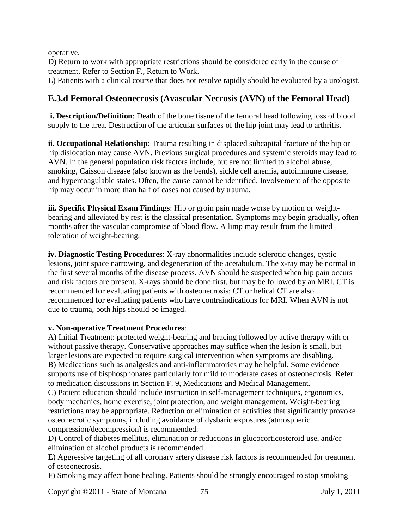operative.

D) Return to work with appropriate restrictions should be considered early in the course of treatment. Refer to Section F., Return to Work.

E) Patients with a clinical course that does not resolve rapidly should be evaluated by a urologist.

## **E.3.d Femoral Osteonecrosis (Avascular Necrosis (AVN) of the Femoral Head)**

**i. Description/Definition**: Death of the bone tissue of the femoral head following loss of blood supply to the area. Destruction of the articular surfaces of the hip joint may lead to arthritis.

**ii. Occupational Relationship**: Trauma resulting in displaced subcapital fracture of the hip or hip dislocation may cause AVN. Previous surgical procedures and systemic steroids may lead to AVN. In the general population risk factors include, but are not limited to alcohol abuse, smoking, Caisson disease (also known as the bends), sickle cell anemia, autoimmune disease, and hypercoagulable states. Often, the cause cannot be identified. Involvement of the opposite hip may occur in more than half of cases not caused by trauma.

**iii. Specific Physical Exam Findings**: Hip or groin pain made worse by motion or weightbearing and alleviated by rest is the classical presentation. Symptoms may begin gradually, often months after the vascular compromise of blood flow. A limp may result from the limited toleration of weight-bearing.

**iv. Diagnostic Testing Procedures**: X-ray abnormalities include sclerotic changes, cystic lesions, joint space narrowing, and degeneration of the acetabulum. The x-ray may be normal in the first several months of the disease process. AVN should be suspected when hip pain occurs and risk factors are present. X-rays should be done first, but may be followed by an MRI. CT is recommended for evaluating patients with osteonecrosis; CT or helical CT are also recommended for evaluating patients who have contraindications for MRI. When AVN is not due to trauma, both hips should be imaged.

### **v. Non-operative Treatment Procedures**:

A) Initial Treatment: protected weight-bearing and bracing followed by active therapy with or without passive therapy. Conservative approaches may suffice when the lesion is small, but larger lesions are expected to require surgical intervention when symptoms are disabling. B) Medications such as analgesics and anti-inflammatories may be helpful. Some evidence supports use of bisphosphonates particularly for mild to moderate cases of osteonecrosis. Refer to medication discussions in Section F. 9, Medications and Medical Management. C) Patient education should include instruction in self-management techniques, ergonomics,

body mechanics, home exercise, joint protection, and weight management. Weight-bearing restrictions may be appropriate. Reduction or elimination of activities that significantly provoke osteonecrotic symptoms, including avoidance of dysbaric exposures (atmospheric compression/decompression) is recommended.

D) Control of diabetes mellitus, elimination or reductions in glucocorticosteroid use, and/or elimination of alcohol products is recommended.

E) Aggressive targeting of all coronary artery disease risk factors is recommended for treatment of osteonecrosis.

F) Smoking may affect bone healing. Patients should be strongly encouraged to stop smoking

Copyright ©2011 - State of Montana 75 July 1, 2011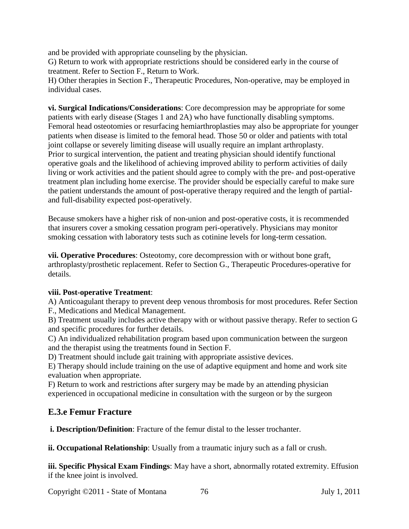and be provided with appropriate counseling by the physician.

G) Return to work with appropriate restrictions should be considered early in the course of treatment. Refer to Section F., Return to Work.

H) Other therapies in Section F., Therapeutic Procedures, Non-operative, may be employed in individual cases.

**vi. Surgical Indications/Considerations**: Core decompression may be appropriate for some patients with early disease (Stages 1 and 2A) who have functionally disabling symptoms. Femoral head osteotomies or resurfacing hemiarthroplasties may also be appropriate for younger patients when disease is limited to the femoral head. Those 50 or older and patients with total joint collapse or severely limiting disease will usually require an implant arthroplasty. Prior to surgical intervention, the patient and treating physician should identify functional operative goals and the likelihood of achieving improved ability to perform activities of daily living or work activities and the patient should agree to comply with the pre- and post-operative treatment plan including home exercise. The provider should be especially careful to make sure the patient understands the amount of post-operative therapy required and the length of partialand full-disability expected post-operatively.

Because smokers have a higher risk of non-union and post-operative costs, it is recommended that insurers cover a smoking cessation program peri-operatively. Physicians may monitor smoking cessation with laboratory tests such as cotinine levels for long-term cessation.

**vii. Operative Procedures**: Osteotomy, core decompression with or without bone graft, arthroplasty/prosthetic replacement. Refer to Section G., Therapeutic Procedures-operative for details.

### **viii. Post-operative Treatment**:

A) Anticoagulant therapy to prevent deep venous thrombosis for most procedures. Refer Section F., Medications and Medical Management.

B) Treatment usually includes active therapy with or without passive therapy. Refer to section G and specific procedures for further details.

C) An individualized rehabilitation program based upon communication between the surgeon and the therapist using the treatments found in Section F.

D) Treatment should include gait training with appropriate assistive devices.

E) Therapy should include training on the use of adaptive equipment and home and work site evaluation when appropriate.

F) Return to work and restrictions after surgery may be made by an attending physician experienced in occupational medicine in consultation with the surgeon or by the surgeon

## **E.3.e Femur Fracture**

**i. Description/Definition**: Fracture of the femur distal to the lesser trochanter.

**ii. Occupational Relationship**: Usually from a traumatic injury such as a fall or crush.

**iii. Specific Physical Exam Findings**: May have a short, abnormally rotated extremity. Effusion if the knee joint is involved.

Copyright ©2011 - State of Montana 76 July 1, 2011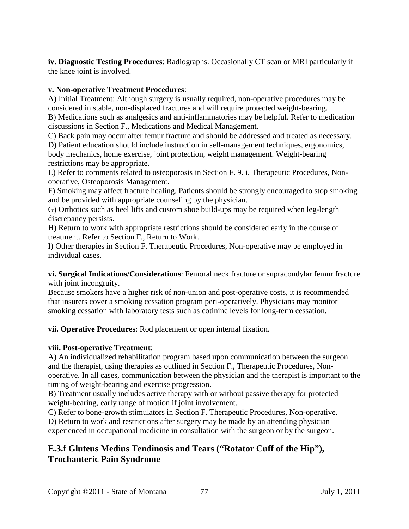**iv. Diagnostic Testing Procedures**: Radiographs. Occasionally CT scan or MRI particularly if the knee joint is involved.

### **v. Non-operative Treatment Procedures**:

A) Initial Treatment: Although surgery is usually required, non-operative procedures may be considered in stable, non-displaced fractures and will require protected weight-bearing. B) Medications such as analgesics and anti-inflammatories may be helpful. Refer to medication discussions in Section F., Medications and Medical Management.

C) Back pain may occur after femur fracture and should be addressed and treated as necessary.

D) Patient education should include instruction in self-management techniques, ergonomics, body mechanics, home exercise, joint protection, weight management. Weight-bearing restrictions may be appropriate.

E) Refer to comments related to osteoporosis in Section F. 9. i. Therapeutic Procedures, Nonoperative, Osteoporosis Management.

F) Smoking may affect fracture healing. Patients should be strongly encouraged to stop smoking and be provided with appropriate counseling by the physician.

G) Orthotics such as heel lifts and custom shoe build-ups may be required when leg-length discrepancy persists.

H) Return to work with appropriate restrictions should be considered early in the course of treatment. Refer to Section F., Return to Work.

I) Other therapies in Section F. Therapeutic Procedures, Non-operative may be employed in individual cases.

**vi. Surgical Indications/Considerations**: Femoral neck fracture or supracondylar femur fracture with joint incongruity.

Because smokers have a higher risk of non-union and post-operative costs, it is recommended that insurers cover a smoking cessation program peri-operatively. Physicians may monitor smoking cessation with laboratory tests such as cotinine levels for long-term cessation.

**vii. Operative Procedures**: Rod placement or open internal fixation.

### **viii. Post-operative Treatment**:

A) An individualized rehabilitation program based upon communication between the surgeon and the therapist, using therapies as outlined in Section F., Therapeutic Procedures, Nonoperative. In all cases, communication between the physician and the therapist is important to the timing of weight-bearing and exercise progression.

B) Treatment usually includes active therapy with or without passive therapy for protected weight-bearing, early range of motion if joint involvement.

C) Refer to bone-growth stimulators in Section F. Therapeutic Procedures, Non-operative.

D) Return to work and restrictions after surgery may be made by an attending physician experienced in occupational medicine in consultation with the surgeon or by the surgeon.

## **E.3.f Gluteus Medius Tendinosis and Tears ("Rotator Cuff of the Hip"), Trochanteric Pain Syndrome**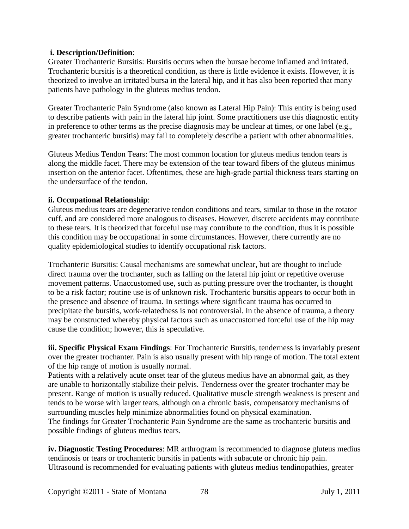#### **i. Description/Definition**:

Greater Trochanteric Bursitis: Bursitis occurs when the bursae become inflamed and irritated. Trochanteric bursitis is a theoretical condition, as there is little evidence it exists. However, it is theorized to involve an irritated bursa in the lateral hip, and it has also been reported that many patients have pathology in the gluteus medius tendon.

Greater Trochanteric Pain Syndrome (also known as Lateral Hip Pain): This entity is being used to describe patients with pain in the lateral hip joint. Some practitioners use this diagnostic entity in preference to other terms as the precise diagnosis may be unclear at times, or one label (e.g., greater trochanteric bursitis) may fail to completely describe a patient with other abnormalities.

Gluteus Medius Tendon Tears: The most common location for gluteus medius tendon tears is along the middle facet. There may be extension of the tear toward fibers of the gluteus minimus insertion on the anterior facet. Oftentimes, these are high-grade partial thickness tears starting on the undersurface of the tendon.

#### **ii. Occupational Relationship**:

Gluteus medius tears are degenerative tendon conditions and tears, similar to those in the rotator cuff, and are considered more analogous to diseases. However, discrete accidents may contribute to these tears. It is theorized that forceful use may contribute to the condition, thus it is possible this condition may be occupational in some circumstances. However, there currently are no quality epidemiological studies to identify occupational risk factors.

Trochanteric Bursitis: Causal mechanisms are somewhat unclear, but are thought to include direct trauma over the trochanter, such as falling on the lateral hip joint or repetitive overuse movement patterns. Unaccustomed use, such as putting pressure over the trochanter, is thought to be a risk factor; routine use is of unknown risk. Trochanteric bursitis appears to occur both in the presence and absence of trauma. In settings where significant trauma has occurred to precipitate the bursitis, work-relatedness is not controversial. In the absence of trauma, a theory may be constructed whereby physical factors such as unaccustomed forceful use of the hip may cause the condition; however, this is speculative.

**iii. Specific Physical Exam Findings**: For Trochanteric Bursitis, tenderness is invariably present over the greater trochanter. Pain is also usually present with hip range of motion. The total extent of the hip range of motion is usually normal.

Patients with a relatively acute onset tear of the gluteus medius have an abnormal gait, as they are unable to horizontally stabilize their pelvis. Tenderness over the greater trochanter may be present. Range of motion is usually reduced. Qualitative muscle strength weakness is present and tends to be worse with larger tears, although on a chronic basis, compensatory mechanisms of surrounding muscles help minimize abnormalities found on physical examination. The findings for Greater Trochanteric Pain Syndrome are the same as trochanteric bursitis and possible findings of gluteus medius tears.

**iv. Diagnostic Testing Procedures**: MR arthrogram is recommended to diagnose gluteus medius tendinosis or tears or trochanteric bursitis in patients with subacute or chronic hip pain. Ultrasound is recommended for evaluating patients with gluteus medius tendinopathies, greater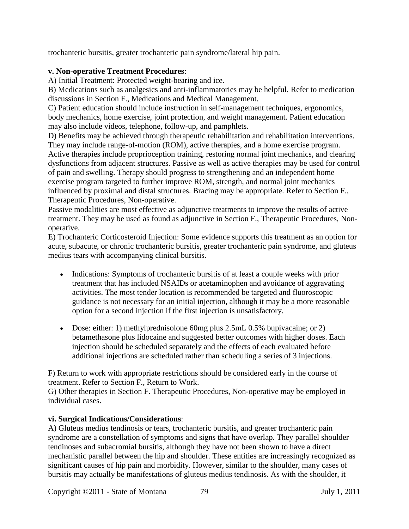trochanteric bursitis, greater trochanteric pain syndrome/lateral hip pain.

### **v. Non-operative Treatment Procedures**:

A) Initial Treatment: Protected weight-bearing and ice.

B) Medications such as analgesics and anti-inflammatories may be helpful. Refer to medication discussions in Section F., Medications and Medical Management.

C) Patient education should include instruction in self-management techniques, ergonomics, body mechanics, home exercise, joint protection, and weight management. Patient education may also include videos, telephone, follow-up, and pamphlets.

D) Benefits may be achieved through therapeutic rehabilitation and rehabilitation interventions. They may include range-of-motion (ROM), active therapies, and a home exercise program. Active therapies include proprioception training, restoring normal joint mechanics, and clearing dysfunctions from adjacent structures. Passive as well as active therapies may be used for control of pain and swelling. Therapy should progress to strengthening and an independent home exercise program targeted to further improve ROM, strength, and normal joint mechanics influenced by proximal and distal structures. Bracing may be appropriate. Refer to Section F., Therapeutic Procedures, Non-operative.

Passive modalities are most effective as adjunctive treatments to improve the results of active treatment. They may be used as found as adjunctive in Section F., Therapeutic Procedures, Nonoperative.

E) Trochanteric Corticosteroid Injection: Some evidence supports this treatment as an option for acute, subacute, or chronic trochanteric bursitis, greater trochanteric pain syndrome, and gluteus medius tears with accompanying clinical bursitis.

- Indications: Symptoms of trochanteric bursitis of at least a couple weeks with prior treatment that has included NSAIDs or acetaminophen and avoidance of aggravating activities. The most tender location is recommended be targeted and fluoroscopic guidance is not necessary for an initial injection, although it may be a more reasonable option for a second injection if the first injection is unsatisfactory.
- Dose: either: 1) methylprednisolone 60mg plus 2.5mL 0.5% bupivacaine; or 2) betamethasone plus lidocaine and suggested better outcomes with higher doses. Each injection should be scheduled separately and the effects of each evaluated before additional injections are scheduled rather than scheduling a series of 3 injections.

F) Return to work with appropriate restrictions should be considered early in the course of treatment. Refer to Section F., Return to Work.

G) Other therapies in Section F. Therapeutic Procedures, Non-operative may be employed in individual cases.

### **vi. Surgical Indications/Considerations**:

A) Gluteus medius tendinosis or tears, trochanteric bursitis, and greater trochanteric pain syndrome are a constellation of symptoms and signs that have overlap. They parallel shoulder tendinoses and subacromial bursitis, although they have not been shown to have a direct mechanistic parallel between the hip and shoulder. These entities are increasingly recognized as significant causes of hip pain and morbidity. However, similar to the shoulder, many cases of bursitis may actually be manifestations of gluteus medius tendinosis. As with the shoulder, it

Copyright ©2011 - State of Montana 79 July 1, 2011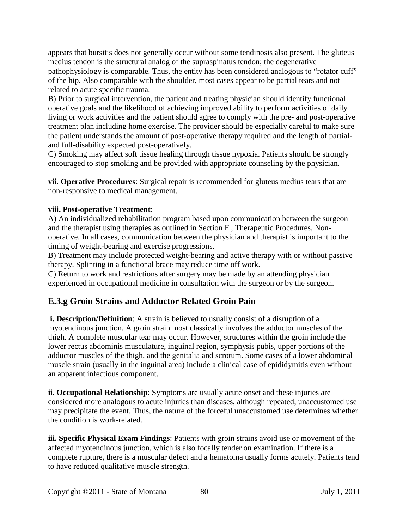appears that bursitis does not generally occur without some tendinosis also present. The gluteus medius tendon is the structural analog of the supraspinatus tendon; the degenerative pathophysiology is comparable. Thus, the entity has been considered analogous to "rotator cuff" of the hip. Also comparable with the shoulder, most cases appear to be partial tears and not related to acute specific trauma.

B) Prior to surgical intervention, the patient and treating physician should identify functional operative goals and the likelihood of achieving improved ability to perform activities of daily living or work activities and the patient should agree to comply with the pre- and post-operative treatment plan including home exercise. The provider should be especially careful to make sure the patient understands the amount of post-operative therapy required and the length of partialand full-disability expected post-operatively.

C) Smoking may affect soft tissue healing through tissue hypoxia. Patients should be strongly encouraged to stop smoking and be provided with appropriate counseling by the physician.

**vii. Operative Procedures**: Surgical repair is recommended for gluteus medius tears that are non-responsive to medical management.

## **viii. Post-operative Treatment**:

A) An individualized rehabilitation program based upon communication between the surgeon and the therapist using therapies as outlined in Section F., Therapeutic Procedures, Nonoperative. In all cases, communication between the physician and therapist is important to the timing of weight-bearing and exercise progressions.

B) Treatment may include protected weight-bearing and active therapy with or without passive therapy. Splinting in a functional brace may reduce time off work.

C) Return to work and restrictions after surgery may be made by an attending physician experienced in occupational medicine in consultation with the surgeon or by the surgeon.

## **E.3.g Groin Strains and Adductor Related Groin Pain**

**i. Description/Definition**: A strain is believed to usually consist of a disruption of a myotendinous junction. A groin strain most classically involves the adductor muscles of the thigh. A complete muscular tear may occur. However, structures within the groin include the lower rectus abdominis musculature, inguinal region, symphysis pubis, upper portions of the adductor muscles of the thigh, and the genitalia and scrotum. Some cases of a lower abdominal muscle strain (usually in the inguinal area) include a clinical case of epididymitis even without an apparent infectious component.

**ii. Occupational Relationship**: Symptoms are usually acute onset and these injuries are considered more analogous to acute injuries than diseases, although repeated, unaccustomed use may precipitate the event. Thus, the nature of the forceful unaccustomed use determines whether the condition is work-related.

**iii. Specific Physical Exam Findings**: Patients with groin strains avoid use or movement of the affected myotendinous junction, which is also focally tender on examination. If there is a complete rupture, there is a muscular defect and a hematoma usually forms acutely. Patients tend to have reduced qualitative muscle strength.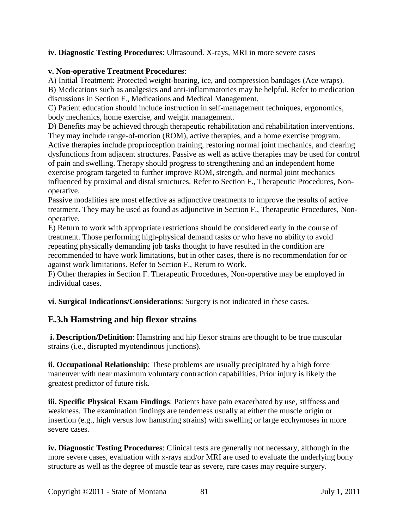#### **iv. Diagnostic Testing Procedures**: Ultrasound. X-rays, MRI in more severe cases

#### **v. Non-operative Treatment Procedures**:

A) Initial Treatment: Protected weight-bearing, ice, and compression bandages (Ace wraps). B) Medications such as analgesics and anti-inflammatories may be helpful. Refer to medication discussions in Section F., Medications and Medical Management.

C) Patient education should include instruction in self-management techniques, ergonomics, body mechanics, home exercise, and weight management.

D) Benefits may be achieved through therapeutic rehabilitation and rehabilitation interventions. They may include range-of-motion (ROM), active therapies, and a home exercise program. Active therapies include proprioception training, restoring normal joint mechanics, and clearing dysfunctions from adjacent structures. Passive as well as active therapies may be used for control of pain and swelling. Therapy should progress to strengthening and an independent home exercise program targeted to further improve ROM, strength, and normal joint mechanics influenced by proximal and distal structures. Refer to Section F., Therapeutic Procedures, Nonoperative.

Passive modalities are most effective as adjunctive treatments to improve the results of active treatment. They may be used as found as adjunctive in Section F., Therapeutic Procedures, Nonoperative.

E) Return to work with appropriate restrictions should be considered early in the course of treatment. Those performing high-physical demand tasks or who have no ability to avoid repeating physically demanding job tasks thought to have resulted in the condition are recommended to have work limitations, but in other cases, there is no recommendation for or against work limitations. Refer to Section F., Return to Work.

F) Other therapies in Section F. Therapeutic Procedures, Non-operative may be employed in individual cases.

**vi. Surgical Indications/Considerations**: Surgery is not indicated in these cases.

## **E.3.h Hamstring and hip flexor strains**

**i. Description/Definition**: Hamstring and hip flexor strains are thought to be true muscular strains (i.e., disrupted myotendinous junctions).

**ii. Occupational Relationship**: These problems are usually precipitated by a high force maneuver with near maximum voluntary contraction capabilities. Prior injury is likely the greatest predictor of future risk.

**iii. Specific Physical Exam Findings**: Patients have pain exacerbated by use, stiffness and weakness. The examination findings are tenderness usually at either the muscle origin or insertion (e.g., high versus low hamstring strains) with swelling or large ecchymoses in more severe cases.

**iv. Diagnostic Testing Procedures**: Clinical tests are generally not necessary, although in the more severe cases, evaluation with x-rays and/or MRI are used to evaluate the underlying bony structure as well as the degree of muscle tear as severe, rare cases may require surgery.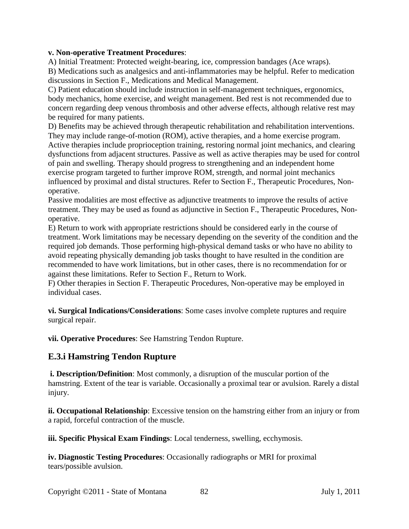#### **v. Non-operative Treatment Procedures**:

A) Initial Treatment: Protected weight-bearing, ice, compression bandages (Ace wraps). B) Medications such as analgesics and anti-inflammatories may be helpful. Refer to medication discussions in Section F., Medications and Medical Management.

C) Patient education should include instruction in self-management techniques, ergonomics, body mechanics, home exercise, and weight management. Bed rest is not recommended due to concern regarding deep venous thrombosis and other adverse effects, although relative rest may be required for many patients.

D) Benefits may be achieved through therapeutic rehabilitation and rehabilitation interventions. They may include range-of-motion (ROM), active therapies, and a home exercise program. Active therapies include proprioception training, restoring normal joint mechanics, and clearing dysfunctions from adjacent structures. Passive as well as active therapies may be used for control of pain and swelling. Therapy should progress to strengthening and an independent home exercise program targeted to further improve ROM, strength, and normal joint mechanics influenced by proximal and distal structures. Refer to Section F., Therapeutic Procedures, Nonoperative.

Passive modalities are most effective as adjunctive treatments to improve the results of active treatment. They may be used as found as adjunctive in Section F., Therapeutic Procedures, Nonoperative.

E) Return to work with appropriate restrictions should be considered early in the course of treatment. Work limitations may be necessary depending on the severity of the condition and the required job demands. Those performing high-physical demand tasks or who have no ability to avoid repeating physically demanding job tasks thought to have resulted in the condition are recommended to have work limitations, but in other cases, there is no recommendation for or against these limitations. Refer to Section F., Return to Work.

F) Other therapies in Section F. Therapeutic Procedures, Non-operative may be employed in individual cases.

**vi. Surgical Indications/Considerations**: Some cases involve complete ruptures and require surgical repair.

**vii. Operative Procedures**: See Hamstring Tendon Rupture.

## **E.3.i Hamstring Tendon Rupture**

**i. Description/Definition**: Most commonly, a disruption of the muscular portion of the hamstring. Extent of the tear is variable. Occasionally a proximal tear or avulsion. Rarely a distal injury.

**ii. Occupational Relationship**: Excessive tension on the hamstring either from an injury or from a rapid, forceful contraction of the muscle.

**iii. Specific Physical Exam Findings**: Local tenderness, swelling, ecchymosis.

**iv. Diagnostic Testing Procedures**: Occasionally radiographs or MRI for proximal tears/possible avulsion.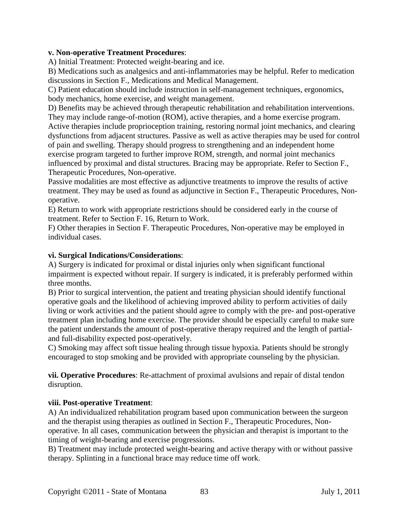#### **v. Non-operative Treatment Procedures**:

A) Initial Treatment: Protected weight-bearing and ice.

B) Medications such as analgesics and anti-inflammatories may be helpful. Refer to medication discussions in Section F., Medications and Medical Management.

C) Patient education should include instruction in self-management techniques, ergonomics, body mechanics, home exercise, and weight management.

D) Benefits may be achieved through therapeutic rehabilitation and rehabilitation interventions. They may include range-of-motion (ROM), active therapies, and a home exercise program. Active therapies include proprioception training, restoring normal joint mechanics, and clearing dysfunctions from adjacent structures. Passive as well as active therapies may be used for control of pain and swelling. Therapy should progress to strengthening and an independent home exercise program targeted to further improve ROM, strength, and normal joint mechanics influenced by proximal and distal structures. Bracing may be appropriate. Refer to Section F., Therapeutic Procedures, Non-operative.

Passive modalities are most effective as adjunctive treatments to improve the results of active treatment. They may be used as found as adjunctive in Section F., Therapeutic Procedures, Nonoperative.

E) Return to work with appropriate restrictions should be considered early in the course of treatment. Refer to Section F. 16, Return to Work.

F) Other therapies in Section F. Therapeutic Procedures, Non-operative may be employed in individual cases.

#### **vi. Surgical Indications/Considerations**:

A) Surgery is indicated for proximal or distal injuries only when significant functional impairment is expected without repair. If surgery is indicated, it is preferably performed within three months.

B) Prior to surgical intervention, the patient and treating physician should identify functional operative goals and the likelihood of achieving improved ability to perform activities of daily living or work activities and the patient should agree to comply with the pre- and post-operative treatment plan including home exercise. The provider should be especially careful to make sure the patient understands the amount of post-operative therapy required and the length of partialand full-disability expected post-operatively.

C) Smoking may affect soft tissue healing through tissue hypoxia. Patients should be strongly encouraged to stop smoking and be provided with appropriate counseling by the physician.

**vii. Operative Procedures**: Re-attachment of proximal avulsions and repair of distal tendon disruption.

#### **viii. Post-operative Treatment**:

A) An individualized rehabilitation program based upon communication between the surgeon and the therapist using therapies as outlined in Section F., Therapeutic Procedures, Nonoperative. In all cases, communication between the physician and therapist is important to the timing of weight-bearing and exercise progressions.

B) Treatment may include protected weight-bearing and active therapy with or without passive therapy. Splinting in a functional brace may reduce time off work.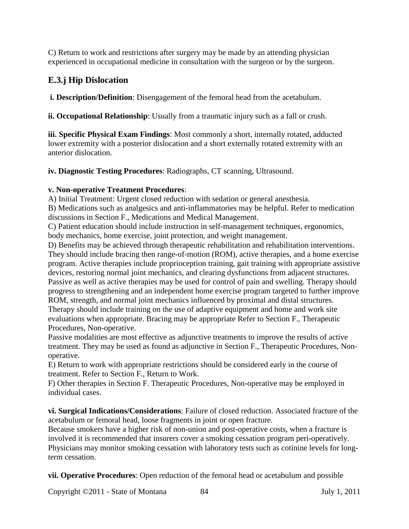C) Return to work and restrictions after surgery may be made by an attending physician experienced in occupational medicine in consultation with the surgeon or by the surgeon.

## **E.3.j Hip Dislocation**

**i. Description/Definition**: Disengagement of the femoral head from the acetabulum.

**ii. Occupational Relationship**: Usually from a traumatic injury such as a fall or crush.

**iii. Specific Physical Exam Findings**: Most commonly a short, internally rotated, adducted lower extremity with a posterior dislocation and a short externally rotated extremity with an anterior dislocation.

**iv. Diagnostic Testing Procedures**: Radiographs, CT scanning, Ultrasound.

## **v. Non-operative Treatment Procedures**:

A) Initial Treatment: Urgent closed reduction with sedation or general anesthesia.

B) Medications such as analgesics and anti-inflammatories may be helpful. Refer to medication discussions in Section F., Medications and Medical Management.

C) Patient education should include instruction in self-management techniques, ergonomics, body mechanics, home exercise, joint protection, and weight management.

D) Benefits may be achieved through therapeutic rehabilitation and rehabilitation interventions. They should include bracing then range-of-motion (ROM), active therapies, and a home exercise program. Active therapies include proprioception training, gait training with appropriate assistive devices, restoring normal joint mechanics, and clearing dysfunctions from adjacent structures. Passive as well as active therapies may be used for control of pain and swelling. Therapy should progress to strengthening and an independent home exercise program targeted to further improve ROM, strength, and normal joint mechanics influenced by proximal and distal structures. Therapy should include training on the use of adaptive equipment and home and work site evaluations when appropriate. Bracing may be appropriate Refer to Section F., Therapeutic Procedures, Non-operative.

Passive modalities are most effective as adjunctive treatments to improve the results of active treatment. They may be used as found as adjunctive in Section F., Therapeutic Procedures, Nonoperative.

E) Return to work with appropriate restrictions should be considered early in the course of treatment. Refer to Section F., Return to Work.

F) Other therapies in Section F. Therapeutic Procedures, Non-operative may be employed in individual cases.

**vi. Surgical Indications/Considerations**: Failure of closed reduction. Associated fracture of the acetabulum or femoral head, loose fragments in joint or open fracture.

Because smokers have a higher risk of non-union and post-operative costs, when a fracture is involved it is recommended that insurers cover a smoking cessation program peri-operatively. Physicians may monitor smoking cessation with laboratory tests such as cotinine levels for longterm cessation.

**vii. Operative Procedures**: Open reduction of the femoral head or acetabulum and possible

Copyright ©2011 - State of Montana 84 July 1, 2011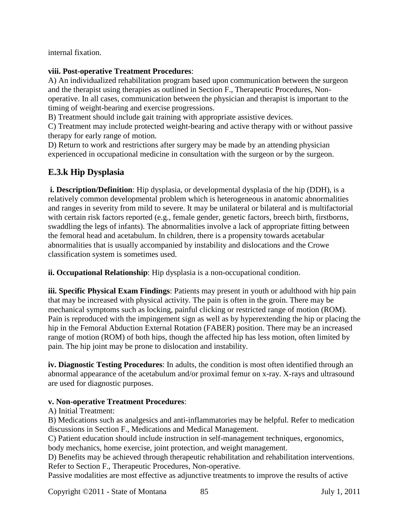internal fixation.

### **viii. Post-operative Treatment Procedures**:

A) An individualized rehabilitation program based upon communication between the surgeon and the therapist using therapies as outlined in Section F., Therapeutic Procedures, Nonoperative. In all cases, communication between the physician and therapist is important to the timing of weight-bearing and exercise progressions.

B) Treatment should include gait training with appropriate assistive devices.

C) Treatment may include protected weight-bearing and active therapy with or without passive therapy for early range of motion.

D) Return to work and restrictions after surgery may be made by an attending physician experienced in occupational medicine in consultation with the surgeon or by the surgeon.

## **E.3.k Hip Dysplasia**

**i. Description/Definition**: Hip dysplasia, or developmental dysplasia of the hip (DDH), is a relatively common developmental problem which is heterogeneous in anatomic abnormalities and ranges in severity from mild to severe. It may be unilateral or bilateral and is multifactorial with certain risk factors reported (e.g., female gender, genetic factors, breech birth, firstborns, swaddling the legs of infants). The abnormalities involve a lack of appropriate fitting between the femoral head and acetabulum. In children, there is a propensity towards acetabular abnormalities that is usually accompanied by instability and dislocations and the Crowe classification system is sometimes used.

**ii. Occupational Relationship**: Hip dysplasia is a non-occupational condition.

**iii. Specific Physical Exam Findings**: Patients may present in youth or adulthood with hip pain that may be increased with physical activity. The pain is often in the groin. There may be mechanical symptoms such as locking, painful clicking or restricted range of motion (ROM). Pain is reproduced with the impingement sign as well as by hyperextending the hip or placing the hip in the Femoral Abduction External Rotation (FABER) position. There may be an increased range of motion (ROM) of both hips, though the affected hip has less motion, often limited by pain. The hip joint may be prone to dislocation and instability.

**iv. Diagnostic Testing Procedures**: In adults, the condition is most often identified through an abnormal appearance of the acetabulum and/or proximal femur on x-ray. X-rays and ultrasound are used for diagnostic purposes.

### **v. Non-operative Treatment Procedures**:

A) Initial Treatment:

B) Medications such as analgesics and anti-inflammatories may be helpful. Refer to medication discussions in Section F., Medications and Medical Management.

C) Patient education should include instruction in self-management techniques, ergonomics, body mechanics, home exercise, joint protection, and weight management.

D) Benefits may be achieved through therapeutic rehabilitation and rehabilitation interventions. Refer to Section F., Therapeutic Procedures, Non-operative.

Passive modalities are most effective as adjunctive treatments to improve the results of active

Copyright ©2011 - State of Montana 85 July 1, 2011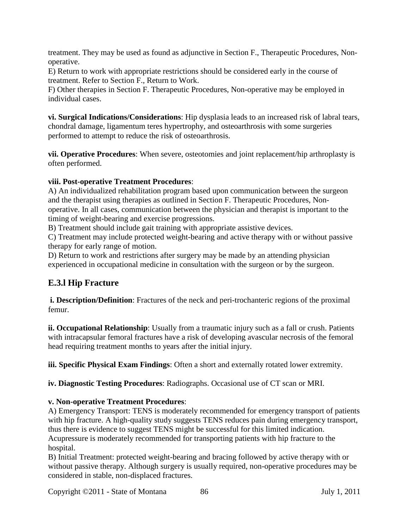treatment. They may be used as found as adjunctive in Section F., Therapeutic Procedures, Nonoperative.

E) Return to work with appropriate restrictions should be considered early in the course of treatment. Refer to Section F., Return to Work.

F) Other therapies in Section F. Therapeutic Procedures, Non-operative may be employed in individual cases.

**vi. Surgical Indications/Considerations**: Hip dysplasia leads to an increased risk of labral tears, chondral damage, ligamentum teres hypertrophy, and osteoarthrosis with some surgeries performed to attempt to reduce the risk of osteoarthrosis.

**vii. Operative Procedures**: When severe, osteotomies and joint replacement/hip arthroplasty is often performed.

### **viii. Post-operative Treatment Procedures**:

A) An individualized rehabilitation program based upon communication between the surgeon and the therapist using therapies as outlined in Section F. Therapeutic Procedures, Nonoperative. In all cases, communication between the physician and therapist is important to the timing of weight-bearing and exercise progressions.

B) Treatment should include gait training with appropriate assistive devices.

C) Treatment may include protected weight-bearing and active therapy with or without passive therapy for early range of motion.

D) Return to work and restrictions after surgery may be made by an attending physician experienced in occupational medicine in consultation with the surgeon or by the surgeon.

## **E.3.l Hip Fracture**

**i. Description/Definition**: Fractures of the neck and peri-trochanteric regions of the proximal femur.

**ii. Occupational Relationship**: Usually from a traumatic injury such as a fall or crush. Patients with intracapsular femoral fractures have a risk of developing avascular necrosis of the femoral head requiring treatment months to years after the initial injury.

**iii. Specific Physical Exam Findings**: Often a short and externally rotated lower extremity.

**iv. Diagnostic Testing Procedures**: Radiographs. Occasional use of CT scan or MRI.

## **v. Non-operative Treatment Procedures**:

A) Emergency Transport: TENS is moderately recommended for emergency transport of patients with hip fracture. A high-quality study suggests TENS reduces pain during emergency transport, thus there is evidence to suggest TENS might be successful for this limited indication. Acupressure is moderately recommended for transporting patients with hip fracture to the hospital.

B) Initial Treatment: protected weight-bearing and bracing followed by active therapy with or without passive therapy. Although surgery is usually required, non-operative procedures may be considered in stable, non-displaced fractures.

Copyright ©2011 - State of Montana 86 July 1, 2011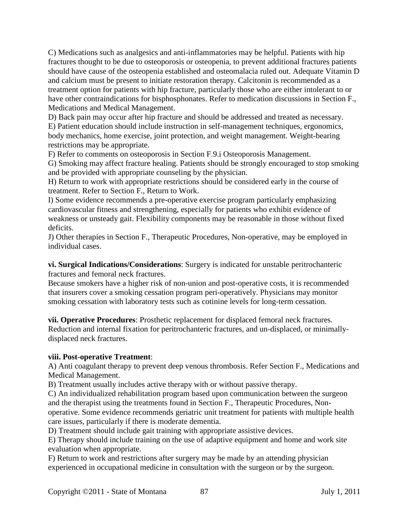C) Medications such as analgesics and anti-inflammatories may be helpful. Patients with hip fractures thought to be due to osteoporosis or osteopenia, to prevent additional fractures patients should have cause of the osteopenia established and osteomalacia ruled out. Adequate Vitamin D and calcium must be present to initiate restoration therapy. Calcitonin is recommended as a treatment option for patients with hip fracture, particularly those who are either intolerant to or have other contraindications for bisphosphonates. Refer to medication discussions in Section F., Medications and Medical Management.

D) Back pain may occur after hip fracture and should be addressed and treated as necessary.

E) Patient education should include instruction in self-management techniques, ergonomics, body mechanics, home exercise, joint protection, and weight management. Weight-bearing restrictions may be appropriate.

F) Refer to comments on osteoporosis in Section F.9.i Osteoporosis Management.

G) Smoking may affect fracture healing. Patients should be strongly encouraged to stop smoking and be provided with appropriate counseling by the physician.

H) Return to work with appropriate restrictions should be considered early in the course of treatment. Refer to Section F., Return to Work.

I) Some evidence recommends a pre-operative exercise program particularly emphasizing cardiovascular fitness and strengthening, especially for patients who exhibit evidence of weakness or unsteady gait. Flexibility components may be reasonable in those without fixed deficits.

J) Other therapies in Section F., Therapeutic Procedures, Non-operative, may be employed in individual cases.

**vi. Surgical Indications/Considerations**: Surgery is indicated for unstable peritrochanteric fractures and femoral neck fractures.

Because smokers have a higher risk of non-union and post-operative costs, it is recommended that insurers cover a smoking cessation program peri-operatively. Physicians may monitor smoking cessation with laboratory tests such as cotinine levels for long-term cessation.

**vii. Operative Procedures**: Prosthetic replacement for displaced femoral neck fractures. Reduction and internal fixation for peritrochanteric fractures, and un-displaced, or minimallydisplaced neck fractures.

#### **viii. Post-operative Treatment**:

A) Anti coagulant therapy to prevent deep venous thrombosis. Refer Section F., Medications and Medical Management.

B) Treatment usually includes active therapy with or without passive therapy.

C) An individualized rehabilitation program based upon communication between the surgeon and the therapist using the treatments found in Section F., Therapeutic Procedures, Nonoperative. Some evidence recommends geriatric unit treatment for patients with multiple health care issues, particularly if there is moderate dementia.

D) Treatment should include gait training with appropriate assistive devices.

E) Therapy should include training on the use of adaptive equipment and home and work site evaluation when appropriate.

F) Return to work and restrictions after surgery may be made by an attending physician experienced in occupational medicine in consultation with the surgeon or by the surgeon.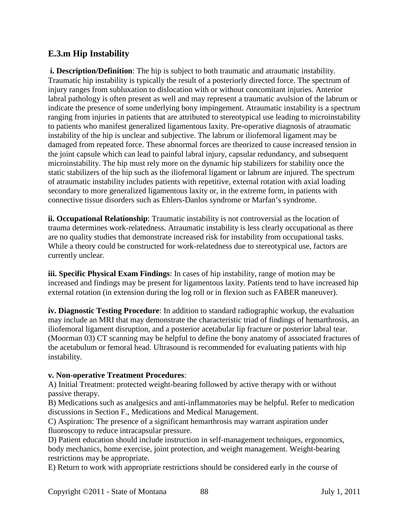## **E.3.m Hip Instability**

**i. Description/Definition**: The hip is subject to both traumatic and atraumatic instability. Traumatic hip instability is typically the result of a posteriorly directed force. The spectrum of injury ranges from subluxation to dislocation with or without concomitant injuries. Anterior labral pathology is often present as well and may represent a traumatic avulsion of the labrum or indicate the presence of some underlying bony impingement. Atraumatic instability is a spectrum ranging from injuries in patients that are attributed to stereotypical use leading to microinstability to patients who manifest generalized ligamentous laxity. Pre-operative diagnosis of atraumatic instability of the hip is unclear and subjective. The labrum or iliofemoral ligament may be damaged from repeated force. These abnormal forces are theorized to cause increased tension in the joint capsule which can lead to painful labral injury, capsular redundancy, and subsequent microinstability. The hip must rely more on the dynamic hip stabilizers for stability once the static stabilizers of the hip such as the iliofemoral ligament or labrum are injured. The spectrum of atraumatic instability includes patients with repetitive, external rotation with axial loading secondary to more generalized ligamentous laxity or, in the extreme form, in patients with connective tissue disorders such as Ehlers-Danlos syndrome or Marfan's syndrome.

**ii. Occupational Relationship**: Traumatic instability is not controversial as the location of trauma determines work-relatedness. Atraumatic instability is less clearly occupational as there are no quality studies that demonstrate increased risk for instability from occupational tasks. While a theory could be constructed for work-relatedness due to stereotypical use, factors are currently unclear.

**iii. Specific Physical Exam Findings**: In cases of hip instability, range of motion may be increased and findings may be present for ligamentous laxity. Patients tend to have increased hip external rotation (in extension during the log roll or in flexion such as FABER maneuver).

**iv. Diagnostic Testing Procedure**: In addition to standard radiographic workup, the evaluation may include an MRI that may demonstrate the characteristic triad of findings of hemarthrosis, an iliofemoral ligament disruption, and a posterior acetabular lip fracture or posterior labral tear. (Moorman 03) CT scanning may be helpful to define the bony anatomy of associated fractures of the acetabulum or femoral head. Ultrasound is recommended for evaluating patients with hip instability.

### **v. Non-operative Treatment Procedures**:

A) Initial Treatment: protected weight-bearing followed by active therapy with or without passive therapy.

B) Medications such as analgesics and anti-inflammatories may be helpful. Refer to medication discussions in Section F., Medications and Medical Management.

C) Aspiration: The presence of a significant hemarthrosis may warrant aspiration under fluoroscopy to reduce intracapsular pressure.

D) Patient education should include instruction in self-management techniques, ergonomics, body mechanics, home exercise, joint protection, and weight management. Weight-bearing restrictions may be appropriate.

E) Return to work with appropriate restrictions should be considered early in the course of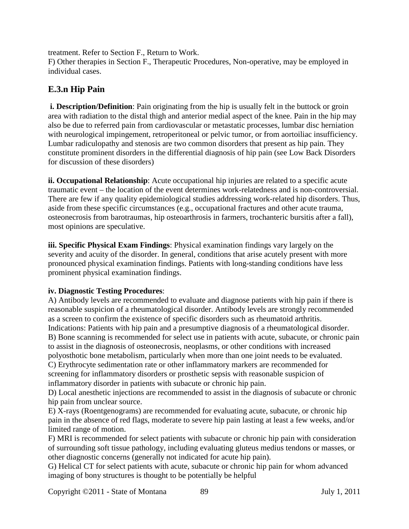treatment. Refer to Section F., Return to Work.

F) Other therapies in Section F., Therapeutic Procedures, Non-operative, may be employed in individual cases.

## **E.3.n Hip Pain**

**i. Description/Definition**: Pain originating from the hip is usually felt in the buttock or groin area with radiation to the distal thigh and anterior medial aspect of the knee. Pain in the hip may also be due to referred pain from cardiovascular or metastatic processes, lumbar disc herniation with neurological impingement, retroperitoneal or pelvic tumor, or from aortoiliac insufficiency. Lumbar radiculopathy and stenosis are two common disorders that present as hip pain. They constitute prominent disorders in the differential diagnosis of hip pain (see Low Back Disorders for discussion of these disorders)

**ii. Occupational Relationship**: Acute occupational hip injuries are related to a specific acute traumatic event – the location of the event determines work-relatedness and is non-controversial. There are few if any quality epidemiological studies addressing work-related hip disorders. Thus, aside from these specific circumstances (e.g., occupational fractures and other acute trauma, osteonecrosis from barotraumas, hip osteoarthrosis in farmers, trochanteric bursitis after a fall), most opinions are speculative.

**iii. Specific Physical Exam Findings**: Physical examination findings vary largely on the severity and acuity of the disorder. In general, conditions that arise acutely present with more pronounced physical examination findings. Patients with long-standing conditions have less prominent physical examination findings.

## **iv. Diagnostic Testing Procedures**:

A) Antibody levels are recommended to evaluate and diagnose patients with hip pain if there is reasonable suspicion of a rheumatological disorder. Antibody levels are strongly recommended as a screen to confirm the existence of specific disorders such as rheumatoid arthritis. Indications: Patients with hip pain and a presumptive diagnosis of a rheumatological disorder. B) Bone scanning is recommended for select use in patients with acute, subacute, or chronic pain to assist in the diagnosis of osteonecrosis, neoplasms, or other conditions with increased

polyosthotic bone metabolism, particularly when more than one joint needs to be evaluated.

C) Erythrocyte sedimentation rate or other inflammatory markers are recommended for screening for inflammatory disorders or prosthetic sepsis with reasonable suspicion of inflammatory disorder in patients with subacute or chronic hip pain.

D) Local anesthetic injections are recommended to assist in the diagnosis of subacute or chronic hip pain from unclear source.

E) X-rays (Roentgenograms) are recommended for evaluating acute, subacute, or chronic hip pain in the absence of red flags, moderate to severe hip pain lasting at least a few weeks, and/or limited range of motion.

F) MRI is recommended for select patients with subacute or chronic hip pain with consideration of surrounding soft tissue pathology, including evaluating gluteus medius tendons or masses, or other diagnostic concerns (generally not indicated for acute hip pain).

G) Helical CT for select patients with acute, subacute or chronic hip pain for whom advanced imaging of bony structures is thought to be potentially be helpful

Copyright ©2011 - State of Montana 89 July 1, 2011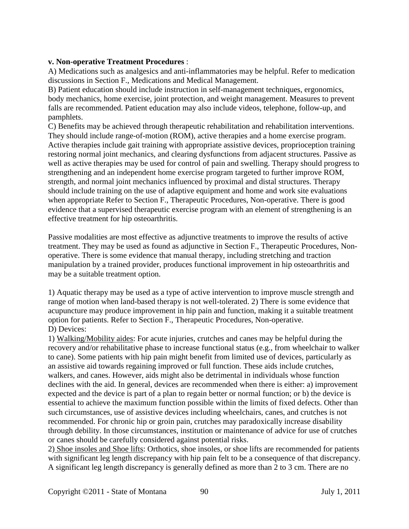#### **v. Non-operative Treatment Procedures** :

A) Medications such as analgesics and anti-inflammatories may be helpful. Refer to medication discussions in Section F., Medications and Medical Management.

B) Patient education should include instruction in self-management techniques, ergonomics, body mechanics, home exercise, joint protection, and weight management. Measures to prevent falls are recommended. Patient education may also include videos, telephone, follow-up, and pamphlets.

C) Benefits may be achieved through therapeutic rehabilitation and rehabilitation interventions. They should include range-of-motion (ROM), active therapies and a home exercise program. Active therapies include gait training with appropriate assistive devices, proprioception training restoring normal joint mechanics, and clearing dysfunctions from adjacent structures. Passive as well as active therapies may be used for control of pain and swelling. Therapy should progress to strengthening and an independent home exercise program targeted to further improve ROM, strength, and normal joint mechanics influenced by proximal and distal structures. Therapy should include training on the use of adaptive equipment and home and work site evaluations when appropriate Refer to Section F., Therapeutic Procedures, Non-operative. There is good evidence that a supervised therapeutic exercise program with an element of strengthening is an effective treatment for hip osteoarthritis.

Passive modalities are most effective as adjunctive treatments to improve the results of active treatment. They may be used as found as adjunctive in Section F., Therapeutic Procedures, Nonoperative. There is some evidence that manual therapy, including stretching and traction manipulation by a trained provider, produces functional improvement in hip osteoarthritis and may be a suitable treatment option.

1) Aquatic therapy may be used as a type of active intervention to improve muscle strength and range of motion when land-based therapy is not well-tolerated. 2) There is some evidence that acupuncture may produce improvement in hip pain and function, making it a suitable treatment option for patients. Refer to Section F., Therapeutic Procedures, Non-operative. D) Devices:

1) Walking/Mobility aides: For acute injuries, crutches and canes may be helpful during the recovery and/or rehabilitative phase to increase functional status (e.g., from wheelchair to walker to cane). Some patients with hip pain might benefit from limited use of devices, particularly as an assistive aid towards regaining improved or full function. These aids include crutches, walkers, and canes. However, aids might also be detrimental in individuals whose function declines with the aid. In general, devices are recommended when there is either: a) improvement expected and the device is part of a plan to regain better or normal function; or b) the device is essential to achieve the maximum function possible within the limits of fixed defects. Other than such circumstances, use of assistive devices including wheelchairs, canes, and crutches is not recommended. For chronic hip or groin pain, crutches may paradoxically increase disability through debility. In those circumstances, institution or maintenance of advice for use of crutches or canes should be carefully considered against potential risks.

2) Shoe insoles and Shoe lifts: Orthotics, shoe insoles, or shoe lifts are recommended for patients with significant leg length discrepancy with hip pain felt to be a consequence of that discrepancy. A significant leg length discrepancy is generally defined as more than 2 to 3 cm. There are no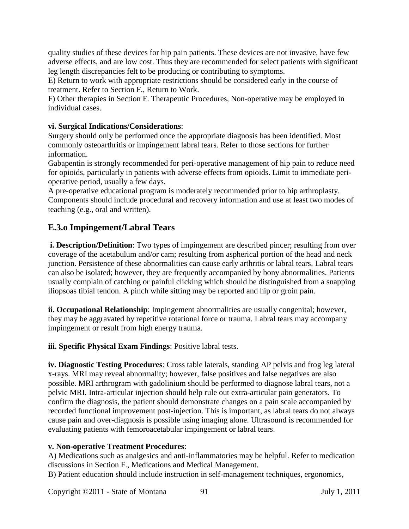quality studies of these devices for hip pain patients. These devices are not invasive, have few adverse effects, and are low cost. Thus they are recommended for select patients with significant leg length discrepancies felt to be producing or contributing to symptoms.

E) Return to work with appropriate restrictions should be considered early in the course of treatment. Refer to Section F., Return to Work.

F) Other therapies in Section F. Therapeutic Procedures, Non-operative may be employed in individual cases.

### **vi. Surgical Indications/Considerations**:

Surgery should only be performed once the appropriate diagnosis has been identified. Most commonly osteoarthritis or impingement labral tears. Refer to those sections for further information.

Gabapentin is strongly recommended for peri-operative management of hip pain to reduce need for opioids, particularly in patients with adverse effects from opioids. Limit to immediate perioperative period, usually a few days.

A pre-operative educational program is moderately recommended prior to hip arthroplasty. Components should include procedural and recovery information and use at least two modes of teaching (e.g., oral and written).

## **E.3.o Impingement/Labral Tears**

**i. Description/Definition**: Two types of impingement are described pincer; resulting from over coverage of the acetabulum and/or cam; resulting from aspherical portion of the head and neck junction. Persistence of these abnormalities can cause early arthritis or labral tears. Labral tears can also be isolated; however, they are frequently accompanied by bony abnormalities. Patients usually complain of catching or painful clicking which should be distinguished from a snapping iliopsoas tibial tendon. A pinch while sitting may be reported and hip or groin pain.

**ii. Occupational Relationship**: Impingement abnormalities are usually congenital; however, they may be aggravated by repetitive rotational force or trauma. Labral tears may accompany impingement or result from high energy trauma.

**iii. Specific Physical Exam Findings**: Positive labral tests.

**iv. Diagnostic Testing Procedures**: Cross table laterals, standing AP pelvis and frog leg lateral x-rays. MRI may reveal abnormality; however, false positives and false negatives are also possible. MRI arthrogram with gadolinium should be performed to diagnose labral tears, not a pelvic MRI. Intra-articular injection should help rule out extra-articular pain generators. To confirm the diagnosis, the patient should demonstrate changes on a pain scale accompanied by recorded functional improvement post-injection. This is important, as labral tears do not always cause pain and over-diagnosis is possible using imaging alone. Ultrasound is recommended for evaluating patients with femoroacetabular impingement or labral tears.

## **v. Non-operative Treatment Procedures**:

A) Medications such as analgesics and anti-inflammatories may be helpful. Refer to medication discussions in Section F., Medications and Medical Management.

B) Patient education should include instruction in self-management techniques, ergonomics,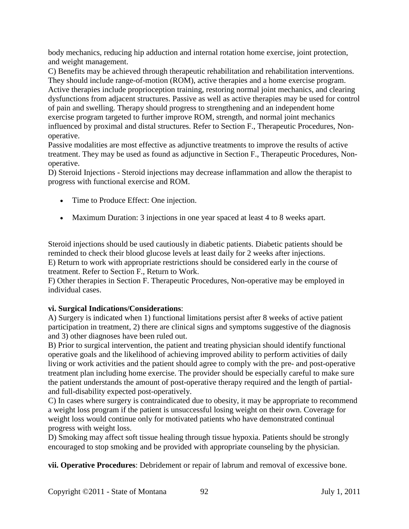body mechanics, reducing hip adduction and internal rotation home exercise, joint protection, and weight management.

C) Benefits may be achieved through therapeutic rehabilitation and rehabilitation interventions. They should include range-of-motion (ROM), active therapies and a home exercise program. Active therapies include proprioception training, restoring normal joint mechanics, and clearing dysfunctions from adjacent structures. Passive as well as active therapies may be used for control of pain and swelling. Therapy should progress to strengthening and an independent home exercise program targeted to further improve ROM, strength, and normal joint mechanics influenced by proximal and distal structures. Refer to Section F., Therapeutic Procedures, Nonoperative.

Passive modalities are most effective as adjunctive treatments to improve the results of active treatment. They may be used as found as adjunctive in Section F., Therapeutic Procedures, Nonoperative.

D) Steroid Injections - Steroid injections may decrease inflammation and allow the therapist to progress with functional exercise and ROM.

- Time to Produce Effect: One injection.
- Maximum Duration: 3 injections in one year spaced at least 4 to 8 weeks apart.

Steroid injections should be used cautiously in diabetic patients. Diabetic patients should be reminded to check their blood glucose levels at least daily for 2 weeks after injections. E) Return to work with appropriate restrictions should be considered early in the course of treatment. Refer to Section F., Return to Work.

F) Other therapies in Section F. Therapeutic Procedures, Non-operative may be employed in individual cases.

## **vi. Surgical Indications/Considerations**:

A) Surgery is indicated when 1) functional limitations persist after 8 weeks of active patient participation in treatment, 2) there are clinical signs and symptoms suggestive of the diagnosis and 3) other diagnoses have been ruled out.

B) Prior to surgical intervention, the patient and treating physician should identify functional operative goals and the likelihood of achieving improved ability to perform activities of daily living or work activities and the patient should agree to comply with the pre- and post-operative treatment plan including home exercise. The provider should be especially careful to make sure the patient understands the amount of post-operative therapy required and the length of partialand full-disability expected post-operatively.

C) In cases where surgery is contraindicated due to obesity, it may be appropriate to recommend a weight loss program if the patient is unsuccessful losing weight on their own. Coverage for weight loss would continue only for motivated patients who have demonstrated continual progress with weight loss.

D) Smoking may affect soft tissue healing through tissue hypoxia. Patients should be strongly encouraged to stop smoking and be provided with appropriate counseling by the physician.

**vii. Operative Procedures**: Debridement or repair of labrum and removal of excessive bone.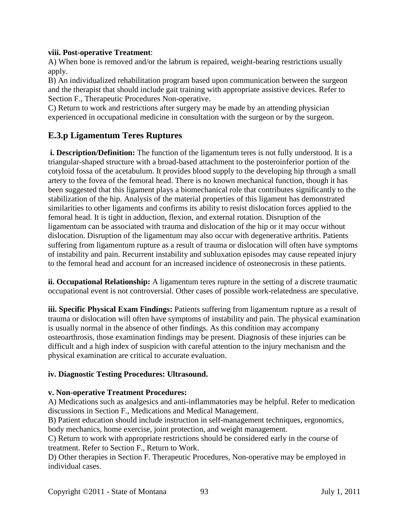#### **viii. Post-operative Treatment**:

A) When bone is removed and/or the labrum is repaired, weight-bearing restrictions usually apply.

B) An individualized rehabilitation program based upon communication between the surgeon and the therapist that should include gait training with appropriate assistive devices. Refer to Section F., Therapeutic Procedures Non-operative.

C) Return to work and restrictions after surgery may be made by an attending physician experienced in occupational medicine in consultation with the surgeon or by the surgeon.

## **E.3.p Ligamentum Teres Ruptures**

**i. Description/Definition:** The function of the ligamentum teres is not fully understood. It is a triangular-shaped structure with a broad-based attachment to the posteroinferior portion of the cotyloid fossa of the acetabulum. It provides blood supply to the developing hip through a small artery to the fovea of the femoral head. There is no known mechanical function, though it has been suggested that this ligament plays a biomechanical role that contributes significantly to the stabilization of the hip. Analysis of the material properties of this ligament has demonstrated similarities to other ligaments and confirms its ability to resist dislocation forces applied to the femoral head. It is tight in adduction, flexion, and external rotation. Disruption of the ligamentum can be associated with trauma and dislocation of the hip or it may occur without dislocation. Disruption of the ligamentum may also occur with degenerative arthritis. Patients suffering from ligamentum rupture as a result of trauma or dislocation will often have symptoms of instability and pain. Recurrent instability and subluxation episodes may cause repeated injury to the femoral head and account for an increased incidence of osteonecrosis in these patients.

**ii. Occupational Relationship:** A ligamentum teres rupture in the setting of a discrete traumatic occupational event is not controversial. Other cases of possible work-relatedness are speculative.

**iii. Specific Physical Exam Findings:** Patients suffering from ligamentum rupture as a result of trauma or dislocation will often have symptoms of instability and pain. The physical examination is usually normal in the absence of other findings. As this condition may accompany osteoarthrosis, those examination findings may be present. Diagnosis of these injuries can be difficult and a high index of suspicion with careful attention to the injury mechanism and the physical examination are critical to accurate evaluation.

### **iv. Diagnostic Testing Procedures: Ultrasound.**

#### **v. Non-operative Treatment Procedures:**

A) Medications such as analgesics and anti-inflammatories may be helpful. Refer to medication discussions in Section F., Medications and Medical Management.

B) Patient education should include instruction in self-management techniques, ergonomics, body mechanics, home exercise, joint protection, and weight management.

C) Return to work with appropriate restrictions should be considered early in the course of treatment. Refer to Section F., Return to Work.

D) Other therapies in Section F. Therapeutic Procedures, Non-operative may be employed in individual cases.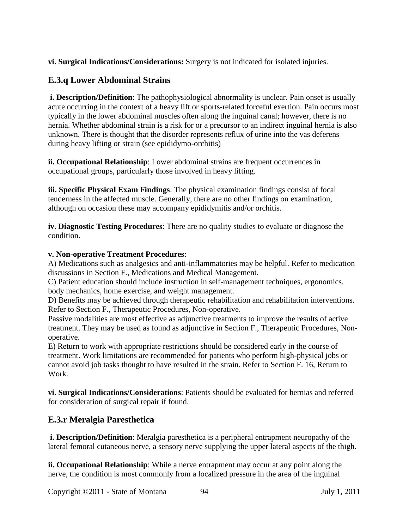**vi. Surgical Indications/Considerations:** Surgery is not indicated for isolated injuries.

## **E.3.q Lower Abdominal Strains**

**i. Description/Definition**: The pathophysiological abnormality is unclear. Pain onset is usually acute occurring in the context of a heavy lift or sports-related forceful exertion. Pain occurs most typically in the lower abdominal muscles often along the inguinal canal; however, there is no hernia. Whether abdominal strain is a risk for or a precursor to an indirect inguinal hernia is also unknown. There is thought that the disorder represents reflux of urine into the vas deferens during heavy lifting or strain (see epididymo-orchitis)

**ii. Occupational Relationship**: Lower abdominal strains are frequent occurrences in occupational groups, particularly those involved in heavy lifting.

**iii. Specific Physical Exam Findings**: The physical examination findings consist of focal tenderness in the affected muscle. Generally, there are no other findings on examination, although on occasion these may accompany epididymitis and/or orchitis.

**iv. Diagnostic Testing Procedures**: There are no quality studies to evaluate or diagnose the condition.

### **v. Non-operative Treatment Procedures**:

A) Medications such as analgesics and anti-inflammatories may be helpful. Refer to medication discussions in Section F., Medications and Medical Management.

C) Patient education should include instruction in self-management techniques, ergonomics, body mechanics, home exercise, and weight management.

D) Benefits may be achieved through therapeutic rehabilitation and rehabilitation interventions. Refer to Section F., Therapeutic Procedures, Non-operative.

Passive modalities are most effective as adjunctive treatments to improve the results of active treatment. They may be used as found as adjunctive in Section F., Therapeutic Procedures, Nonoperative.

E) Return to work with appropriate restrictions should be considered early in the course of treatment. Work limitations are recommended for patients who perform high-physical jobs or cannot avoid job tasks thought to have resulted in the strain. Refer to Section F. 16, Return to Work.

**vi. Surgical Indications/Considerations**: Patients should be evaluated for hernias and referred for consideration of surgical repair if found.

## **E.3.r Meralgia Paresthetica**

**i. Description/Definition**: Meralgia paresthetica is a peripheral entrapment neuropathy of the lateral femoral cutaneous nerve, a sensory nerve supplying the upper lateral aspects of the thigh.

**ii. Occupational Relationship**: While a nerve entrapment may occur at any point along the nerve, the condition is most commonly from a localized pressure in the area of the inguinal

Copyright ©2011 - State of Montana 94 July 1, 2011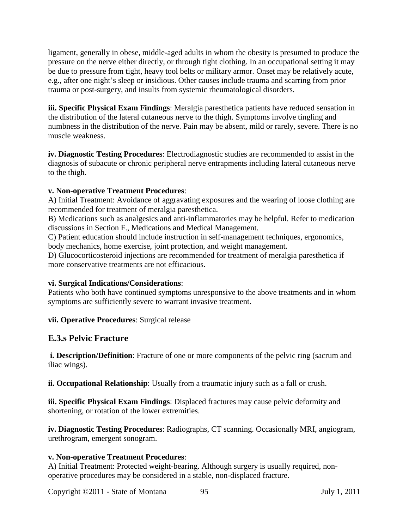ligament, generally in obese, middle-aged adults in whom the obesity is presumed to produce the pressure on the nerve either directly, or through tight clothing. In an occupational setting it may be due to pressure from tight, heavy tool belts or military armor. Onset may be relatively acute, e.g., after one night's sleep or insidious. Other causes include trauma and scarring from prior trauma or post-surgery, and insults from systemic rheumatological disorders.

**iii. Specific Physical Exam Findings**: Meralgia paresthetica patients have reduced sensation in the distribution of the lateral cutaneous nerve to the thigh. Symptoms involve tingling and numbness in the distribution of the nerve. Pain may be absent, mild or rarely, severe. There is no muscle weakness.

**iv. Diagnostic Testing Procedures**: Electrodiagnostic studies are recommended to assist in the diagnosis of subacute or chronic peripheral nerve entrapments including lateral cutaneous nerve to the thigh.

### **v. Non-operative Treatment Procedures**:

A) Initial Treatment: Avoidance of aggravating exposures and the wearing of loose clothing are recommended for treatment of meralgia paresthetica.

B) Medications such as analgesics and anti-inflammatories may be helpful. Refer to medication discussions in Section F., Medications and Medical Management.

C) Patient education should include instruction in self-management techniques, ergonomics, body mechanics, home exercise, joint protection, and weight management.

D) Glucocorticosteroid injections are recommended for treatment of meralgia paresthetica if more conservative treatments are not efficacious.

### **vi. Surgical Indications/Considerations**:

Patients who both have continued symptoms unresponsive to the above treatments and in whom symptoms are sufficiently severe to warrant invasive treatment.

### **vii. Operative Procedures**: Surgical release

### **E.3.s Pelvic Fracture**

**i. Description/Definition**: Fracture of one or more components of the pelvic ring (sacrum and iliac wings).

**ii. Occupational Relationship**: Usually from a traumatic injury such as a fall or crush.

**iii. Specific Physical Exam Findings**: Displaced fractures may cause pelvic deformity and shortening, or rotation of the lower extremities.

**iv. Diagnostic Testing Procedures**: Radiographs, CT scanning. Occasionally MRI, angiogram, urethrogram, emergent sonogram.

#### **v. Non-operative Treatment Procedures**:

A) Initial Treatment: Protected weight-bearing. Although surgery is usually required, nonoperative procedures may be considered in a stable, non-displaced fracture.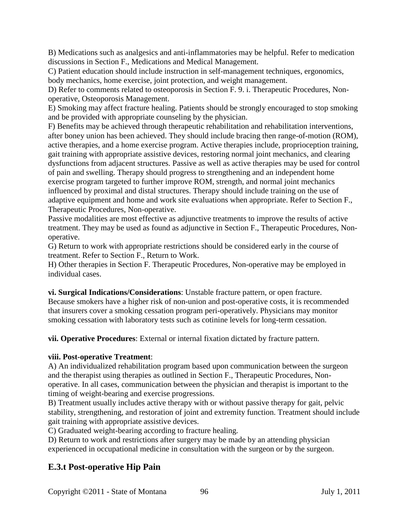B) Medications such as analgesics and anti-inflammatories may be helpful. Refer to medication discussions in Section F., Medications and Medical Management.

C) Patient education should include instruction in self-management techniques, ergonomics, body mechanics, home exercise, joint protection, and weight management.

D) Refer to comments related to osteoporosis in Section F. 9. i. Therapeutic Procedures, Nonoperative, Osteoporosis Management.

E) Smoking may affect fracture healing. Patients should be strongly encouraged to stop smoking and be provided with appropriate counseling by the physician.

F) Benefits may be achieved through therapeutic rehabilitation and rehabilitation interventions, after boney union has been achieved. They should include bracing then range-of-motion (ROM), active therapies, and a home exercise program. Active therapies include, proprioception training, gait training with appropriate assistive devices, restoring normal joint mechanics, and clearing dysfunctions from adjacent structures. Passive as well as active therapies may be used for control of pain and swelling. Therapy should progress to strengthening and an independent home exercise program targeted to further improve ROM, strength, and normal joint mechanics influenced by proximal and distal structures. Therapy should include training on the use of adaptive equipment and home and work site evaluations when appropriate. Refer to Section F., Therapeutic Procedures, Non-operative.

Passive modalities are most effective as adjunctive treatments to improve the results of active treatment. They may be used as found as adjunctive in Section F., Therapeutic Procedures, Nonoperative.

G) Return to work with appropriate restrictions should be considered early in the course of treatment. Refer to Section F., Return to Work.

H) Other therapies in Section F. Therapeutic Procedures, Non-operative may be employed in individual cases.

**vi. Surgical Indications/Considerations**: Unstable fracture pattern, or open fracture. Because smokers have a higher risk of non-union and post-operative costs, it is recommended that insurers cover a smoking cessation program peri-operatively. Physicians may monitor smoking cessation with laboratory tests such as cotinine levels for long-term cessation.

**vii. Operative Procedures**: External or internal fixation dictated by fracture pattern.

### **viii. Post-operative Treatment**:

A) An individualized rehabilitation program based upon communication between the surgeon and the therapist using therapies as outlined in Section F., Therapeutic Procedures, Nonoperative. In all cases, communication between the physician and therapist is important to the timing of weight-bearing and exercise progressions.

B) Treatment usually includes active therapy with or without passive therapy for gait, pelvic stability, strengthening, and restoration of joint and extremity function. Treatment should include gait training with appropriate assistive devices.

C) Graduated weight-bearing according to fracture healing.

D) Return to work and restrictions after surgery may be made by an attending physician experienced in occupational medicine in consultation with the surgeon or by the surgeon.

## **E.3.t Post-operative Hip Pain**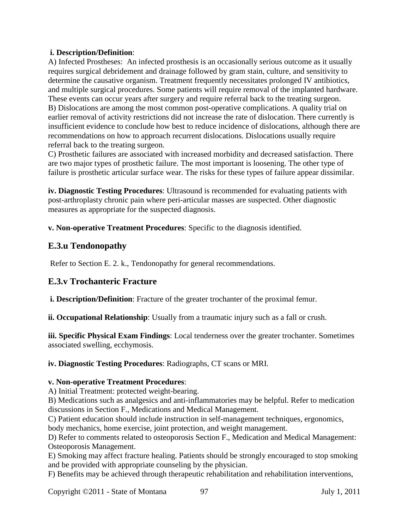#### **i. Description/Definition**:

A) Infected Prostheses: An infected prosthesis is an occasionally serious outcome as it usually requires surgical debridement and drainage followed by gram stain, culture, and sensitivity to determine the causative organism. Treatment frequently necessitates prolonged IV antibiotics, and multiple surgical procedures. Some patients will require removal of the implanted hardware. These events can occur years after surgery and require referral back to the treating surgeon. B) Dislocations are among the most common post-operative complications. A quality trial on earlier removal of activity restrictions did not increase the rate of dislocation. There currently is insufficient evidence to conclude how best to reduce incidence of dislocations, although there are recommendations on how to approach recurrent dislocations. Dislocations usually require referral back to the treating surgeon.

C) Prosthetic failures are associated with increased morbidity and decreased satisfaction. There are two major types of prosthetic failure. The most important is loosening. The other type of failure is prosthetic articular surface wear. The risks for these types of failure appear dissimilar.

**iv. Diagnostic Testing Procedures**: Ultrasound is recommended for evaluating patients with post-arthroplasty chronic pain where peri-articular masses are suspected. Other diagnostic measures as appropriate for the suspected diagnosis.

**v. Non-operative Treatment Procedures**: Specific to the diagnosis identified.

## **E.3.u Tendonopathy**

Refer to Section E. 2. k., Tendonopathy for general recommendations.

## **E.3.v Trochanteric Fracture**

**i. Description/Definition**: Fracture of the greater trochanter of the proximal femur.

**ii. Occupational Relationship**: Usually from a traumatic injury such as a fall or crush.

**iii. Specific Physical Exam Findings**: Local tenderness over the greater trochanter. Sometimes associated swelling, ecchymosis.

**iv. Diagnostic Testing Procedures**: Radiographs, CT scans or MRI.

### **v. Non-operative Treatment Procedures**:

A) Initial Treatment: protected weight-bearing.

B) Medications such as analgesics and anti-inflammatories may be helpful. Refer to medication discussions in Section F., Medications and Medical Management.

C) Patient education should include instruction in self-management techniques, ergonomics, body mechanics, home exercise, joint protection, and weight management.

D) Refer to comments related to osteoporosis Section F., Medication and Medical Management: Osteoporosis Management.

E) Smoking may affect fracture healing. Patients should be strongly encouraged to stop smoking and be provided with appropriate counseling by the physician.

F) Benefits may be achieved through therapeutic rehabilitation and rehabilitation interventions,

Copyright ©2011 - State of Montana 97 July 1, 2011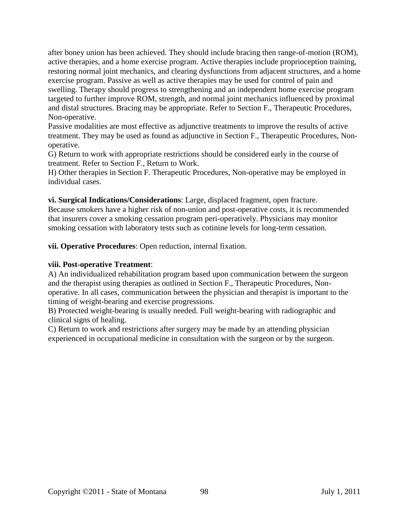after boney union has been achieved. They should include bracing then range-of-motion (ROM), active therapies, and a home exercise program. Active therapies include proprioception training, restoring normal joint mechanics, and clearing dysfunctions from adjacent structures, and a home exercise program. Passive as well as active therapies may be used for control of pain and swelling. Therapy should progress to strengthening and an independent home exercise program targeted to further improve ROM, strength, and normal joint mechanics influenced by proximal and distal structures. Bracing may be appropriate. Refer to Section F., Therapeutic Procedures, Non-operative.

Passive modalities are most effective as adjunctive treatments to improve the results of active treatment. They may be used as found as adjunctive in Section F., Therapeutic Procedures, Nonoperative.

G) Return to work with appropriate restrictions should be considered early in the course of treatment. Refer to Section F., Return to Work.

H) Other therapies in Section F. Therapeutic Procedures, Non-operative may be employed in individual cases.

**vi. Surgical Indications/Considerations**: Large, displaced fragment, open fracture. Because smokers have a higher risk of non-union and post-operative costs, it is recommended that insurers cover a smoking cessation program peri-operatively. Physicians may monitor smoking cessation with laboratory tests such as cotinine levels for long-term cessation.

**vii. Operative Procedures**: Open reduction, internal fixation.

#### **viii. Post-operative Treatment**:

A) An individualized rehabilitation program based upon communication between the surgeon and the therapist using therapies as outlined in Section F., Therapeutic Procedures, Nonoperative. In all cases, communication between the physician and therapist is important to the timing of weight-bearing and exercise progressions.

B) Protected weight-bearing is usually needed. Full weight-bearing with radiographic and clinical signs of healing.

C) Return to work and restrictions after surgery may be made by an attending physician experienced in occupational medicine in consultation with the surgeon or by the surgeon.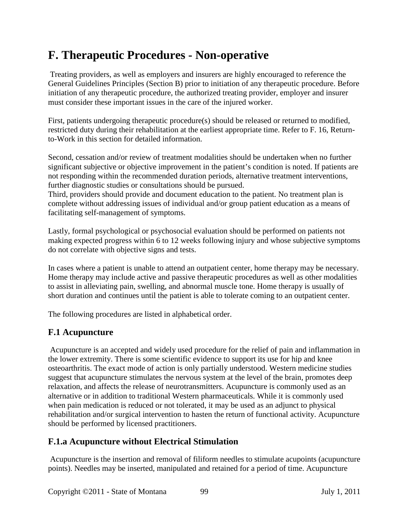# **F. Therapeutic Procedures - Non-operative**

Treating providers, as well as employers and insurers are highly encouraged to reference the General Guidelines Principles (Section B) prior to initiation of any therapeutic procedure. Before initiation of any therapeutic procedure, the authorized treating provider, employer and insurer must consider these important issues in the care of the injured worker.

First, patients undergoing therapeutic procedure(s) should be released or returned to modified, restricted duty during their rehabilitation at the earliest appropriate time. Refer to F. 16, Returnto-Work in this section for detailed information.

Second, cessation and/or review of treatment modalities should be undertaken when no further significant subjective or objective improvement in the patient's condition is noted. If patients are not responding within the recommended duration periods, alternative treatment interventions, further diagnostic studies or consultations should be pursued.

Third, providers should provide and document education to the patient. No treatment plan is complete without addressing issues of individual and/or group patient education as a means of facilitating self-management of symptoms.

Lastly, formal psychological or psychosocial evaluation should be performed on patients not making expected progress within 6 to 12 weeks following injury and whose subjective symptoms do not correlate with objective signs and tests.

In cases where a patient is unable to attend an outpatient center, home therapy may be necessary. Home therapy may include active and passive therapeutic procedures as well as other modalities to assist in alleviating pain, swelling, and abnormal muscle tone. Home therapy is usually of short duration and continues until the patient is able to tolerate coming to an outpatient center.

The following procedures are listed in alphabetical order.

## **F.1 Acupuncture**

Acupuncture is an accepted and widely used procedure for the relief of pain and inflammation in the lower extremity. There is some scientific evidence to support its use for hip and knee osteoarthritis. The exact mode of action is only partially understood. Western medicine studies suggest that acupuncture stimulates the nervous system at the level of the brain, promotes deep relaxation, and affects the release of neurotransmitters. Acupuncture is commonly used as an alternative or in addition to traditional Western pharmaceuticals. While it is commonly used when pain medication is reduced or not tolerated, it may be used as an adjunct to physical rehabilitation and/or surgical intervention to hasten the return of functional activity. Acupuncture should be performed by licensed practitioners.

## **F.1.a Acupuncture without Electrical Stimulation**

Acupuncture is the insertion and removal of filiform needles to stimulate acupoints (acupuncture points). Needles may be inserted, manipulated and retained for a period of time. Acupuncture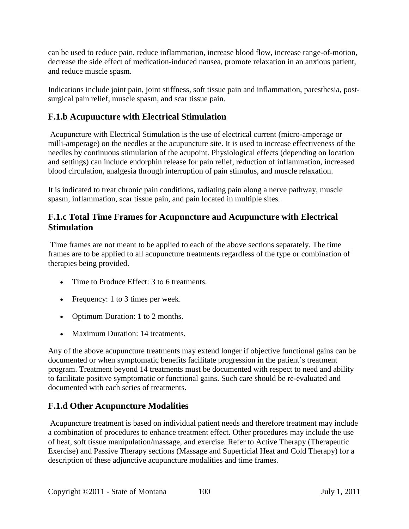can be used to reduce pain, reduce inflammation, increase blood flow, increase range-of-motion, decrease the side effect of medication-induced nausea, promote relaxation in an anxious patient, and reduce muscle spasm.

Indications include joint pain, joint stiffness, soft tissue pain and inflammation, paresthesia, postsurgical pain relief, muscle spasm, and scar tissue pain.

## **F.1.b Acupuncture with Electrical Stimulation**

Acupuncture with Electrical Stimulation is the use of electrical current (micro-amperage or milli-amperage) on the needles at the acupuncture site. It is used to increase effectiveness of the needles by continuous stimulation of the acupoint. Physiological effects (depending on location and settings) can include endorphin release for pain relief, reduction of inflammation, increased blood circulation, analgesia through interruption of pain stimulus, and muscle relaxation.

It is indicated to treat chronic pain conditions, radiating pain along a nerve pathway, muscle spasm, inflammation, scar tissue pain, and pain located in multiple sites.

## **F.1.c Total Time Frames for Acupuncture and Acupuncture with Electrical Stimulation**

Time frames are not meant to be applied to each of the above sections separately. The time frames are to be applied to all acupuncture treatments regardless of the type or combination of therapies being provided.

- Time to Produce Effect: 3 to 6 treatments.
- Frequency: 1 to 3 times per week.
- Optimum Duration: 1 to 2 months.
- Maximum Duration: 14 treatments.

Any of the above acupuncture treatments may extend longer if objective functional gains can be documented or when symptomatic benefits facilitate progression in the patient's treatment program. Treatment beyond 14 treatments must be documented with respect to need and ability to facilitate positive symptomatic or functional gains. Such care should be re-evaluated and documented with each series of treatments.

## **F.1.d Other Acupuncture Modalities**

Acupuncture treatment is based on individual patient needs and therefore treatment may include a combination of procedures to enhance treatment effect. Other procedures may include the use of heat, soft tissue manipulation/massage, and exercise. Refer to Active Therapy (Therapeutic Exercise) and Passive Therapy sections (Massage and Superficial Heat and Cold Therapy) for a description of these adjunctive acupuncture modalities and time frames.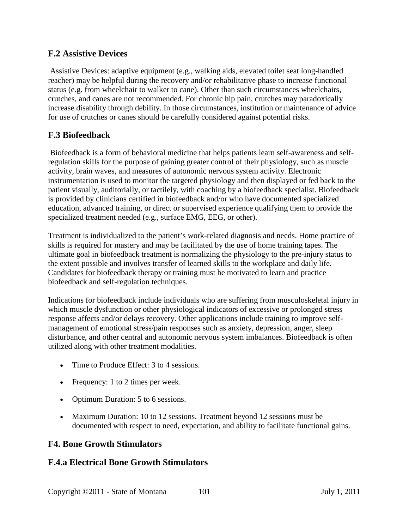## **F.2 Assistive Devices**

Assistive Devices: adaptive equipment (e.g., walking aids, elevated toilet seat long-handled reacher) may be helpful during the recovery and/or rehabilitative phase to increase functional status (e.g. from wheelchair to walker to cane). Other than such circumstances wheelchairs, crutches, and canes are not recommended. For chronic hip pain, crutches may paradoxically increase disability through debility. In those circumstances, institution or maintenance of advice for use of crutches or canes should be carefully considered against potential risks.

## **F.3 Biofeedback**

Biofeedback is a form of behavioral medicine that helps patients learn self-awareness and selfregulation skills for the purpose of gaining greater control of their physiology, such as muscle activity, brain waves, and measures of autonomic nervous system activity. Electronic instrumentation is used to monitor the targeted physiology and then displayed or fed back to the patient visually, auditorially, or tactilely, with coaching by a biofeedback specialist. Biofeedback is provided by clinicians certified in biofeedback and/or who have documented specialized education, advanced training, or direct or supervised experience qualifying them to provide the specialized treatment needed (e.g., surface EMG, EEG, or other).

Treatment is individualized to the patient's work-related diagnosis and needs. Home practice of skills is required for mastery and may be facilitated by the use of home training tapes. The ultimate goal in biofeedback treatment is normalizing the physiology to the pre-injury status to the extent possible and involves transfer of learned skills to the workplace and daily life. Candidates for biofeedback therapy or training must be motivated to learn and practice biofeedback and self-regulation techniques.

Indications for biofeedback include individuals who are suffering from musculoskeletal injury in which muscle dysfunction or other physiological indicators of excessive or prolonged stress response affects and/or delays recovery. Other applications include training to improve selfmanagement of emotional stress/pain responses such as anxiety, depression, anger, sleep disturbance, and other central and autonomic nervous system imbalances. Biofeedback is often utilized along with other treatment modalities.

- Time to Produce Effect: 3 to 4 sessions.
- Frequency: 1 to 2 times per week.
- Optimum Duration: 5 to 6 sessions.
- Maximum Duration: 10 to 12 sessions. Treatment beyond 12 sessions must be documented with respect to need, expectation, and ability to facilitate functional gains.

## **F4. Bone Growth Stimulators**

## **F.4.a Electrical Bone Growth Stimulators**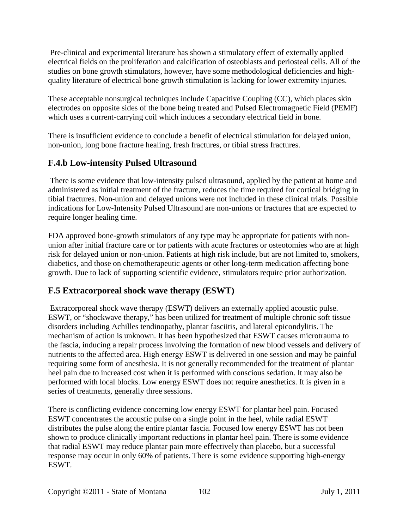Pre-clinical and experimental literature has shown a stimulatory effect of externally applied electrical fields on the proliferation and calcification of osteoblasts and periosteal cells. All of the studies on bone growth stimulators, however, have some methodological deficiencies and highquality literature of electrical bone growth stimulation is lacking for lower extremity injuries.

These acceptable nonsurgical techniques include Capacitive Coupling (CC), which places skin electrodes on opposite sides of the bone being treated and Pulsed Electromagnetic Field (PEMF) which uses a current-carrying coil which induces a secondary electrical field in bone.

There is insufficient evidence to conclude a benefit of electrical stimulation for delayed union, non-union, long bone fracture healing, fresh fractures, or tibial stress fractures.

## **F.4.b Low-intensity Pulsed Ultrasound**

There is some evidence that low-intensity pulsed ultrasound, applied by the patient at home and administered as initial treatment of the fracture, reduces the time required for cortical bridging in tibial fractures. Non-union and delayed unions were not included in these clinical trials. Possible indications for Low-Intensity Pulsed Ultrasound are non-unions or fractures that are expected to require longer healing time.

FDA approved bone-growth stimulators of any type may be appropriate for patients with nonunion after initial fracture care or for patients with acute fractures or osteotomies who are at high risk for delayed union or non-union. Patients at high risk include, but are not limited to, smokers, diabetics, and those on chemotherapeutic agents or other long-term medication affecting bone growth. Due to lack of supporting scientific evidence, stimulators require prior authorization.

## **F.5 Extracorporeal shock wave therapy (ESWT)**

Extracorporeal shock wave therapy (ESWT) delivers an externally applied acoustic pulse. ESWT, or "shockwave therapy," has been utilized for treatment of multiple chronic soft tissue disorders including Achilles tendinopathy, plantar fasciitis, and lateral epicondylitis. The mechanism of action is unknown. It has been hypothesized that ESWT causes microtrauma to the fascia, inducing a repair process involving the formation of new blood vessels and delivery of nutrients to the affected area. High energy ESWT is delivered in one session and may be painful requiring some form of anesthesia. It is not generally recommended for the treatment of plantar heel pain due to increased cost when it is performed with conscious sedation. It may also be performed with local blocks. Low energy ESWT does not require anesthetics. It is given in a series of treatments, generally three sessions.

There is conflicting evidence concerning low energy ESWT for plantar heel pain. Focused ESWT concentrates the acoustic pulse on a single point in the heel, while radial ESWT distributes the pulse along the entire plantar fascia. Focused low energy ESWT has not been shown to produce clinically important reductions in plantar heel pain. There is some evidence that radial ESWT may reduce plantar pain more effectively than placebo, but a successful response may occur in only 60% of patients. There is some evidence supporting high-energy ESWT.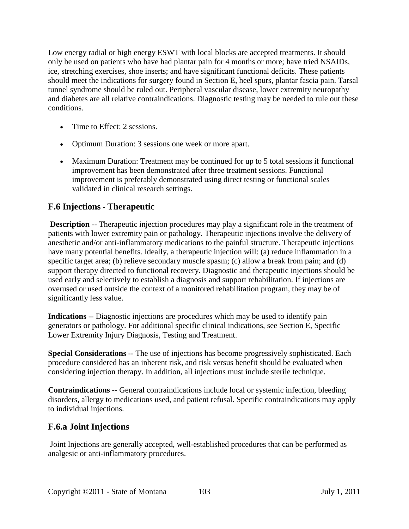Low energy radial or high energy ESWT with local blocks are accepted treatments. It should only be used on patients who have had plantar pain for 4 months or more; have tried NSAIDs, ice, stretching exercises, shoe inserts; and have significant functional deficits. These patients should meet the indications for surgery found in Section E, heel spurs, plantar fascia pain. Tarsal tunnel syndrome should be ruled out. Peripheral vascular disease, lower extremity neuropathy and diabetes are all relative contraindications. Diagnostic testing may be needed to rule out these conditions.

- Time to Effect: 2 sessions.
- Optimum Duration: 3 sessions one week or more apart.
- Maximum Duration: Treatment may be continued for up to 5 total sessions if functional improvement has been demonstrated after three treatment sessions. Functional improvement is preferably demonstrated using direct testing or functional scales validated in clinical research settings.

## **F.6 Injections** - **Therapeutic**

**Description** -- Therapeutic injection procedures may play a significant role in the treatment of patients with lower extremity pain or pathology. Therapeutic injections involve the delivery of anesthetic and/or anti-inflammatory medications to the painful structure. Therapeutic injections have many potential benefits. Ideally, a therapeutic injection will: (a) reduce inflammation in a specific target area; (b) relieve secondary muscle spasm; (c) allow a break from pain; and (d) support therapy directed to functional recovery. Diagnostic and therapeutic injections should be used early and selectively to establish a diagnosis and support rehabilitation. If injections are overused or used outside the context of a monitored rehabilitation program, they may be of significantly less value.

**Indications** -- Diagnostic injections are procedures which may be used to identify pain generators or pathology. For additional specific clinical indications, see Section E, Specific Lower Extremity Injury Diagnosis, Testing and Treatment.

**Special Considerations --** The use of injections has become progressively sophisticated. Each procedure considered has an inherent risk, and risk versus benefit should be evaluated when considering injection therapy. In addition, all injections must include sterile technique.

**Contraindications** -- General contraindications include local or systemic infection, bleeding disorders, allergy to medications used, and patient refusal. Specific contraindications may apply to individual injections.

## **F.6.a Joint Injections**

Joint Injections are generally accepted, well-established procedures that can be performed as analgesic or anti-inflammatory procedures.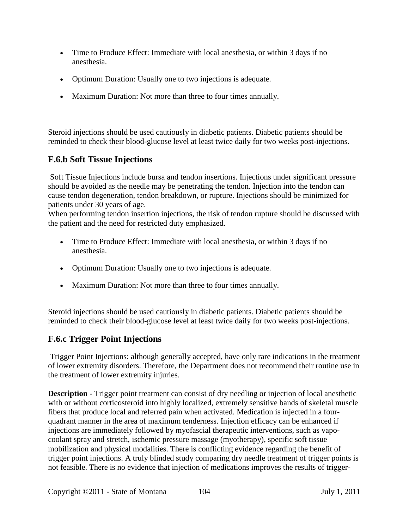- Time to Produce Effect: Immediate with local anesthesia, or within 3 days if no anesthesia.
- Optimum Duration: Usually one to two injections is adequate.
- Maximum Duration: Not more than three to four times annually.

Steroid injections should be used cautiously in diabetic patients. Diabetic patients should be reminded to check their blood-glucose level at least twice daily for two weeks post-injections.

## **F.6.b Soft Tissue Injections**

Soft Tissue Injections include bursa and tendon insertions. Injections under significant pressure should be avoided as the needle may be penetrating the tendon. Injection into the tendon can cause tendon degeneration, tendon breakdown, or rupture. Injections should be minimized for patients under 30 years of age.

When performing tendon insertion injections, the risk of tendon rupture should be discussed with the patient and the need for restricted duty emphasized.

- Time to Produce Effect: Immediate with local anesthesia, or within 3 days if no anesthesia.
- Optimum Duration: Usually one to two injections is adequate.
- Maximum Duration: Not more than three to four times annually.

Steroid injections should be used cautiously in diabetic patients. Diabetic patients should be reminded to check their blood-glucose level at least twice daily for two weeks post-injections.

## **F.6.c Trigger Point Injections**

Trigger Point Injections: although generally accepted, have only rare indications in the treatment of lower extremity disorders. Therefore, the Department does not recommend their routine use in the treatment of lower extremity injuries.

**Description** - Trigger point treatment can consist of dry needling or injection of local anesthetic with or without corticosteroid into highly localized, extremely sensitive bands of skeletal muscle fibers that produce local and referred pain when activated. Medication is injected in a fourquadrant manner in the area of maximum tenderness. Injection efficacy can be enhanced if injections are immediately followed by myofascial therapeutic interventions, such as vapocoolant spray and stretch, ischemic pressure massage (myotherapy), specific soft tissue mobilization and physical modalities. There is conflicting evidence regarding the benefit of trigger point injections. A truly blinded study comparing dry needle treatment of trigger points is not feasible. There is no evidence that injection of medications improves the results of trigger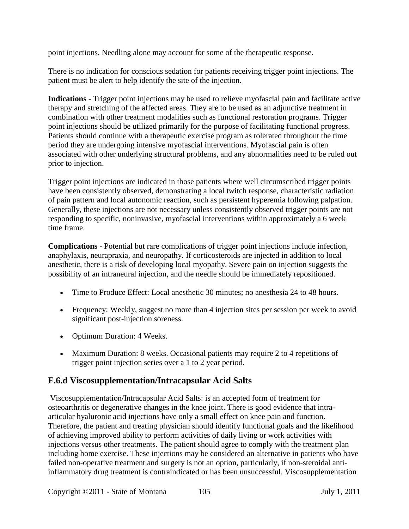point injections. Needling alone may account for some of the therapeutic response.

There is no indication for conscious sedation for patients receiving trigger point injections. The patient must be alert to help identify the site of the injection.

**Indications** - Trigger point injections may be used to relieve myofascial pain and facilitate active therapy and stretching of the affected areas. They are to be used as an adjunctive treatment in combination with other treatment modalities such as functional restoration programs. Trigger point injections should be utilized primarily for the purpose of facilitating functional progress. Patients should continue with a therapeutic exercise program as tolerated throughout the time period they are undergoing intensive myofascial interventions. Myofascial pain is often associated with other underlying structural problems, and any abnormalities need to be ruled out prior to injection.

Trigger point injections are indicated in those patients where well circumscribed trigger points have been consistently observed, demonstrating a local twitch response, characteristic radiation of pain pattern and local autonomic reaction, such as persistent hyperemia following palpation. Generally, these injections are not necessary unless consistently observed trigger points are not responding to specific, noninvasive, myofascial interventions within approximately a 6 week time frame.

**Complications** - Potential but rare complications of trigger point injections include infection, anaphylaxis, neurapraxia, and neuropathy. If corticosteroids are injected in addition to local anesthetic, there is a risk of developing local myopathy. Severe pain on injection suggests the possibility of an intraneural injection, and the needle should be immediately repositioned.

- Time to Produce Effect: Local anesthetic 30 minutes; no anesthesia 24 to 48 hours.
- Frequency: Weekly, suggest no more than 4 injection sites per session per week to avoid significant post-injection soreness.
- Optimum Duration: 4 Weeks.
- Maximum Duration: 8 weeks. Occasional patients may require 2 to 4 repetitions of trigger point injection series over a 1 to 2 year period.

## **F.6.d Viscosupplementation/Intracapsular Acid Salts**

Viscosupplementation/Intracapsular Acid Salts: is an accepted form of treatment for osteoarthritis or degenerative changes in the knee joint. There is good evidence that intraarticular hyaluronic acid injections have only a small effect on knee pain and function. Therefore, the patient and treating physician should identify functional goals and the likelihood of achieving improved ability to perform activities of daily living or work activities with injections versus other treatments. The patient should agree to comply with the treatment plan including home exercise. These injections may be considered an alternative in patients who have failed non-operative treatment and surgery is not an option, particularly, if non-steroidal antiinflammatory drug treatment is contraindicated or has been unsuccessful. Viscosupplementation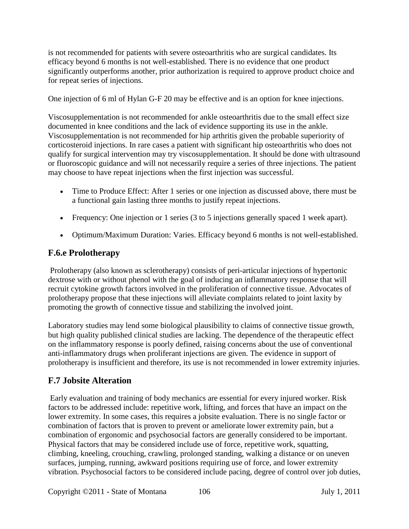is not recommended for patients with severe osteoarthritis who are surgical candidates. Its efficacy beyond 6 months is not well-established. There is no evidence that one product significantly outperforms another, prior authorization is required to approve product choice and for repeat series of injections.

One injection of 6 ml of Hylan G-F 20 may be effective and is an option for knee injections.

Viscosupplementation is not recommended for ankle osteoarthritis due to the small effect size documented in knee conditions and the lack of evidence supporting its use in the ankle. Viscosupplementation is not recommended for hip arthritis given the probable superiority of corticosteroid injections. In rare cases a patient with significant hip osteoarthritis who does not qualify for surgical intervention may try viscosupplementation. It should be done with ultrasound or fluoroscopic guidance and will not necessarily require a series of three injections. The patient may choose to have repeat injections when the first injection was successful.

- Time to Produce Effect: After 1 series or one injection as discussed above, there must be a functional gain lasting three months to justify repeat injections.
- Frequency: One injection or 1 series (3 to 5 injections generally spaced 1 week apart).
- Optimum/Maximum Duration: Varies. Efficacy beyond 6 months is not well-established.

## **F.6.e Prolotherapy**

Prolotherapy (also known as sclerotherapy) consists of peri-articular injections of hypertonic dextrose with or without phenol with the goal of inducing an inflammatory response that will recruit cytokine growth factors involved in the proliferation of connective tissue. Advocates of prolotherapy propose that these injections will alleviate complaints related to joint laxity by promoting the growth of connective tissue and stabilizing the involved joint.

Laboratory studies may lend some biological plausibility to claims of connective tissue growth, but high quality published clinical studies are lacking. The dependence of the therapeutic effect on the inflammatory response is poorly defined, raising concerns about the use of conventional anti-inflammatory drugs when proliferant injections are given. The evidence in support of prolotherapy is insufficient and therefore, its use is not recommended in lower extremity injuries.

## **F.7 Jobsite Alteration**

Early evaluation and training of body mechanics are essential for every injured worker. Risk factors to be addressed include: repetitive work, lifting, and forces that have an impact on the lower extremity. In some cases, this requires a jobsite evaluation. There is no single factor or combination of factors that is proven to prevent or ameliorate lower extremity pain, but a combination of ergonomic and psychosocial factors are generally considered to be important. Physical factors that may be considered include use of force, repetitive work, squatting, climbing, kneeling, crouching, crawling, prolonged standing, walking a distance or on uneven surfaces, jumping, running, awkward positions requiring use of force, and lower extremity vibration. Psychosocial factors to be considered include pacing, degree of control over job duties,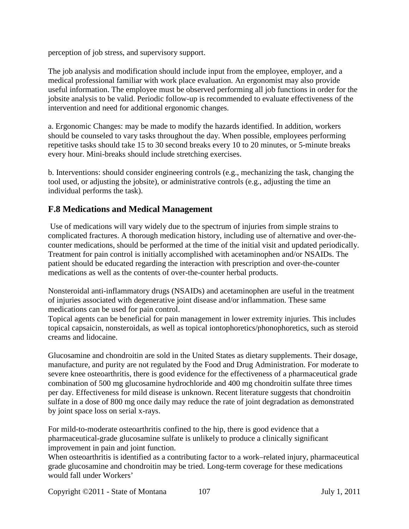perception of job stress, and supervisory support.

The job analysis and modification should include input from the employee, employer, and a medical professional familiar with work place evaluation. An ergonomist may also provide useful information. The employee must be observed performing all job functions in order for the jobsite analysis to be valid. Periodic follow-up is recommended to evaluate effectiveness of the intervention and need for additional ergonomic changes.

a. Ergonomic Changes: may be made to modify the hazards identified. In addition, workers should be counseled to vary tasks throughout the day. When possible, employees performing repetitive tasks should take 15 to 30 second breaks every 10 to 20 minutes, or 5-minute breaks every hour. Mini-breaks should include stretching exercises.

b. Interventions: should consider engineering controls (e.g., mechanizing the task, changing the tool used, or adjusting the jobsite), or administrative controls (e.g., adjusting the time an individual performs the task).

## **F.8 Medications and Medical Management**

Use of medications will vary widely due to the spectrum of injuries from simple strains to complicated fractures. A thorough medication history, including use of alternative and over-thecounter medications, should be performed at the time of the initial visit and updated periodically. Treatment for pain control is initially accomplished with acetaminophen and/or NSAIDs. The patient should be educated regarding the interaction with prescription and over-the-counter medications as well as the contents of over-the-counter herbal products.

Nonsteroidal anti-inflammatory drugs (NSAIDs) and acetaminophen are useful in the treatment of injuries associated with degenerative joint disease and/or inflammation. These same medications can be used for pain control.

Topical agents can be beneficial for pain management in lower extremity injuries. This includes topical capsaicin, nonsteroidals, as well as topical iontophoretics/phonophoretics, such as steroid creams and lidocaine.

Glucosamine and chondroitin are sold in the United States as dietary supplements. Their dosage, manufacture, and purity are not regulated by the Food and Drug Administration. For moderate to severe knee osteoarthritis, there is good evidence for the effectiveness of a pharmaceutical grade combination of 500 mg glucosamine hydrochloride and 400 mg chondroitin sulfate three times per day. Effectiveness for mild disease is unknown. Recent literature suggests that chondroitin sulfate in a dose of 800 mg once daily may reduce the rate of joint degradation as demonstrated by joint space loss on serial x-rays.

For mild-to-moderate osteoarthritis confined to the hip, there is good evidence that a pharmaceutical-grade glucosamine sulfate is unlikely to produce a clinically significant improvement in pain and joint function.

When osteoarthritis is identified as a contributing factor to a work–related injury, pharmaceutical grade glucosamine and chondroitin may be tried. Long-term coverage for these medications would fall under Workers'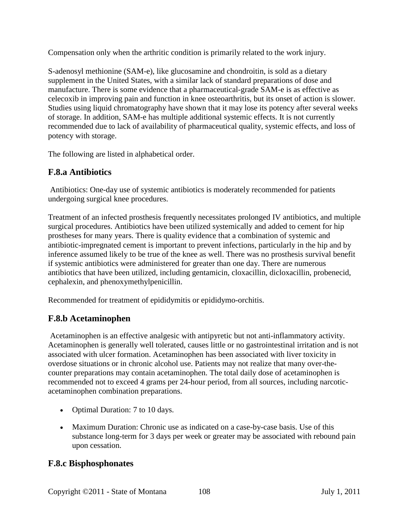Compensation only when the arthritic condition is primarily related to the work injury.

S-adenosyl methionine (SAM-e), like glucosamine and chondroitin, is sold as a dietary supplement in the United States, with a similar lack of standard preparations of dose and manufacture. There is some evidence that a pharmaceutical-grade SAM-e is as effective as celecoxib in improving pain and function in knee osteoarthritis, but its onset of action is slower. Studies using liquid chromatography have shown that it may lose its potency after several weeks of storage. In addition, SAM-e has multiple additional systemic effects. It is not currently recommended due to lack of availability of pharmaceutical quality, systemic effects, and loss of potency with storage.

The following are listed in alphabetical order.

## **F.8.a Antibiotics**

Antibiotics: One-day use of systemic antibiotics is moderately recommended for patients undergoing surgical knee procedures.

Treatment of an infected prosthesis frequently necessitates prolonged IV antibiotics, and multiple surgical procedures. Antibiotics have been utilized systemically and added to cement for hip prostheses for many years. There is quality evidence that a combination of systemic and antibiotic-impregnated cement is important to prevent infections, particularly in the hip and by inference assumed likely to be true of the knee as well. There was no prosthesis survival benefit if systemic antibiotics were administered for greater than one day. There are numerous antibiotics that have been utilized, including gentamicin, cloxacillin, dicloxacillin, probenecid, cephalexin, and phenoxymethylpenicillin.

Recommended for treatment of epididymitis or epididymo-orchitis.

## **F.8.b Acetaminophen**

Acetaminophen is an effective analgesic with antipyretic but not anti-inflammatory activity. Acetaminophen is generally well tolerated, causes little or no gastrointestinal irritation and is not associated with ulcer formation. Acetaminophen has been associated with liver toxicity in overdose situations or in chronic alcohol use. Patients may not realize that many over-thecounter preparations may contain acetaminophen. The total daily dose of acetaminophen is recommended not to exceed 4 grams per 24-hour period, from all sources, including narcoticacetaminophen combination preparations.

- Optimal Duration: 7 to 10 days.
- Maximum Duration: Chronic use as indicated on a case-by-case basis. Use of this substance long-term for 3 days per week or greater may be associated with rebound pain upon cessation.

## **F.8.c Bisphosphonates**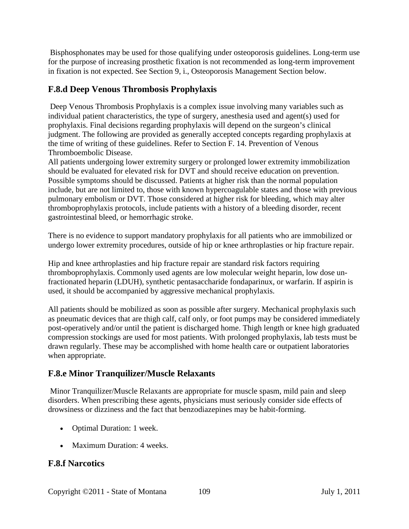Bisphosphonates may be used for those qualifying under osteoporosis guidelines. Long-term use for the purpose of increasing prosthetic fixation is not recommended as long-term improvement in fixation is not expected. See Section 9, i., Osteoporosis Management Section below.

## **F.8.d Deep Venous Thrombosis Prophylaxis**

Deep Venous Thrombosis Prophylaxis is a complex issue involving many variables such as individual patient characteristics, the type of surgery, anesthesia used and agent(s) used for prophylaxis. Final decisions regarding prophylaxis will depend on the surgeon's clinical judgment. The following are provided as generally accepted concepts regarding prophylaxis at the time of writing of these guidelines. Refer to Section F. 14. Prevention of Venous Thromboembolic Disease.

All patients undergoing lower extremity surgery or prolonged lower extremity immobilization should be evaluated for elevated risk for DVT and should receive education on prevention. Possible symptoms should be discussed. Patients at higher risk than the normal population include, but are not limited to, those with known hypercoagulable states and those with previous pulmonary embolism or DVT. Those considered at higher risk for bleeding, which may alter thromboprophylaxis protocols, include patients with a history of a bleeding disorder, recent gastrointestinal bleed, or hemorrhagic stroke.

There is no evidence to support mandatory prophylaxis for all patients who are immobilized or undergo lower extremity procedures, outside of hip or knee arthroplasties or hip fracture repair.

Hip and knee arthroplasties and hip fracture repair are standard risk factors requiring thromboprophylaxis. Commonly used agents are low molecular weight heparin, low dose unfractionated heparin (LDUH), synthetic pentasaccharide fondaparinux, or warfarin. If aspirin is used, it should be accompanied by aggressive mechanical prophylaxis.

All patients should be mobilized as soon as possible after surgery. Mechanical prophylaxis such as pneumatic devices that are thigh calf, calf only, or foot pumps may be considered immediately post-operatively and/or until the patient is discharged home. Thigh length or knee high graduated compression stockings are used for most patients. With prolonged prophylaxis, lab tests must be drawn regularly. These may be accomplished with home health care or outpatient laboratories when appropriate.

# **F.8.e Minor Tranquilizer/Muscle Relaxants**

Minor Tranquilizer/Muscle Relaxants are appropriate for muscle spasm, mild pain and sleep disorders. When prescribing these agents, physicians must seriously consider side effects of drowsiness or dizziness and the fact that benzodiazepines may be habit-forming.

- Optimal Duration: 1 week.
- Maximum Duration: 4 weeks.

# **F.8.f Narcotics**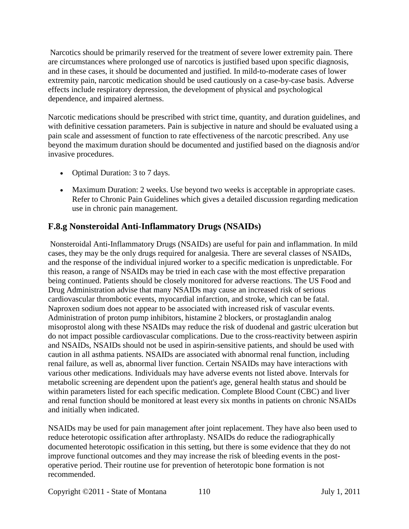Narcotics should be primarily reserved for the treatment of severe lower extremity pain. There are circumstances where prolonged use of narcotics is justified based upon specific diagnosis, and in these cases, it should be documented and justified. In mild-to-moderate cases of lower extremity pain, narcotic medication should be used cautiously on a case-by-case basis. Adverse effects include respiratory depression, the development of physical and psychological dependence, and impaired alertness.

Narcotic medications should be prescribed with strict time, quantity, and duration guidelines, and with definitive cessation parameters. Pain is subjective in nature and should be evaluated using a pain scale and assessment of function to rate effectiveness of the narcotic prescribed. Any use beyond the maximum duration should be documented and justified based on the diagnosis and/or invasive procedures.

- Optimal Duration: 3 to 7 days.
- Maximum Duration: 2 weeks. Use beyond two weeks is acceptable in appropriate cases. Refer to Chronic Pain Guidelines which gives a detailed discussion regarding medication use in chronic pain management.

## **F.8.g Nonsteroidal Anti-Inflammatory Drugs (NSAIDs)**

Nonsteroidal Anti-Inflammatory Drugs (NSAIDs) are useful for pain and inflammation. In mild cases, they may be the only drugs required for analgesia. There are several classes of NSAIDs, and the response of the individual injured worker to a specific medication is unpredictable. For this reason, a range of NSAIDs may be tried in each case with the most effective preparation being continued. Patients should be closely monitored for adverse reactions. The US Food and Drug Administration advise that many NSAIDs may cause an increased risk of serious cardiovascular thrombotic events, myocardial infarction, and stroke, which can be fatal. Naproxen sodium does not appear to be associated with increased risk of vascular events. Administration of proton pump inhibitors, histamine 2 blockers, or prostaglandin analog misoprostol along with these NSAIDs may reduce the risk of duodenal and gastric ulceration but do not impact possible cardiovascular complications. Due to the cross-reactivity between aspirin and NSAIDs, NSAIDs should not be used in aspirin-sensitive patients, and should be used with caution in all asthma patients. NSAIDs are associated with abnormal renal function, including renal failure, as well as, abnormal liver function. Certain NSAIDs may have interactions with various other medications. Individuals may have adverse events not listed above. Intervals for metabolic screening are dependent upon the patient's age, general health status and should be within parameters listed for each specific medication. Complete Blood Count (CBC) and liver and renal function should be monitored at least every six months in patients on chronic NSAIDs and initially when indicated.

NSAIDs may be used for pain management after joint replacement. They have also been used to reduce heterotopic ossification after arthroplasty. NSAIDs do reduce the radiographically documented heterotopic ossification in this setting, but there is some evidence that they do not improve functional outcomes and they may increase the risk of bleeding events in the postoperative period. Their routine use for prevention of heterotopic bone formation is not recommended.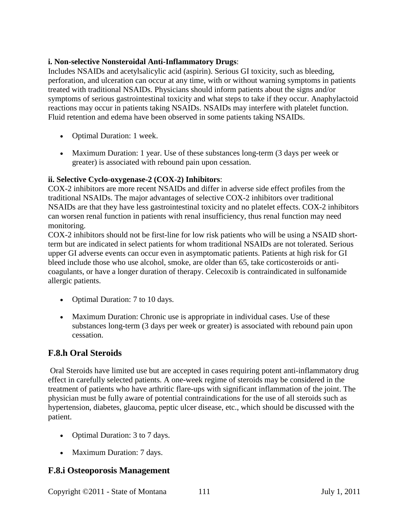#### **i. Non-selective Nonsteroidal Anti-Inflammatory Drugs**:

Includes NSAIDs and acetylsalicylic acid (aspirin). Serious GI toxicity, such as bleeding, perforation, and ulceration can occur at any time, with or without warning symptoms in patients treated with traditional NSAIDs. Physicians should inform patients about the signs and/or symptoms of serious gastrointestinal toxicity and what steps to take if they occur. Anaphylactoid reactions may occur in patients taking NSAIDs. NSAIDs may interfere with platelet function. Fluid retention and edema have been observed in some patients taking NSAIDs.

- Optimal Duration: 1 week.
- Maximum Duration: 1 year. Use of these substances long-term (3 days per week or greater) is associated with rebound pain upon cessation.

#### **ii. Selective Cyclo-oxygenase-2 (COX-2) Inhibitors**:

COX-2 inhibitors are more recent NSAIDs and differ in adverse side effect profiles from the traditional NSAIDs. The major advantages of selective COX-2 inhibitors over traditional NSAIDs are that they have less gastrointestinal toxicity and no platelet effects. COX-2 inhibitors can worsen renal function in patients with renal insufficiency, thus renal function may need monitoring.

COX-2 inhibitors should not be first-line for low risk patients who will be using a NSAID shortterm but are indicated in select patients for whom traditional NSAIDs are not tolerated. Serious upper GI adverse events can occur even in asymptomatic patients. Patients at high risk for GI bleed include those who use alcohol, smoke, are older than 65, take corticosteroids or anticoagulants, or have a longer duration of therapy. Celecoxib is contraindicated in sulfonamide allergic patients.

- Optimal Duration: 7 to 10 days.
- Maximum Duration: Chronic use is appropriate in individual cases. Use of these substances long-term (3 days per week or greater) is associated with rebound pain upon cessation.

#### **F.8.h Oral Steroids**

Oral Steroids have limited use but are accepted in cases requiring potent anti-inflammatory drug effect in carefully selected patients. A one-week regime of steroids may be considered in the treatment of patients who have arthritic flare-ups with significant inflammation of the joint. The physician must be fully aware of potential contraindications for the use of all steroids such as hypertension, diabetes, glaucoma, peptic ulcer disease, etc., which should be discussed with the patient.

- Optimal Duration: 3 to 7 days.
- Maximum Duration: 7 days.

#### **F.8.i Osteoporosis Management**

Copyright ©2011 - State of Montana 111 July 1, 2011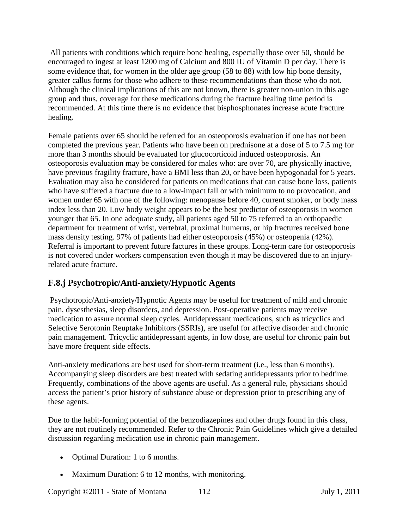All patients with conditions which require bone healing, especially those over 50, should be encouraged to ingest at least 1200 mg of Calcium and 800 IU of Vitamin D per day. There is some evidence that, for women in the older age group (58 to 88) with low hip bone density, greater callus forms for those who adhere to these recommendations than those who do not. Although the clinical implications of this are not known, there is greater non-union in this age group and thus, coverage for these medications during the fracture healing time period is recommended. At this time there is no evidence that bisphosphonates increase acute fracture healing.

Female patients over 65 should be referred for an osteoporosis evaluation if one has not been completed the previous year. Patients who have been on prednisone at a dose of 5 to 7.5 mg for more than 3 months should be evaluated for glucocorticoid induced osteoporosis. An osteoporosis evaluation may be considered for males who: are over 70, are physically inactive, have previous fragility fracture, have a BMI less than 20, or have been hypogonadal for 5 years. Evaluation may also be considered for patients on medications that can cause bone loss, patients who have suffered a fracture due to a low-impact fall or with minimum to no provocation, and women under 65 with one of the following: menopause before 40, current smoker, or body mass index less than 20. Low body weight appears to be the best predictor of osteoporosis in women younger that 65. In one adequate study, all patients aged 50 to 75 referred to an orthopaedic department for treatment of wrist, vertebral, proximal humerus, or hip fractures received bone mass density testing. 97% of patients had either osteoporosis (45%) or osteopenia (42%). Referral is important to prevent future factures in these groups. Long-term care for osteoporosis is not covered under workers compensation even though it may be discovered due to an injuryrelated acute fracture.

# **F.8.j Psychotropic/Anti-anxiety/Hypnotic Agents**

Psychotropic/Anti-anxiety/Hypnotic Agents may be useful for treatment of mild and chronic pain, dysesthesias, sleep disorders, and depression. Post-operative patients may receive medication to assure normal sleep cycles. Antidepressant medications, such as tricyclics and Selective Serotonin Reuptake Inhibitors (SSRIs), are useful for affective disorder and chronic pain management. Tricyclic antidepressant agents, in low dose, are useful for chronic pain but have more frequent side effects.

Anti-anxiety medications are best used for short-term treatment (i.e., less than 6 months). Accompanying sleep disorders are best treated with sedating antidepressants prior to bedtime. Frequently, combinations of the above agents are useful. As a general rule, physicians should access the patient's prior history of substance abuse or depression prior to prescribing any of these agents.

Due to the habit-forming potential of the benzodiazepines and other drugs found in this class, they are not routinely recommended. Refer to the Chronic Pain Guidelines which give a detailed discussion regarding medication use in chronic pain management.

- Optimal Duration: 1 to 6 months.
- Maximum Duration: 6 to 12 months, with monitoring.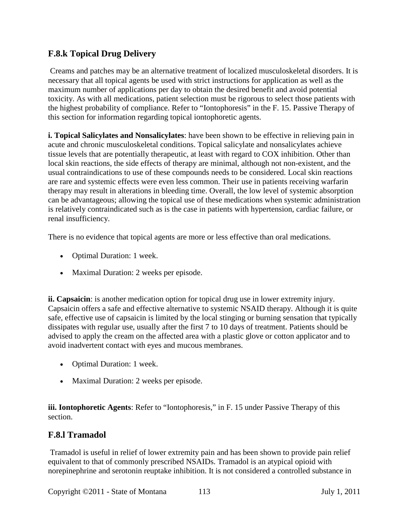#### **F.8.k Topical Drug Delivery**

Creams and patches may be an alternative treatment of localized musculoskeletal disorders. It is necessary that all topical agents be used with strict instructions for application as well as the maximum number of applications per day to obtain the desired benefit and avoid potential toxicity. As with all medications, patient selection must be rigorous to select those patients with the highest probability of compliance. Refer to "Iontophoresis" in the F. 15. Passive Therapy of this section for information regarding topical iontophoretic agents.

**i. Topical Salicylates and Nonsalicylates**: have been shown to be effective in relieving pain in acute and chronic musculoskeletal conditions. Topical salicylate and nonsalicylates achieve tissue levels that are potentially therapeutic, at least with regard to COX inhibition. Other than local skin reactions, the side effects of therapy are minimal, although not non-existent, and the usual contraindications to use of these compounds needs to be considered. Local skin reactions are rare and systemic effects were even less common. Their use in patients receiving warfarin therapy may result in alterations in bleeding time. Overall, the low level of systemic absorption can be advantageous; allowing the topical use of these medications when systemic administration is relatively contraindicated such as is the case in patients with hypertension, cardiac failure, or renal insufficiency.

There is no evidence that topical agents are more or less effective than oral medications.

- Optimal Duration: 1 week.
- Maximal Duration: 2 weeks per episode.

**ii. Capsaicin**: is another medication option for topical drug use in lower extremity injury. Capsaicin offers a safe and effective alternative to systemic NSAID therapy. Although it is quite safe, effective use of capsaicin is limited by the local stinging or burning sensation that typically dissipates with regular use, usually after the first 7 to 10 days of treatment. Patients should be advised to apply the cream on the affected area with a plastic glove or cotton applicator and to avoid inadvertent contact with eyes and mucous membranes.

- Optimal Duration: 1 week.
- Maximal Duration: 2 weeks per episode.

**iii. Iontophoretic Agents**: Refer to "Iontophoresis," in F. 15 under Passive Therapy of this section.

#### **F.8.l Tramadol**

Tramadol is useful in relief of lower extremity pain and has been shown to provide pain relief equivalent to that of commonly prescribed NSAIDs. Tramadol is an atypical opioid with norepinephrine and serotonin reuptake inhibition. It is not considered a controlled substance in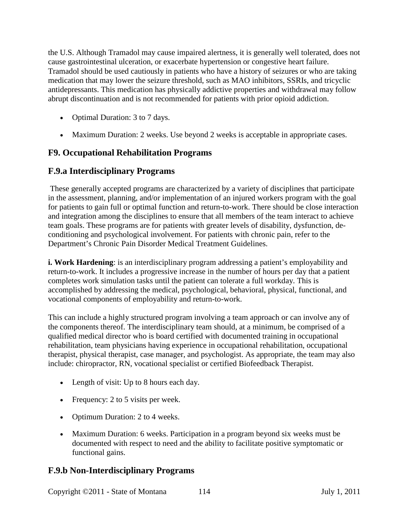the U.S. Although Tramadol may cause impaired alertness, it is generally well tolerated, does not cause gastrointestinal ulceration, or exacerbate hypertension or congestive heart failure. Tramadol should be used cautiously in patients who have a history of seizures or who are taking medication that may lower the seizure threshold, such as MAO inhibitors, SSRIs, and tricyclic antidepressants. This medication has physically addictive properties and withdrawal may follow abrupt discontinuation and is not recommended for patients with prior opioid addiction.

- Optimal Duration: 3 to 7 days.
- Maximum Duration: 2 weeks. Use beyond 2 weeks is acceptable in appropriate cases.

## **F9. Occupational Rehabilitation Programs**

## **F.9.a Interdisciplinary Programs**

These generally accepted programs are characterized by a variety of disciplines that participate in the assessment, planning, and/or implementation of an injured workers program with the goal for patients to gain full or optimal function and return-to-work. There should be close interaction and integration among the disciplines to ensure that all members of the team interact to achieve team goals. These programs are for patients with greater levels of disability, dysfunction, deconditioning and psychological involvement. For patients with chronic pain, refer to the Department's Chronic Pain Disorder Medical Treatment Guidelines.

**i. Work Hardening**: is an interdisciplinary program addressing a patient's employability and return-to-work. It includes a progressive increase in the number of hours per day that a patient completes work simulation tasks until the patient can tolerate a full workday. This is accomplished by addressing the medical, psychological, behavioral, physical, functional, and vocational components of employability and return-to-work.

This can include a highly structured program involving a team approach or can involve any of the components thereof. The interdisciplinary team should, at a minimum, be comprised of a qualified medical director who is board certified with documented training in occupational rehabilitation, team physicians having experience in occupational rehabilitation, occupational therapist, physical therapist, case manager, and psychologist. As appropriate, the team may also include: chiropractor, RN, vocational specialist or certified Biofeedback Therapist.

- Length of visit: Up to 8 hours each day.
- Frequency: 2 to 5 visits per week.
- Optimum Duration: 2 to 4 weeks.
- Maximum Duration: 6 weeks. Participation in a program beyond six weeks must be documented with respect to need and the ability to facilitate positive symptomatic or functional gains.

## **F.9.b Non-Interdisciplinary Programs**

Copyright ©2011 - State of Montana 114 July 1, 2011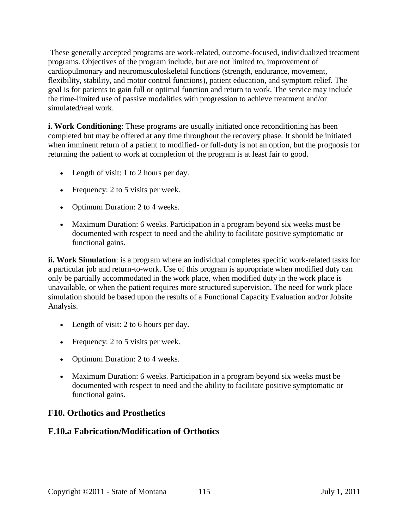These generally accepted programs are work-related, outcome-focused, individualized treatment programs. Objectives of the program include, but are not limited to, improvement of cardiopulmonary and neuromusculoskeletal functions (strength, endurance, movement, flexibility, stability, and motor control functions), patient education, and symptom relief. The goal is for patients to gain full or optimal function and return to work. The service may include the time-limited use of passive modalities with progression to achieve treatment and/or simulated/real work.

**i. Work Conditioning**: These programs are usually initiated once reconditioning has been completed but may be offered at any time throughout the recovery phase. It should be initiated when imminent return of a patient to modified- or full-duty is not an option, but the prognosis for returning the patient to work at completion of the program is at least fair to good.

- Length of visit: 1 to 2 hours per day.
- Frequency: 2 to 5 visits per week.
- Optimum Duration: 2 to 4 weeks.
- Maximum Duration: 6 weeks. Participation in a program beyond six weeks must be documented with respect to need and the ability to facilitate positive symptomatic or functional gains.

**ii. Work Simulation**: is a program where an individual completes specific work-related tasks for a particular job and return-to-work. Use of this program is appropriate when modified duty can only be partially accommodated in the work place, when modified duty in the work place is unavailable, or when the patient requires more structured supervision. The need for work place simulation should be based upon the results of a Functional Capacity Evaluation and/or Jobsite Analysis.

- Length of visit: 2 to 6 hours per day.
- Frequency: 2 to 5 visits per week.
- Optimum Duration: 2 to 4 weeks.
- Maximum Duration: 6 weeks. Participation in a program beyond six weeks must be documented with respect to need and the ability to facilitate positive symptomatic or functional gains.

#### **F10. Orthotics and Prosthetics**

#### **F.10.a Fabrication/Modification of Orthotics**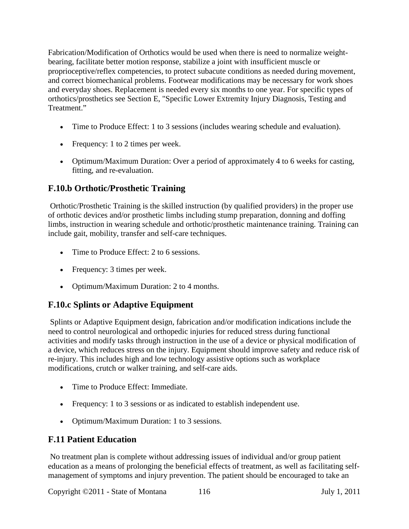Fabrication/Modification of Orthotics would be used when there is need to normalize weightbearing, facilitate better motion response, stabilize a joint with insufficient muscle or proprioceptive/reflex competencies, to protect subacute conditions as needed during movement, and correct biomechanical problems. Footwear modifications may be necessary for work shoes and everyday shoes. Replacement is needed every six months to one year. For specific types of orthotics/prosthetics see Section E, "Specific Lower Extremity Injury Diagnosis, Testing and Treatment."

- Time to Produce Effect: 1 to 3 sessions (includes wearing schedule and evaluation).
- Frequency: 1 to 2 times per week.
- Optimum/Maximum Duration: Over a period of approximately 4 to 6 weeks for casting, fitting, and re-evaluation.

# **F.10.b Orthotic/Prosthetic Training**

Orthotic/Prosthetic Training is the skilled instruction (by qualified providers) in the proper use of orthotic devices and/or prosthetic limbs including stump preparation, donning and doffing limbs, instruction in wearing schedule and orthotic/prosthetic maintenance training. Training can include gait, mobility, transfer and self-care techniques.

- Time to Produce Effect: 2 to 6 sessions.
- Frequency: 3 times per week.
- Optimum/Maximum Duration: 2 to 4 months.

## **F.10.c Splints or Adaptive Equipment**

Splints or Adaptive Equipment design, fabrication and/or modification indications include the need to control neurological and orthopedic injuries for reduced stress during functional activities and modify tasks through instruction in the use of a device or physical modification of a device, which reduces stress on the injury. Equipment should improve safety and reduce risk of re-injury. This includes high and low technology assistive options such as workplace modifications, crutch or walker training, and self-care aids.

- Time to Produce Effect: Immediate.
- Frequency: 1 to 3 sessions or as indicated to establish independent use.
- Optimum/Maximum Duration: 1 to 3 sessions.

## **F.11 Patient Education**

No treatment plan is complete without addressing issues of individual and/or group patient education as a means of prolonging the beneficial effects of treatment, as well as facilitating selfmanagement of symptoms and injury prevention. The patient should be encouraged to take an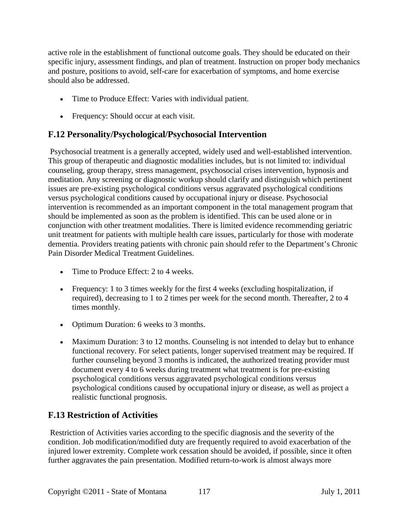active role in the establishment of functional outcome goals. They should be educated on their specific injury, assessment findings, and plan of treatment. Instruction on proper body mechanics and posture, positions to avoid, self-care for exacerbation of symptoms, and home exercise should also be addressed.

- Time to Produce Effect: Varies with individual patient.
- Frequency: Should occur at each visit.

## **F.12 Personality/Psychological/Psychosocial Intervention**

Psychosocial treatment is a generally accepted, widely used and well-established intervention. This group of therapeutic and diagnostic modalities includes, but is not limited to: individual counseling, group therapy, stress management, psychosocial crises intervention, hypnosis and meditation. Any screening or diagnostic workup should clarify and distinguish which pertinent issues are pre-existing psychological conditions versus aggravated psychological conditions versus psychological conditions caused by occupational injury or disease. Psychosocial intervention is recommended as an important component in the total management program that should be implemented as soon as the problem is identified. This can be used alone or in conjunction with other treatment modalities. There is limited evidence recommending geriatric unit treatment for patients with multiple health care issues, particularly for those with moderate dementia. Providers treating patients with chronic pain should refer to the Department's Chronic Pain Disorder Medical Treatment Guidelines.

- Time to Produce Effect: 2 to 4 weeks.
- Frequency: 1 to 3 times weekly for the first 4 weeks (excluding hospitalization, if required), decreasing to 1 to 2 times per week for the second month. Thereafter, 2 to 4 times monthly.
- Optimum Duration: 6 weeks to 3 months.
- Maximum Duration: 3 to 12 months. Counseling is not intended to delay but to enhance functional recovery. For select patients, longer supervised treatment may be required. If further counseling beyond 3 months is indicated, the authorized treating provider must document every 4 to 6 weeks during treatment what treatment is for pre-existing psychological conditions versus aggravated psychological conditions versus psychological conditions caused by occupational injury or disease, as well as project a realistic functional prognosis.

## **F.13 Restriction of Activities**

Restriction of Activities varies according to the specific diagnosis and the severity of the condition. Job modification/modified duty are frequently required to avoid exacerbation of the injured lower extremity. Complete work cessation should be avoided, if possible, since it often further aggravates the pain presentation. Modified return-to-work is almost always more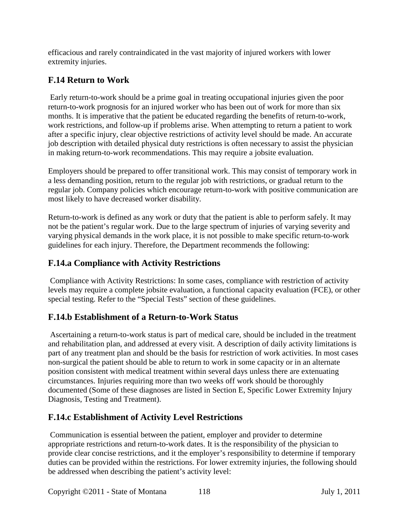efficacious and rarely contraindicated in the vast majority of injured workers with lower extremity injuries.

# **F.14 Return to Work**

Early return-to-work should be a prime goal in treating occupational injuries given the poor return-to-work prognosis for an injured worker who has been out of work for more than six months. It is imperative that the patient be educated regarding the benefits of return-to-work, work restrictions, and follow-up if problems arise. When attempting to return a patient to work after a specific injury, clear objective restrictions of activity level should be made. An accurate job description with detailed physical duty restrictions is often necessary to assist the physician in making return-to-work recommendations. This may require a jobsite evaluation.

Employers should be prepared to offer transitional work. This may consist of temporary work in a less demanding position, return to the regular job with restrictions, or gradual return to the regular job. Company policies which encourage return-to-work with positive communication are most likely to have decreased worker disability.

Return-to-work is defined as any work or duty that the patient is able to perform safely. It may not be the patient's regular work. Due to the large spectrum of injuries of varying severity and varying physical demands in the work place, it is not possible to make specific return-to-work guidelines for each injury. Therefore, the Department recommends the following:

#### **F.14.a Compliance with Activity Restrictions**

Compliance with Activity Restrictions: In some cases, compliance with restriction of activity levels may require a complete jobsite evaluation, a functional capacity evaluation (FCE), or other special testing. Refer to the "Special Tests" section of these guidelines.

## **F.14.b Establishment of a Return-to-Work Status**

Ascertaining a return-to-work status is part of medical care, should be included in the treatment and rehabilitation plan, and addressed at every visit. A description of daily activity limitations is part of any treatment plan and should be the basis for restriction of work activities. In most cases non-surgical the patient should be able to return to work in some capacity or in an alternate position consistent with medical treatment within several days unless there are extenuating circumstances. Injuries requiring more than two weeks off work should be thoroughly documented (Some of these diagnoses are listed in Section E, Specific Lower Extremity Injury Diagnosis, Testing and Treatment).

## **F.14.c Establishment of Activity Level Restrictions**

Communication is essential between the patient, employer and provider to determine appropriate restrictions and return-to-work dates. It is the responsibility of the physician to provide clear concise restrictions, and it the employer's responsibility to determine if temporary duties can be provided within the restrictions. For lower extremity injuries, the following should be addressed when describing the patient's activity level: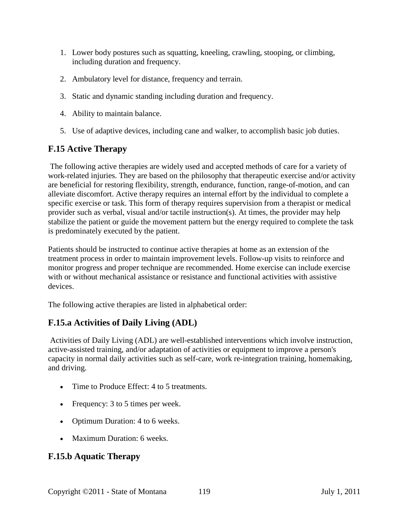- 1. Lower body postures such as squatting, kneeling, crawling, stooping, or climbing, including duration and frequency.
- 2. Ambulatory level for distance, frequency and terrain.
- 3. Static and dynamic standing including duration and frequency.
- 4. Ability to maintain balance.
- 5. Use of adaptive devices, including cane and walker, to accomplish basic job duties.

# **F.15 Active Therapy**

The following active therapies are widely used and accepted methods of care for a variety of work-related injuries. They are based on the philosophy that therapeutic exercise and/or activity are beneficial for restoring flexibility, strength, endurance, function, range-of-motion, and can alleviate discomfort. Active therapy requires an internal effort by the individual to complete a specific exercise or task. This form of therapy requires supervision from a therapist or medical provider such as verbal, visual and/or tactile instruction(s). At times, the provider may help stabilize the patient or guide the movement pattern but the energy required to complete the task is predominately executed by the patient.

Patients should be instructed to continue active therapies at home as an extension of the treatment process in order to maintain improvement levels. Follow-up visits to reinforce and monitor progress and proper technique are recommended. Home exercise can include exercise with or without mechanical assistance or resistance and functional activities with assistive devices.

The following active therapies are listed in alphabetical order:

# **F.15.a Activities of Daily Living (ADL)**

Activities of Daily Living (ADL) are well-established interventions which involve instruction, active-assisted training, and/or adaptation of activities or equipment to improve a person's capacity in normal daily activities such as self-care, work re-integration training, homemaking, and driving.

- Time to Produce Effect: 4 to 5 treatments.
- Frequency: 3 to 5 times per week.
- Optimum Duration: 4 to 6 weeks.
- Maximum Duration: 6 weeks.

## **F.15.b Aquatic Therapy**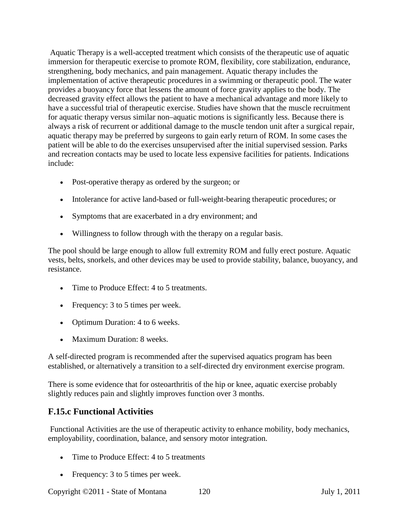Aquatic Therapy is a well-accepted treatment which consists of the therapeutic use of aquatic immersion for therapeutic exercise to promote ROM, flexibility, core stabilization, endurance, strengthening, body mechanics, and pain management. Aquatic therapy includes the implementation of active therapeutic procedures in a swimming or therapeutic pool. The water provides a buoyancy force that lessens the amount of force gravity applies to the body. The decreased gravity effect allows the patient to have a mechanical advantage and more likely to have a successful trial of therapeutic exercise. Studies have shown that the muscle recruitment for aquatic therapy versus similar non–aquatic motions is significantly less. Because there is always a risk of recurrent or additional damage to the muscle tendon unit after a surgical repair, aquatic therapy may be preferred by surgeons to gain early return of ROM. In some cases the patient will be able to do the exercises unsupervised after the initial supervised session. Parks and recreation contacts may be used to locate less expensive facilities for patients. Indications include:

- Post-operative therapy as ordered by the surgeon; or
- Intolerance for active land-based or full-weight-bearing therapeutic procedures; or
- Symptoms that are exacerbated in a dry environment; and
- Willingness to follow through with the therapy on a regular basis.

The pool should be large enough to allow full extremity ROM and fully erect posture. Aquatic vests, belts, snorkels, and other devices may be used to provide stability, balance, buoyancy, and resistance.

- Time to Produce Effect: 4 to 5 treatments.
- Frequency: 3 to 5 times per week.
- Optimum Duration: 4 to 6 weeks.
- Maximum Duration: 8 weeks.

A self-directed program is recommended after the supervised aquatics program has been established, or alternatively a transition to a self-directed dry environment exercise program.

There is some evidence that for osteoarthritis of the hip or knee, aquatic exercise probably slightly reduces pain and slightly improves function over 3 months.

## **F.15.c Functional Activities**

Functional Activities are the use of therapeutic activity to enhance mobility, body mechanics, employability, coordination, balance, and sensory motor integration.

- Time to Produce Effect: 4 to 5 treatments
- Frequency: 3 to 5 times per week.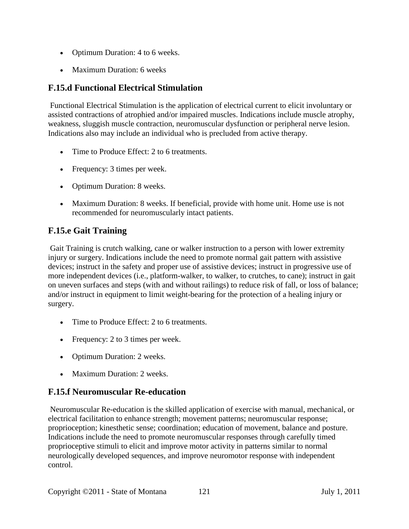- Optimum Duration: 4 to 6 weeks.
- Maximum Duration: 6 weeks

## **F.15.d Functional Electrical Stimulation**

Functional Electrical Stimulation is the application of electrical current to elicit involuntary or assisted contractions of atrophied and/or impaired muscles. Indications include muscle atrophy, weakness, sluggish muscle contraction, neuromuscular dysfunction or peripheral nerve lesion. Indications also may include an individual who is precluded from active therapy.

- Time to Produce Effect: 2 to 6 treatments.
- Frequency: 3 times per week.
- Optimum Duration: 8 weeks.
- Maximum Duration: 8 weeks. If beneficial, provide with home unit. Home use is not recommended for neuromuscularly intact patients.

# **F.15.e Gait Training**

Gait Training is crutch walking, cane or walker instruction to a person with lower extremity injury or surgery. Indications include the need to promote normal gait pattern with assistive devices; instruct in the safety and proper use of assistive devices; instruct in progressive use of more independent devices (i.e., platform-walker, to walker, to crutches, to cane); instruct in gait on uneven surfaces and steps (with and without railings) to reduce risk of fall, or loss of balance; and/or instruct in equipment to limit weight-bearing for the protection of a healing injury or surgery.

- Time to Produce Effect: 2 to 6 treatments.
- Frequency: 2 to 3 times per week.
- Optimum Duration: 2 weeks.
- Maximum Duration: 2 weeks.

#### **F.15.f Neuromuscular Re-education**

Neuromuscular Re-education is the skilled application of exercise with manual, mechanical, or electrical facilitation to enhance strength; movement patterns; neuromuscular response; proprioception; kinesthetic sense; coordination; education of movement, balance and posture. Indications include the need to promote neuromuscular responses through carefully timed proprioceptive stimuli to elicit and improve motor activity in patterns similar to normal neurologically developed sequences, and improve neuromotor response with independent control.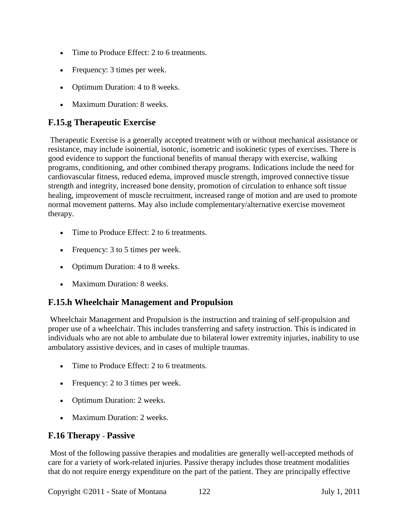- Time to Produce Effect: 2 to 6 treatments.
- Frequency: 3 times per week.
- Optimum Duration: 4 to 8 weeks.
- Maximum Duration: 8 weeks.

#### **F.15.g Therapeutic Exercise**

Therapeutic Exercise is a generally accepted treatment with or without mechanical assistance or resistance, may include isoinertial, isotonic, isometric and isokinetic types of exercises. There is good evidence to support the functional benefits of manual therapy with exercise, walking programs, conditioning, and other combined therapy programs. Indications include the need for cardiovascular fitness, reduced edema, improved muscle strength, improved connective tissue strength and integrity, increased bone density, promotion of circulation to enhance soft tissue healing, improvement of muscle recruitment, increased range of motion and are used to promote normal movement patterns. May also include complementary/alternative exercise movement therapy.

- Time to Produce Effect: 2 to 6 treatments.
- Frequency: 3 to 5 times per week.
- Optimum Duration: 4 to 8 weeks.
- Maximum Duration: 8 weeks.

## **F.15.h Wheelchair Management and Propulsion**

Wheelchair Management and Propulsion is the instruction and training of self-propulsion and proper use of a wheelchair. This includes transferring and safety instruction. This is indicated in individuals who are not able to ambulate due to bilateral lower extremity injuries, inability to use ambulatory assistive devices, and in cases of multiple traumas.

- Time to Produce Effect: 2 to 6 treatments.
- Frequency: 2 to 3 times per week.
- Optimum Duration: 2 weeks.
- Maximum Duration: 2 weeks.

#### **F.16 Therapy** - **Passive**

Most of the following passive therapies and modalities are generally well-accepted methods of care for a variety of work-related injuries. Passive therapy includes those treatment modalities that do not require energy expenditure on the part of the patient. They are principally effective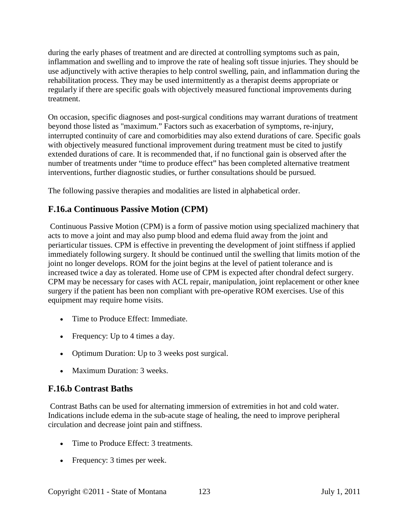during the early phases of treatment and are directed at controlling symptoms such as pain, inflammation and swelling and to improve the rate of healing soft tissue injuries. They should be use adjunctively with active therapies to help control swelling, pain, and inflammation during the rehabilitation process. They may be used intermittently as a therapist deems appropriate or regularly if there are specific goals with objectively measured functional improvements during treatment.

On occasion, specific diagnoses and post-surgical conditions may warrant durations of treatment beyond those listed as "maximum." Factors such as exacerbation of symptoms, re-injury, interrupted continuity of care and comorbidities may also extend durations of care. Specific goals with objectively measured functional improvement during treatment must be cited to justify extended durations of care. It is recommended that, if no functional gain is observed after the number of treatments under "time to produce effect" has been completed alternative treatment interventions, further diagnostic studies, or further consultations should be pursued.

The following passive therapies and modalities are listed in alphabetical order.

# **F.16.a Continuous Passive Motion (CPM)**

Continuous Passive Motion (CPM) is a form of passive motion using specialized machinery that acts to move a joint and may also pump blood and edema fluid away from the joint and periarticular tissues. CPM is effective in preventing the development of joint stiffness if applied immediately following surgery. It should be continued until the swelling that limits motion of the joint no longer develops. ROM for the joint begins at the level of patient tolerance and is increased twice a day as tolerated. Home use of CPM is expected after chondral defect surgery. CPM may be necessary for cases with ACL repair, manipulation, joint replacement or other knee surgery if the patient has been non compliant with pre-operative ROM exercises. Use of this equipment may require home visits.

- Time to Produce Effect: Immediate.
- Frequency: Up to 4 times a day.
- Optimum Duration: Up to 3 weeks post surgical.
- Maximum Duration: 3 weeks.

# **F.16.b Contrast Baths**

Contrast Baths can be used for alternating immersion of extremities in hot and cold water. Indications include edema in the sub-acute stage of healing, the need to improve peripheral circulation and decrease joint pain and stiffness.

- Time to Produce Effect: 3 treatments.
- Frequency: 3 times per week.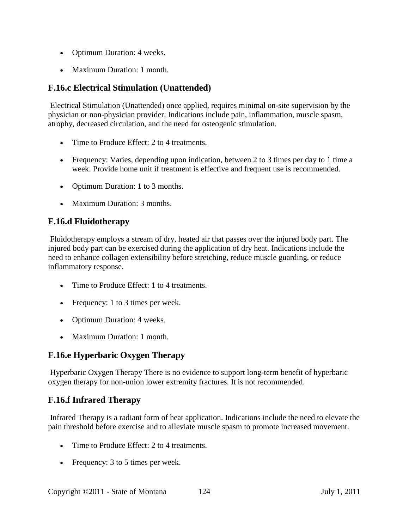- Optimum Duration: 4 weeks.
- Maximum Duration: 1 month.

#### **F.16.c Electrical Stimulation (Unattended)**

Electrical Stimulation (Unattended) once applied, requires minimal on-site supervision by the physician or non-physician provider. Indications include pain, inflammation, muscle spasm, atrophy, decreased circulation, and the need for osteogenic stimulation.

- Time to Produce Effect: 2 to 4 treatments.
- Frequency: Varies, depending upon indication, between 2 to 3 times per day to 1 time a week. Provide home unit if treatment is effective and frequent use is recommended.
- Optimum Duration: 1 to 3 months.
- Maximum Duration: 3 months.

#### **F.16.d Fluidotherapy**

Fluidotherapy employs a stream of dry, heated air that passes over the injured body part. The injured body part can be exercised during the application of dry heat. Indications include the need to enhance collagen extensibility before stretching, reduce muscle guarding, or reduce inflammatory response.

- Time to Produce Effect: 1 to 4 treatments.
- Frequency: 1 to 3 times per week.
- Optimum Duration: 4 weeks.
- Maximum Duration: 1 month.

## **F.16.e Hyperbaric Oxygen Therapy**

Hyperbaric Oxygen Therapy There is no evidence to support long-term benefit of hyperbaric oxygen therapy for non-union lower extremity fractures. It is not recommended.

## **F.16.f Infrared Therapy**

Infrared Therapy is a radiant form of heat application. Indications include the need to elevate the pain threshold before exercise and to alleviate muscle spasm to promote increased movement.

- Time to Produce Effect: 2 to 4 treatments.
- Frequency: 3 to 5 times per week.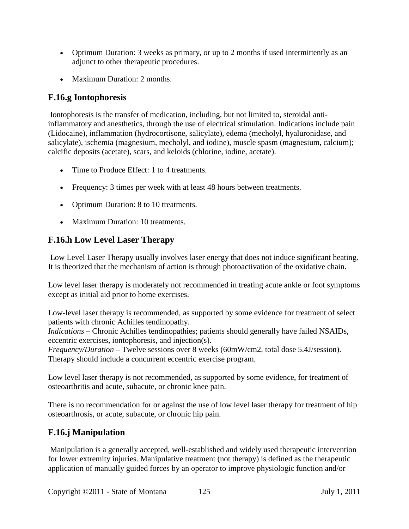- Optimum Duration: 3 weeks as primary, or up to 2 months if used intermittently as an adjunct to other therapeutic procedures.
- Maximum Duration: 2 months.

#### **F.16.g Iontophoresis**

Iontophoresis is the transfer of medication, including, but not limited to, steroidal antiinflammatory and anesthetics, through the use of electrical stimulation. Indications include pain (Lidocaine), inflammation (hydrocortisone, salicylate), edema (mecholyl, hyaluronidase, and salicylate), ischemia (magnesium, mecholyl, and iodine), muscle spasm (magnesium, calcium); calcific deposits (acetate), scars, and keloids (chlorine, iodine, acetate).

- Time to Produce Effect: 1 to 4 treatments.
- Frequency: 3 times per week with at least 48 hours between treatments.
- Optimum Duration: 8 to 10 treatments.
- Maximum Duration: 10 treatments.

#### **F.16.h Low Level Laser Therapy**

Low Level Laser Therapy usually involves laser energy that does not induce significant heating. It is theorized that the mechanism of action is through photoactivation of the oxidative chain.

Low level laser therapy is moderately not recommended in treating acute ankle or foot symptoms except as initial aid prior to home exercises.

Low-level laser therapy is recommended, as supported by some evidence for treatment of select patients with chronic Achilles tendinopathy.

*Indications* – Chronic Achilles tendinopathies; patients should generally have failed NSAIDs, eccentric exercises, iontophoresis, and injection(s).

*Frequency/Duration* – Twelve sessions over 8 weeks (60mW/cm2, total dose 5.4J/session). Therapy should include a concurrent eccentric exercise program.

Low level laser therapy is not recommended, as supported by some evidence, for treatment of osteoarthritis and acute, subacute, or chronic knee pain.

There is no recommendation for or against the use of low level laser therapy for treatment of hip osteoarthrosis, or acute, subacute, or chronic hip pain.

#### **F.16.j Manipulation**

Manipulation is a generally accepted, well-established and widely used therapeutic intervention for lower extremity injuries. Manipulative treatment (not therapy) is defined as the therapeutic application of manually guided forces by an operator to improve physiologic function and/or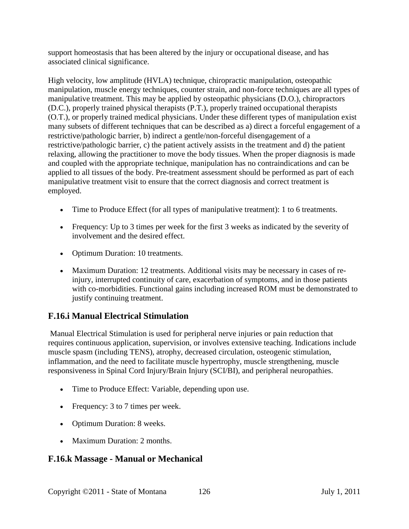support homeostasis that has been altered by the injury or occupational disease, and has associated clinical significance.

High velocity, low amplitude (HVLA) technique, chiropractic manipulation, osteopathic manipulation, muscle energy techniques, counter strain, and non-force techniques are all types of manipulative treatment. This may be applied by osteopathic physicians (D.O.), chiropractors (D.C.), properly trained physical therapists (P.T.), properly trained occupational therapists (O.T.), or properly trained medical physicians. Under these different types of manipulation exist many subsets of different techniques that can be described as a) direct a forceful engagement of a restrictive/pathologic barrier, b) indirect a gentle/non-forceful disengagement of a restrictive/pathologic barrier, c) the patient actively assists in the treatment and d) the patient relaxing, allowing the practitioner to move the body tissues. When the proper diagnosis is made and coupled with the appropriate technique, manipulation has no contraindications and can be applied to all tissues of the body. Pre-treatment assessment should be performed as part of each manipulative treatment visit to ensure that the correct diagnosis and correct treatment is employed.

- Time to Produce Effect (for all types of manipulative treatment): 1 to 6 treatments.
- Frequency: Up to 3 times per week for the first 3 weeks as indicated by the severity of involvement and the desired effect.
- Optimum Duration: 10 treatments.
- Maximum Duration: 12 treatments. Additional visits may be necessary in cases of reinjury, interrupted continuity of care, exacerbation of symptoms, and in those patients with co-morbidities. Functional gains including increased ROM must be demonstrated to justify continuing treatment.

## **F.16.i Manual Electrical Stimulation**

Manual Electrical Stimulation is used for peripheral nerve injuries or pain reduction that requires continuous application, supervision, or involves extensive teaching. Indications include muscle spasm (including TENS), atrophy, decreased circulation, osteogenic stimulation, inflammation, and the need to facilitate muscle hypertrophy, muscle strengthening, muscle responsiveness in Spinal Cord Injury/Brain Injury (SCI/BI), and peripheral neuropathies.

- Time to Produce Effect: Variable, depending upon use.
- Frequency: 3 to 7 times per week.
- Optimum Duration: 8 weeks.
- Maximum Duration: 2 months.

## **F.16.k Massage - Manual or Mechanical**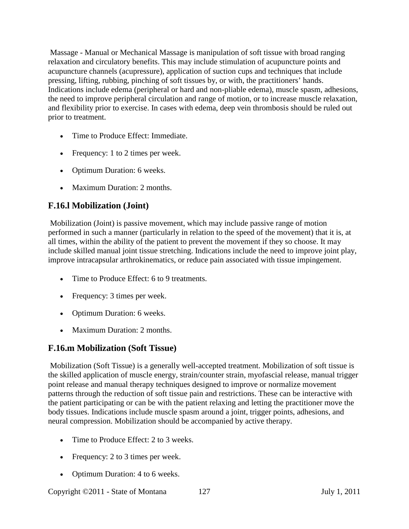Massage - Manual or Mechanical Massage is manipulation of soft tissue with broad ranging relaxation and circulatory benefits. This may include stimulation of acupuncture points and acupuncture channels (acupressure), application of suction cups and techniques that include pressing, lifting, rubbing, pinching of soft tissues by, or with, the practitioners' hands. Indications include edema (peripheral or hard and non-pliable edema), muscle spasm, adhesions, the need to improve peripheral circulation and range of motion, or to increase muscle relaxation, and flexibility prior to exercise. In cases with edema, deep vein thrombosis should be ruled out prior to treatment.

- Time to Produce Effect: Immediate.
- Frequency: 1 to 2 times per week.
- Optimum Duration: 6 weeks.
- Maximum Duration: 2 months.

#### **F.16.l Mobilization (Joint)**

Mobilization (Joint) is passive movement, which may include passive range of motion performed in such a manner (particularly in relation to the speed of the movement) that it is, at all times, within the ability of the patient to prevent the movement if they so choose. It may include skilled manual joint tissue stretching. Indications include the need to improve joint play, improve intracapsular arthrokinematics, or reduce pain associated with tissue impingement.

- Time to Produce Effect: 6 to 9 treatments.
- Frequency: 3 times per week.
- Optimum Duration: 6 weeks.
- Maximum Duration: 2 months.

## **F.16.m Mobilization (Soft Tissue)**

Mobilization (Soft Tissue) is a generally well-accepted treatment. Mobilization of soft tissue is the skilled application of muscle energy, strain/counter strain, myofascial release, manual trigger point release and manual therapy techniques designed to improve or normalize movement patterns through the reduction of soft tissue pain and restrictions. These can be interactive with the patient participating or can be with the patient relaxing and letting the practitioner move the body tissues. Indications include muscle spasm around a joint, trigger points, adhesions, and neural compression. Mobilization should be accompanied by active therapy.

- Time to Produce Effect: 2 to 3 weeks.
- Frequency: 2 to 3 times per week.
- Optimum Duration: 4 to 6 weeks.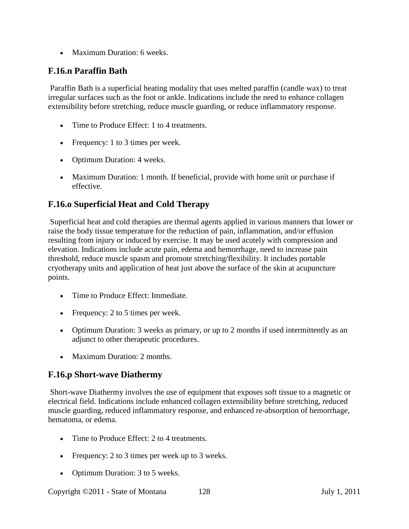• Maximum Duration: 6 weeks.

#### **F.16.n Paraffin Bath**

Paraffin Bath is a superficial heating modality that uses melted paraffin (candle wax) to treat irregular surfaces such as the foot or ankle. Indications include the need to enhance collagen extensibility before stretching, reduce muscle guarding, or reduce inflammatory response.

- Time to Produce Effect: 1 to 4 treatments.
- Frequency: 1 to 3 times per week.
- Optimum Duration: 4 weeks.
- Maximum Duration: 1 month. If beneficial, provide with home unit or purchase if effective.

#### **F.16.o Superficial Heat and Cold Therapy**

Superficial heat and cold therapies are thermal agents applied in various manners that lower or raise the body tissue temperature for the reduction of pain, inflammation, and/or effusion resulting from injury or induced by exercise. It may be used acutely with compression and elevation. Indications include acute pain, edema and hemorrhage, need to increase pain threshold, reduce muscle spasm and promote stretching/flexibility. It includes portable cryotherapy units and application of heat just above the surface of the skin at acupuncture points.

- Time to Produce Effect: Immediate.
- Frequency: 2 to 5 times per week.
- Optimum Duration: 3 weeks as primary, or up to 2 months if used intermittently as an adjunct to other therapeutic procedures.
- Maximum Duration: 2 months.

#### **F.16.p Short-wave Diathermy**

Short-wave Diathermy involves the use of equipment that exposes soft tissue to a magnetic or electrical field. Indications include enhanced collagen extensibility before stretching, reduced muscle guarding, reduced inflammatory response, and enhanced re-absorption of hemorrhage, hematoma, or edema.

- Time to Produce Effect: 2 to 4 treatments.
- Frequency: 2 to 3 times per week up to 3 weeks.
- Optimum Duration: 3 to 5 weeks.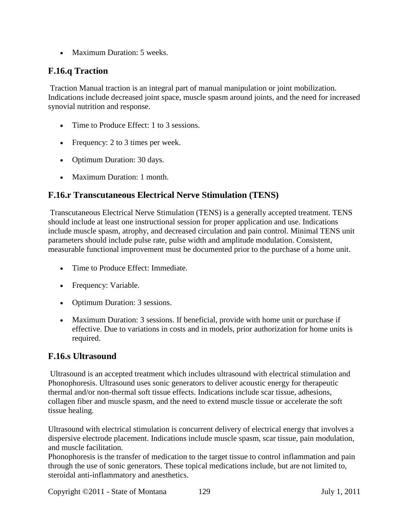• Maximum Duration: 5 weeks.

#### **F.16.q Traction**

Traction Manual traction is an integral part of manual manipulation or joint mobilization. Indications include decreased joint space, muscle spasm around joints, and the need for increased synovial nutrition and response.

- Time to Produce Effect: 1 to 3 sessions.
- Frequency: 2 to 3 times per week.
- Optimum Duration: 30 days.
- Maximum Duration: 1 month.

## **F.16.r Transcutaneous Electrical Nerve Stimulation (TENS)**

Transcutaneous Electrical Nerve Stimulation (TENS) is a generally accepted treatment. TENS should include at least one instructional session for proper application and use. Indications include muscle spasm, atrophy, and decreased circulation and pain control. Minimal TENS unit parameters should include pulse rate, pulse width and amplitude modulation. Consistent, measurable functional improvement must be documented prior to the purchase of a home unit.

- Time to Produce Effect: Immediate.
- Frequency: Variable.
- Optimum Duration: 3 sessions.
- Maximum Duration: 3 sessions. If beneficial, provide with home unit or purchase if effective. Due to variations in costs and in models, prior authorization for home units is required.

#### **F.16.s Ultrasound**

Ultrasound is an accepted treatment which includes ultrasound with electrical stimulation and Phonophoresis. Ultrasound uses sonic generators to deliver acoustic energy for therapeutic thermal and/or non-thermal soft tissue effects. Indications include scar tissue, adhesions, collagen fiber and muscle spasm, and the need to extend muscle tissue or accelerate the soft tissue healing.

Ultrasound with electrical stimulation is concurrent delivery of electrical energy that involves a dispersive electrode placement. Indications include muscle spasm, scar tissue, pain modulation, and muscle facilitation.

Phonophoresis is the transfer of medication to the target tissue to control inflammation and pain through the use of sonic generators. These topical medications include, but are not limited to, steroidal anti-inflammatory and anesthetics.

Copyright ©2011 - State of Montana 129 July 1, 2011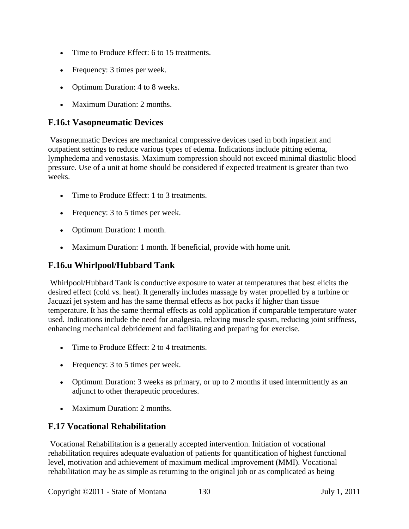- Time to Produce Effect: 6 to 15 treatments.
- Frequency: 3 times per week.
- Optimum Duration: 4 to 8 weeks.
- Maximum Duration: 2 months.

#### **F.16.t Vasopneumatic Devices**

Vasopneumatic Devices are mechanical compressive devices used in both inpatient and outpatient settings to reduce various types of edema. Indications include pitting edema, lymphedema and venostasis. Maximum compression should not exceed minimal diastolic blood pressure. Use of a unit at home should be considered if expected treatment is greater than two weeks.

- Time to Produce Effect: 1 to 3 treatments.
- Frequency: 3 to 5 times per week.
- Optimum Duration: 1 month.
- Maximum Duration: 1 month. If beneficial, provide with home unit.

#### **F.16.u Whirlpool/Hubbard Tank**

Whirlpool/Hubbard Tank is conductive exposure to water at temperatures that best elicits the desired effect (cold vs. heat). It generally includes massage by water propelled by a turbine or Jacuzzi jet system and has the same thermal effects as hot packs if higher than tissue temperature. It has the same thermal effects as cold application if comparable temperature water used. Indications include the need for analgesia, relaxing muscle spasm, reducing joint stiffness, enhancing mechanical debridement and facilitating and preparing for exercise.

- Time to Produce Effect: 2 to 4 treatments.
- Frequency: 3 to 5 times per week.
- Optimum Duration: 3 weeks as primary, or up to 2 months if used intermittently as an adjunct to other therapeutic procedures.
- Maximum Duration: 2 months.

## **F.17 Vocational Rehabilitation**

Vocational Rehabilitation is a generally accepted intervention. Initiation of vocational rehabilitation requires adequate evaluation of patients for quantification of highest functional level, motivation and achievement of maximum medical improvement (MMI). Vocational rehabilitation may be as simple as returning to the original job or as complicated as being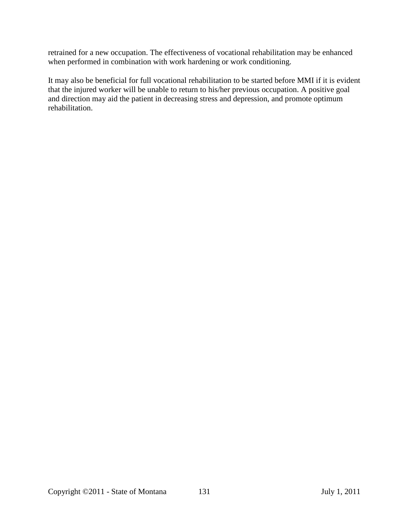retrained for a new occupation. The effectiveness of vocational rehabilitation may be enhanced when performed in combination with work hardening or work conditioning.

It may also be beneficial for full vocational rehabilitation to be started before MMI if it is evident that the injured worker will be unable to return to his/her previous occupation. A positive goal and direction may aid the patient in decreasing stress and depression, and promote optimum rehabilitation.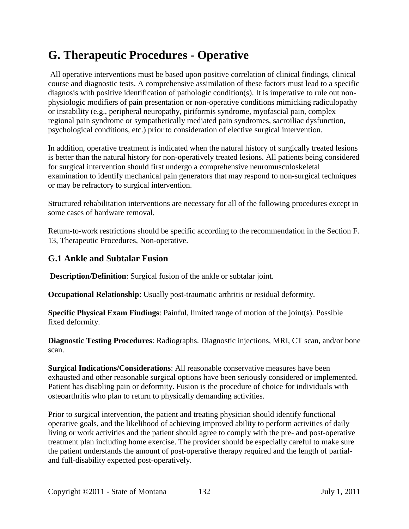# **G. Therapeutic Procedures - Operative**

All operative interventions must be based upon positive correlation of clinical findings, clinical course and diagnostic tests. A comprehensive assimilation of these factors must lead to a specific diagnosis with positive identification of pathologic condition(s). It is imperative to rule out nonphysiologic modifiers of pain presentation or non-operative conditions mimicking radiculopathy or instability (e.g., peripheral neuropathy, piriformis syndrome, myofascial pain, complex regional pain syndrome or sympathetically mediated pain syndromes, sacroiliac dysfunction, psychological conditions, etc.) prior to consideration of elective surgical intervention.

In addition, operative treatment is indicated when the natural history of surgically treated lesions is better than the natural history for non-operatively treated lesions. All patients being considered for surgical intervention should first undergo a comprehensive neuromusculoskeletal examination to identify mechanical pain generators that may respond to non-surgical techniques or may be refractory to surgical intervention.

Structured rehabilitation interventions are necessary for all of the following procedures except in some cases of hardware removal.

Return-to-work restrictions should be specific according to the recommendation in the Section F. 13, Therapeutic Procedures, Non-operative.

#### **G.1 Ankle and Subtalar Fusion**

**Description/Definition**: Surgical fusion of the ankle or subtalar joint.

**Occupational Relationship**: Usually post-traumatic arthritis or residual deformity.

**Specific Physical Exam Findings**: Painful, limited range of motion of the joint(s). Possible fixed deformity.

**Diagnostic Testing Procedures**: Radiographs. Diagnostic injections, MRI, CT scan, and/or bone scan.

**Surgical Indications/Considerations**: All reasonable conservative measures have been exhausted and other reasonable surgical options have been seriously considered or implemented. Patient has disabling pain or deformity. Fusion is the procedure of choice for individuals with osteoarthritis who plan to return to physically demanding activities.

Prior to surgical intervention, the patient and treating physician should identify functional operative goals, and the likelihood of achieving improved ability to perform activities of daily living or work activities and the patient should agree to comply with the pre- and post-operative treatment plan including home exercise. The provider should be especially careful to make sure the patient understands the amount of post-operative therapy required and the length of partialand full-disability expected post-operatively.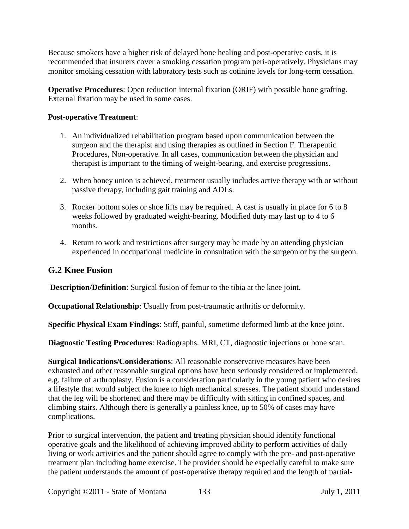Because smokers have a higher risk of delayed bone healing and post-operative costs, it is recommended that insurers cover a smoking cessation program peri-operatively. Physicians may monitor smoking cessation with laboratory tests such as cotinine levels for long-term cessation.

**Operative Procedures**: Open reduction internal fixation (ORIF) with possible bone grafting. External fixation may be used in some cases.

#### **Post-operative Treatment**:

- 1. An individualized rehabilitation program based upon communication between the surgeon and the therapist and using therapies as outlined in Section F. Therapeutic Procedures, Non-operative. In all cases, communication between the physician and therapist is important to the timing of weight-bearing, and exercise progressions.
- 2. When boney union is achieved, treatment usually includes active therapy with or without passive therapy, including gait training and ADLs.
- 3. Rocker bottom soles or shoe lifts may be required. A cast is usually in place for 6 to 8 weeks followed by graduated weight-bearing. Modified duty may last up to 4 to 6 months.
- 4. Return to work and restrictions after surgery may be made by an attending physician experienced in occupational medicine in consultation with the surgeon or by the surgeon.

## **G.2 Knee Fusion**

**Description/Definition**: Surgical fusion of femur to the tibia at the knee joint.

**Occupational Relationship**: Usually from post-traumatic arthritis or deformity.

**Specific Physical Exam Findings**: Stiff, painful, sometime deformed limb at the knee joint.

**Diagnostic Testing Procedures**: Radiographs. MRI, CT, diagnostic injections or bone scan.

**Surgical Indications/Considerations**: All reasonable conservative measures have been exhausted and other reasonable surgical options have been seriously considered or implemented, e.g. failure of arthroplasty. Fusion is a consideration particularly in the young patient who desires a lifestyle that would subject the knee to high mechanical stresses. The patient should understand that the leg will be shortened and there may be difficulty with sitting in confined spaces, and climbing stairs. Although there is generally a painless knee, up to 50% of cases may have complications.

Prior to surgical intervention, the patient and treating physician should identify functional operative goals and the likelihood of achieving improved ability to perform activities of daily living or work activities and the patient should agree to comply with the pre- and post-operative treatment plan including home exercise. The provider should be especially careful to make sure the patient understands the amount of post-operative therapy required and the length of partial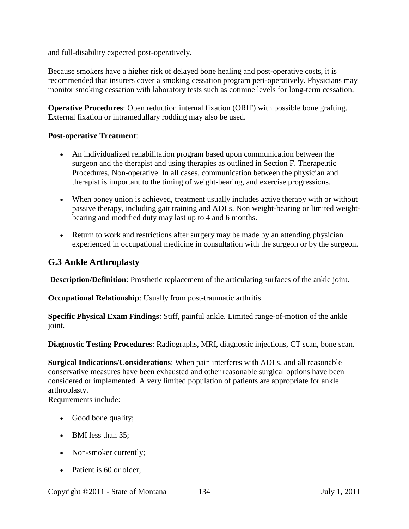and full-disability expected post-operatively.

Because smokers have a higher risk of delayed bone healing and post-operative costs, it is recommended that insurers cover a smoking cessation program peri-operatively. Physicians may monitor smoking cessation with laboratory tests such as cotinine levels for long-term cessation.

**Operative Procedures**: Open reduction internal fixation (ORIF) with possible bone grafting. External fixation or intramedullary rodding may also be used.

#### **Post-operative Treatment**:

- An individualized rehabilitation program based upon communication between the surgeon and the therapist and using therapies as outlined in Section F. Therapeutic Procedures, Non-operative. In all cases, communication between the physician and therapist is important to the timing of weight-bearing, and exercise progressions.
- When boney union is achieved, treatment usually includes active therapy with or without passive therapy, including gait training and ADLs. Non weight-bearing or limited weightbearing and modified duty may last up to 4 and 6 months.
- Return to work and restrictions after surgery may be made by an attending physician experienced in occupational medicine in consultation with the surgeon or by the surgeon.

#### **G.3 Ankle Arthroplasty**

**Description/Definition**: Prosthetic replacement of the articulating surfaces of the ankle joint.

**Occupational Relationship**: Usually from post-traumatic arthritis.

**Specific Physical Exam Findings**: Stiff, painful ankle. Limited range-of-motion of the ankle joint.

**Diagnostic Testing Procedures**: Radiographs, MRI, diagnostic injections, CT scan, bone scan.

**Surgical Indications/Considerations**: When pain interferes with ADLs, and all reasonable conservative measures have been exhausted and other reasonable surgical options have been considered or implemented. A very limited population of patients are appropriate for ankle arthroplasty.

Requirements include:

- Good bone quality;
- BMI less than 35:
- Non-smoker currently;
- Patient is 60 or older;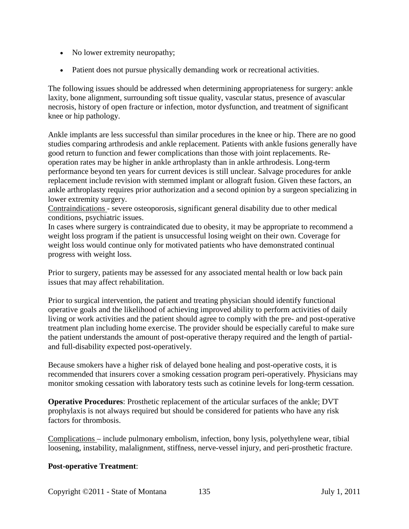- No lower extremity neuropathy;
- Patient does not pursue physically demanding work or recreational activities.

The following issues should be addressed when determining appropriateness for surgery: ankle laxity, bone alignment, surrounding soft tissue quality, vascular status, presence of avascular necrosis, history of open fracture or infection, motor dysfunction, and treatment of significant knee or hip pathology.

Ankle implants are less successful than similar procedures in the knee or hip. There are no good studies comparing arthrodesis and ankle replacement. Patients with ankle fusions generally have good return to function and fewer complications than those with joint replacements. Reoperation rates may be higher in ankle arthroplasty than in ankle arthrodesis. Long-term performance beyond ten years for current devices is still unclear. Salvage procedures for ankle replacement include revision with stemmed implant or allograft fusion. Given these factors, an ankle arthroplasty requires prior authorization and a second opinion by a surgeon specializing in lower extremity surgery.

Contraindications - severe osteoporosis, significant general disability due to other medical conditions, psychiatric issues.

In cases where surgery is contraindicated due to obesity, it may be appropriate to recommend a weight loss program if the patient is unsuccessful losing weight on their own. Coverage for weight loss would continue only for motivated patients who have demonstrated continual progress with weight loss.

Prior to surgery, patients may be assessed for any associated mental health or low back pain issues that may affect rehabilitation.

Prior to surgical intervention, the patient and treating physician should identify functional operative goals and the likelihood of achieving improved ability to perform activities of daily living or work activities and the patient should agree to comply with the pre- and post-operative treatment plan including home exercise. The provider should be especially careful to make sure the patient understands the amount of post-operative therapy required and the length of partialand full-disability expected post-operatively.

Because smokers have a higher risk of delayed bone healing and post-operative costs, it is recommended that insurers cover a smoking cessation program peri-operatively. Physicians may monitor smoking cessation with laboratory tests such as cotinine levels for long-term cessation.

**Operative Procedures**: Prosthetic replacement of the articular surfaces of the ankle; DVT prophylaxis is not always required but should be considered for patients who have any risk factors for thrombosis.

Complications – include pulmonary embolism, infection, bony lysis, polyethylene wear, tibial loosening, instability, malalignment, stiffness, nerve-vessel injury, and peri-prosthetic fracture.

#### **Post-operative Treatment**: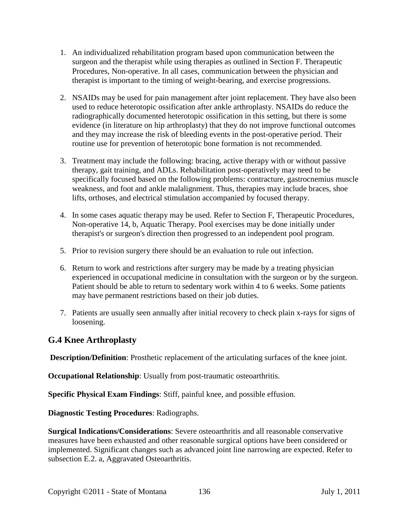- 1. An individualized rehabilitation program based upon communication between the surgeon and the therapist while using therapies as outlined in Section F. Therapeutic Procedures, Non-operative. In all cases, communication between the physician and therapist is important to the timing of weight-bearing, and exercise progressions.
- 2. NSAIDs may be used for pain management after joint replacement. They have also been used to reduce heterotopic ossification after ankle arthroplasty. NSAIDs do reduce the radiographically documented heterotopic ossification in this setting, but there is some evidence (in literature on hip arthroplasty) that they do not improve functional outcomes and they may increase the risk of bleeding events in the post-operative period. Their routine use for prevention of heterotopic bone formation is not recommended.
- 3. Treatment may include the following: bracing, active therapy with or without passive therapy, gait training, and ADLs. Rehabilitation post-operatively may need to be specifically focused based on the following problems: contracture, gastrocnemius muscle weakness, and foot and ankle malalignment. Thus, therapies may include braces, shoe lifts, orthoses, and electrical stimulation accompanied by focused therapy.
- 4. In some cases aquatic therapy may be used. Refer to Section F, Therapeutic Procedures, Non-operative 14, b, Aquatic Therapy. Pool exercises may be done initially under therapist's or surgeon's direction then progressed to an independent pool program.
- 5. Prior to revision surgery there should be an evaluation to rule out infection.
- 6. Return to work and restrictions after surgery may be made by a treating physician experienced in occupational medicine in consultation with the surgeon or by the surgeon. Patient should be able to return to sedentary work within 4 to 6 weeks. Some patients may have permanent restrictions based on their job duties.
- 7. Patients are usually seen annually after initial recovery to check plain x-rays for signs of loosening.

#### **G.4 Knee Arthroplasty**

**Description/Definition**: Prosthetic replacement of the articulating surfaces of the knee joint.

**Occupational Relationship**: Usually from post-traumatic osteoarthritis.

**Specific Physical Exam Findings**: Stiff, painful knee, and possible effusion.

**Diagnostic Testing Procedures**: Radiographs.

**Surgical Indications/Considerations**: Severe osteoarthritis and all reasonable conservative measures have been exhausted and other reasonable surgical options have been considered or implemented. Significant changes such as advanced joint line narrowing are expected. Refer to subsection E.2. a, Aggravated Osteoarthritis.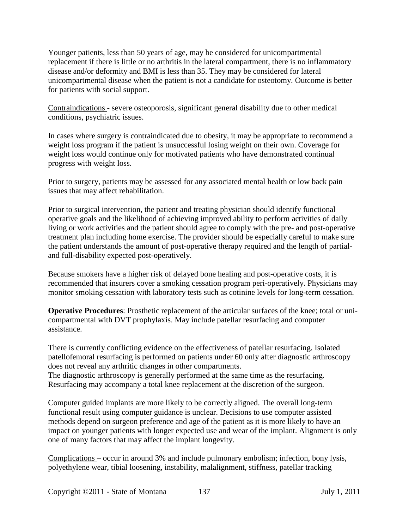Younger patients, less than 50 years of age, may be considered for unicompartmental replacement if there is little or no arthritis in the lateral compartment, there is no inflammatory disease and/or deformity and BMI is less than 35. They may be considered for lateral unicompartmental disease when the patient is not a candidate for osteotomy. Outcome is better for patients with social support.

Contraindications - severe osteoporosis, significant general disability due to other medical conditions, psychiatric issues.

In cases where surgery is contraindicated due to obesity, it may be appropriate to recommend a weight loss program if the patient is unsuccessful losing weight on their own. Coverage for weight loss would continue only for motivated patients who have demonstrated continual progress with weight loss.

Prior to surgery, patients may be assessed for any associated mental health or low back pain issues that may affect rehabilitation.

Prior to surgical intervention, the patient and treating physician should identify functional operative goals and the likelihood of achieving improved ability to perform activities of daily living or work activities and the patient should agree to comply with the pre- and post-operative treatment plan including home exercise. The provider should be especially careful to make sure the patient understands the amount of post-operative therapy required and the length of partialand full-disability expected post-operatively.

Because smokers have a higher risk of delayed bone healing and post-operative costs, it is recommended that insurers cover a smoking cessation program peri-operatively. Physicians may monitor smoking cessation with laboratory tests such as cotinine levels for long-term cessation.

**Operative Procedures**: Prosthetic replacement of the articular surfaces of the knee; total or unicompartmental with DVT prophylaxis. May include patellar resurfacing and computer assistance.

There is currently conflicting evidence on the effectiveness of patellar resurfacing. Isolated patellofemoral resurfacing is performed on patients under 60 only after diagnostic arthroscopy does not reveal any arthritic changes in other compartments.

The diagnostic arthroscopy is generally performed at the same time as the resurfacing. Resurfacing may accompany a total knee replacement at the discretion of the surgeon.

Computer guided implants are more likely to be correctly aligned. The overall long-term functional result using computer guidance is unclear. Decisions to use computer assisted methods depend on surgeon preference and age of the patient as it is more likely to have an impact on younger patients with longer expected use and wear of the implant. Alignment is only one of many factors that may affect the implant longevity.

Complications – occur in around 3% and include pulmonary embolism; infection, bony lysis, polyethylene wear, tibial loosening, instability, malalignment, stiffness, patellar tracking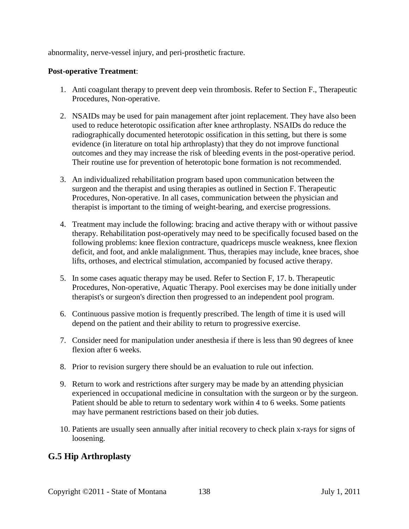abnormality, nerve-vessel injury, and peri-prosthetic fracture.

#### **Post-operative Treatment**:

- 1. Anti coagulant therapy to prevent deep vein thrombosis. Refer to Section F., Therapeutic Procedures, Non-operative.
- 2. NSAIDs may be used for pain management after joint replacement. They have also been used to reduce heterotopic ossification after knee arthroplasty. NSAIDs do reduce the radiographically documented heterotopic ossification in this setting, but there is some evidence (in literature on total hip arthroplasty) that they do not improve functional outcomes and they may increase the risk of bleeding events in the post-operative period. Their routine use for prevention of heterotopic bone formation is not recommended.
- 3. An individualized rehabilitation program based upon communication between the surgeon and the therapist and using therapies as outlined in Section F. Therapeutic Procedures, Non-operative. In all cases, communication between the physician and therapist is important to the timing of weight-bearing, and exercise progressions.
- 4. Treatment may include the following: bracing and active therapy with or without passive therapy. Rehabilitation post-operatively may need to be specifically focused based on the following problems: knee flexion contracture, quadriceps muscle weakness, knee flexion deficit, and foot, and ankle malalignment. Thus, therapies may include, knee braces, shoe lifts, orthoses, and electrical stimulation, accompanied by focused active therapy.
- 5. In some cases aquatic therapy may be used. Refer to Section F, 17. b. Therapeutic Procedures, Non-operative, Aquatic Therapy. Pool exercises may be done initially under therapist's or surgeon's direction then progressed to an independent pool program.
- 6. Continuous passive motion is frequently prescribed. The length of time it is used will depend on the patient and their ability to return to progressive exercise.
- 7. Consider need for manipulation under anesthesia if there is less than 90 degrees of knee flexion after 6 weeks.
- 8. Prior to revision surgery there should be an evaluation to rule out infection.
- 9. Return to work and restrictions after surgery may be made by an attending physician experienced in occupational medicine in consultation with the surgeon or by the surgeon. Patient should be able to return to sedentary work within 4 to 6 weeks. Some patients may have permanent restrictions based on their job duties.
- 10. Patients are usually seen annually after initial recovery to check plain x-rays for signs of loosening.

#### **G.5 Hip Arthroplasty**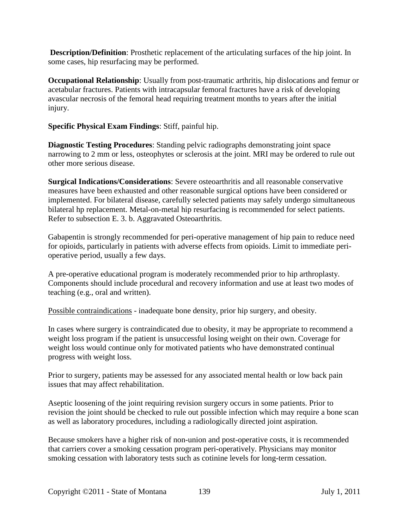**Description/Definition**: Prosthetic replacement of the articulating surfaces of the hip joint. In some cases, hip resurfacing may be performed.

**Occupational Relationship**: Usually from post-traumatic arthritis, hip dislocations and femur or acetabular fractures. Patients with intracapsular femoral fractures have a risk of developing avascular necrosis of the femoral head requiring treatment months to years after the initial injury.

**Specific Physical Exam Findings**: Stiff, painful hip.

**Diagnostic Testing Procedures**: Standing pelvic radiographs demonstrating joint space narrowing to 2 mm or less, osteophytes or sclerosis at the joint. MRI may be ordered to rule out other more serious disease.

**Surgical Indications/Considerations**: Severe osteoarthritis and all reasonable conservative measures have been exhausted and other reasonable surgical options have been considered or implemented. For bilateral disease, carefully selected patients may safely undergo simultaneous bilateral hp replacement. Metal-on-metal hip resurfacing is recommended for select patients. Refer to subsection E. 3. b. Aggravated Osteoarthritis.

Gabapentin is strongly recommended for peri-operative management of hip pain to reduce need for opioids, particularly in patients with adverse effects from opioids. Limit to immediate perioperative period, usually a few days.

A pre-operative educational program is moderately recommended prior to hip arthroplasty. Components should include procedural and recovery information and use at least two modes of teaching (e.g., oral and written).

Possible contraindications - inadequate bone density, prior hip surgery, and obesity.

In cases where surgery is contraindicated due to obesity, it may be appropriate to recommend a weight loss program if the patient is unsuccessful losing weight on their own. Coverage for weight loss would continue only for motivated patients who have demonstrated continual progress with weight loss.

Prior to surgery, patients may be assessed for any associated mental health or low back pain issues that may affect rehabilitation.

Aseptic loosening of the joint requiring revision surgery occurs in some patients. Prior to revision the joint should be checked to rule out possible infection which may require a bone scan as well as laboratory procedures, including a radiologically directed joint aspiration.

Because smokers have a higher risk of non-union and post-operative costs, it is recommended that carriers cover a smoking cessation program peri-operatively. Physicians may monitor smoking cessation with laboratory tests such as cotinine levels for long-term cessation.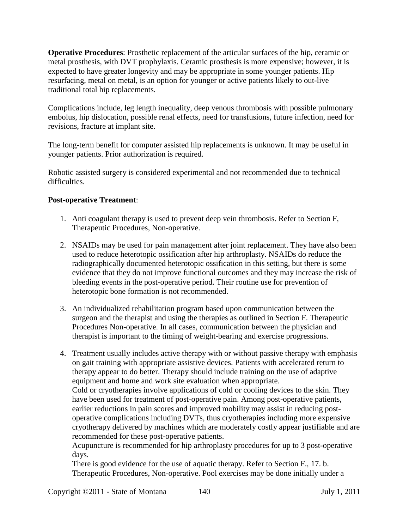**Operative Procedures**: Prosthetic replacement of the articular surfaces of the hip, ceramic or metal prosthesis, with DVT prophylaxis. Ceramic prosthesis is more expensive; however, it is expected to have greater longevity and may be appropriate in some younger patients. Hip resurfacing, metal on metal, is an option for younger or active patients likely to out-live traditional total hip replacements.

Complications include, leg length inequality, deep venous thrombosis with possible pulmonary embolus, hip dislocation, possible renal effects, need for transfusions, future infection, need for revisions, fracture at implant site.

The long-term benefit for computer assisted hip replacements is unknown. It may be useful in younger patients. Prior authorization is required.

Robotic assisted surgery is considered experimental and not recommended due to technical difficulties.

#### **Post-operative Treatment**:

- 1. Anti coagulant therapy is used to prevent deep vein thrombosis. Refer to Section F, Therapeutic Procedures, Non-operative.
- 2. NSAIDs may be used for pain management after joint replacement. They have also been used to reduce heterotopic ossification after hip arthroplasty. NSAIDs do reduce the radiographically documented heterotopic ossification in this setting, but there is some evidence that they do not improve functional outcomes and they may increase the risk of bleeding events in the post-operative period. Their routine use for prevention of heterotopic bone formation is not recommended.
- 3. An individualized rehabilitation program based upon communication between the surgeon and the therapist and using the therapies as outlined in Section F. Therapeutic Procedures Non-operative. In all cases, communication between the physician and therapist is important to the timing of weight-bearing and exercise progressions.

4. Treatment usually includes active therapy with or without passive therapy with emphasis on gait training with appropriate assistive devices. Patients with accelerated return to therapy appear to do better. Therapy should include training on the use of adaptive equipment and home and work site evaluation when appropriate. Cold or cryotherapies involve applications of cold or cooling devices to the skin. They have been used for treatment of post-operative pain. Among post-operative patients, earlier reductions in pain scores and improved mobility may assist in reducing postoperative complications including DVTs, thus cryotherapies including more expensive cryotherapy delivered by machines which are moderately costly appear justifiable and are recommended for these post-operative patients.

Acupuncture is recommended for hip arthroplasty procedures for up to 3 post-operative days.

There is good evidence for the use of aquatic therapy. Refer to Section F., 17. b. Therapeutic Procedures, Non-operative. Pool exercises may be done initially under a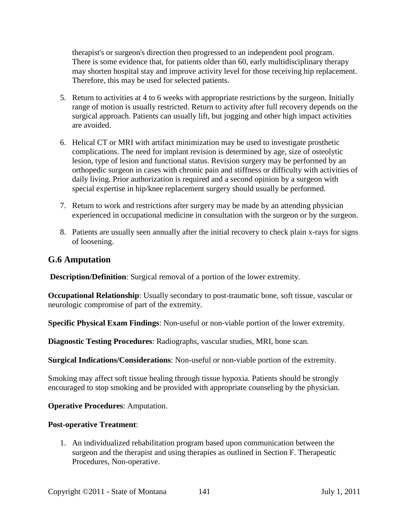therapist's or surgeon's direction then progressed to an independent pool program. There is some evidence that, for patients older than 60, early multidisciplinary therapy may shorten hospital stay and improve activity level for those receiving hip replacement. Therefore, this may be used for selected patients.

- 5. Return to activities at 4 to 6 weeks with appropriate restrictions by the surgeon. Initially range of motion is usually restricted. Return to activity after full recovery depends on the surgical approach. Patients can usually lift, but jogging and other high impact activities are avoided.
- 6. Helical CT or MRI with artifact minimization may be used to investigate prosthetic complications. The need for implant revision is determined by age, size of osteolytic lesion, type of lesion and functional status. Revision surgery may be performed by an orthopedic surgeon in cases with chronic pain and stiffness or difficulty with activities of daily living. Prior authorization is required and a second opinion by a surgeon with special expertise in hip/knee replacement surgery should usually be performed.
- 7. Return to work and restrictions after surgery may be made by an attending physician experienced in occupational medicine in consultation with the surgeon or by the surgeon.
- 8. Patients are usually seen annually after the initial recovery to check plain x-rays for signs of loosening.

#### **G.6 Amputation**

**Description/Definition**: Surgical removal of a portion of the lower extremity.

**Occupational Relationship**: Usually secondary to post-traumatic bone, soft tissue, vascular or neurologic compromise of part of the extremity.

**Specific Physical Exam Findings**: Non-useful or non-viable portion of the lower extremity.

**Diagnostic Testing Procedures**: Radiographs, vascular studies, MRI, bone scan.

**Surgical Indications/Considerations**: Non-useful or non-viable portion of the extremity.

Smoking may affect soft tissue healing through tissue hypoxia. Patients should be strongly encouraged to stop smoking and be provided with appropriate counseling by the physician.

**Operative Procedures**: Amputation.

#### **Post-operative Treatment**:

1. An individualized rehabilitation program based upon communication between the surgeon and the therapist and using therapies as outlined in Section F. Therapeutic Procedures, Non-operative.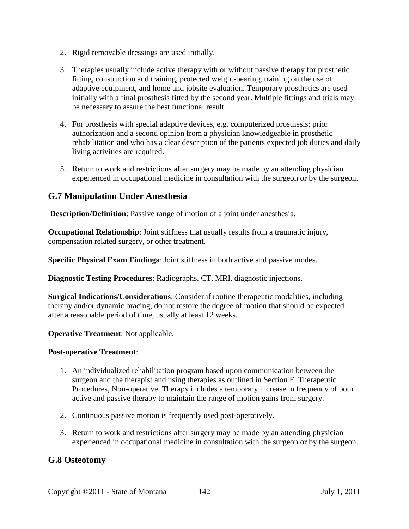- 2. Rigid removable dressings are used initially.
- 3. Therapies usually include active therapy with or without passive therapy for prosthetic fitting, construction and training, protected weight-bearing, training on the use of adaptive equipment, and home and jobsite evaluation. Temporary prosthetics are used initially with a final prosthesis fitted by the second year. Multiple fittings and trials may be necessary to assure the best functional result.
- 4. For prosthesis with special adaptive devices, e.g. computerized prosthesis; prior authorization and a second opinion from a physician knowledgeable in prosthetic rehabilitation and who has a clear description of the patients expected job duties and daily living activities are required.
- 5. Return to work and restrictions after surgery may be made by an attending physician experienced in occupational medicine in consultation with the surgeon or by the surgeon.

#### **G.7 Manipulation Under Anesthesia**

**Description/Definition**: Passive range of motion of a joint under anesthesia.

**Occupational Relationship**: Joint stiffness that usually results from a traumatic injury, compensation related surgery, or other treatment.

**Specific Physical Exam Findings**: Joint stiffness in both active and passive modes.

**Diagnostic Testing Procedures**: Radiographs. CT, MRI, diagnostic injections.

**Surgical Indications/Considerations**: Consider if routine therapeutic modalities, including therapy and/or dynamic bracing, do not restore the degree of motion that should be expected after a reasonable period of time, usually at least 12 weeks.

**Operative Treatment**: Not applicable.

#### **Post-operative Treatment**:

- 1. An individualized rehabilitation program based upon communication between the surgeon and the therapist and using therapies as outlined in Section F. Therapeutic Procedures, Non-operative. Therapy includes a temporary increase in frequency of both active and passive therapy to maintain the range of motion gains from surgery.
- 2. Continuous passive motion is frequently used post-operatively.
- 3. Return to work and restrictions after surgery may be made by an attending physician experienced in occupational medicine in consultation with the surgeon or by the surgeon.

#### **G.8 Osteotomy**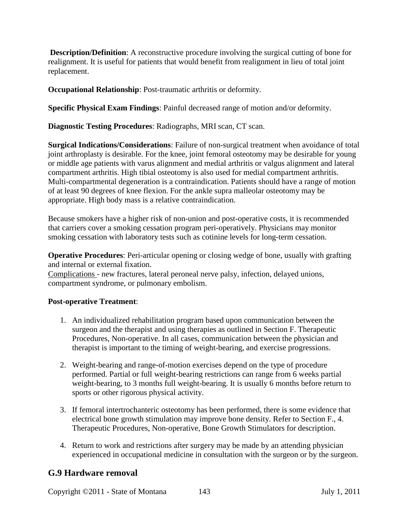**Description/Definition:** A reconstructive procedure involving the surgical cutting of bone for realignment. It is useful for patients that would benefit from realignment in lieu of total joint replacement.

**Occupational Relationship**: Post-traumatic arthritis or deformity.

**Specific Physical Exam Findings**: Painful decreased range of motion and/or deformity.

**Diagnostic Testing Procedures**: Radiographs, MRI scan, CT scan.

**Surgical Indications/Considerations**: Failure of non-surgical treatment when avoidance of total joint arthroplasty is desirable. For the knee, joint femoral osteotomy may be desirable for young or middle age patients with varus alignment and medial arthritis or valgus alignment and lateral compartment arthritis. High tibial osteotomy is also used for medial compartment arthritis. Multi-compartmental degeneration is a contraindication. Patients should have a range of motion of at least 90 degrees of knee flexion. For the ankle supra malleolar osteotomy may be appropriate. High body mass is a relative contraindication.

Because smokers have a higher risk of non-union and post-operative costs, it is recommended that carriers cover a smoking cessation program peri-operatively. Physicians may monitor smoking cessation with laboratory tests such as cotinine levels for long-term cessation.

**Operative Procedures**: Peri-articular opening or closing wedge of bone, usually with grafting and internal or external fixation.

Complications - new fractures, lateral peroneal nerve palsy, infection, delayed unions, compartment syndrome, or pulmonary embolism.

#### **Post-operative Treatment**:

- 1. An individualized rehabilitation program based upon communication between the surgeon and the therapist and using therapies as outlined in Section F. Therapeutic Procedures, Non-operative. In all cases, communication between the physician and therapist is important to the timing of weight-bearing, and exercise progressions.
- 2. Weight-bearing and range-of-motion exercises depend on the type of procedure performed. Partial or full weight-bearing restrictions can range from 6 weeks partial weight-bearing, to 3 months full weight-bearing. It is usually 6 months before return to sports or other rigorous physical activity.
- 3. If femoral intertrochanteric osteotomy has been performed, there is some evidence that electrical bone growth stimulation may improve bone density. Refer to Section F., 4. Therapeutic Procedures, Non-operative, Bone Growth Stimulators for description.
- 4. Return to work and restrictions after surgery may be made by an attending physician experienced in occupational medicine in consultation with the surgeon or by the surgeon.

#### **G.9 Hardware removal**

Copyright ©2011 - State of Montana 143 July 1, 2011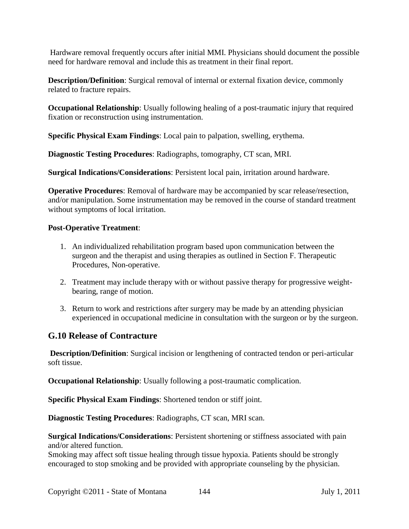Hardware removal frequently occurs after initial MMI. Physicians should document the possible need for hardware removal and include this as treatment in their final report.

**Description/Definition**: Surgical removal of internal or external fixation device, commonly related to fracture repairs.

**Occupational Relationship**: Usually following healing of a post-traumatic injury that required fixation or reconstruction using instrumentation.

**Specific Physical Exam Findings**: Local pain to palpation, swelling, erythema.

**Diagnostic Testing Procedures**: Radiographs, tomography, CT scan, MRI.

**Surgical Indications/Considerations**: Persistent local pain, irritation around hardware.

**Operative Procedures**: Removal of hardware may be accompanied by scar release/resection, and/or manipulation. Some instrumentation may be removed in the course of standard treatment without symptoms of local irritation.

#### **Post-Operative Treatment**:

- 1. An individualized rehabilitation program based upon communication between the surgeon and the therapist and using therapies as outlined in Section F. Therapeutic Procedures, Non-operative.
- 2. Treatment may include therapy with or without passive therapy for progressive weightbearing, range of motion.
- 3. Return to work and restrictions after surgery may be made by an attending physician experienced in occupational medicine in consultation with the surgeon or by the surgeon.

#### **G.10 Release of Contracture**

**Description/Definition**: Surgical incision or lengthening of contracted tendon or peri-articular soft tissue.

**Occupational Relationship**: Usually following a post-traumatic complication.

**Specific Physical Exam Findings**: Shortened tendon or stiff joint.

**Diagnostic Testing Procedures**: Radiographs, CT scan, MRI scan.

**Surgical Indications/Considerations**: Persistent shortening or stiffness associated with pain and/or altered function.

Smoking may affect soft tissue healing through tissue hypoxia. Patients should be strongly encouraged to stop smoking and be provided with appropriate counseling by the physician.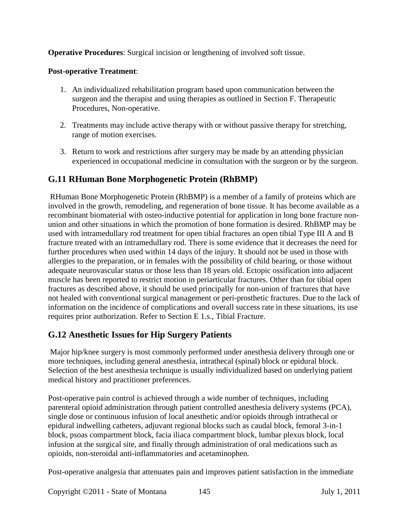**Operative Procedures**: Surgical incision or lengthening of involved soft tissue.

# **Post-operative Treatment**:

- 1. An individualized rehabilitation program based upon communication between the surgeon and the therapist and using therapies as outlined in Section F. Therapeutic Procedures, Non-operative.
- 2. Treatments may include active therapy with or without passive therapy for stretching, range of motion exercises.
- 3. Return to work and restrictions after surgery may be made by an attending physician experienced in occupational medicine in consultation with the surgeon or by the surgeon.

# **G.11 RHuman Bone Morphogenetic Protein (RhBMP)**

RHuman Bone Morphogenetic Protein (RhBMP) is a member of a family of proteins which are involved in the growth, remodeling, and regeneration of bone tissue. It has become available as a recombinant biomaterial with osteo-inductive potential for application in long bone fracture nonunion and other situations in which the promotion of bone formation is desired. RhBMP may be used with intramedullary rod treatment for open tibial fractures an open tibial Type III A and B fracture treated with an intramedullary rod. There is some evidence that it decreases the need for further procedures when used within 14 days of the injury. It should not be used in those with allergies to the preparation, or in females with the possibility of child bearing, or those without adequate neurovascular status or those less than 18 years old. Ectopic ossification into adjacent muscle has been reported to restrict motion in periarticular fractures. Other than for tibial open fractures as described above, it should be used principally for non-union of fractures that have not healed with conventional surgical management or peri-prosthetic fractures. Due to the lack of information on the incidence of complications and overall success rate in these situations, its use requires prior authorization. Refer to Section E 1.s., Tibial Fracture.

# **G.12 Anesthetic Issues for Hip Surgery Patients**

Major hip/knee surgery is most commonly performed under anesthesia delivery through one or more techniques, including general anesthesia, intrathecal (spinal) block or epidural block. Selection of the best anesthesia technique is usually individualized based on underlying patient medical history and practitioner preferences.

Post-operative pain control is achieved through a wide number of techniques, including parenteral opioid administration through patient controlled anesthesia delivery systems (PCA), single dose or continuous infusion of local anesthetic and/or opioids through intrathecal or epidural indwelling catheters, adjuvant regional blocks such as caudal block, femoral 3-in-1 block, psoas compartment block, facia iliaca compartment block, lumbar plexus block, local infusion at the surgical site, and finally through administration of oral medications such as opioids, non-steroidal anti-inflammatories and acetaminophen.

Post-operative analgesia that attenuates pain and improves patient satisfaction in the immediate

Copyright ©2011 - State of Montana 145 July 1, 2011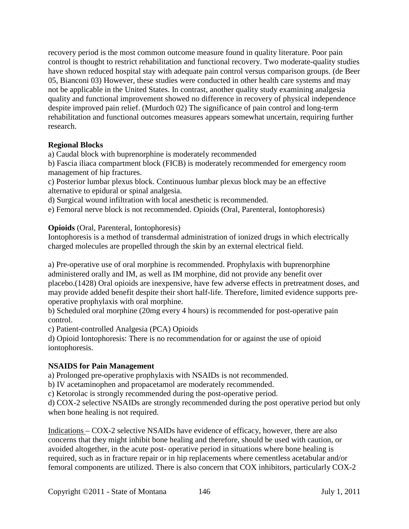recovery period is the most common outcome measure found in quality literature. Poor pain control is thought to restrict rehabilitation and functional recovery. Two moderate-quality studies have shown reduced hospital stay with adequate pain control versus comparison groups. (de Beer 05, Bianconi 03) However, these studies were conducted in other health care systems and may not be applicable in the United States. In contrast, another quality study examining analgesia quality and functional improvement showed no difference in recovery of physical independence despite improved pain relief. (Murdoch 02) The significance of pain control and long-term rehabilitation and functional outcomes measures appears somewhat uncertain, requiring further research.

## **Regional Blocks**

a) Caudal block with buprenorphine is moderately recommended

b) Fascia iliaca compartment block (FICB) is moderately recommended for emergency room management of hip fractures.

c) Posterior lumbar plexus block. Continuous lumbar plexus block may be an effective alternative to epidural or spinal analgesia.

d) Surgical wound infiltration with local anesthetic is recommended.

e) Femoral nerve block is not recommended. Opioids (Oral, Parenteral, Iontophoresis)

**Opioids** (Oral, Parenteral, Iontophoresis)

Iontophoresis is a method of transdermal administration of ionized drugs in which electrically charged molecules are propelled through the skin by an external electrical field.

a) Pre-operative use of oral morphine is recommended. Prophylaxis with buprenorphine administered orally and IM, as well as IM morphine, did not provide any benefit over placebo.(1428) Oral opioids are inexpensive, have few adverse effects in pretreatment doses, and may provide added benefit despite their short half-life. Therefore, limited evidence supports preoperative prophylaxis with oral morphine.

b) Scheduled oral morphine (20mg every 4 hours) is recommended for post-operative pain control.

c) Patient-controlled Analgesia (PCA) Opioids

d) Opioid Iontophoresis: There is no recommendation for or against the use of opioid iontophoresis.

#### **NSAIDS for Pain Management**

a) Prolonged pre-operative prophylaxis with NSAIDs is not recommended.

b) IV acetaminophen and propacetamol are moderately recommended.

c) Ketorolac is strongly recommended during the post-operative period.

d) COX-2 selective NSAIDs are strongly recommended during the post operative period but only when bone healing is not required.

Indications – COX-2 selective NSAIDs have evidence of efficacy, however, there are also concerns that they might inhibit bone healing and therefore, should be used with caution, or avoided altogether, in the acute post- operative period in situations where bone healing is required, such as in fracture repair or in hip replacements where cementless acetabular and/or femoral components are utilized. There is also concern that COX inhibitors, particularly COX-2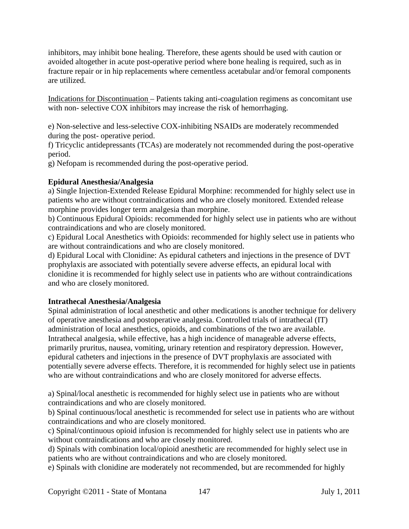inhibitors, may inhibit bone healing. Therefore, these agents should be used with caution or avoided altogether in acute post-operative period where bone healing is required, such as in fracture repair or in hip replacements where cementless acetabular and/or femoral components are utilized.

Indications for Discontinuation – Patients taking anti-coagulation regimens as concomitant use with non- selective COX inhibitors may increase the risk of hemorrhaging.

e) Non-selective and less-selective COX-inhibiting NSAIDs are moderately recommended during the post- operative period.

f) Tricyclic antidepressants (TCAs) are moderately not recommended during the post-operative period.

g) Nefopam is recommended during the post-operative period.

# **Epidural Anesthesia/Analgesia**

a) Single Injection-Extended Release Epidural Morphine: recommended for highly select use in patients who are without contraindications and who are closely monitored. Extended release morphine provides longer term analgesia than morphine.

b) Continuous Epidural Opioids: recommended for highly select use in patients who are without contraindications and who are closely monitored.

c) Epidural Local Anesthetics with Opioids: recommended for highly select use in patients who are without contraindications and who are closely monitored.

d) Epidural Local with Clonidine: As epidural catheters and injections in the presence of DVT prophylaxis are associated with potentially severe adverse effects, an epidural local with clonidine it is recommended for highly select use in patients who are without contraindications and who are closely monitored.

## **Intrathecal Anesthesia/Analgesia**

Spinal administration of local anesthetic and other medications is another technique for delivery of operative anesthesia and postoperative analgesia. Controlled trials of intrathecal (IT) administration of local anesthetics, opioids, and combinations of the two are available. Intrathecal analgesia, while effective, has a high incidence of manageable adverse effects, primarily pruritus, nausea, vomiting, urinary retention and respiratory depression. However, epidural catheters and injections in the presence of DVT prophylaxis are associated with potentially severe adverse effects. Therefore, it is recommended for highly select use in patients who are without contraindications and who are closely monitored for adverse effects.

a) Spinal/local anesthetic is recommended for highly select use in patients who are without contraindications and who are closely monitored.

b) Spinal continuous/local anesthetic is recommended for select use in patients who are without contraindications and who are closely monitored.

c) Spinal/continuous opioid infusion is recommended for highly select use in patients who are without contraindications and who are closely monitored.

d) Spinals with combination local/opioid anesthetic are recommended for highly select use in patients who are without contraindications and who are closely monitored.

e) Spinals with clonidine are moderately not recommended, but are recommended for highly